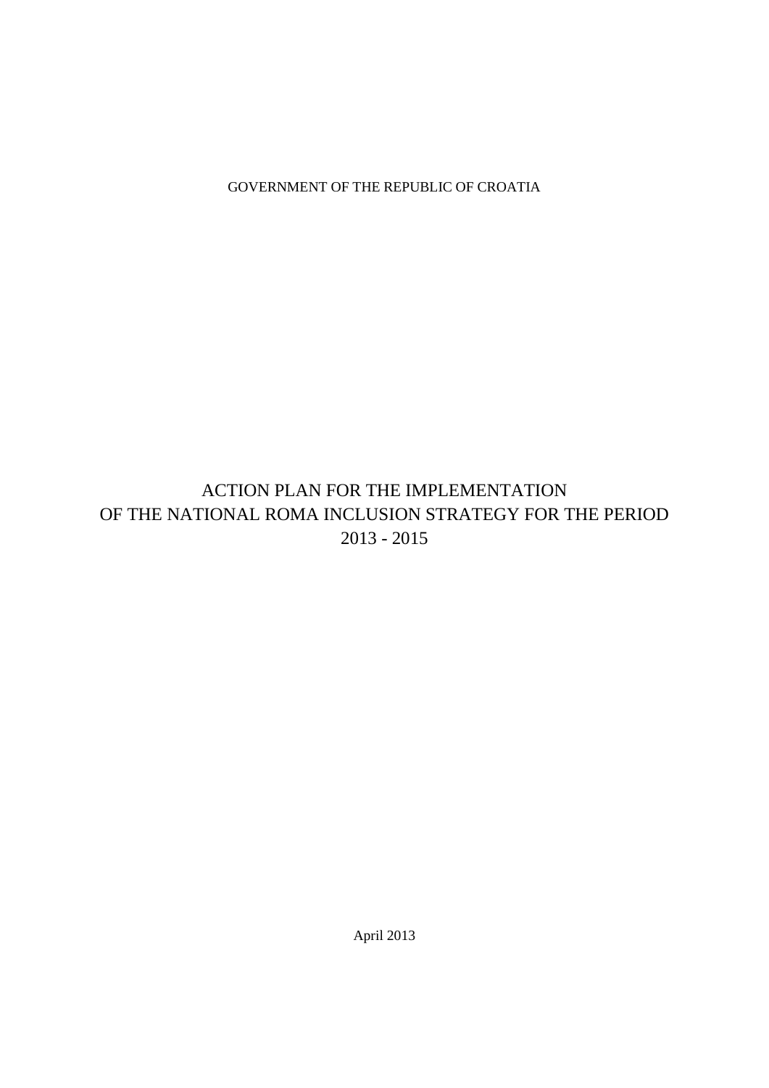GOVERNMENT OF THE REPUBLIC OF CROATIA

# ACTION PLAN FOR THE IMPLEMENTATION OF THE NATIONAL ROMA INCLUSION STRATEGY FOR THE PERIOD 2013 - 2015

April 2013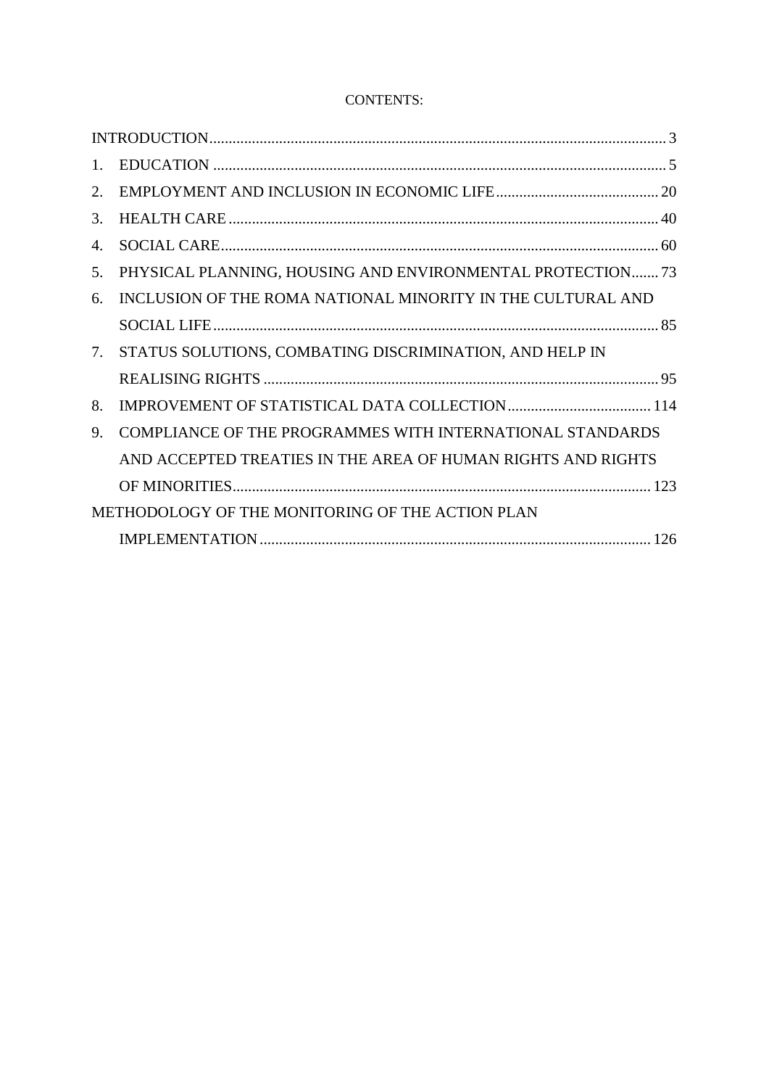# CONTENTS:

| $\mathbf{1}_{\mathbf{1}}$ |                                                              |
|---------------------------|--------------------------------------------------------------|
| 2.                        |                                                              |
| 3.                        |                                                              |
| 4.                        |                                                              |
| 5.                        | PHYSICAL PLANNING, HOUSING AND ENVIRONMENTAL PROTECTION73    |
| 6.                        | INCLUSION OF THE ROMA NATIONAL MINORITY IN THE CULTURAL AND  |
|                           |                                                              |
| 7.                        | STATUS SOLUTIONS, COMBATING DISCRIMINATION, AND HELP IN      |
|                           |                                                              |
| 8.                        |                                                              |
| 9.                        | COMPLIANCE OF THE PROGRAMMES WITH INTERNATIONAL STANDARDS    |
|                           | AND ACCEPTED TREATIES IN THE AREA OF HUMAN RIGHTS AND RIGHTS |
|                           |                                                              |
|                           | METHODOLOGY OF THE MONITORING OF THE ACTION PLAN             |
|                           |                                                              |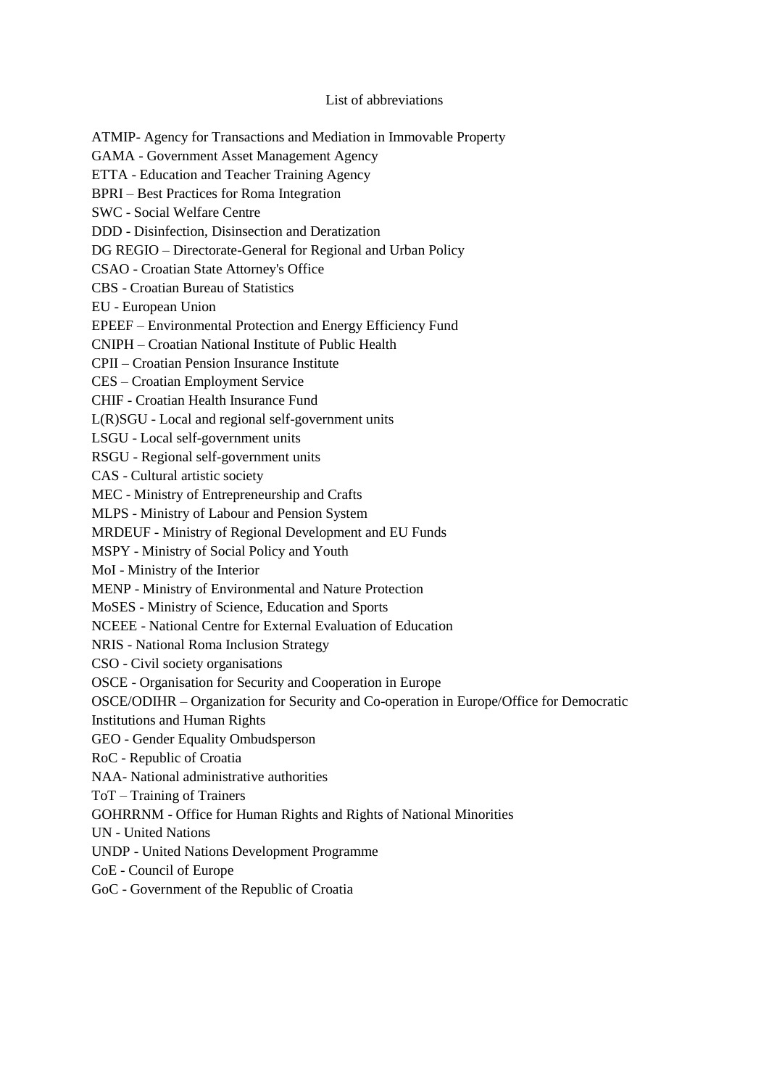List of abbreviations ATMIP- Agency for Transactions and Mediation in Immovable Property GAMA - Government Asset Management Agency ETTA - Education and Teacher Training Agency BPRI – Best Practices for Roma Integration SWC - Social Welfare Centre DDD - Disinfection, Disinsection and Deratization DG REGIO – Directorate-General for Regional and Urban Policy CSAO - Croatian State Attorney's Office CBS - Croatian Bureau of Statistics EU - European Union EPEEF – Environmental Protection and Energy Efficiency Fund CNIPH – Croatian National Institute of Public Health CPII – Croatian Pension Insurance Institute CES – Croatian Employment Service CHIF - Croatian Health Insurance Fund L(R)SGU - Local and regional self-government units LSGU - Local self-government units RSGU - Regional self-government units CAS - Cultural artistic society MEC - Ministry of Entrepreneurship and Crafts MLPS - Ministry of Labour and Pension System MRDEUF - Ministry of Regional Development and EU Funds MSPY - Ministry of Social Policy and Youth MoI - Ministry of the Interior MENP - Ministry of Environmental and Nature Protection MoSES - Ministry of Science, Education and Sports NCEEE - National Centre for External Evaluation of Education NRIS - National Roma Inclusion Strategy CSO - Civil society organisations OSCE - Organisation for Security and Cooperation in Europe OSCE/ODIHR – Organization for Security and Co-operation in Europe/Office for Democratic Institutions and Human Rights GEO - Gender Equality Ombudsperson RoC - Republic of Croatia NAA- National administrative authorities ToT – Training of Trainers GOHRRNM - Office for Human Rights and Rights of National Minorities UN - United Nations UNDP - United Nations Development Programme CoE - Council of Europe GoC - Government of the Republic of Croatia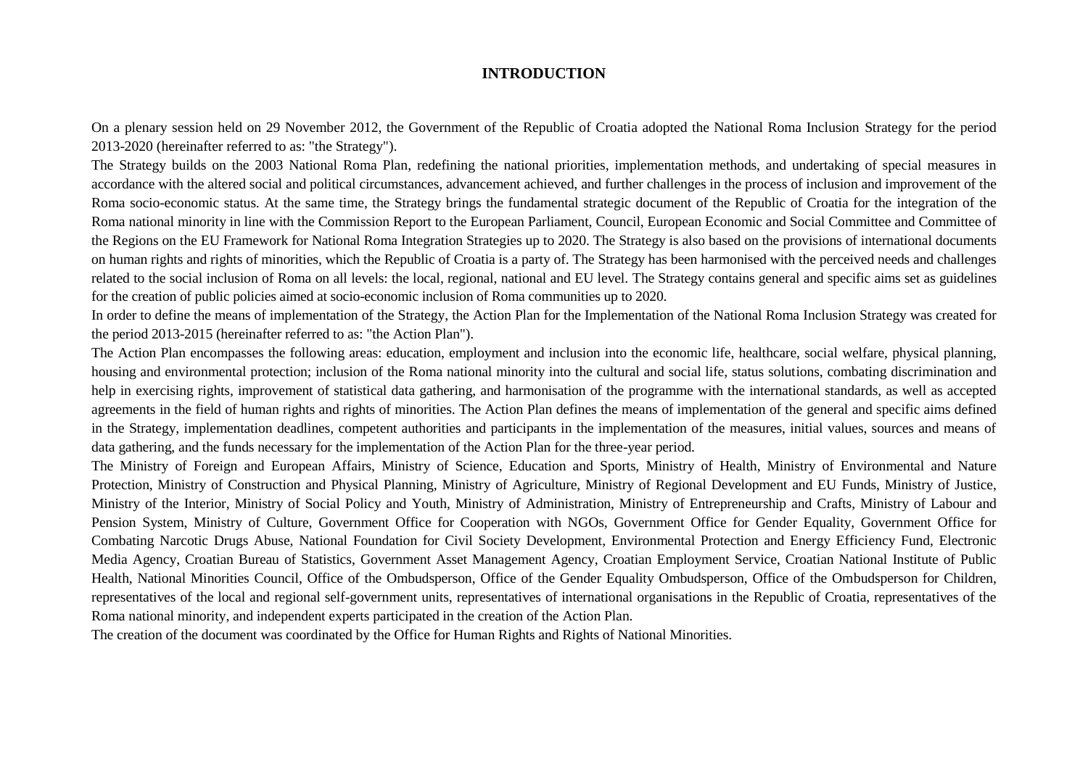#### **INTRODUCTION**

On a plenary session held on 29 November 2012, the Government of the Republic of Croatia adopted the National Roma Inclusion Strategy for the period 2013-2020 (hereinafter referred to as: "the Strategy").

The Strategy builds on the 2003 National Roma Plan, redefining the national priorities, implementation methods, and undertaking of special measures in accordance with the altered social and political circumstances, advancement achieved, and further challenges in the process of inclusion and improvement of the Roma socio-economic status. At the same time, the Strategy brings the fundamental strategic document of the Republic of Croatia for the integration of the Roma national minority in line with the Commission Report to the European Parliament, Council, European Economic and Social Committee and Committee of the Regions on the EU Framework for National Roma Integration Strategies up to 2020. The Strategy is also based on the provisions of international documents on human rights and rights of minorities, which the Republic of Croatia is a party of. The Strategy has been harmonised with the perceived needs and challenges related to the social inclusion of Roma on all levels: the local, regional, national and EU level. The Strategy contains general and specific aims set as guidelines for the creation of public policies aimed at socio-economic inclusion of Roma communities up to 2020.

In order to define the means of implementation of the Strategy, the Action Plan for the Implementation of the National Roma Inclusion Strategy was created for the period 2013-2015 (hereinafter referred to as: "the Action Plan").

<span id="page-3-0"></span>The Action Plan encompasses the following areas: education, employment and inclusion into the economic life, healthcare, social welfare, physical planning, housing and environmental protection; inclusion of the Roma national minority into the cultural and social life, status solutions, combating discrimination and help in exercising rights, improvement of statistical data gathering, and harmonisation of the programme with the international standards, as well as accepted agreements in the field of human rights and rights of minorities. The Action Plan defines the means of implementation of the general and specific aims defined in the Strategy, implementation deadlines, competent authorities and participants in the implementation of the measures, initial values, sources and means of data gathering, and the funds necessary for the implementation of the Action Plan for the three-year period.

The Ministry of Foreign and European Affairs, Ministry of Science, Education and Sports, Ministry of Health, Ministry of Environmental and Nature Protection, Ministry of Construction and Physical Planning, Ministry of Agriculture, Ministry of Regional Development and EU Funds, Ministry of Justice, Ministry of the Interior, Ministry of Social Policy and Youth, Ministry of Administration, Ministry of Entrepreneurship and Crafts, Ministry of Labour and Pension System, Ministry of Culture, Government Office for Cooperation with NGOs, Government Office for Gender Equality, Government Office for Combating Narcotic Drugs Abuse, National Foundation for Civil Society Development, Environmental Protection and Energy Efficiency Fund, Electronic Media Agency, Croatian Bureau of Statistics, Government Asset Management Agency, Croatian Employment Service, Croatian National Institute of Public Health, National Minorities Council, Office of the Ombudsperson, Office of the Gender Equality Ombudsperson, Office of the Ombudsperson for Children, representatives of the local and regional self-government units, representatives of international organisations in the Republic of Croatia, representatives of the Roma national minority, and independent experts participated in the creation of the Action Plan.

The creation of the document was coordinated by the Office for Human Rights and Rights of National Minorities.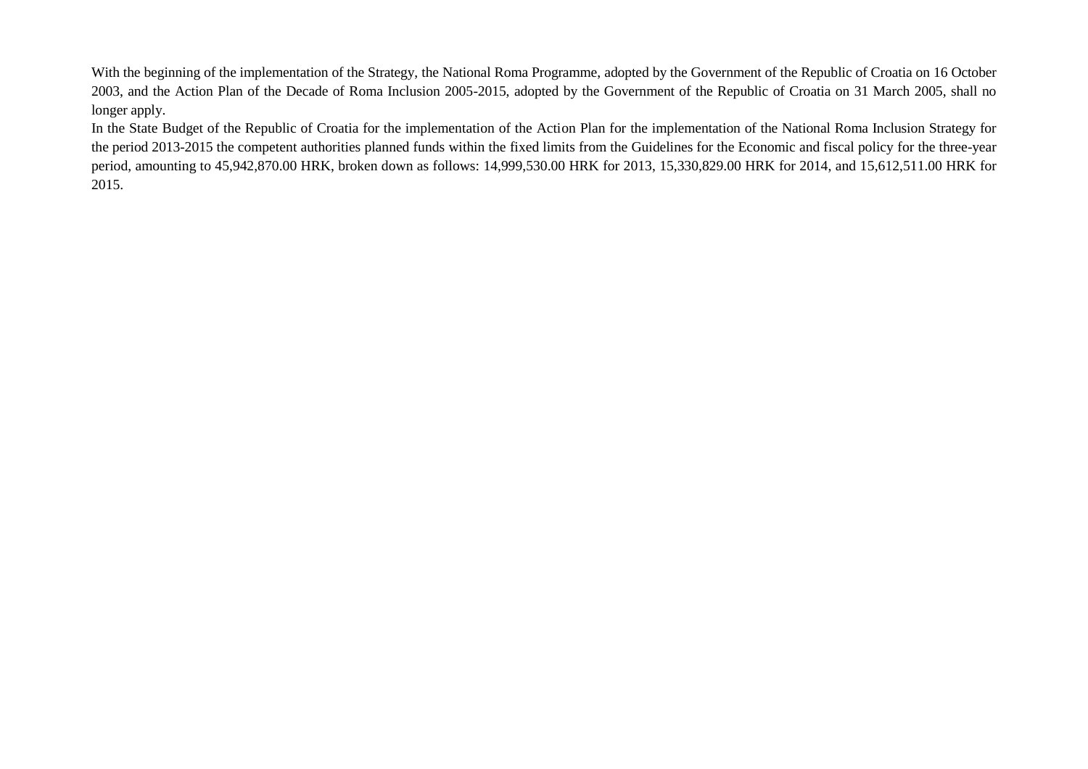With the beginning of the implementation of the Strategy, the National Roma Programme, adopted by the Government of the Republic of Croatia on 16 October 2003, and the Action Plan of the Decade of Roma Inclusion 2005-2015, adopted by the Government of the Republic of Croatia on 31 March 2005, shall no longer apply.

In the State Budget of the Republic of Croatia for the implementation of the Action Plan for the implementation of the National Roma Inclusion Strategy for the period 2013-2015 the competent authorities planned funds within the fixed limits from the Guidelines for the Economic and fiscal policy for the three-year period, amounting to 45,942,870.00 HRK, broken down as follows: 14,999,530.00 HRK for 2013, 15,330,829.00 HRK for 2014, and 15,612,511.00 HRK for 2015.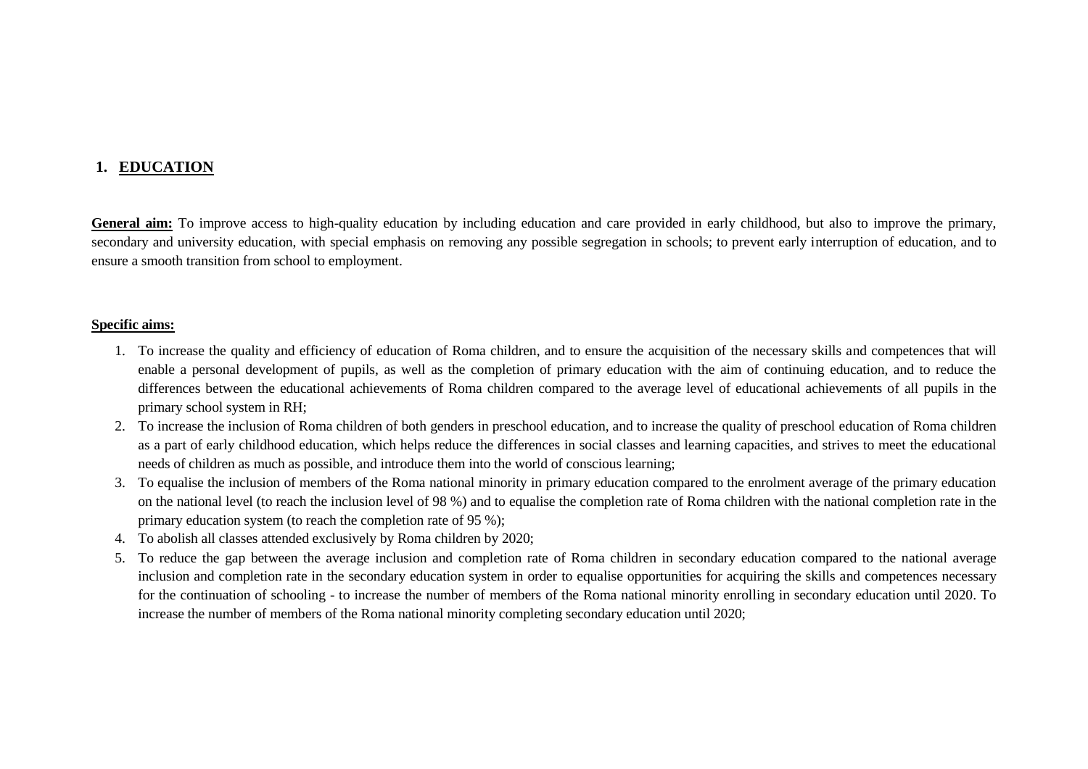## **1. EDUCATION**

General aim: To improve access to high-quality education by including education and care provided in early childhood, but also to improve the primary, secondary and university education, with special emphasis on removing any possible segregation in schools; to prevent early interruption of education, and to ensure a smooth transition from school to employment.

#### **Specific aims:**

- 1. To increase the quality and efficiency of education of Roma children, and to ensure the acquisition of the necessary skills and competences that will enable a personal development of pupils, as well as the completion of primary education with the aim of continuing education, and to reduce the differences between the educational achievements of Roma children compared to the average level of educational achievements of all pupils in the primary school system in RH;
- 2. To increase the inclusion of Roma children of both genders in preschool education, and to increase the quality of preschool education of Roma children as a part of early childhood education, which helps reduce the differences in social classes and learning capacities, and strives to meet the educational needs of children as much as possible, and introduce them into the world of conscious learning;
- <span id="page-5-0"></span>3. To equalise the inclusion of members of the Roma national minority in primary education compared to the enrolment average of the primary education on the national level (to reach the inclusion level of 98 %) and to equalise the completion rate of Roma children with the national completion rate in the primary education system (to reach the completion rate of 95 %);
- 4. To abolish all classes attended exclusively by Roma children by 2020;
- 5. To reduce the gap between the average inclusion and completion rate of Roma children in secondary education compared to the national average inclusion and completion rate in the secondary education system in order to equalise opportunities for acquiring the skills and competences necessary for the continuation of schooling - to increase the number of members of the Roma national minority enrolling in secondary education until 2020. To increase the number of members of the Roma national minority completing secondary education until 2020;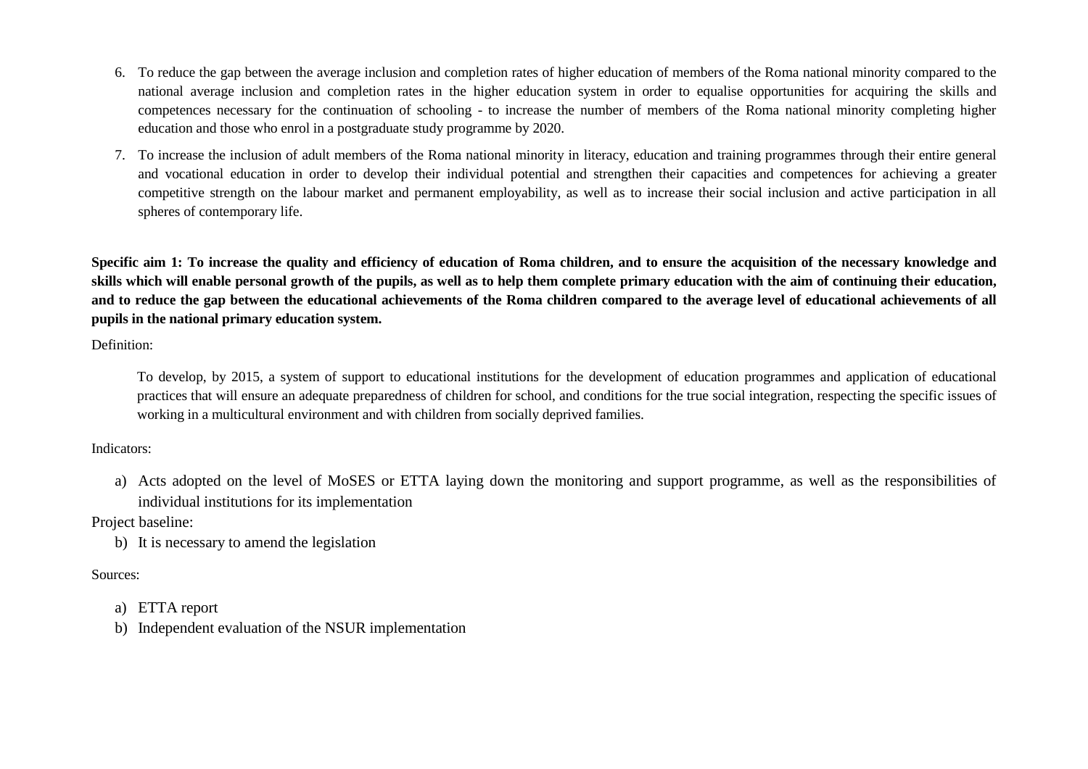- 6. To reduce the gap between the average inclusion and completion rates of higher education of members of the Roma national minority compared to the national average inclusion and completion rates in the higher education system in order to equalise opportunities for acquiring the skills and competences necessary for the continuation of schooling - to increase the number of members of the Roma national minority completing higher education and those who enrol in a postgraduate study programme by 2020.
- 7. To increase the inclusion of adult members of the Roma national minority in literacy, education and training programmes through their entire general and vocational education in order to develop their individual potential and strengthen their capacities and competences for achieving a greater competitive strength on the labour market and permanent employability, as well as to increase their social inclusion and active participation in all spheres of contemporary life.

**Specific aim 1: To increase the quality and efficiency of education of Roma children, and to ensure the acquisition of the necessary knowledge and skills which will enable personal growth of the pupils, as well as to help them complete primary education with the aim of continuing their education, and to reduce the gap between the educational achievements of the Roma children compared to the average level of educational achievements of all pupils in the national primary education system.**

Definition:

To develop, by 2015, a system of support to educational institutions for the development of education programmes and application of educational practices that will ensure an adequate preparedness of children for school, and conditions for the true social integration, respecting the specific issues of working in a multicultural environment and with children from socially deprived families.

Indicators:

a) Acts adopted on the level of MoSES or ETTA laying down the monitoring and support programme, as well as the responsibilities of individual institutions for its implementation

Project baseline:

b) It is necessary to amend the legislation

Sources:

- a) ETTA report
- b) Independent evaluation of the NSUR implementation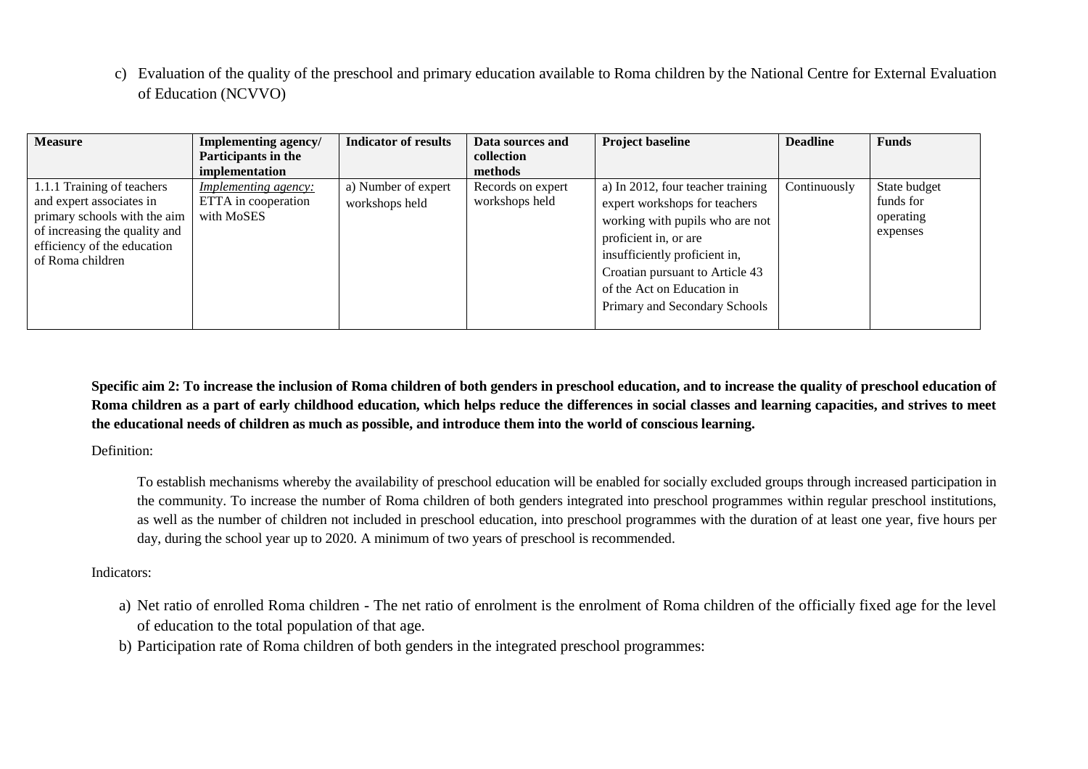c) Evaluation of the quality of the preschool and primary education available to Roma children by the National Centre for External Evaluation of Education (NCVVO)

| <b>Measure</b>                                               | Implementing agency/        | <b>Indicator of results</b> | Data sources and  | <b>Project baseline</b>           | <b>Deadline</b> | <b>Funds</b> |
|--------------------------------------------------------------|-----------------------------|-----------------------------|-------------------|-----------------------------------|-----------------|--------------|
|                                                              | Participants in the         |                             | collection        |                                   |                 |              |
|                                                              | implementation              |                             | methods           |                                   |                 |              |
| 1.1.1 Training of teachers                                   | <i>Implementing agency:</i> | a) Number of expert         | Records on expert | a) In 2012, four teacher training | Continuously    | State budget |
| and expert associates in                                     | ETTA in cooperation         | workshops held              | workshops held    | expert workshops for teachers     |                 | funds for    |
| primary schools with the aim                                 | with MoSES                  |                             |                   | working with pupils who are not   |                 | operating    |
| of increasing the quality and<br>efficiency of the education |                             |                             |                   | proficient in, or are             |                 | expenses     |
| of Roma children                                             |                             |                             |                   | insufficiently proficient in,     |                 |              |
|                                                              |                             |                             |                   | Croatian pursuant to Article 43   |                 |              |
|                                                              |                             |                             |                   | of the Act on Education in        |                 |              |
|                                                              |                             |                             |                   | Primary and Secondary Schools     |                 |              |
|                                                              |                             |                             |                   |                                   |                 |              |

**Specific aim 2: To increase the inclusion of Roma children of both genders in preschool education, and to increase the quality of preschool education of Roma children as a part of early childhood education, which helps reduce the differences in social classes and learning capacities, and strives to meet the educational needs of children as much as possible, and introduce them into the world of conscious learning.**

Definition:

To establish mechanisms whereby the availability of preschool education will be enabled for socially excluded groups through increased participation in the community. To increase the number of Roma children of both genders integrated into preschool programmes within regular preschool institutions, as well as the number of children not included in preschool education, into preschool programmes with the duration of at least one year, five hours per day, during the school year up to 2020. A minimum of two years of preschool is recommended.

#### Indicators:

- a) Net ratio of enrolled Roma children The net ratio of enrolment is the enrolment of Roma children of the officially fixed age for the level of education to the total population of that age.
- b) Participation rate of Roma children of both genders in the integrated preschool programmes: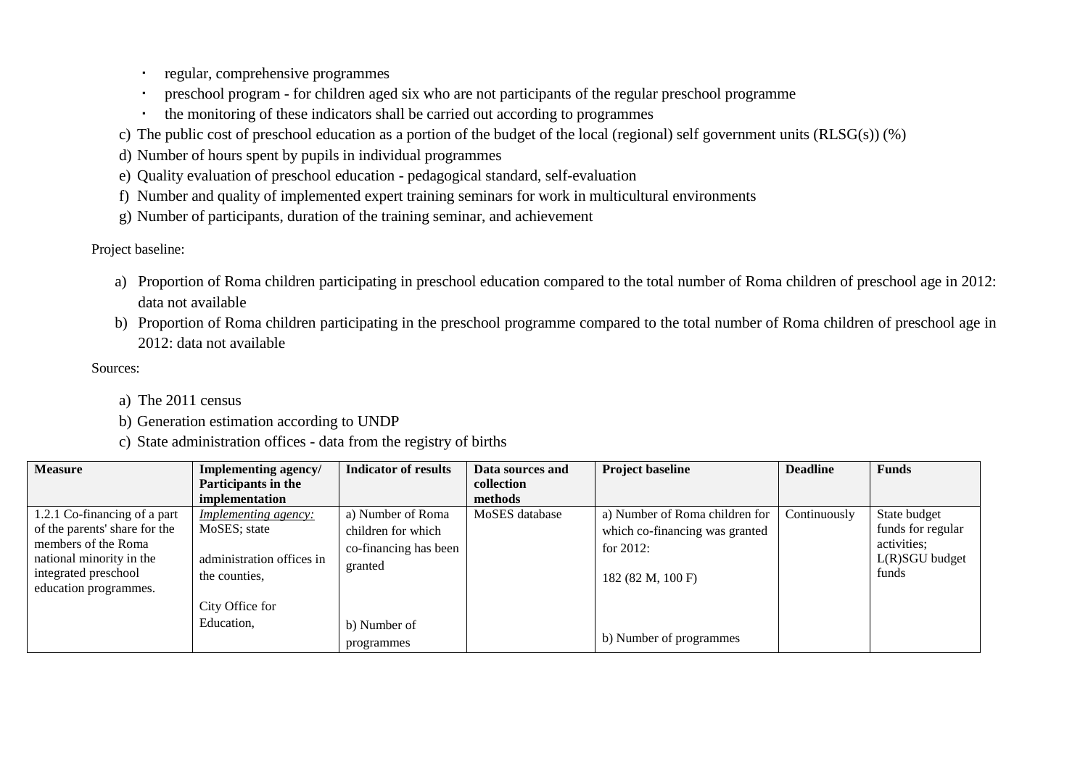- regular, comprehensive programmes
- preschool program for children aged six who are not participants of the regular preschool programme
- the monitoring of these indicators shall be carried out according to programmes
- c) The public cost of preschool education as a portion of the budget of the local (regional) self government units (RLSG(s)) (%)
- d) Number of hours spent by pupils in individual programmes
- e) Quality evaluation of preschool education pedagogical standard, self-evaluation
- f) Number and quality of implemented expert training seminars for work in multicultural environments
- g) Number of participants, duration of the training seminar, and achievement

## Project baseline:

- a) Proportion of Roma children participating in preschool education compared to the total number of Roma children of preschool age in 2012: data not available
- b) Proportion of Roma children participating in the preschool programme compared to the total number of Roma children of preschool age in 2012: data not available

## Sources:

- a) The 2011 census
- b) Generation estimation according to UNDP
- c) State administration offices data from the registry of births

| <b>Measure</b>                | Implementing agency/        | <b>Indicator of results</b> | Data sources and | <b>Project baseline</b>        | <b>Deadline</b> | <b>Funds</b>      |
|-------------------------------|-----------------------------|-----------------------------|------------------|--------------------------------|-----------------|-------------------|
|                               | Participants in the         |                             | collection       |                                |                 |                   |
|                               | implementation              |                             | methods          |                                |                 |                   |
| 1.2.1 Co-financing of a part  | <i>Implementing agency:</i> | a) Number of Roma           | MoSES database   | a) Number of Roma children for | Continuously    | State budget      |
| of the parents' share for the | MoSES; state                | children for which          |                  | which co-financing was granted |                 | funds for regular |
| members of the Roma           |                             | co-financing has been       |                  | for $2012$ :                   |                 | activities;       |
| national minority in the      | administration offices in   | granted                     |                  |                                |                 | $L(R)SGU$ budget  |
| integrated preschool          | the counties.               |                             |                  | 182 (82 M, 100 F)              |                 | funds             |
| education programmes.         |                             |                             |                  |                                |                 |                   |
|                               | City Office for             |                             |                  |                                |                 |                   |
|                               | Education,                  | b) Number of                |                  |                                |                 |                   |
|                               |                             | programmes                  |                  | b) Number of programmes        |                 |                   |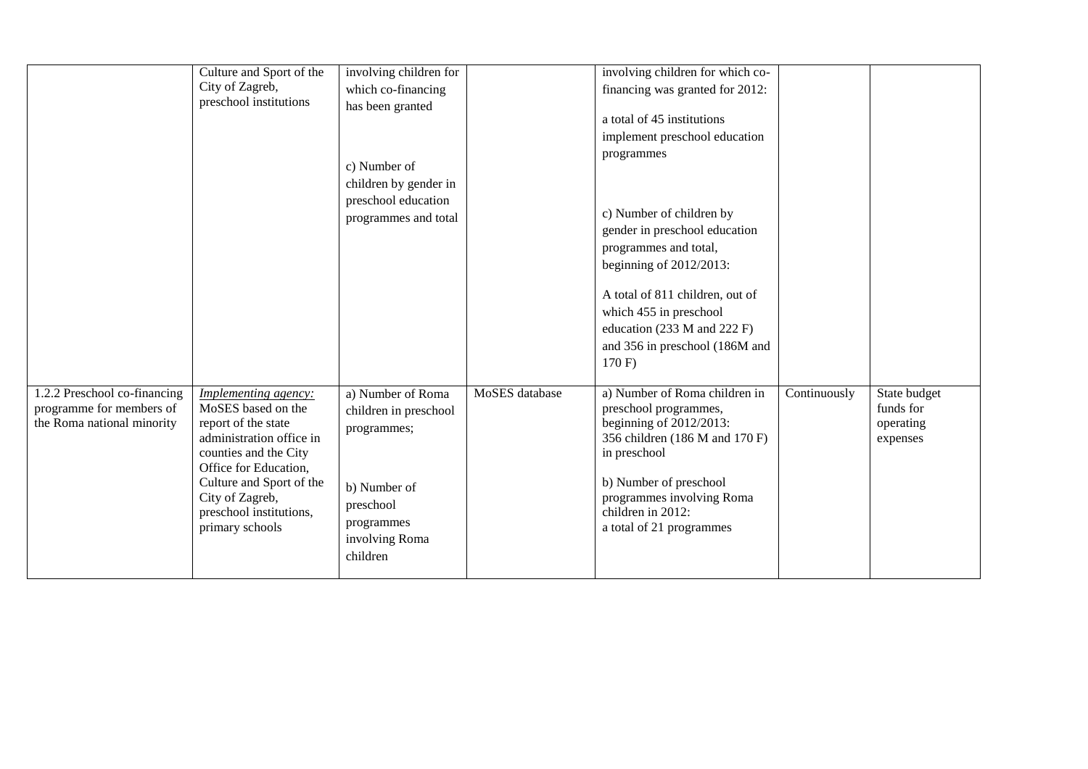|                                                                                        | Culture and Sport of the<br>City of Zagreb,<br>preschool institutions                                                                                                                                                                        | involving children for<br>which co-financing<br>has been granted<br>c) Number of<br>children by gender in<br>preschool education<br>programmes and total |                | involving children for which co-<br>financing was granted for 2012:<br>a total of 45 institutions<br>implement preschool education<br>programmes<br>c) Number of children by<br>gender in preschool education<br>programmes and total,<br>beginning of $2012/2013$ :<br>A total of 811 children, out of<br>which 455 in preschool<br>education (233 M and 222 F)<br>and 356 in preschool (186M and<br>170 F |              |                                                    |
|----------------------------------------------------------------------------------------|----------------------------------------------------------------------------------------------------------------------------------------------------------------------------------------------------------------------------------------------|----------------------------------------------------------------------------------------------------------------------------------------------------------|----------------|-------------------------------------------------------------------------------------------------------------------------------------------------------------------------------------------------------------------------------------------------------------------------------------------------------------------------------------------------------------------------------------------------------------|--------------|----------------------------------------------------|
| 1.2.2 Preschool co-financing<br>programme for members of<br>the Roma national minority | Implementing agency:<br>MoSES based on the<br>report of the state<br>administration office in<br>counties and the City<br>Office for Education,<br>Culture and Sport of the<br>City of Zagreb,<br>preschool institutions,<br>primary schools | a) Number of Roma<br>children in preschool<br>programmes;<br>b) Number of<br>preschool<br>programmes<br>involving Roma<br>children                       | MoSES database | a) Number of Roma children in<br>preschool programmes,<br>beginning of $2012/2013$ :<br>356 children (186 M and 170 F)<br>in preschool<br>b) Number of preschool<br>programmes involving Roma<br>children in 2012:<br>a total of 21 programmes                                                                                                                                                              | Continuously | State budget<br>funds for<br>operating<br>expenses |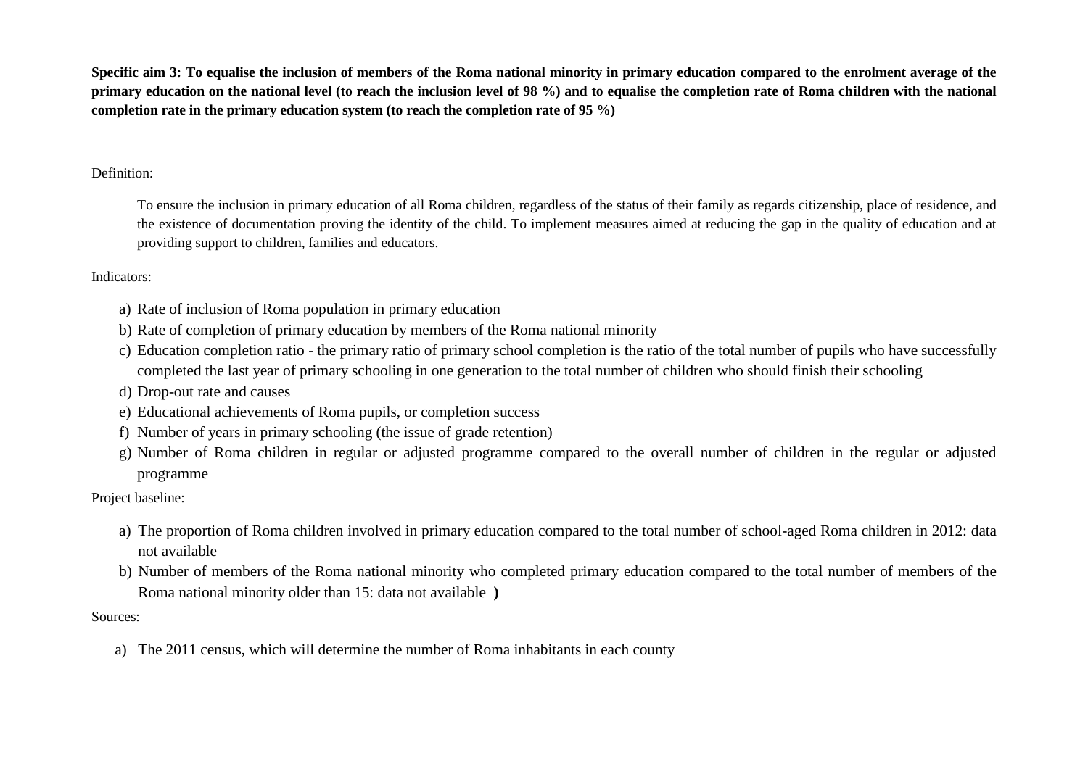**Specific aim 3: To equalise the inclusion of members of the Roma national minority in primary education compared to the enrolment average of the primary education on the national level (to reach the inclusion level of 98 %) and to equalise the completion rate of Roma children with the national completion rate in the primary education system (to reach the completion rate of 95 %)**

## Definition:

To ensure the inclusion in primary education of all Roma children, regardless of the status of their family as regards citizenship, place of residence, and the existence of documentation proving the identity of the child. To implement measures aimed at reducing the gap in the quality of education and at providing support to children, families and educators.

## Indicators:

- a) Rate of inclusion of Roma population in primary education
- b) Rate of completion of primary education by members of the Roma national minority
- c) Education completion ratio the primary ratio of primary school completion is the ratio of the total number of pupils who have successfully completed the last year of primary schooling in one generation to the total number of children who should finish their schooling
- d) Drop-out rate and causes
- e) Educational achievements of Roma pupils, or completion success
- f) Number of years in primary schooling (the issue of grade retention)
- g) Number of Roma children in regular or adjusted programme compared to the overall number of children in the regular or adjusted programme

Project baseline:

- a) The proportion of Roma children involved in primary education compared to the total number of school-aged Roma children in 2012: data not available
- b) Number of members of the Roma national minority who completed primary education compared to the total number of members of the Roma national minority older than 15: data not available **)**

Sources:

a) The 2011 census, which will determine the number of Roma inhabitants in each county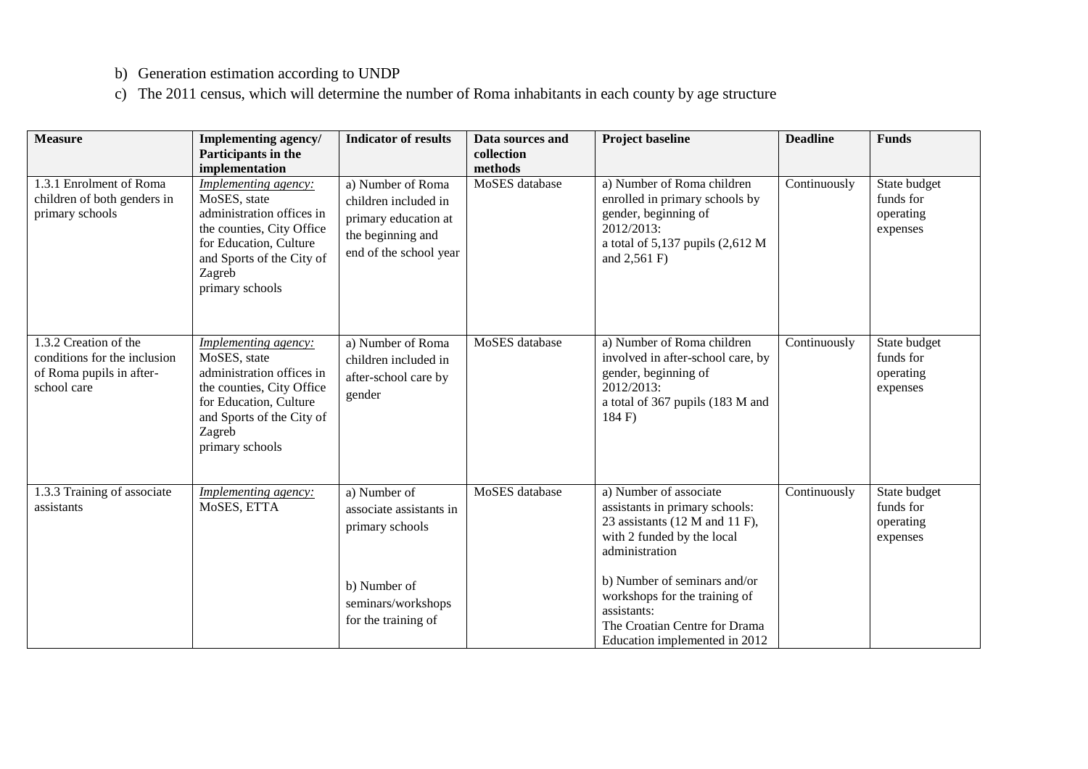- b) Generation estimation according to UNDP
- c) The 2011 census, which will determine the number of Roma inhabitants in each county by age structure

| <b>Measure</b>                                                                                   | Implementing agency/<br>Participants in the<br>implementation                                                                                                                      | <b>Indicator of results</b>                                                                                      | Data sources and<br>collection<br>methods | <b>Project baseline</b>                                                                                                                                | <b>Deadline</b> | <b>Funds</b>                                       |
|--------------------------------------------------------------------------------------------------|------------------------------------------------------------------------------------------------------------------------------------------------------------------------------------|------------------------------------------------------------------------------------------------------------------|-------------------------------------------|--------------------------------------------------------------------------------------------------------------------------------------------------------|-----------------|----------------------------------------------------|
| 1.3.1 Enrolment of Roma<br>children of both genders in<br>primary schools                        | Implementing agency:<br>MoSES, state<br>administration offices in<br>the counties, City Office<br>for Education, Culture<br>and Sports of the City of<br>Zagreb<br>primary schools | a) Number of Roma<br>children included in<br>primary education at<br>the beginning and<br>end of the school year | MoSES database                            | a) Number of Roma children<br>enrolled in primary schools by<br>gender, beginning of<br>2012/2013:<br>a total of 5,137 pupils (2,612 M<br>and 2,561 F) | Continuously    | State budget<br>funds for<br>operating<br>expenses |
| 1.3.2 Creation of the<br>conditions for the inclusion<br>of Roma pupils in after-<br>school care | Implementing agency:<br>MoSES, state<br>administration offices in<br>the counties, City Office<br>for Education, Culture<br>and Sports of the City of<br>Zagreb<br>primary schools | a) Number of Roma<br>children included in<br>after-school care by<br>gender                                      | MoSES database                            | a) Number of Roma children<br>involved in after-school care, by<br>gender, beginning of<br>2012/2013:<br>a total of 367 pupils (183 M and<br>184 F)    | Continuously    | State budget<br>funds for<br>operating<br>expenses |
| 1.3.3 Training of associate<br>assistants                                                        | <i>Implementing agency:</i><br>MoSES, ETTA                                                                                                                                         | a) Number of<br>associate assistants in<br>primary schools                                                       | MoSES database                            | a) Number of associate<br>assistants in primary schools:<br>23 assistants (12 M and 11 F),<br>with 2 funded by the local<br>administration             | Continuously    | State budget<br>funds for<br>operating<br>expenses |
|                                                                                                  |                                                                                                                                                                                    | b) Number of<br>seminars/workshops<br>for the training of                                                        |                                           | b) Number of seminars and/or<br>workshops for the training of<br>assistants:<br>The Croatian Centre for Drama<br>Education implemented in 2012         |                 |                                                    |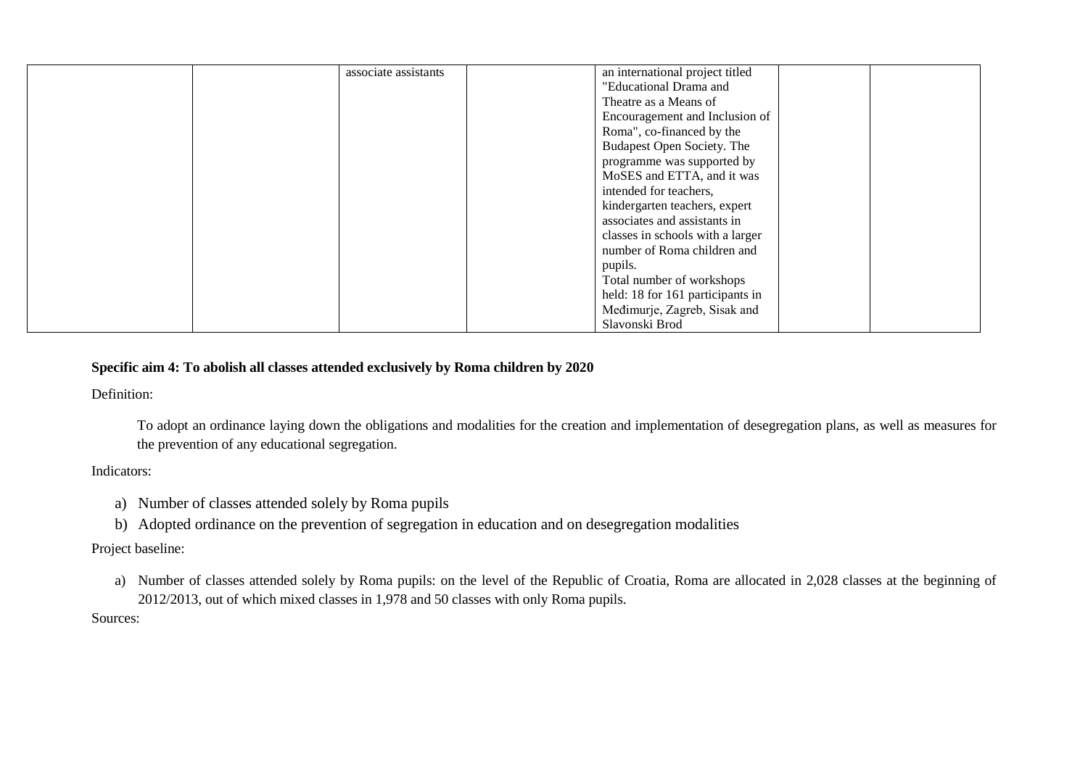| associate assistants | an international project titled  |  |
|----------------------|----------------------------------|--|
|                      | "Educational Drama and           |  |
|                      | Theatre as a Means of            |  |
|                      | Encouragement and Inclusion of   |  |
|                      | Roma", co-financed by the        |  |
|                      | Budapest Open Society. The       |  |
|                      | programme was supported by       |  |
|                      | MoSES and ETTA, and it was       |  |
|                      | intended for teachers,           |  |
|                      | kindergarten teachers, expert    |  |
|                      | associates and assistants in     |  |
|                      | classes in schools with a larger |  |
|                      | number of Roma children and      |  |
|                      | pupils.                          |  |
|                      | Total number of workshops        |  |
|                      | held: 18 for 161 participants in |  |
|                      | Međimurje, Zagreb, Sisak and     |  |
|                      | Slavonski Brod                   |  |

# **Specific aim 4: To abolish all classes attended exclusively by Roma children by 2020**

Definition:

To adopt an ordinance laying down the obligations and modalities for the creation and implementation of desegregation plans, as well as measures for the prevention of any educational segregation.

#### Indicators:

- a) Number of classes attended solely by Roma pupils
- b) Adopted ordinance on the prevention of segregation in education and on desegregation modalities

# Project baseline:

a) Number of classes attended solely by Roma pupils: on the level of the Republic of Croatia, Roma are allocated in 2,028 classes at the beginning of 2012/2013, out of which mixed classes in 1,978 and 50 classes with only Roma pupils.

#### Sources: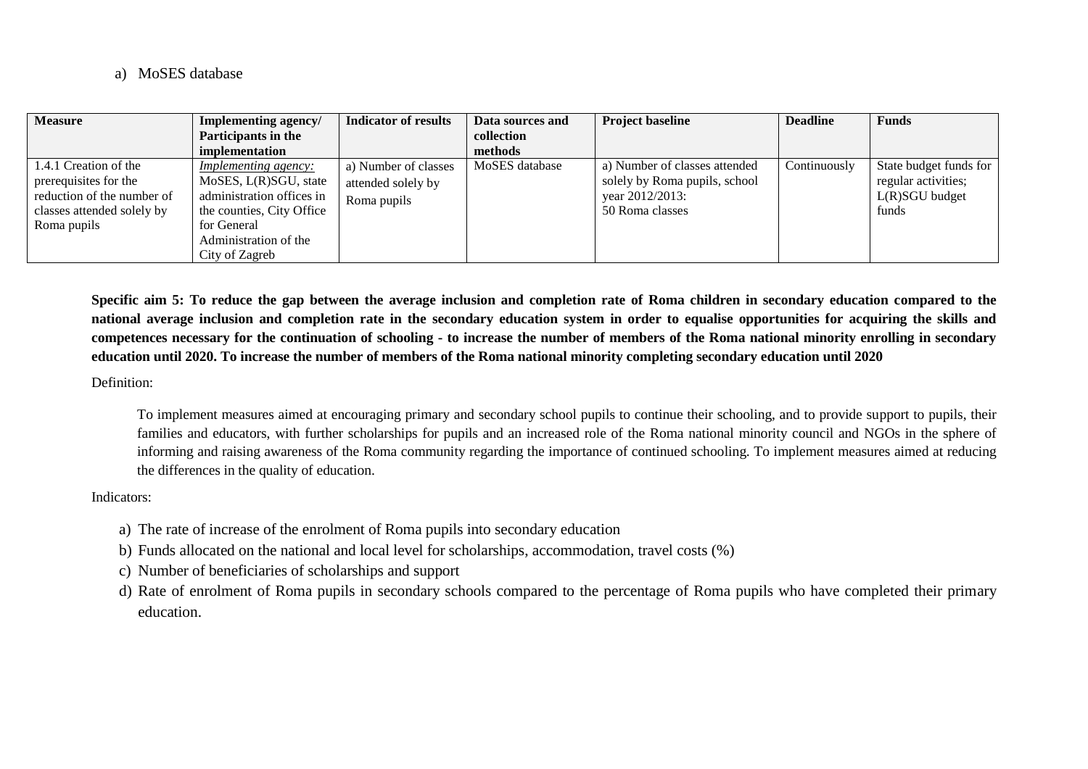a) MoSES database

| <b>Measure</b>                                                                                                            | Implementing agency/                                                                                                                                                     | <b>Indicator of results</b>                               | Data sources and | <b>Project baseline</b>                                                                              | <b>Deadline</b> | <b>Funds</b>                                                               |
|---------------------------------------------------------------------------------------------------------------------------|--------------------------------------------------------------------------------------------------------------------------------------------------------------------------|-----------------------------------------------------------|------------------|------------------------------------------------------------------------------------------------------|-----------------|----------------------------------------------------------------------------|
|                                                                                                                           | Participants in the                                                                                                                                                      |                                                           | collection       |                                                                                                      |                 |                                                                            |
|                                                                                                                           | implementation                                                                                                                                                           |                                                           | methods          |                                                                                                      |                 |                                                                            |
| 1.4.1 Creation of the<br>prerequisites for the<br>reduction of the number of<br>classes attended solely by<br>Roma pupils | <u>Implementing agency:</u><br>MoSES, L(R)SGU, state<br>administration offices in<br>the counties, City Office<br>for General<br>Administration of the<br>City of Zagreb | a) Number of classes<br>attended solely by<br>Roma pupils | MoSES database   | a) Number of classes attended<br>solely by Roma pupils, school<br>year 2012/2013:<br>50 Roma classes | Continuously    | State budget funds for<br>regular activities;<br>$L(R)SGU$ budget<br>funds |

**Specific aim 5: To reduce the gap between the average inclusion and completion rate of Roma children in secondary education compared to the national average inclusion and completion rate in the secondary education system in order to equalise opportunities for acquiring the skills and competences necessary for the continuation of schooling - to increase the number of members of the Roma national minority enrolling in secondary education until 2020. To increase the number of members of the Roma national minority completing secondary education until 2020**

Definition:

To implement measures aimed at encouraging primary and secondary school pupils to continue their schooling, and to provide support to pupils, their families and educators, with further scholarships for pupils and an increased role of the Roma national minority council and NGOs in the sphere of informing and raising awareness of the Roma community regarding the importance of continued schooling. To implement measures aimed at reducing the differences in the quality of education.

Indicators:

- a) The rate of increase of the enrolment of Roma pupils into secondary education
- b) Funds allocated on the national and local level for scholarships, accommodation, travel costs (%)
- c) Number of beneficiaries of scholarships and support
- d) Rate of enrolment of Roma pupils in secondary schools compared to the percentage of Roma pupils who have completed their primary education.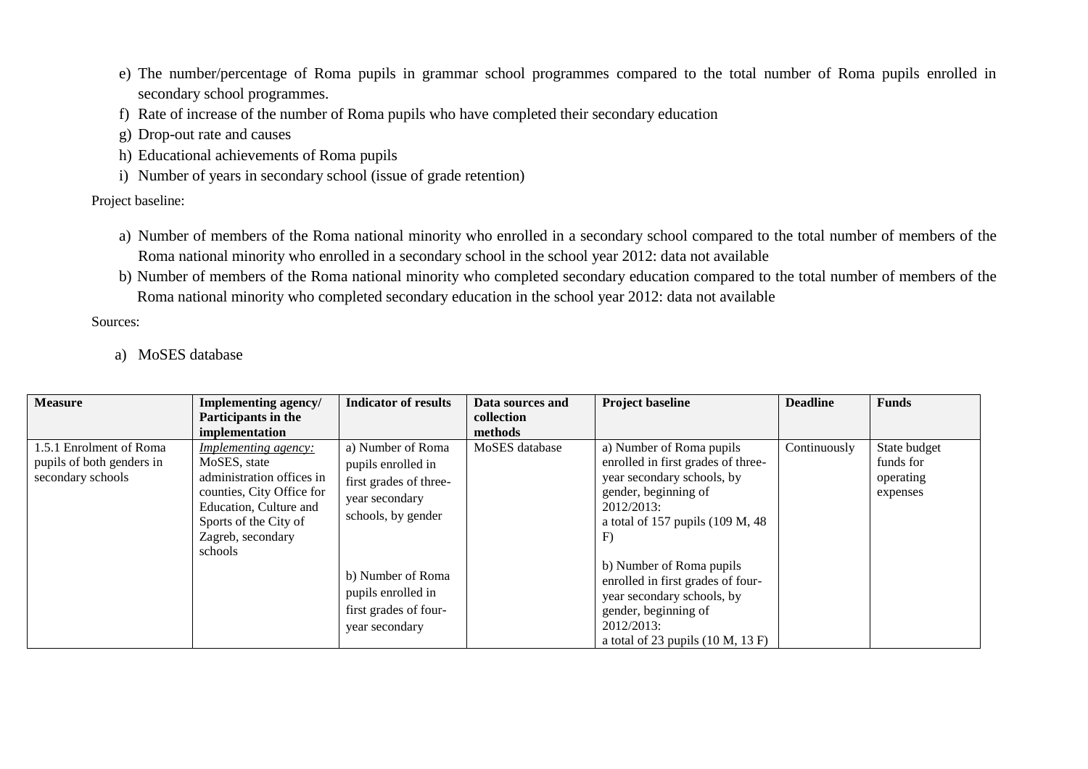- e) The number/percentage of Roma pupils in grammar school programmes compared to the total number of Roma pupils enrolled in secondary school programmes.
- f) Rate of increase of the number of Roma pupils who have completed their secondary education
- g) Drop-out rate and causes
- h) Educational achievements of Roma pupils
- i) Number of years in secondary school (issue of grade retention)

Project baseline:

- a) Number of members of the Roma national minority who enrolled in a secondary school compared to the total number of members of the Roma national minority who enrolled in a secondary school in the school year 2012: data not available
- b) Number of members of the Roma national minority who completed secondary education compared to the total number of members of the Roma national minority who completed secondary education in the school year 2012: data not available

Sources:

a) MoSES database

| <b>Measure</b>                                                            | <b>Implementing agency/</b>                                                                                                                                                              | <b>Indicator of results</b>                                                                                                                                                                     | Data sources and | <b>Project baseline</b>                                                                                                                                                                                                                                                                                                                                    | <b>Deadline</b> | <b>Funds</b>                                       |
|---------------------------------------------------------------------------|------------------------------------------------------------------------------------------------------------------------------------------------------------------------------------------|-------------------------------------------------------------------------------------------------------------------------------------------------------------------------------------------------|------------------|------------------------------------------------------------------------------------------------------------------------------------------------------------------------------------------------------------------------------------------------------------------------------------------------------------------------------------------------------------|-----------------|----------------------------------------------------|
|                                                                           | Participants in the                                                                                                                                                                      |                                                                                                                                                                                                 | collection       |                                                                                                                                                                                                                                                                                                                                                            |                 |                                                    |
|                                                                           | implementation                                                                                                                                                                           |                                                                                                                                                                                                 | methods          |                                                                                                                                                                                                                                                                                                                                                            |                 |                                                    |
| 1.5.1 Enrolment of Roma<br>pupils of both genders in<br>secondary schools | <b>Implementing agency:</b><br>MoSES, state<br>administration offices in<br>counties, City Office for<br>Education, Culture and<br>Sports of the City of<br>Zagreb, secondary<br>schools | a) Number of Roma<br>pupils enrolled in<br>first grades of three-<br>year secondary<br>schools, by gender<br>b) Number of Roma<br>pupils enrolled in<br>first grades of four-<br>year secondary | MoSES database   | a) Number of Roma pupils<br>enrolled in first grades of three-<br>year secondary schools, by<br>gender, beginning of<br>2012/2013:<br>a total of 157 pupils $(109 M, 48$<br>F)<br>b) Number of Roma pupils<br>enrolled in first grades of four-<br>year secondary schools, by<br>gender, beginning of<br>2012/2013:<br>a total of 23 pupils $(10 M, 13 F)$ | Continuously    | State budget<br>funds for<br>operating<br>expenses |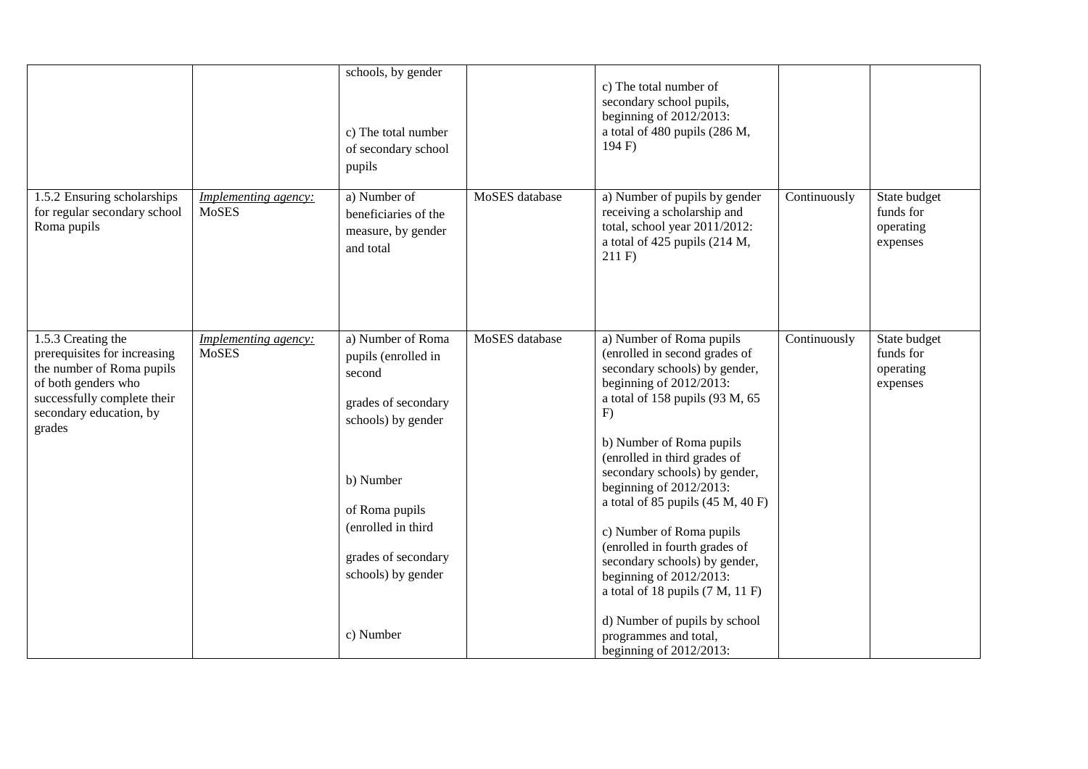|                                             | c) The total number<br>of secondary school<br>pupils                                                                                                                                              |                | secondary school pupils,<br>beginning of $2012/2013$ :<br>a total of 480 pupils (286 M,<br>194 F                                                                                                                                                                                                                                                                                                                                                                                                                                       |                                                     |                                                    |
|---------------------------------------------|---------------------------------------------------------------------------------------------------------------------------------------------------------------------------------------------------|----------------|----------------------------------------------------------------------------------------------------------------------------------------------------------------------------------------------------------------------------------------------------------------------------------------------------------------------------------------------------------------------------------------------------------------------------------------------------------------------------------------------------------------------------------------|-----------------------------------------------------|----------------------------------------------------|
| <b>Implementing agency:</b><br><b>MoSES</b> | a) Number of<br>beneficiaries of the<br>measure, by gender<br>and total                                                                                                                           | MoSES database | a) Number of pupils by gender<br>receiving a scholarship and<br>total, school year 2011/2012:<br>a total of 425 pupils (214 M,<br>211 F                                                                                                                                                                                                                                                                                                                                                                                                | Continuously                                        | State budget<br>funds for<br>operating<br>expenses |
| Implementing agency:<br><b>MoSES</b>        | a) Number of Roma<br>pupils (enrolled in<br>second<br>grades of secondary<br>schools) by gender<br>b) Number<br>of Roma pupils<br>(enrolled in third<br>grades of secondary<br>schools) by gender | MoSES database | a) Number of Roma pupils<br>(enrolled in second grades of<br>secondary schools) by gender,<br>beginning of $2012/2013$ :<br>a total of 158 pupils (93 M, 65<br>F)<br>b) Number of Roma pupils<br>(enrolled in third grades of<br>secondary schools) by gender,<br>beginning of $2012/2013$ :<br>a total of 85 pupils $(45 M, 40 F)$<br>c) Number of Roma pupils<br>(enrolled in fourth grades of<br>secondary schools) by gender,<br>beginning of $2012/2013$ :<br>a total of 18 pupils $(7 M, 11 F)$<br>d) Number of pupils by school | Continuously                                        | State budget<br>funds for<br>operating<br>expenses |
|                                             |                                                                                                                                                                                                   | c) Number      |                                                                                                                                                                                                                                                                                                                                                                                                                                                                                                                                        | programmes and total,<br>beginning of $2012/2013$ : |                                                    |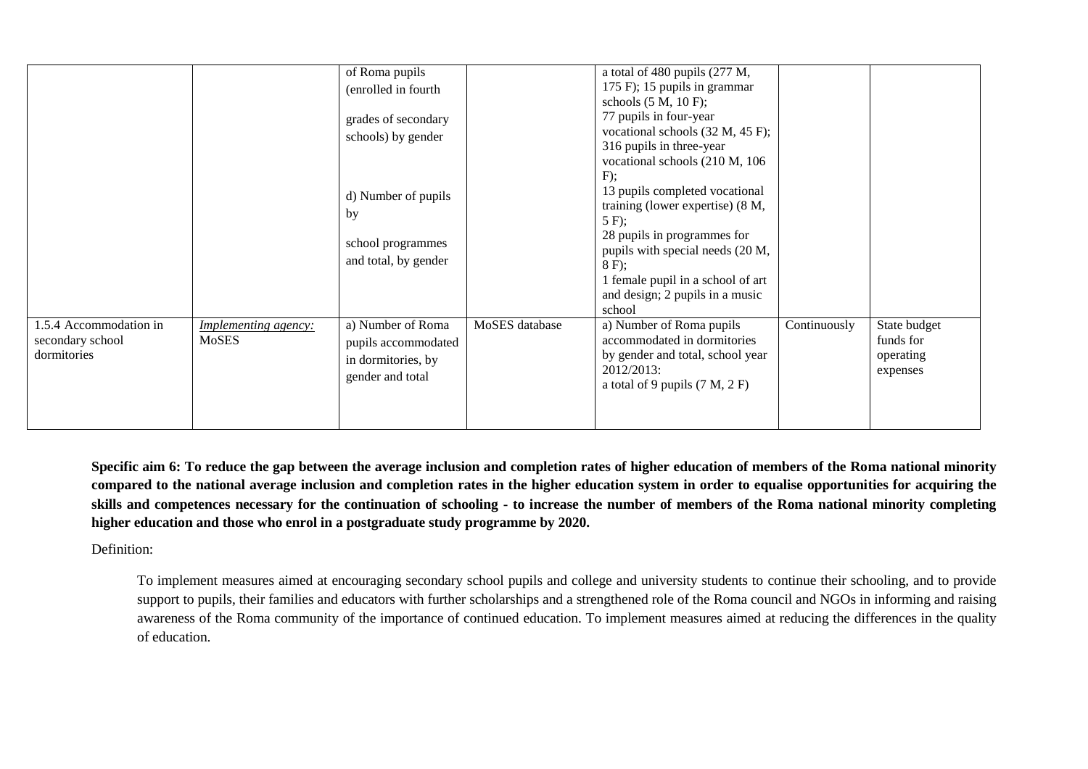|                                                       | of Roma pupils       |                | a total of 480 pupils (277 M,       |              |              |
|-------------------------------------------------------|----------------------|----------------|-------------------------------------|--------------|--------------|
|                                                       | (enrolled in fourth  |                | 175 F); 15 pupils in grammar        |              |              |
|                                                       |                      |                | schools $(5 M, 10 F)$ ;             |              |              |
|                                                       | grades of secondary  |                | 77 pupils in four-year              |              |              |
|                                                       | schools) by gender   |                | vocational schools $(32 M, 45 F)$ ; |              |              |
|                                                       |                      |                | 316 pupils in three-year            |              |              |
|                                                       |                      |                | vocational schools (210 M, 106      |              |              |
|                                                       |                      |                | F);                                 |              |              |
|                                                       | d) Number of pupils  |                | 13 pupils completed vocational      |              |              |
|                                                       | by                   |                | training (lower expertise) (8 M,    |              |              |
|                                                       |                      |                | $5 F$ ;                             |              |              |
|                                                       | school programmes    |                | 28 pupils in programmes for         |              |              |
|                                                       |                      |                | pupils with special needs (20 M,    |              |              |
|                                                       | and total, by gender |                | $8 F$ ;                             |              |              |
|                                                       |                      |                | 1 female pupil in a school of art   |              |              |
|                                                       |                      |                | and design; 2 pupils in a music     |              |              |
|                                                       |                      |                | school                              |              |              |
| 1.5.4 Accommodation in<br><b>Implementing agency:</b> | a) Number of Roma    | MoSES database | a) Number of Roma pupils            | Continuously | State budget |
| MoSES<br>secondary school                             | pupils accommodated  |                | accommodated in dormitories         |              | funds for    |
| dormitories                                           | in dormitories, by   |                | by gender and total, school year    |              | operating    |
|                                                       | gender and total     |                | 2012/2013:                          |              | expenses     |
|                                                       |                      |                | a total of 9 pupils $(7 M, 2 F)$    |              |              |
|                                                       |                      |                |                                     |              |              |
|                                                       |                      |                |                                     |              |              |

**Specific aim 6: To reduce the gap between the average inclusion and completion rates of higher education of members of the Roma national minority compared to the national average inclusion and completion rates in the higher education system in order to equalise opportunities for acquiring the skills and competences necessary for the continuation of schooling - to increase the number of members of the Roma national minority completing higher education and those who enrol in a postgraduate study programme by 2020.**

#### Definition:

To implement measures aimed at encouraging secondary school pupils and college and university students to continue their schooling, and to provide support to pupils, their families and educators with further scholarships and a strengthened role of the Roma council and NGOs in informing and raising awareness of the Roma community of the importance of continued education. To implement measures aimed at reducing the differences in the quality of education.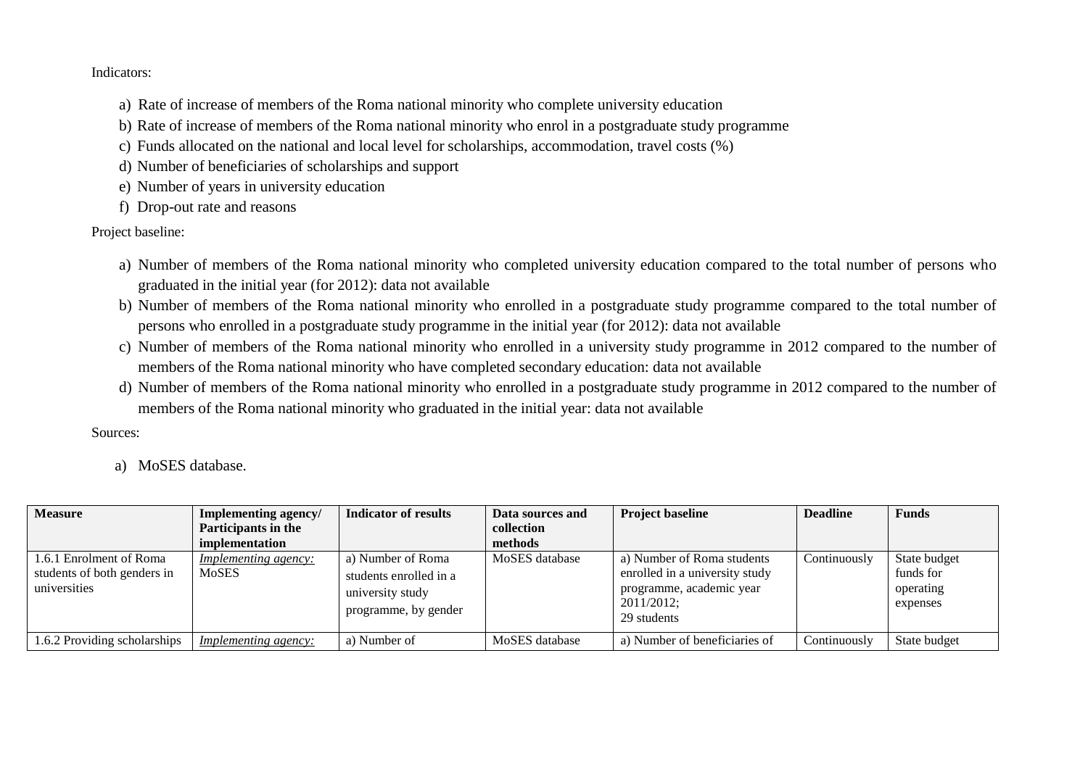#### Indicators:

- a) Rate of increase of members of the Roma national minority who complete university education
- b) Rate of increase of members of the Roma national minority who enrol in a postgraduate study programme
- c) Funds allocated on the national and local level for scholarships, accommodation, travel costs (%)
- d) Number of beneficiaries of scholarships and support
- e) Number of years in university education
- f) Drop-out rate and reasons

Project baseline:

- a) Number of members of the Roma national minority who completed university education compared to the total number of persons who graduated in the initial year (for 2012): data not available
- b) Number of members of the Roma national minority who enrolled in a postgraduate study programme compared to the total number of persons who enrolled in a postgraduate study programme in the initial year (for 2012): data not available
- c) Number of members of the Roma national minority who enrolled in a university study programme in 2012 compared to the number of members of the Roma national minority who have completed secondary education: data not available
- d) Number of members of the Roma national minority who enrolled in a postgraduate study programme in 2012 compared to the number of members of the Roma national minority who graduated in the initial year: data not available

Sources:

a) MoSES database.

| <b>Measure</b>                                                         | Implementing agency/                        | Indicator of results                                                                    | Data sources and | <b>Project baseline</b>                                                                                               | <b>Deadline</b> | <b>Funds</b>                                       |
|------------------------------------------------------------------------|---------------------------------------------|-----------------------------------------------------------------------------------------|------------------|-----------------------------------------------------------------------------------------------------------------------|-----------------|----------------------------------------------------|
|                                                                        | Participants in the                         |                                                                                         | collection       |                                                                                                                       |                 |                                                    |
|                                                                        | implementation                              |                                                                                         | methods          |                                                                                                                       |                 |                                                    |
| 1.6.1 Enrolment of Roma<br>students of both genders in<br>universities | <i>Implementing agency:</i><br><b>MoSES</b> | a) Number of Roma<br>students enrolled in a<br>university study<br>programme, by gender | MoSES database   | a) Number of Roma students<br>enrolled in a university study<br>programme, academic year<br>2011/2012;<br>29 students | Continuously    | State budget<br>funds for<br>operating<br>expenses |
| 1.6.2 Providing scholarships                                           | <i>Implementing agency:</i>                 | a) Number of                                                                            | MoSES database   | a) Number of beneficiaries of                                                                                         | Continuously    | State budget                                       |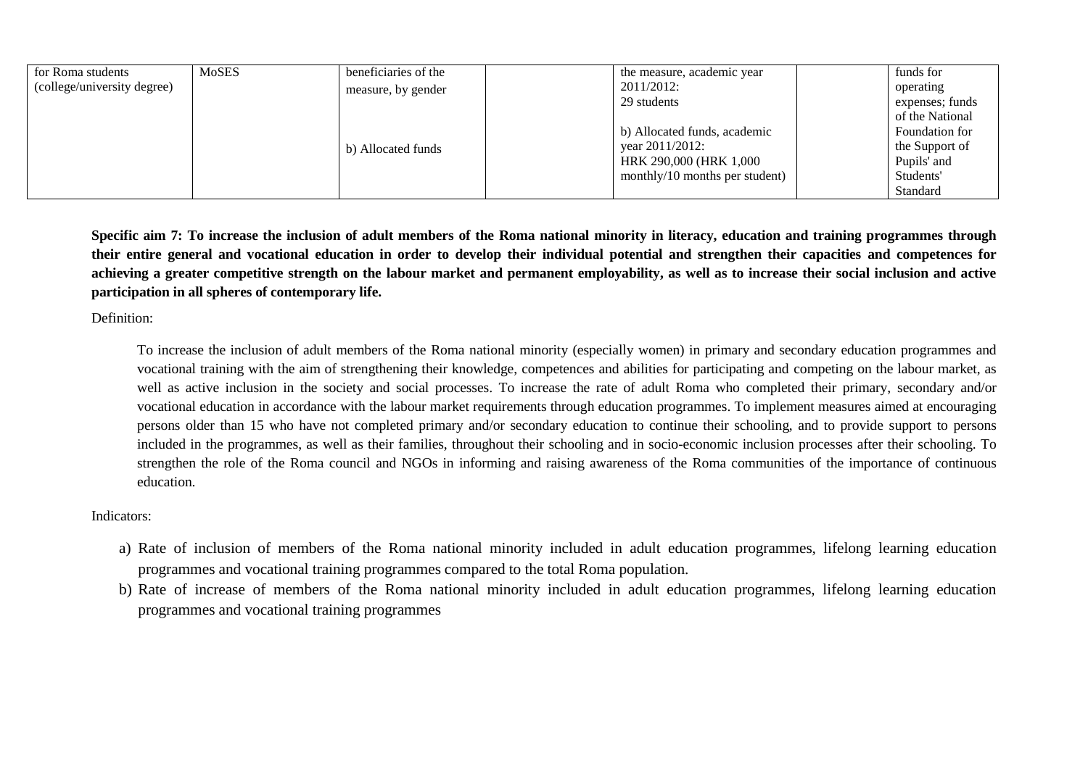| for Roma students           | MoSES | beneficiaries of the |                 | the measure, academic year     | funds for       |  |
|-----------------------------|-------|----------------------|-----------------|--------------------------------|-----------------|--|
| (college/university degree) |       | measure, by gender   | 2011/2012:      |                                | operating       |  |
|                             |       |                      | 29 students     |                                | expenses; funds |  |
|                             |       |                      |                 |                                | of the National |  |
|                             |       |                      |                 | b) Allocated funds, academic   | Foundation for  |  |
|                             |       | b) Allocated funds   | vear 2011/2012: |                                | the Support of  |  |
|                             |       |                      |                 | HRK 290,000 (HRK 1,000         | Pupils' and     |  |
|                             |       |                      |                 | monthly/10 months per student) | Students'       |  |
|                             |       |                      |                 |                                | Standard        |  |

**Specific aim 7: To increase the inclusion of adult members of the Roma national minority in literacy, education and training programmes through their entire general and vocational education in order to develop their individual potential and strengthen their capacities and competences for achieving a greater competitive strength on the labour market and permanent employability, as well as to increase their social inclusion and active participation in all spheres of contemporary life.**

Definition:

To increase the inclusion of adult members of the Roma national minority (especially women) in primary and secondary education programmes and vocational training with the aim of strengthening their knowledge, competences and abilities for participating and competing on the labour market, as well as active inclusion in the society and social processes. To increase the rate of adult Roma who completed their primary, secondary and/or vocational education in accordance with the labour market requirements through education programmes. To implement measures aimed at encouraging persons older than 15 who have not completed primary and/or secondary education to continue their schooling, and to provide support to persons included in the programmes, as well as their families, throughout their schooling and in socio-economic inclusion processes after their schooling. To strengthen the role of the Roma council and NGOs in informing and raising awareness of the Roma communities of the importance of continuous education.

#### Indicators:

- a) Rate of inclusion of members of the Roma national minority included in adult education programmes, lifelong learning education programmes and vocational training programmes compared to the total Roma population.
- b) Rate of increase of members of the Roma national minority included in adult education programmes, lifelong learning education programmes and vocational training programmes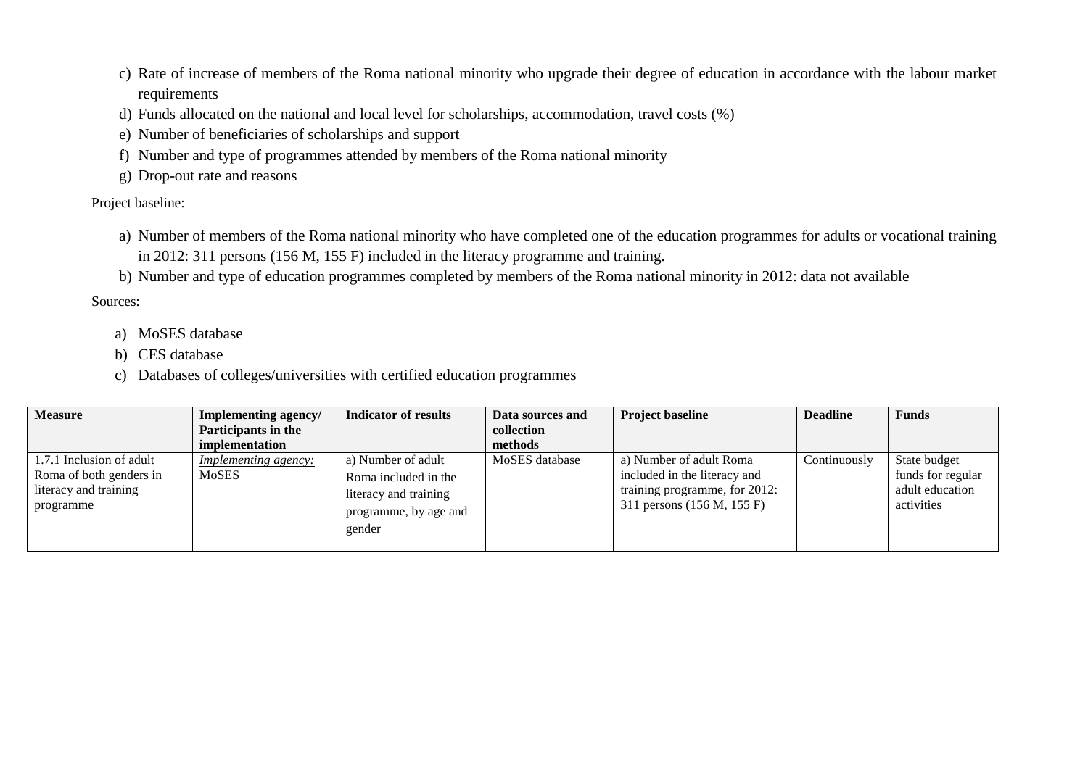- c) Rate of increase of members of the Roma national minority who upgrade their degree of education in accordance with the labour market requirements
- d) Funds allocated on the national and local level for scholarships, accommodation, travel costs (%)
- e) Number of beneficiaries of scholarships and support
- f) Number and type of programmes attended by members of the Roma national minority
- g) Drop-out rate and reasons

Project baseline:

- a) Number of members of the Roma national minority who have completed one of the education programmes for adults or vocational training in 2012: 311 persons (156 M, 155 F) included in the literacy programme and training.
- b) Number and type of education programmes completed by members of the Roma national minority in 2012: data not available

Sources:

- a) MoSES database
- b) CES database
- c) Databases of colleges/universities with certified education programmes

| <b>Measure</b>                                                                            | <b>Implementing agency/</b>                 | Indicator of results                                                                                   | Data sources and | <b>Project baseline</b>                                                                                                | <b>Deadline</b> | <b>Funds</b>                                                       |
|-------------------------------------------------------------------------------------------|---------------------------------------------|--------------------------------------------------------------------------------------------------------|------------------|------------------------------------------------------------------------------------------------------------------------|-----------------|--------------------------------------------------------------------|
|                                                                                           | Participants in the                         |                                                                                                        | collection       |                                                                                                                        |                 |                                                                    |
|                                                                                           | implementation                              |                                                                                                        | methods          |                                                                                                                        |                 |                                                                    |
| 1.7.1 Inclusion of adult<br>Roma of both genders in<br>literacy and training<br>programme | <i>Implementing agency:</i><br><b>MoSES</b> | a) Number of adult<br>Roma included in the<br>literacy and training<br>programme, by age and<br>gender | MoSES database   | a) Number of adult Roma<br>included in the literacy and<br>training programme, for 2012:<br>311 persons (156 M, 155 F) | Continuously    | State budget<br>funds for regular<br>adult education<br>activities |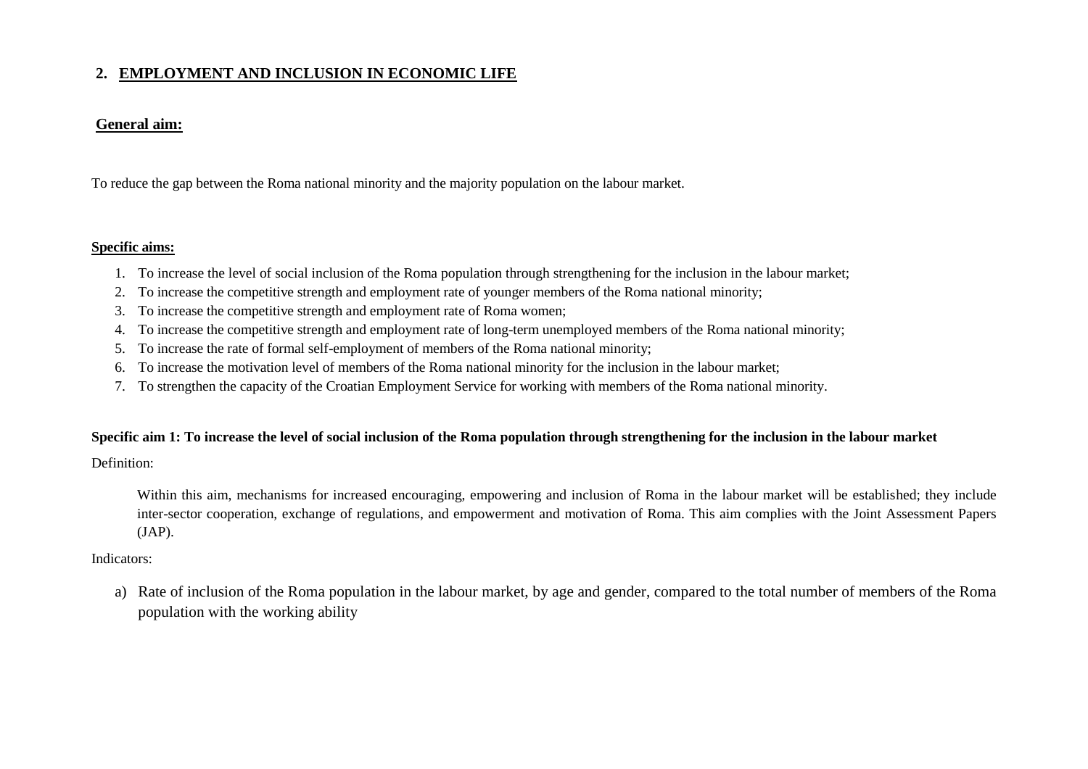# **2. EMPLOYMENT AND INCLUSION IN ECONOMIC LIFE**

## **General aim:**

To reduce the gap between the Roma national minority and the majority population on the labour market.

## **Specific aims:**

- 1. To increase the level of social inclusion of the Roma population through strengthening for the inclusion in the labour market;
- 2. To increase the competitive strength and employment rate of younger members of the Roma national minority;
- 3. To increase the competitive strength and employment rate of Roma women;
- 4. To increase the competitive strength and employment rate of long-term unemployed members of the Roma national minority;
- 5. To increase the rate of formal self-employment of members of the Roma national minority;
- 6. To increase the motivation level of members of the Roma national minority for the inclusion in the labour market;
- <span id="page-20-0"></span>7. To strengthen the capacity of the Croatian Employment Service for working with members of the Roma national minority.

# **Specific aim 1: To increase the level of social inclusion of the Roma population through strengthening for the inclusion in the labour market**

Definition:

Within this aim, mechanisms for increased encouraging, empowering and inclusion of Roma in the labour market will be established; they include inter-sector cooperation, exchange of regulations, and empowerment and motivation of Roma. This aim complies with the Joint Assessment Papers (JAP).

# Indicators:

a) Rate of inclusion of the Roma population in the labour market, by age and gender, compared to the total number of members of the Roma population with the working ability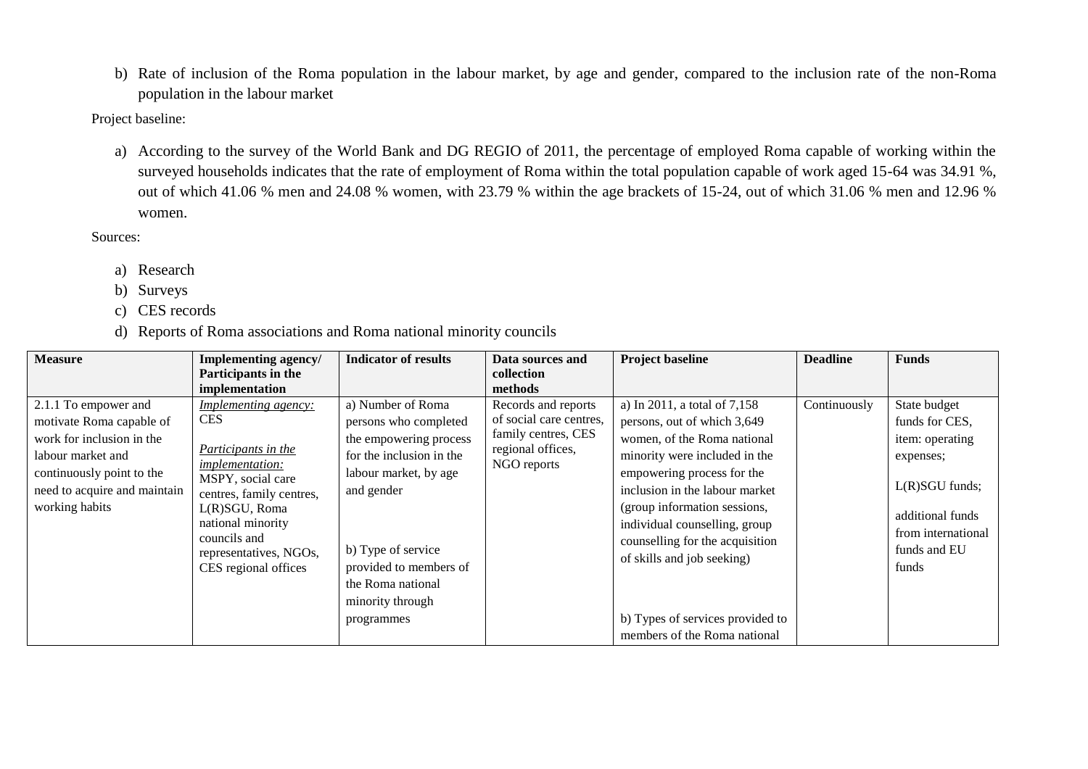b) Rate of inclusion of the Roma population in the labour market, by age and gender, compared to the inclusion rate of the non-Roma population in the labour market

Project baseline:

a) According to the survey of the World Bank and DG REGIO of 2011, the percentage of employed Roma capable of working within the surveyed households indicates that the rate of employment of Roma within the total population capable of work aged 15-64 was 34.91 %, out of which 41.06 % men and 24.08 % women, with 23.79 % within the age brackets of 15-24, out of which 31.06 % men and 12.96 % women.

Sources:

- a) Research
- b) Surveys
- c) CES records
- d) Reports of Roma associations and Roma national minority councils

| <b>Measure</b>                                                                                                                                                                    | Implementing agency/<br>Participants in the                                                                                                                                                                                                         | <b>Indicator of results</b>                                                                                                                                                                                                                    | Data sources and<br>collection                                                                            | <b>Project baseline</b>                                                                                                                                                                                                                                                                                                                                                                           | <b>Deadline</b> | <b>Funds</b>                                                                                                                                          |
|-----------------------------------------------------------------------------------------------------------------------------------------------------------------------------------|-----------------------------------------------------------------------------------------------------------------------------------------------------------------------------------------------------------------------------------------------------|------------------------------------------------------------------------------------------------------------------------------------------------------------------------------------------------------------------------------------------------|-----------------------------------------------------------------------------------------------------------|---------------------------------------------------------------------------------------------------------------------------------------------------------------------------------------------------------------------------------------------------------------------------------------------------------------------------------------------------------------------------------------------------|-----------------|-------------------------------------------------------------------------------------------------------------------------------------------------------|
|                                                                                                                                                                                   | implementation                                                                                                                                                                                                                                      |                                                                                                                                                                                                                                                | methods                                                                                                   |                                                                                                                                                                                                                                                                                                                                                                                                   |                 |                                                                                                                                                       |
| 2.1.1 To empower and<br>motivate Roma capable of<br>work for inclusion in the<br>labour market and<br>continuously point to the<br>need to acquire and maintain<br>working habits | <i>Implementing agency:</i><br><b>CES</b><br>Participants in the<br><i>implementation:</i><br>MSPY, social care<br>centres, family centres,<br>L(R)SGU, Roma<br>national minority<br>councils and<br>representatives, NGOs,<br>CES regional offices | a) Number of Roma<br>persons who completed<br>the empowering process<br>for the inclusion in the<br>labour market, by age<br>and gender<br>b) Type of service<br>provided to members of<br>the Roma national<br>minority through<br>programmes | Records and reports<br>of social care centres,<br>family centres, CES<br>regional offices,<br>NGO reports | a) In 2011, a total of 7,158<br>persons, out of which 3,649<br>women, of the Roma national<br>minority were included in the<br>empowering process for the<br>inclusion in the labour market<br>(group information sessions,<br>individual counselling, group<br>counselling for the acquisition<br>of skills and job seeking)<br>b) Types of services provided to<br>members of the Roma national | Continuously    | State budget<br>funds for CES,<br>item: operating<br>expenses;<br>$L(R)SGU$ funds;<br>additional funds<br>from international<br>funds and EU<br>funds |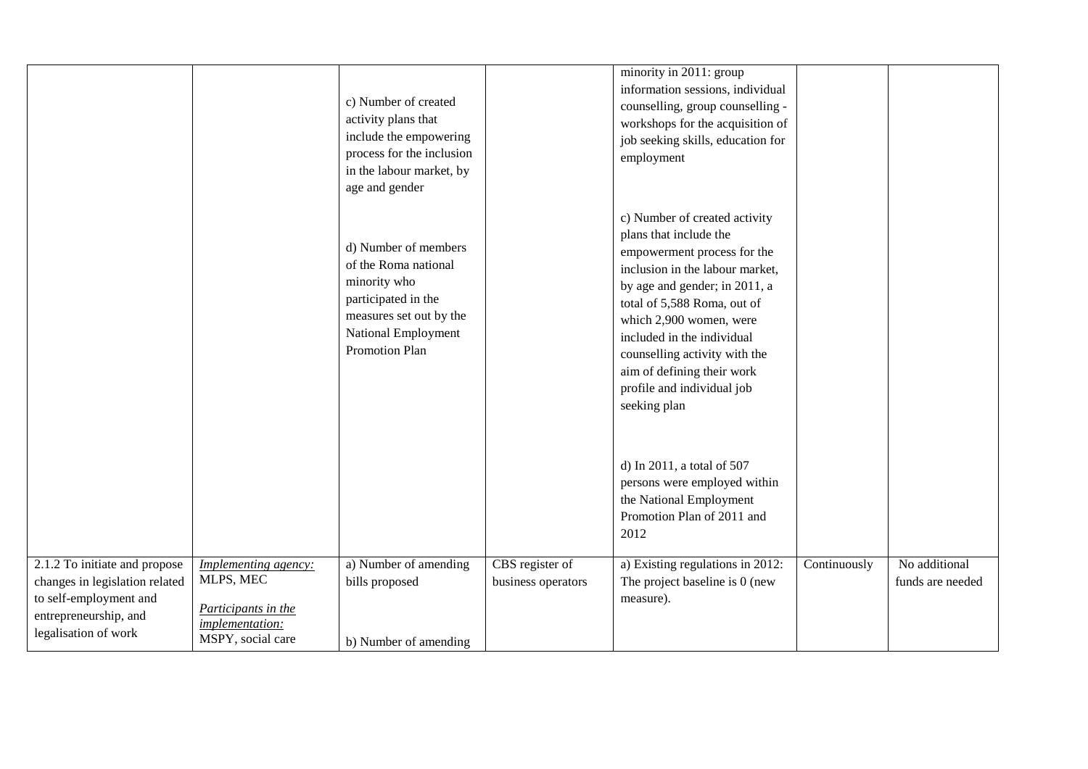|                                                                                                                                            |                                                                                                  | c) Number of created<br>activity plans that<br>include the empowering<br>process for the inclusion<br>in the labour market, by<br>age and gender               |                                       | minority in 2011: group<br>information sessions, individual<br>counselling, group counselling -<br>workshops for the acquisition of<br>job seeking skills, education for<br>employment                                                                                                                                                                          |              |                                   |
|--------------------------------------------------------------------------------------------------------------------------------------------|--------------------------------------------------------------------------------------------------|----------------------------------------------------------------------------------------------------------------------------------------------------------------|---------------------------------------|-----------------------------------------------------------------------------------------------------------------------------------------------------------------------------------------------------------------------------------------------------------------------------------------------------------------------------------------------------------------|--------------|-----------------------------------|
|                                                                                                                                            |                                                                                                  | d) Number of members<br>of the Roma national<br>minority who<br>participated in the<br>measures set out by the<br>National Employment<br><b>Promotion Plan</b> |                                       | c) Number of created activity<br>plans that include the<br>empowerment process for the<br>inclusion in the labour market,<br>by age and gender; in 2011, a<br>total of 5,588 Roma, out of<br>which 2,900 women, were<br>included in the individual<br>counselling activity with the<br>aim of defining their work<br>profile and individual job<br>seeking plan |              |                                   |
|                                                                                                                                            |                                                                                                  |                                                                                                                                                                |                                       | d) In 2011, a total of 507<br>persons were employed within<br>the National Employment<br>Promotion Plan of 2011 and<br>2012                                                                                                                                                                                                                                     |              |                                   |
| 2.1.2 To initiate and propose<br>changes in legislation related<br>to self-employment and<br>entrepreneurship, and<br>legalisation of work | Implementing agency:<br>MLPS, MEC<br>Participants in the<br>implementation:<br>MSPY, social care | a) Number of amending<br>bills proposed<br>b) Number of amending                                                                                               | CBS register of<br>business operators | a) Existing regulations in 2012:<br>The project baseline is 0 (new<br>measure).                                                                                                                                                                                                                                                                                 | Continuously | No additional<br>funds are needed |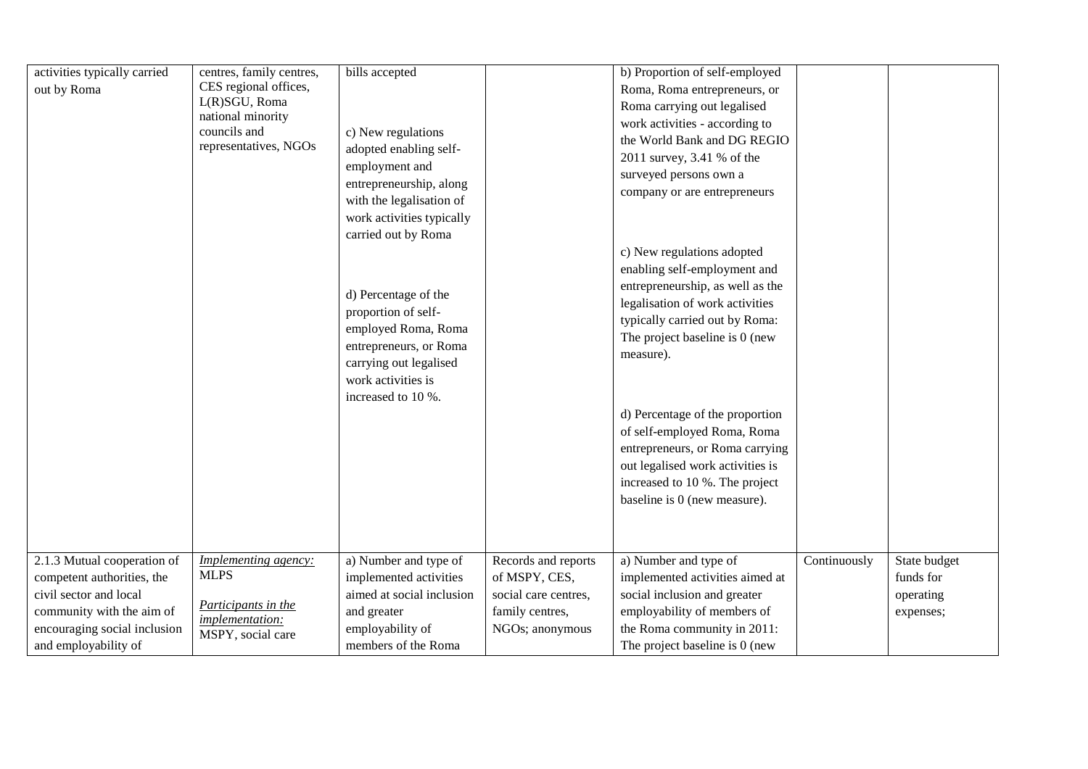| activities typically carried<br>out by Roma               | centres, family centres,<br>CES regional offices,<br>L(R)SGU, Roma<br>national minority<br>councils and<br>representatives, NGOs | bills accepted<br>c) New regulations<br>adopted enabling self-<br>employment and<br>entrepreneurship, along<br>with the legalisation of<br>work activities typically<br>carried out by Roma<br>d) Percentage of the<br>proportion of self-<br>employed Roma, Roma<br>entrepreneurs, or Roma<br>carrying out legalised<br>work activities is<br>increased to 10 %. |                                      | b) Proportion of self-employed<br>Roma, Roma entrepreneurs, or<br>Roma carrying out legalised<br>work activities - according to<br>the World Bank and DG REGIO<br>2011 survey, 3.41 % of the<br>surveyed persons own a<br>company or are entrepreneurs<br>c) New regulations adopted<br>enabling self-employment and<br>entrepreneurship, as well as the<br>legalisation of work activities<br>typically carried out by Roma:<br>The project baseline is 0 (new<br>measure).<br>d) Percentage of the proportion<br>of self-employed Roma, Roma<br>entrepreneurs, or Roma carrying<br>out legalised work activities is<br>increased to 10 %. The project<br>baseline is 0 (new measure). |              |                           |
|-----------------------------------------------------------|----------------------------------------------------------------------------------------------------------------------------------|-------------------------------------------------------------------------------------------------------------------------------------------------------------------------------------------------------------------------------------------------------------------------------------------------------------------------------------------------------------------|--------------------------------------|-----------------------------------------------------------------------------------------------------------------------------------------------------------------------------------------------------------------------------------------------------------------------------------------------------------------------------------------------------------------------------------------------------------------------------------------------------------------------------------------------------------------------------------------------------------------------------------------------------------------------------------------------------------------------------------------|--------------|---------------------------|
| 2.1.3 Mutual cooperation of<br>competent authorities, the | Implementing agency:<br><b>MLPS</b>                                                                                              | a) Number and type of<br>implemented activities                                                                                                                                                                                                                                                                                                                   | Records and reports<br>of MSPY, CES, | a) Number and type of<br>implemented activities aimed at                                                                                                                                                                                                                                                                                                                                                                                                                                                                                                                                                                                                                                | Continuously | State budget<br>funds for |
| civil sector and local                                    | Participants in the                                                                                                              | aimed at social inclusion                                                                                                                                                                                                                                                                                                                                         | social care centres,                 | social inclusion and greater                                                                                                                                                                                                                                                                                                                                                                                                                                                                                                                                                                                                                                                            |              | operating                 |
| community with the aim of                                 | implementation:                                                                                                                  | and greater                                                                                                                                                                                                                                                                                                                                                       | family centres,                      | employability of members of                                                                                                                                                                                                                                                                                                                                                                                                                                                                                                                                                                                                                                                             |              | expenses;                 |
| encouraging social inclusion                              | MSPY, social care                                                                                                                | employability of                                                                                                                                                                                                                                                                                                                                                  | NGOs; anonymous                      | the Roma community in 2011:                                                                                                                                                                                                                                                                                                                                                                                                                                                                                                                                                                                                                                                             |              |                           |
| and employability of                                      |                                                                                                                                  | members of the Roma                                                                                                                                                                                                                                                                                                                                               |                                      | The project baseline is 0 (new                                                                                                                                                                                                                                                                                                                                                                                                                                                                                                                                                                                                                                                          |              |                           |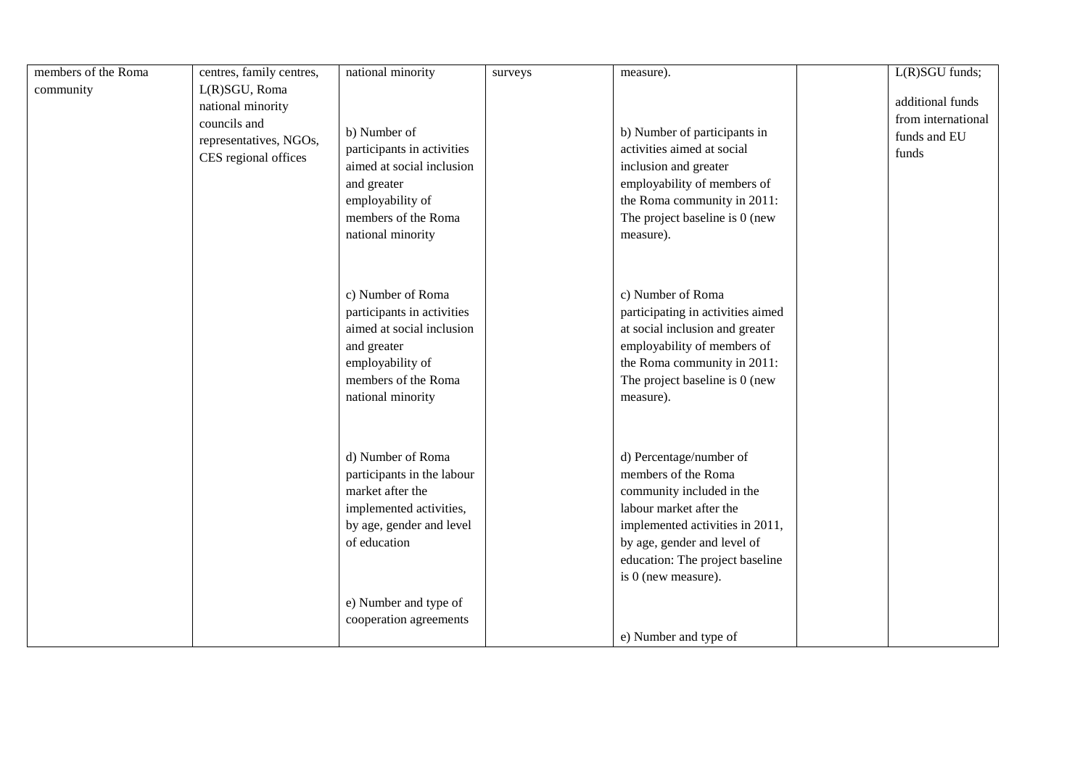| members of the Roma | centres, family centres, | national minority          | surveys | measure).                         | L(R)SGU funds;     |
|---------------------|--------------------------|----------------------------|---------|-----------------------------------|--------------------|
| community           | L(R)SGU, Roma            |                            |         |                                   |                    |
|                     | national minority        |                            |         |                                   | additional funds   |
|                     | councils and             |                            |         |                                   | from international |
|                     | representatives, NGOs,   | b) Number of               |         | b) Number of participants in      | funds and EU       |
|                     | CES regional offices     | participants in activities |         | activities aimed at social        | funds              |
|                     |                          | aimed at social inclusion  |         | inclusion and greater             |                    |
|                     |                          | and greater                |         | employability of members of       |                    |
|                     |                          | employability of           |         | the Roma community in 2011:       |                    |
|                     |                          | members of the Roma        |         | The project baseline is 0 (new    |                    |
|                     |                          | national minority          |         | measure).                         |                    |
|                     |                          |                            |         |                                   |                    |
|                     |                          |                            |         |                                   |                    |
|                     |                          | c) Number of Roma          |         | c) Number of Roma                 |                    |
|                     |                          | participants in activities |         | participating in activities aimed |                    |
|                     |                          | aimed at social inclusion  |         |                                   |                    |
|                     |                          |                            |         | at social inclusion and greater   |                    |
|                     |                          | and greater                |         | employability of members of       |                    |
|                     |                          | employability of           |         | the Roma community in 2011:       |                    |
|                     |                          | members of the Roma        |         | The project baseline is 0 (new    |                    |
|                     |                          | national minority          |         | measure).                         |                    |
|                     |                          |                            |         |                                   |                    |
|                     |                          |                            |         |                                   |                    |
|                     |                          | d) Number of Roma          |         | d) Percentage/number of           |                    |
|                     |                          | participants in the labour |         | members of the Roma               |                    |
|                     |                          | market after the           |         | community included in the         |                    |
|                     |                          | implemented activities,    |         | labour market after the           |                    |
|                     |                          | by age, gender and level   |         | implemented activities in 2011,   |                    |
|                     |                          | of education               |         | by age, gender and level of       |                    |
|                     |                          |                            |         | education: The project baseline   |                    |
|                     |                          |                            |         | is 0 (new measure).               |                    |
|                     |                          | e) Number and type of      |         |                                   |                    |
|                     |                          | cooperation agreements     |         |                                   |                    |
|                     |                          |                            |         | e) Number and type of             |                    |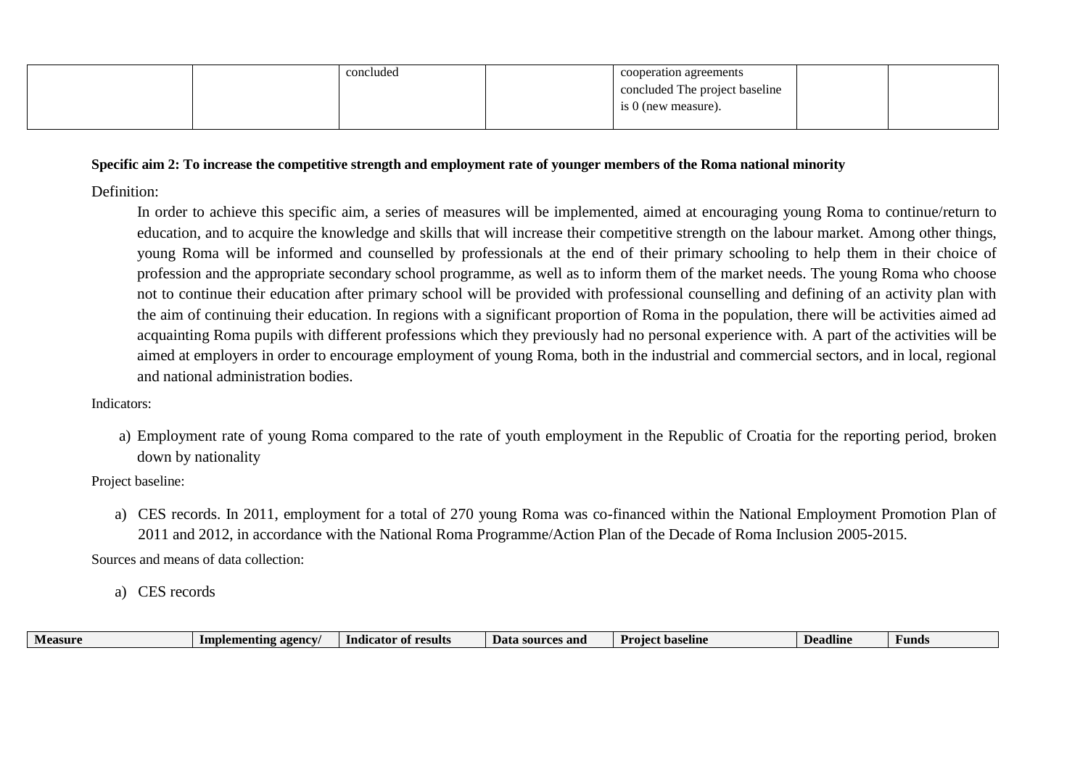| concluded | cooperation agreements         |  |
|-----------|--------------------------------|--|
|           | concluded The project baseline |  |
|           | is 0 (new measure).            |  |
|           |                                |  |

#### **Specific aim 2: To increase the competitive strength and employment rate of younger members of the Roma national minority**

Definition:

In order to achieve this specific aim, a series of measures will be implemented, aimed at encouraging young Roma to continue/return to education, and to acquire the knowledge and skills that will increase their competitive strength on the labour market. Among other things, young Roma will be informed and counselled by professionals at the end of their primary schooling to help them in their choice of profession and the appropriate secondary school programme, as well as to inform them of the market needs. The young Roma who choose not to continue their education after primary school will be provided with professional counselling and defining of an activity plan with the aim of continuing their education. In regions with a significant proportion of Roma in the population, there will be activities aimed ad acquainting Roma pupils with different professions which they previously had no personal experience with. A part of the activities will be aimed at employers in order to encourage employment of young Roma, both in the industrial and commercial sectors, and in local, regional and national administration bodies.

Indicators:

a) Employment rate of young Roma compared to the rate of youth employment in the Republic of Croatia for the reporting period, broken down by nationality

Project baseline:

a) CES records. In 2011, employment for a total of 270 young Roma was co-financed within the National Employment Promotion Plan of 2011 and 2012, in accordance with the National Roma Programme/Action Plan of the Decade of Roma Inclusion 2005-2015.

Sources and means of data collection:

a) CES records

| -agency<br>esults<br>Indicator<br>ementing<br>- Impic<br><b>Measure</b><br>$\sim$<br>- of | ፡ and<br>Data<br>source.<br>. | <b>Project</b> ba<br>. baseline | Deadline | Funds |
|-------------------------------------------------------------------------------------------|-------------------------------|---------------------------------|----------|-------|
|-------------------------------------------------------------------------------------------|-------------------------------|---------------------------------|----------|-------|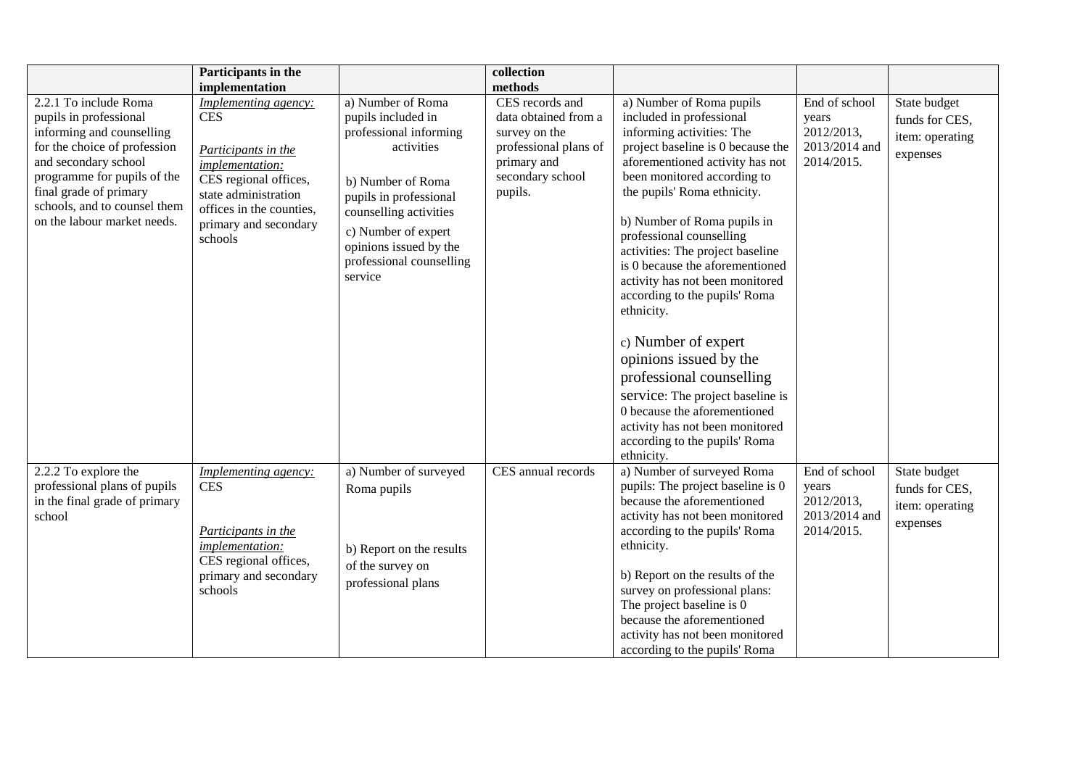|                                                                                                                                                                                                                                                              | Participants in the<br>implementation                                                                                                                                                         |                                                                                                                                                                                                                                                  | collection<br>methods                                                                                                           |                                                                                                                                                                                                                                                                                                                                                                                                                                                                                                                                                                                                                                                                                |                                                                     |                                                               |
|--------------------------------------------------------------------------------------------------------------------------------------------------------------------------------------------------------------------------------------------------------------|-----------------------------------------------------------------------------------------------------------------------------------------------------------------------------------------------|--------------------------------------------------------------------------------------------------------------------------------------------------------------------------------------------------------------------------------------------------|---------------------------------------------------------------------------------------------------------------------------------|--------------------------------------------------------------------------------------------------------------------------------------------------------------------------------------------------------------------------------------------------------------------------------------------------------------------------------------------------------------------------------------------------------------------------------------------------------------------------------------------------------------------------------------------------------------------------------------------------------------------------------------------------------------------------------|---------------------------------------------------------------------|---------------------------------------------------------------|
| 2.2.1 To include Roma<br>pupils in professional<br>informing and counselling<br>for the choice of profession<br>and secondary school<br>programme for pupils of the<br>final grade of primary<br>schools, and to counsel them<br>on the labour market needs. | Implementing agency:<br>CES<br>Participants in the<br><i>implementation:</i><br>CES regional offices,<br>state administration<br>offices in the counties,<br>primary and secondary<br>schools | a) Number of Roma<br>pupils included in<br>professional informing<br>activities<br>b) Number of Roma<br>pupils in professional<br>counselling activities<br>c) Number of expert<br>opinions issued by the<br>professional counselling<br>service | CES records and<br>data obtained from a<br>survey on the<br>professional plans of<br>primary and<br>secondary school<br>pupils. | a) Number of Roma pupils<br>included in professional<br>informing activities: The<br>project baseline is 0 because the<br>aforementioned activity has not<br>been monitored according to<br>the pupils' Roma ethnicity.<br>b) Number of Roma pupils in<br>professional counselling<br>activities: The project baseline<br>is 0 because the aforementioned<br>activity has not been monitored<br>according to the pupils' Roma<br>ethnicity.<br>c) Number of expert<br>opinions issued by the<br>professional counselling<br>service: The project baseline is<br>0 because the aforementioned<br>activity has not been monitored<br>according to the pupils' Roma<br>ethnicity. | End of school<br>years<br>2012/2013,<br>2013/2014 and<br>2014/2015. | State budget<br>funds for CES,<br>item: operating<br>expenses |
| 2.2.2 To explore the<br>professional plans of pupils<br>in the final grade of primary<br>school                                                                                                                                                              | <b>Implementing agency:</b><br><b>CES</b><br>Participants in the<br>implementation:<br>CES regional offices,<br>primary and secondary<br>schools                                              | a) Number of surveyed<br>Roma pupils<br>b) Report on the results<br>of the survey on<br>professional plans                                                                                                                                       | CES annual records                                                                                                              | a) Number of surveyed Roma<br>pupils: The project baseline is 0<br>because the aforementioned<br>activity has not been monitored<br>according to the pupils' Roma<br>ethnicity.<br>b) Report on the results of the<br>survey on professional plans:<br>The project baseline is 0<br>because the aforementioned<br>activity has not been monitored<br>according to the pupils' Roma                                                                                                                                                                                                                                                                                             | End of school<br>years<br>2012/2013,<br>2013/2014 and<br>2014/2015. | State budget<br>funds for CES,<br>item: operating<br>expenses |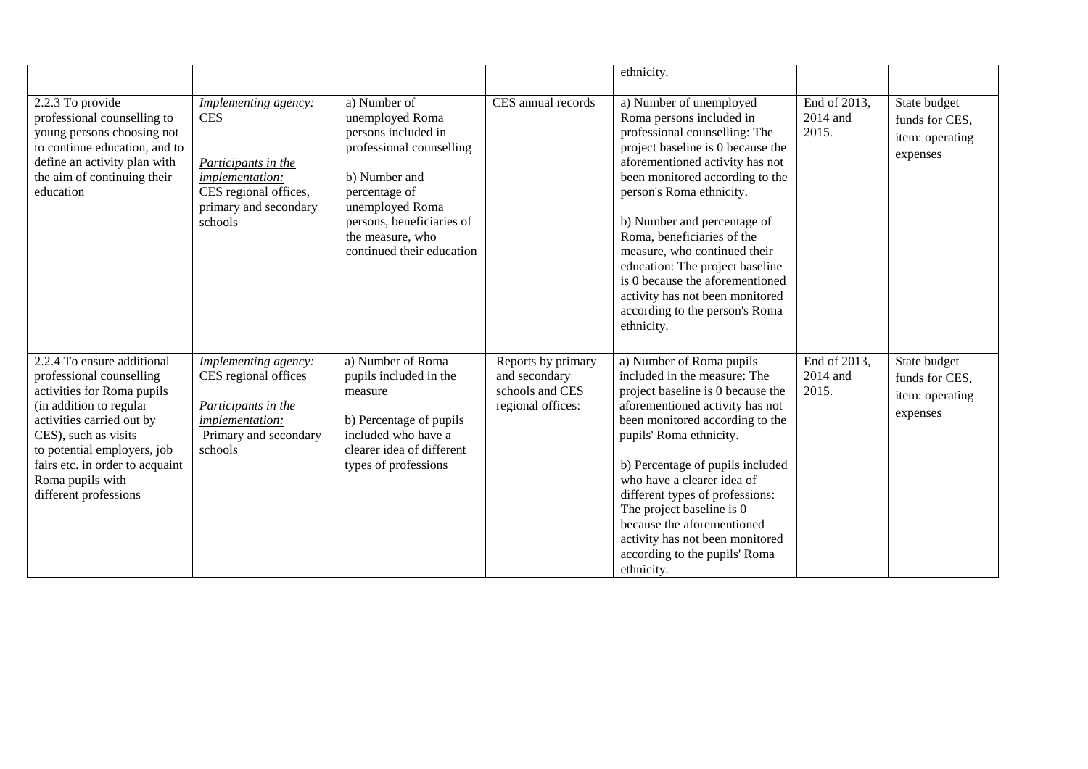|                                                                                                                                                                                                                                                                                     |                                                                                                                                           |                                                                                                                                                                                                                       |                                                                             | ethnicity.                                                                                                                                                                                                                                                                                                                                                                                                                                                                        |                                   |                                                               |
|-------------------------------------------------------------------------------------------------------------------------------------------------------------------------------------------------------------------------------------------------------------------------------------|-------------------------------------------------------------------------------------------------------------------------------------------|-----------------------------------------------------------------------------------------------------------------------------------------------------------------------------------------------------------------------|-----------------------------------------------------------------------------|-----------------------------------------------------------------------------------------------------------------------------------------------------------------------------------------------------------------------------------------------------------------------------------------------------------------------------------------------------------------------------------------------------------------------------------------------------------------------------------|-----------------------------------|---------------------------------------------------------------|
| 2.2.3 To provide<br>professional counselling to<br>young persons choosing not<br>to continue education, and to<br>define an activity plan with<br>the aim of continuing their<br>education                                                                                          | Implementing agency:<br><b>CES</b><br>Participants in the<br>implementation:<br>CES regional offices,<br>primary and secondary<br>schools | a) Number of<br>unemployed Roma<br>persons included in<br>professional counselling<br>b) Number and<br>percentage of<br>unemployed Roma<br>persons, beneficiaries of<br>the measure, who<br>continued their education | CES annual records                                                          | a) Number of unemployed<br>Roma persons included in<br>professional counselling: The<br>project baseline is 0 because the<br>aforementioned activity has not<br>been monitored according to the<br>person's Roma ethnicity.<br>b) Number and percentage of<br>Roma, beneficiaries of the<br>measure, who continued their<br>education: The project baseline<br>is 0 because the aforementioned<br>activity has not been monitored<br>according to the person's Roma<br>ethnicity. | End of 2013,<br>2014 and<br>2015. | State budget<br>funds for CES,<br>item: operating<br>expenses |
| 2.2.4 To ensure additional<br>professional counselling<br>activities for Roma pupils<br>(in addition to regular<br>activities carried out by<br>CES), such as visits<br>to potential employers, job<br>fairs etc. in order to acquaint<br>Roma pupils with<br>different professions | <b>Implementing agency:</b><br>CES regional offices<br>Participants in the<br>implementation:<br>Primary and secondary<br>schools         | a) Number of Roma<br>pupils included in the<br>measure<br>b) Percentage of pupils<br>included who have a<br>clearer idea of different<br>types of professions                                                         | Reports by primary<br>and secondary<br>schools and CES<br>regional offices: | a) Number of Roma pupils<br>included in the measure: The<br>project baseline is 0 because the<br>aforementioned activity has not<br>been monitored according to the<br>pupils' Roma ethnicity.<br>b) Percentage of pupils included<br>who have a clearer idea of<br>different types of professions:<br>The project baseline is 0<br>because the aforementioned<br>activity has not been monitored<br>according to the pupils' Roma<br>ethnicity.                                  | End of 2013,<br>2014 and<br>2015. | State budget<br>funds for CES,<br>item: operating<br>expenses |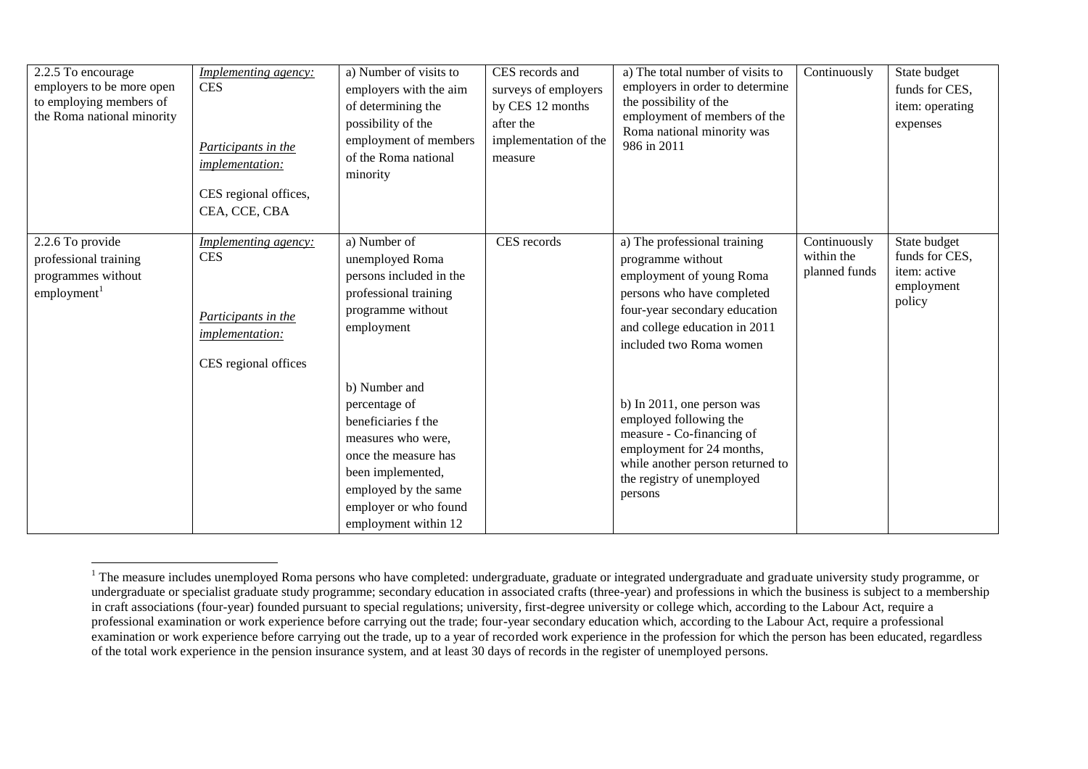| 2.2.5 To encourage<br>employers to be more open<br>to employing members of<br>the Roma national minority | <b>Implementing agency:</b><br><b>CES</b><br>Participants in the<br>implementation:<br>CES regional offices,<br>CEA, CCE, CBA | a) Number of visits to<br>employers with the aim<br>of determining the<br>possibility of the<br>employment of members<br>of the Roma national<br>minority                                         | CES records and<br>surveys of employers<br>by CES 12 months<br>after the<br>implementation of the<br>measure | a) The total number of visits to<br>employers in order to determine<br>the possibility of the<br>employment of members of the<br>Roma national minority was<br>986 in 2011                               | Continuously                                | State budget<br>funds for CES,<br>item: operating<br>expenses          |
|----------------------------------------------------------------------------------------------------------|-------------------------------------------------------------------------------------------------------------------------------|---------------------------------------------------------------------------------------------------------------------------------------------------------------------------------------------------|--------------------------------------------------------------------------------------------------------------|----------------------------------------------------------------------------------------------------------------------------------------------------------------------------------------------------------|---------------------------------------------|------------------------------------------------------------------------|
| 2.2.6 To provide<br>professional training<br>programmes without<br>employment <sup>1</sup>               | <i>Implementing agency:</i><br><b>CES</b><br>Participants in the<br><i>implementation:</i><br>CES regional offices            | a) Number of<br>unemployed Roma<br>persons included in the<br>professional training<br>programme without<br>employment                                                                            | CES records                                                                                                  | a) The professional training<br>programme without<br>employment of young Roma<br>persons who have completed<br>four-year secondary education<br>and college education in 2011<br>included two Roma women | Continuously<br>within the<br>planned funds | State budget<br>funds for CES,<br>item: active<br>employment<br>policy |
|                                                                                                          |                                                                                                                               | b) Number and<br>percentage of<br>beneficiaries f the<br>measures who were,<br>once the measure has<br>been implemented,<br>employed by the same<br>employer or who found<br>employment within 12 |                                                                                                              | b) In 2011, one person was<br>employed following the<br>measure - Co-financing of<br>employment for 24 months,<br>while another person returned to<br>the registry of unemployed<br>persons              |                                             |                                                                        |

 $1$  The measure includes unemployed Roma persons who have completed: undergraduate, graduate or integrated undergraduate and graduate university study programme, or undergraduate or specialist graduate study programme; secondary education in associated crafts (three-year) and professions in which the business is subject to a membership in craft associations (four-year) founded pursuant to special regulations; university, first-degree university or college which, according to the Labour Act, require a professional examination or work experience before carrying out the trade; four-year secondary education which, according to the Labour Act, require a professional examination or work experience before carrying out the trade, up to a year of recorded work experience in the profession for which the person has been educated, regardless of the total work experience in the pension insurance system, and at least 30 days of records in the register of unemployed persons.

 $\overline{a}$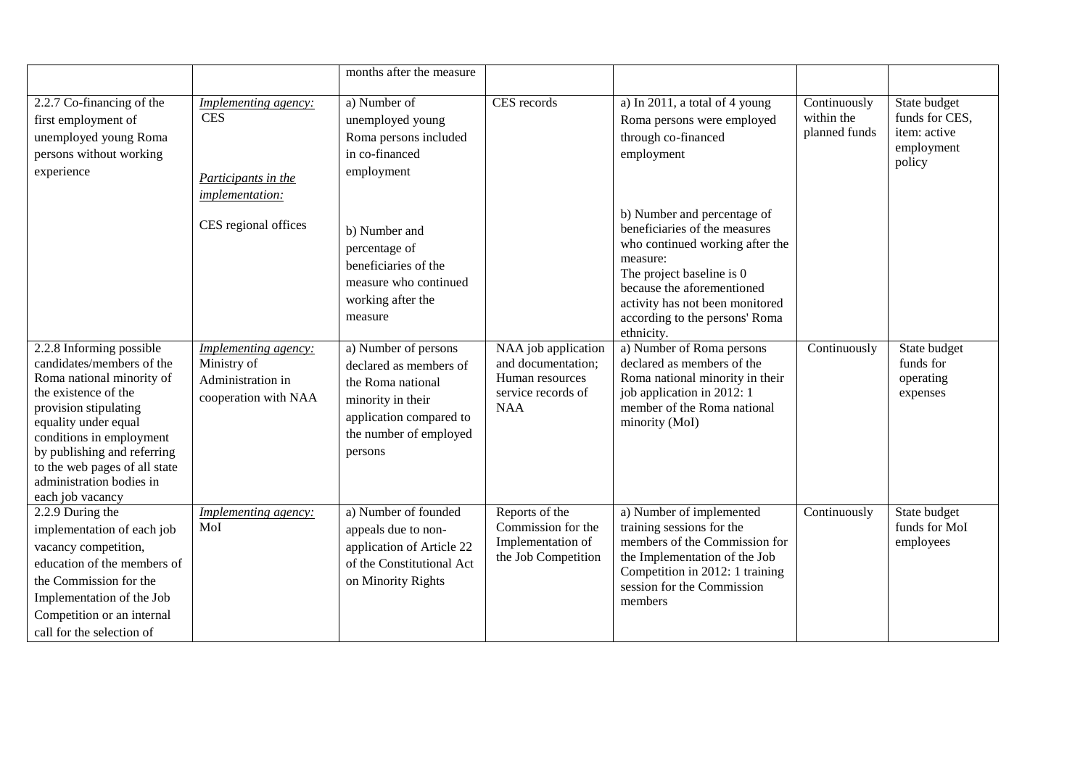|                                                                                                                                                                                                                                                                                                         |                                                                                       | months after the measure                                                                                                                                 |                                                                                                  |                                                                                                                                                                                                                            |                                             |                                                                        |
|---------------------------------------------------------------------------------------------------------------------------------------------------------------------------------------------------------------------------------------------------------------------------------------------------------|---------------------------------------------------------------------------------------|----------------------------------------------------------------------------------------------------------------------------------------------------------|--------------------------------------------------------------------------------------------------|----------------------------------------------------------------------------------------------------------------------------------------------------------------------------------------------------------------------------|---------------------------------------------|------------------------------------------------------------------------|
| 2.2.7 Co-financing of the<br>first employment of<br>unemployed young Roma<br>persons without working<br>experience                                                                                                                                                                                      | <b>Implementing agency:</b><br>$\mbox{CES}$<br>Participants in the<br>implementation: | a) Number of<br>unemployed young<br>Roma persons included<br>in co-financed<br>employment                                                                | CES records                                                                                      | a) In 2011, a total of 4 young<br>Roma persons were employed<br>through co-financed<br>employment<br>b) Number and percentage of                                                                                           | Continuously<br>within the<br>planned funds | State budget<br>funds for CES,<br>item: active<br>employment<br>policy |
|                                                                                                                                                                                                                                                                                                         | CES regional offices                                                                  | b) Number and<br>percentage of<br>beneficiaries of the<br>measure who continued<br>working after the<br>measure                                          |                                                                                                  | beneficiaries of the measures<br>who continued working after the<br>measure:<br>The project baseline is 0<br>because the aforementioned<br>activity has not been monitored<br>according to the persons' Roma<br>ethnicity. |                                             |                                                                        |
| 2.2.8 Informing possible<br>candidates/members of the<br>Roma national minority of<br>the existence of the<br>provision stipulating<br>equality under equal<br>conditions in employment<br>by publishing and referring<br>to the web pages of all state<br>administration bodies in<br>each job vacancy | Implementing agency:<br>Ministry of<br>Administration in<br>cooperation with NAA      | a) Number of persons<br>declared as members of<br>the Roma national<br>minority in their<br>application compared to<br>the number of employed<br>persons | NAA job application<br>and documentation;<br>Human resources<br>service records of<br><b>NAA</b> | a) Number of Roma persons<br>declared as members of the<br>Roma national minority in their<br>job application in 2012: 1<br>member of the Roma national<br>minority (MoI)                                                  | Continuously                                | State budget<br>funds for<br>operating<br>expenses                     |
| 2.2.9 During the<br>implementation of each job<br>vacancy competition,<br>education of the members of<br>the Commission for the<br>Implementation of the Job<br>Competition or an internal<br>call for the selection of                                                                                 | Implementing agency:<br>MoI                                                           | a) Number of founded<br>appeals due to non-<br>application of Article 22<br>of the Constitutional Act<br>on Minority Rights                              | Reports of the<br>Commission for the<br>Implementation of<br>the Job Competition                 | a) Number of implemented<br>training sessions for the<br>members of the Commission for<br>the Implementation of the Job<br>Competition in 2012: 1 training<br>session for the Commission<br>members                        | Continuously                                | State budget<br>funds for MoI<br>employees                             |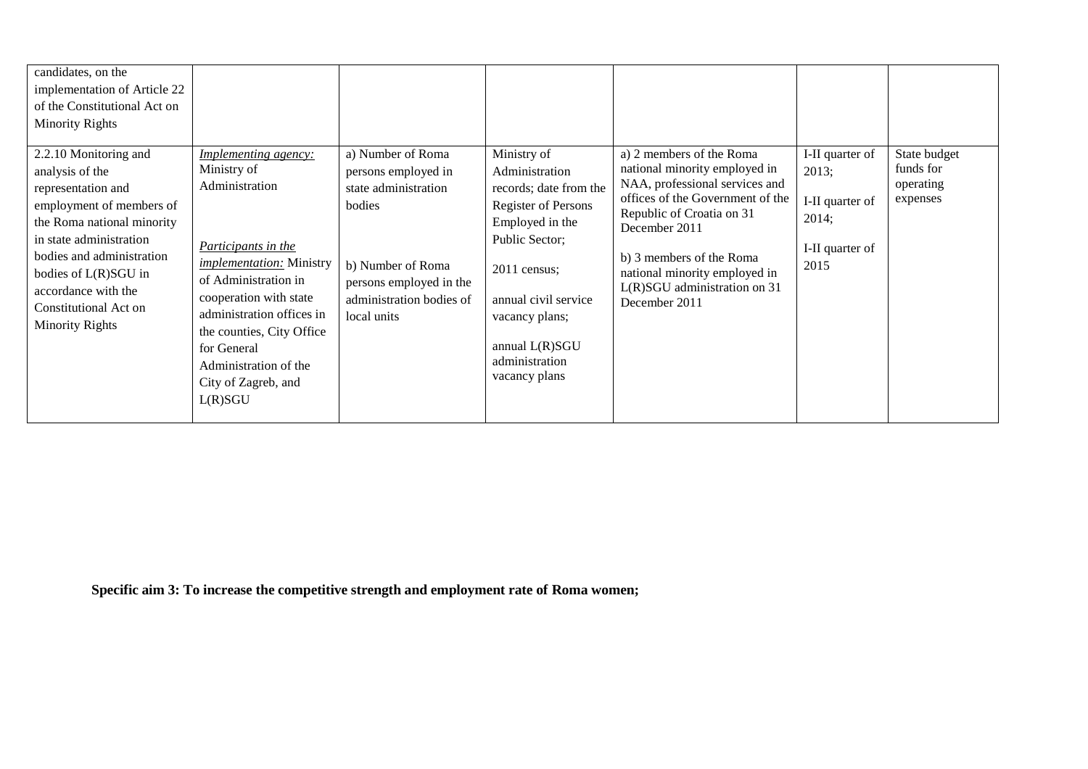| candidates, on the<br>implementation of Article 22<br>of the Constitutional Act on<br><b>Minority Rights</b>                                                                                                                                                                       |                                                                                                                                                                                                                                                                                                              |                                                                                                                                                                       |                                                                                                                                                                                                                                           |                                                                                                                                                                                                                                                                                             |                                                                                 |                                                    |
|------------------------------------------------------------------------------------------------------------------------------------------------------------------------------------------------------------------------------------------------------------------------------------|--------------------------------------------------------------------------------------------------------------------------------------------------------------------------------------------------------------------------------------------------------------------------------------------------------------|-----------------------------------------------------------------------------------------------------------------------------------------------------------------------|-------------------------------------------------------------------------------------------------------------------------------------------------------------------------------------------------------------------------------------------|---------------------------------------------------------------------------------------------------------------------------------------------------------------------------------------------------------------------------------------------------------------------------------------------|---------------------------------------------------------------------------------|----------------------------------------------------|
| 2.2.10 Monitoring and<br>analysis of the<br>representation and<br>employment of members of<br>the Roma national minority<br>in state administration<br>bodies and administration<br>bodies of L(R)SGU in<br>accordance with the<br>Constitutional Act on<br><b>Minority Rights</b> | <b>Implementing agency:</b><br>Ministry of<br>Administration<br>Participants in the<br><i>implementation:</i> Ministry<br>of Administration in<br>cooperation with state<br>administration offices in<br>the counties, City Office<br>for General<br>Administration of the<br>City of Zagreb, and<br>L(R)SGU | a) Number of Roma<br>persons employed in<br>state administration<br>bodies<br>b) Number of Roma<br>persons employed in the<br>administration bodies of<br>local units | Ministry of<br>Administration<br>records; date from the<br><b>Register of Persons</b><br>Employed in the<br>Public Sector;<br>2011 census;<br>annual civil service<br>vacancy plans;<br>annual L(R)SGU<br>administration<br>vacancy plans | a) 2 members of the Roma<br>national minority employed in<br>NAA, professional services and<br>offices of the Government of the<br>Republic of Croatia on 31<br>December 2011<br>b) 3 members of the Roma<br>national minority employed in<br>L(R)SGU administration on 31<br>December 2011 | I-II quarter of<br>2013;<br>I-II quarter of<br>2014;<br>I-II quarter of<br>2015 | State budget<br>funds for<br>operating<br>expenses |

**Specific aim 3: To increase the competitive strength and employment rate of Roma women;**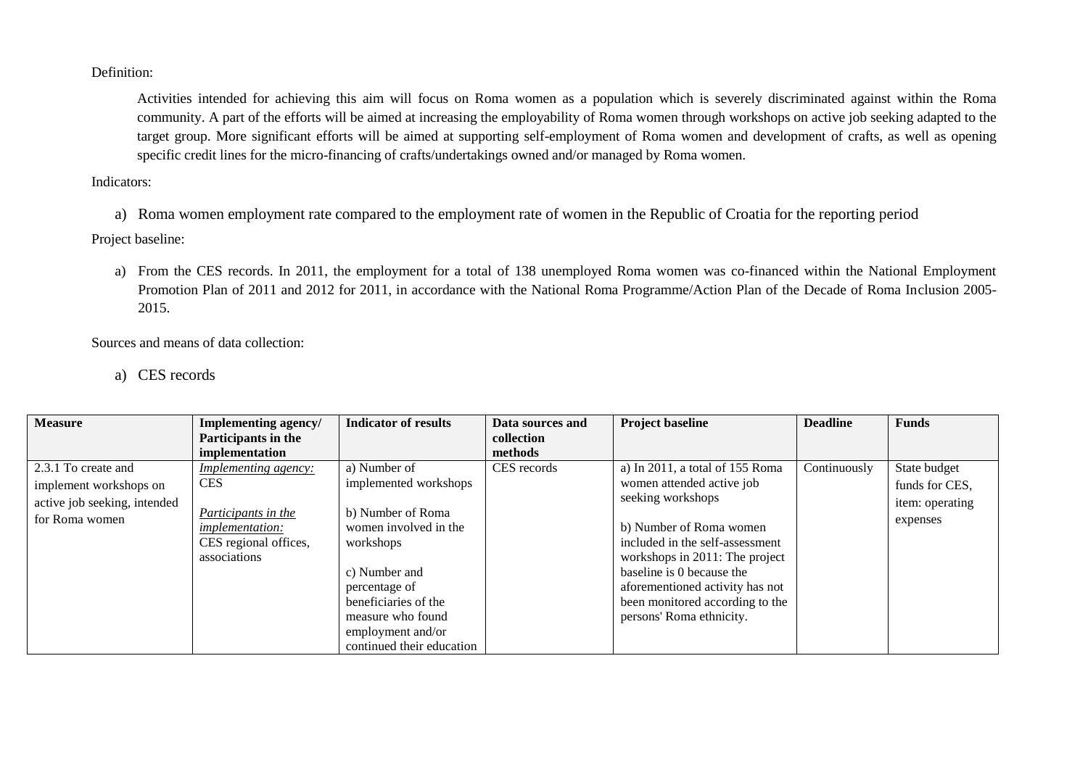Definition:

Activities intended for achieving this aim will focus on Roma women as a population which is severely discriminated against within the Roma community. A part of the efforts will be aimed at increasing the employability of Roma women through workshops on active job seeking adapted to the target group. More significant efforts will be aimed at supporting self-employment of Roma women and development of crafts, as well as opening specific credit lines for the micro-financing of crafts/undertakings owned and/or managed by Roma women.

Indicators:

a) Roma women employment rate compared to the employment rate of women in the Republic of Croatia for the reporting period

Project baseline:

a) From the CES records. In 2011, the employment for a total of 138 unemployed Roma women was co-financed within the National Employment Promotion Plan of 2011 and 2012 for 2011, in accordance with the National Roma Programme/Action Plan of the Decade of Roma Inclusion 2005- 2015.

Sources and means of data collection:

a) CES records

| <b>Measure</b>               | Implementing agency/        | <b>Indicator of results</b> | Data sources and | <b>Project baseline</b>         | <b>Deadline</b> | <b>Funds</b>    |
|------------------------------|-----------------------------|-----------------------------|------------------|---------------------------------|-----------------|-----------------|
|                              | Participants in the         |                             | collection       |                                 |                 |                 |
|                              | implementation              |                             | methods          |                                 |                 |                 |
| 2.3.1 To create and          | <i>Implementing agency:</i> | a) Number of                | CES records      | a) In 2011, a total of 155 Roma | Continuously    | State budget    |
| implement workshops on       | <b>CES</b>                  | implemented workshops       |                  | women attended active job       |                 | funds for CES,  |
| active job seeking, intended |                             |                             |                  | seeking workshops               |                 | item: operating |
| for Roma women               | Participants in the         | b) Number of Roma           |                  |                                 |                 | expenses        |
|                              | <i>implementation:</i>      | women involved in the       |                  | b) Number of Roma women         |                 |                 |
|                              | CES regional offices,       | workshops                   |                  | included in the self-assessment |                 |                 |
|                              | associations                |                             |                  | workshops in 2011: The project  |                 |                 |
|                              |                             | c) Number and               |                  | baseline is 0 because the       |                 |                 |
|                              |                             | percentage of               |                  | aforementioned activity has not |                 |                 |
|                              |                             | beneficiaries of the        |                  | been monitored according to the |                 |                 |
|                              |                             | measure who found           |                  | persons' Roma ethnicity.        |                 |                 |
|                              |                             | employment and/or           |                  |                                 |                 |                 |
|                              |                             | continued their education   |                  |                                 |                 |                 |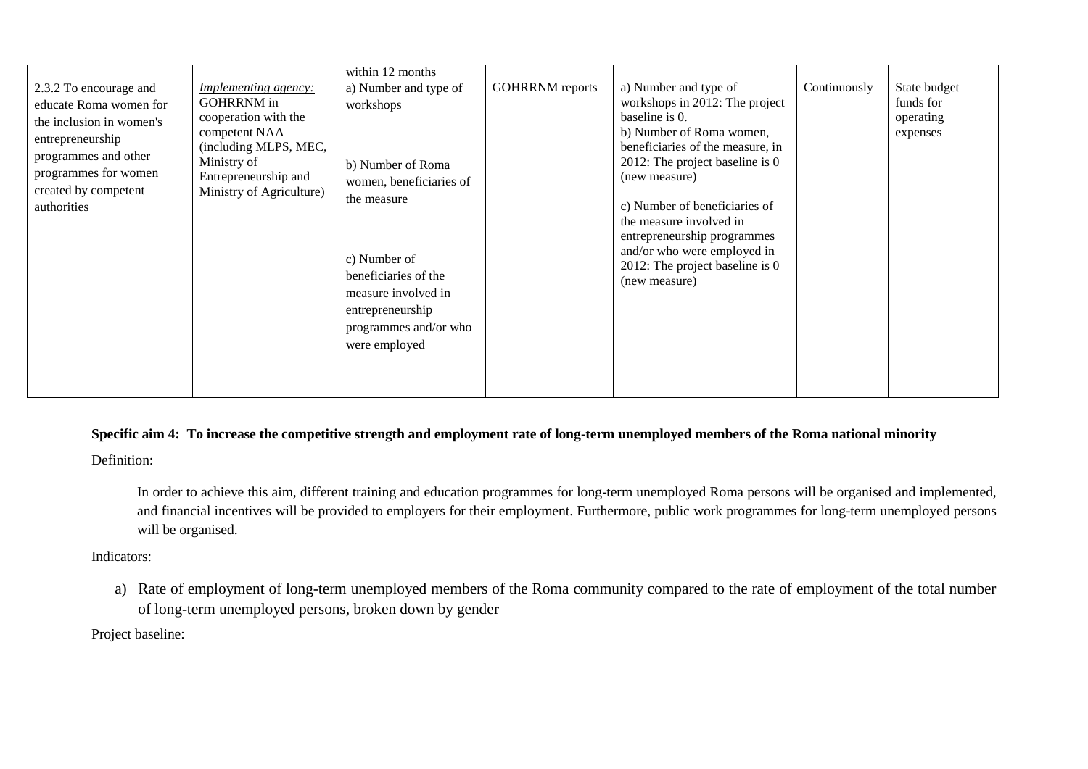|                                                                                                                                                                                         |                                                                                                                                                                                       | within 12 months                                                                                                                                                                                                               |                        |                                                                                                                                                                                                                                                                                                                                                                               |              |                                                    |
|-----------------------------------------------------------------------------------------------------------------------------------------------------------------------------------------|---------------------------------------------------------------------------------------------------------------------------------------------------------------------------------------|--------------------------------------------------------------------------------------------------------------------------------------------------------------------------------------------------------------------------------|------------------------|-------------------------------------------------------------------------------------------------------------------------------------------------------------------------------------------------------------------------------------------------------------------------------------------------------------------------------------------------------------------------------|--------------|----------------------------------------------------|
| 2.3.2 To encourage and<br>educate Roma women for<br>the inclusion in women's<br>entrepreneurship<br>programmes and other<br>programmes for women<br>created by competent<br>authorities | <b>Implementing agency:</b><br><b>GOHRRNM</b> in<br>cooperation with the<br>competent NAA<br>(including MLPS, MEC,<br>Ministry of<br>Entrepreneurship and<br>Ministry of Agriculture) | a) Number and type of<br>workshops<br>b) Number of Roma<br>women, beneficiaries of<br>the measure<br>c) Number of<br>beneficiaries of the<br>measure involved in<br>entrepreneurship<br>programmes and/or who<br>were employed | <b>GOHRRNM</b> reports | a) Number and type of<br>workshops in 2012: The project<br>baseline is 0.<br>b) Number of Roma women,<br>beneficiaries of the measure, in<br>2012: The project baseline is $0$<br>(new measure)<br>c) Number of beneficiaries of<br>the measure involved in<br>entrepreneurship programmes<br>and/or who were employed in<br>2012: The project baseline is 0<br>(new measure) | Continuously | State budget<br>funds for<br>operating<br>expenses |

**Specific aim 4: To increase the competitive strength and employment rate of long-term unemployed members of the Roma national minority**

Definition:

In order to achieve this aim, different training and education programmes for long-term unemployed Roma persons will be organised and implemented, and financial incentives will be provided to employers for their employment. Furthermore, public work programmes for long-term unemployed persons will be organised.

Indicators:

a) Rate of employment of long-term unemployed members of the Roma community compared to the rate of employment of the total number of long-term unemployed persons, broken down by gender

Project baseline: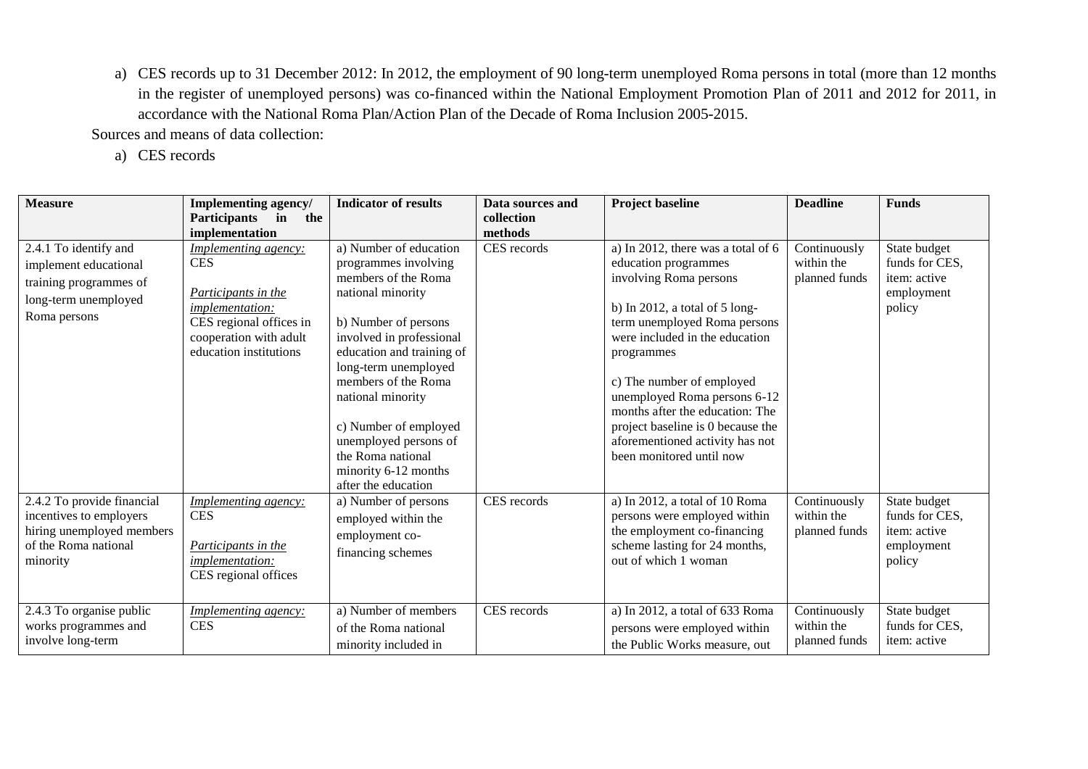a) CES records up to 31 December 2012: In 2012, the employment of 90 long-term unemployed Roma persons in total (more than 12 months in the register of unemployed persons) was co-financed within the National Employment Promotion Plan of 2011 and 2012 for 2011, in accordance with the National Roma Plan/Action Plan of the Decade of Roma Inclusion 2005-2015.

Sources and means of data collection:

a) CES records

| <b>Measure</b>                                                                                                         | Implementing agency/<br><b>Participants</b><br>in<br>the<br>implementation                                                                                                | <b>Indicator of results</b>                                                                                                                                                                                                                                                                                                                                           | Data sources and<br>collection<br>methods | <b>Project baseline</b>                                                                                                                                                                                                                                                                                                                                                                                             | <b>Deadline</b>                             | <b>Funds</b>                                                           |
|------------------------------------------------------------------------------------------------------------------------|---------------------------------------------------------------------------------------------------------------------------------------------------------------------------|-----------------------------------------------------------------------------------------------------------------------------------------------------------------------------------------------------------------------------------------------------------------------------------------------------------------------------------------------------------------------|-------------------------------------------|---------------------------------------------------------------------------------------------------------------------------------------------------------------------------------------------------------------------------------------------------------------------------------------------------------------------------------------------------------------------------------------------------------------------|---------------------------------------------|------------------------------------------------------------------------|
| 2.4.1 To identify and<br>implement educational<br>training programmes of<br>long-term unemployed<br>Roma persons       | <b>Implementing agency:</b><br><b>CES</b><br>Participants in the<br><i>implementation:</i><br>CES regional offices in<br>cooperation with adult<br>education institutions | a) Number of education<br>programmes involving<br>members of the Roma<br>national minority<br>b) Number of persons<br>involved in professional<br>education and training of<br>long-term unemployed<br>members of the Roma<br>national minority<br>c) Number of employed<br>unemployed persons of<br>the Roma national<br>minority 6-12 months<br>after the education | CES records                               | a) In 2012, there was a total of 6<br>education programmes<br>involving Roma persons<br>b) In 2012, a total of $5 \text{ long}$<br>term unemployed Roma persons<br>were included in the education<br>programmes<br>c) The number of employed<br>unemployed Roma persons 6-12<br>months after the education: The<br>project baseline is 0 because the<br>aforementioned activity has not<br>been monitored until now | Continuously<br>within the<br>planned funds | State budget<br>funds for CES,<br>item: active<br>employment<br>policy |
| 2.4.2 To provide financial<br>incentives to employers<br>hiring unemployed members<br>of the Roma national<br>minority | <i>Implementing agency:</i><br><b>CES</b><br>Participants in the<br><i>implementation:</i><br>CES regional offices                                                        | a) Number of persons<br>employed within the<br>employment co-<br>financing schemes                                                                                                                                                                                                                                                                                    | CES records                               | a) In 2012, a total of 10 Roma<br>persons were employed within<br>the employment co-financing<br>scheme lasting for 24 months,<br>out of which 1 woman                                                                                                                                                                                                                                                              | Continuously<br>within the<br>planned funds | State budget<br>funds for CES,<br>item: active<br>employment<br>policy |
| 2.4.3 To organise public<br>works programmes and<br>involve long-term                                                  | <i>Implementing agency:</i><br><b>CES</b>                                                                                                                                 | a) Number of members<br>of the Roma national<br>minority included in                                                                                                                                                                                                                                                                                                  | CES records                               | a) In 2012, a total of 633 Roma<br>persons were employed within<br>the Public Works measure, out                                                                                                                                                                                                                                                                                                                    | Continuously<br>within the<br>planned funds | State budget<br>funds for CES,<br>item: active                         |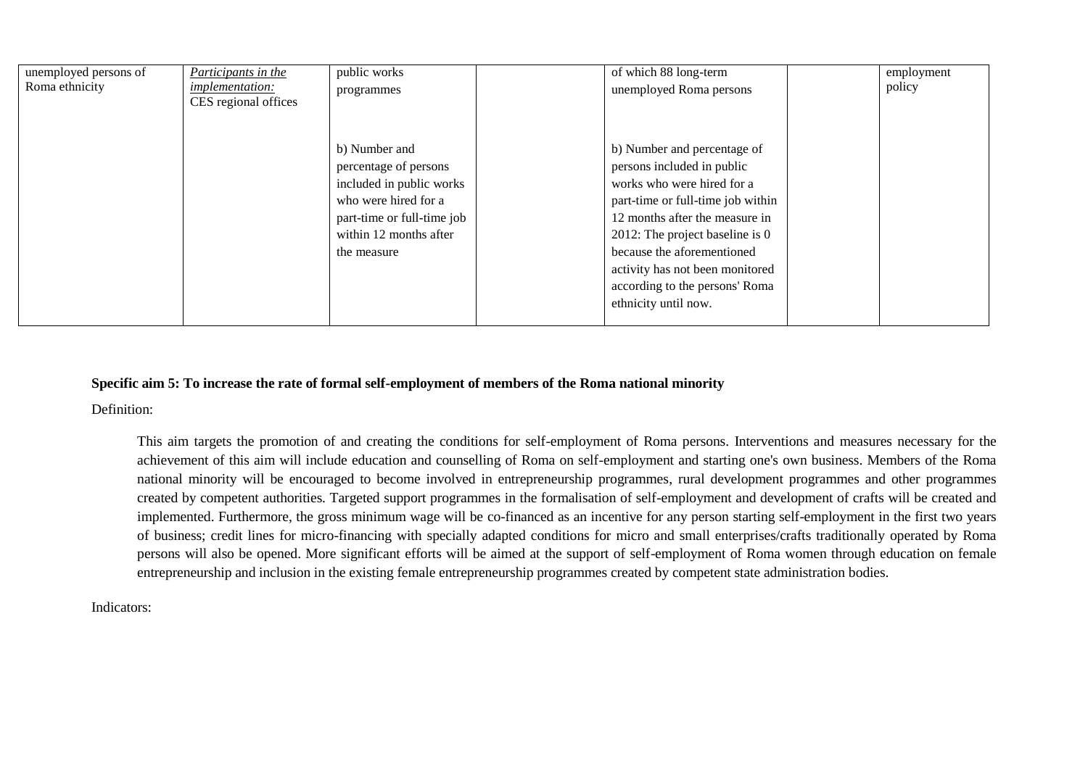| unemployed persons of | Participants in the    | public works               | of which 88 long-term             | employment |
|-----------------------|------------------------|----------------------------|-----------------------------------|------------|
| Roma ethnicity        | <i>implementation:</i> | programmes                 | unemployed Roma persons           | policy     |
|                       | CES regional offices   |                            |                                   |            |
|                       |                        |                            |                                   |            |
|                       |                        |                            |                                   |            |
|                       |                        | b) Number and              | b) Number and percentage of       |            |
|                       |                        | percentage of persons      | persons included in public        |            |
|                       |                        | included in public works   | works who were hired for a        |            |
|                       |                        | who were hired for a       | part-time or full-time job within |            |
|                       |                        | part-time or full-time job | 12 months after the measure in    |            |
|                       |                        | within 12 months after     | 2012: The project baseline is $0$ |            |
|                       |                        | the measure                | because the aforementioned        |            |
|                       |                        |                            | activity has not been monitored   |            |
|                       |                        |                            | according to the persons' Roma    |            |
|                       |                        |                            | ethnicity until now.              |            |
|                       |                        |                            |                                   |            |

## **Specific aim 5: To increase the rate of formal self-employment of members of the Roma national minority**

Definition:

This aim targets the promotion of and creating the conditions for self-employment of Roma persons. Interventions and measures necessary for the achievement of this aim will include education and counselling of Roma on self-employment and starting one's own business. Members of the Roma national minority will be encouraged to become involved in entrepreneurship programmes, rural development programmes and other programmes created by competent authorities. Targeted support programmes in the formalisation of self-employment and development of crafts will be created and implemented. Furthermore, the gross minimum wage will be co-financed as an incentive for any person starting self-employment in the first two years of business; credit lines for micro-financing with specially adapted conditions for micro and small enterprises/crafts traditionally operated by Roma persons will also be opened. More significant efforts will be aimed at the support of self-employment of Roma women through education on female entrepreneurship and inclusion in the existing female entrepreneurship programmes created by competent state administration bodies.

Indicators: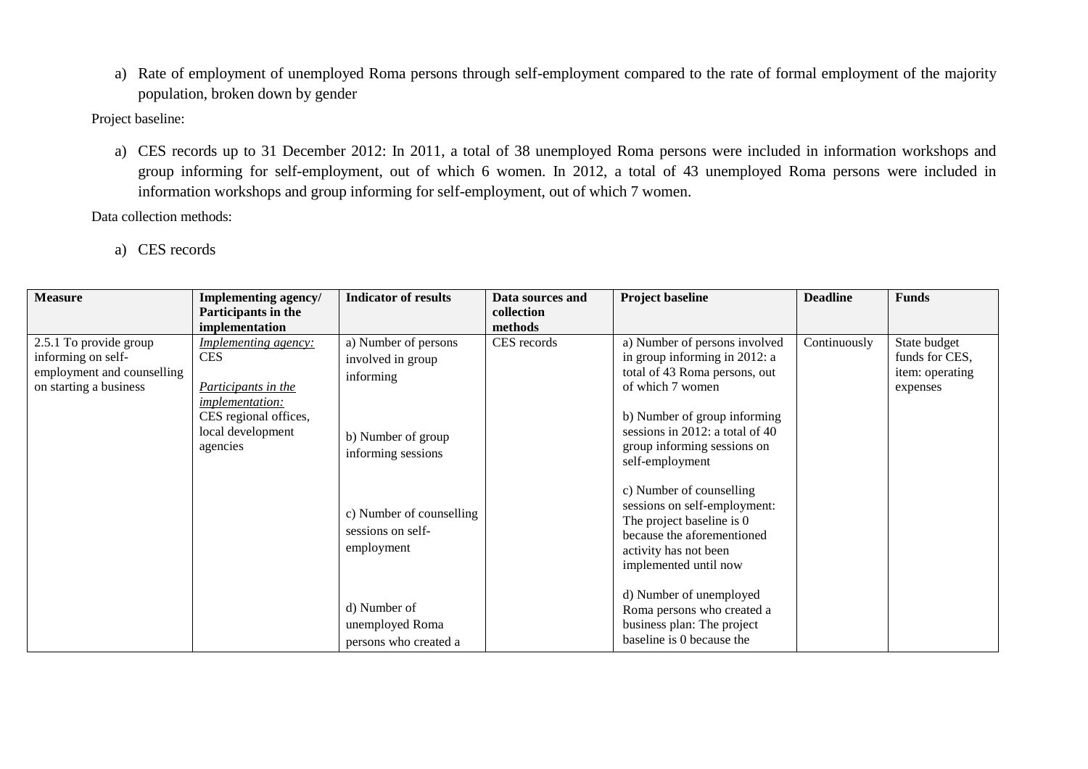a) Rate of employment of unemployed Roma persons through self-employment compared to the rate of formal employment of the majority population, broken down by gender

Project baseline:

a) CES records up to 31 December 2012: In 2011, a total of 38 unemployed Roma persons were included in information workshops and group informing for self-employment, out of which 6 women. In 2012, a total of 43 unemployed Roma persons were included in information workshops and group informing for self-employment, out of which 7 women.

Data collection methods:

a) CES records

| <b>Measure</b>             | Implementing agency/                                                             | <b>Indicator of results</b>                                 | Data sources and | <b>Project baseline</b>                                                                                                                                               | <b>Deadline</b> | <b>Funds</b>    |
|----------------------------|----------------------------------------------------------------------------------|-------------------------------------------------------------|------------------|-----------------------------------------------------------------------------------------------------------------------------------------------------------------------|-----------------|-----------------|
|                            | Participants in the                                                              |                                                             | collection       |                                                                                                                                                                       |                 |                 |
|                            | implementation                                                                   |                                                             | methods          |                                                                                                                                                                       |                 |                 |
| 2.5.1 To provide group     | <i>Implementing agency:</i>                                                      | a) Number of persons                                        | CES records      | a) Number of persons involved                                                                                                                                         | Continuously    | State budget    |
| informing on self-         | <b>CES</b>                                                                       | involved in group                                           |                  | in group informing in 2012: a                                                                                                                                         |                 | funds for CES,  |
| employment and counselling |                                                                                  | informing                                                   |                  | total of 43 Roma persons, out                                                                                                                                         |                 | item: operating |
| on starting a business     | Participants in the                                                              |                                                             |                  | of which 7 women                                                                                                                                                      |                 | expenses        |
|                            | <i>implementation:</i><br>CES regional offices,<br>local development<br>agencies | b) Number of group<br>informing sessions                    |                  | b) Number of group informing<br>sessions in 2012: a total of 40<br>group informing sessions on<br>self-employment                                                     |                 |                 |
|                            |                                                                                  | c) Number of counselling<br>sessions on self-<br>employment |                  | c) Number of counselling<br>sessions on self-employment:<br>The project baseline is 0<br>because the aforementioned<br>activity has not been<br>implemented until now |                 |                 |
|                            |                                                                                  | d) Number of<br>unemployed Roma<br>persons who created a    |                  | d) Number of unemployed<br>Roma persons who created a<br>business plan: The project<br>baseline is 0 because the                                                      |                 |                 |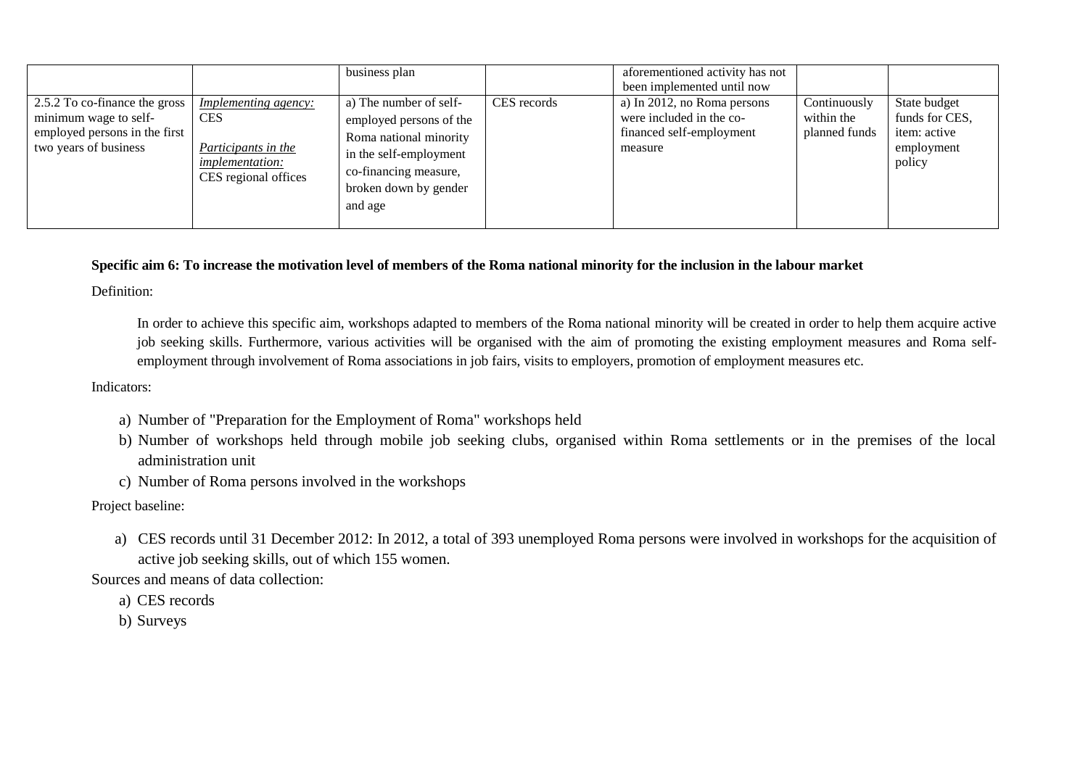|                                                                                                                  |                                                                                                                    | business plan                                                                                                                                                      |             | aforementioned activity has not<br>been implemented until now                                  |                                             |                                                                        |
|------------------------------------------------------------------------------------------------------------------|--------------------------------------------------------------------------------------------------------------------|--------------------------------------------------------------------------------------------------------------------------------------------------------------------|-------------|------------------------------------------------------------------------------------------------|---------------------------------------------|------------------------------------------------------------------------|
| 2.5.2 To co-finance the gross<br>minimum wage to self-<br>employed persons in the first<br>two years of business | <i>Implementing agency:</i><br><b>CES</b><br>Participants in the<br><i>implementation:</i><br>CES regional offices | a) The number of self-<br>employed persons of the<br>Roma national minority<br>in the self-employment<br>co-financing measure,<br>broken down by gender<br>and age | CES records | a) In 2012, no Roma persons<br>were included in the co-<br>financed self-employment<br>measure | Continuously<br>within the<br>planned funds | State budget<br>funds for CES,<br>item: active<br>employment<br>policy |

## **Specific aim 6: To increase the motivation level of members of the Roma national minority for the inclusion in the labour market**

Definition:

In order to achieve this specific aim, workshops adapted to members of the Roma national minority will be created in order to help them acquire active job seeking skills. Furthermore, various activities will be organised with the aim of promoting the existing employment measures and Roma selfemployment through involvement of Roma associations in job fairs, visits to employers, promotion of employment measures etc.

### Indicators:

- a) Number of "Preparation for the Employment of Roma" workshops held
- b) Number of workshops held through mobile job seeking clubs, organised within Roma settlements or in the premises of the local administration unit
- c) Number of Roma persons involved in the workshops

Project baseline:

a) CES records until 31 December 2012: In 2012, a total of 393 unemployed Roma persons were involved in workshops for the acquisition of active job seeking skills, out of which 155 women.

Sources and means of data collection:

- a) CES records
- b) Surveys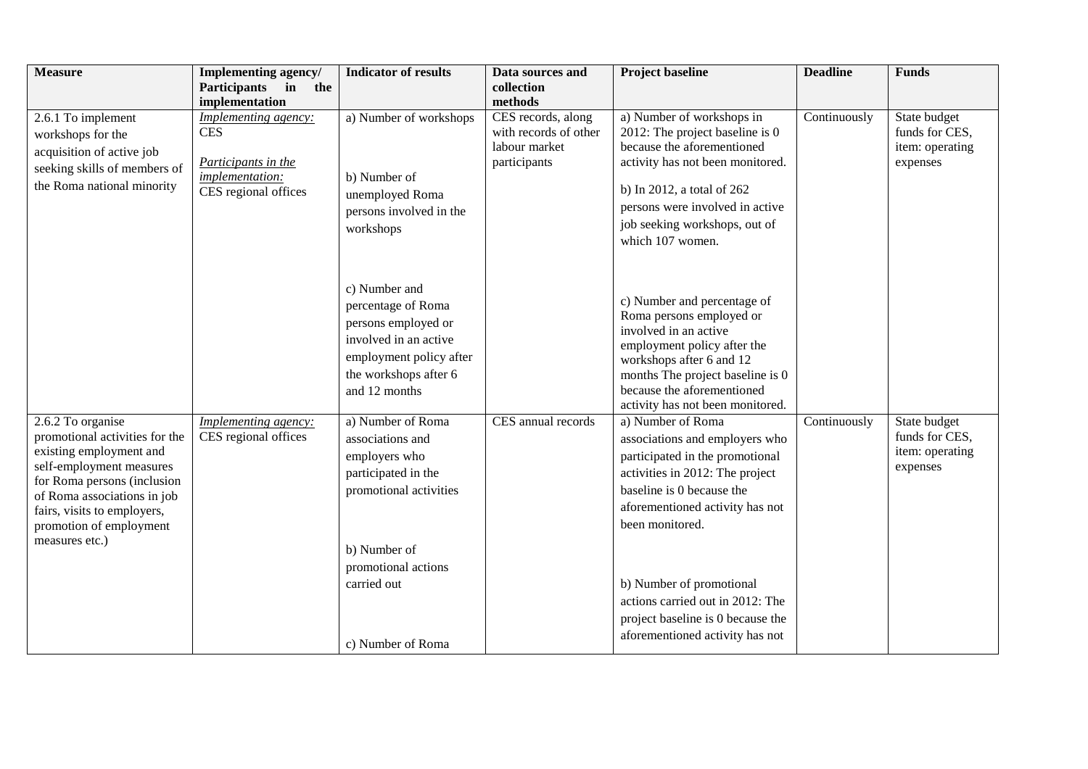| <b>Measure</b>                                                                                                                                                                                                                                       | Implementing agency/                                                                                        | <b>Indicator of results</b>                                                                                                                                                        | Data sources and                                                             | <b>Project baseline</b>                                                                                                                                                                                                                                                                                                                              | <b>Deadline</b> | <b>Funds</b>                                                  |
|------------------------------------------------------------------------------------------------------------------------------------------------------------------------------------------------------------------------------------------------------|-------------------------------------------------------------------------------------------------------------|------------------------------------------------------------------------------------------------------------------------------------------------------------------------------------|------------------------------------------------------------------------------|------------------------------------------------------------------------------------------------------------------------------------------------------------------------------------------------------------------------------------------------------------------------------------------------------------------------------------------------------|-----------------|---------------------------------------------------------------|
|                                                                                                                                                                                                                                                      | Participants in<br>the<br>implementation                                                                    |                                                                                                                                                                                    | collection<br>methods                                                        |                                                                                                                                                                                                                                                                                                                                                      |                 |                                                               |
| 2.6.1 To implement<br>workshops for the<br>acquisition of active job<br>seeking skills of members of<br>the Roma national minority                                                                                                                   | <b>Implementing agency:</b><br><b>CES</b><br>Participants in the<br>implementation:<br>CES regional offices | a) Number of workshops<br>b) Number of<br>unemployed Roma<br>persons involved in the<br>workshops                                                                                  | CES records, along<br>with records of other<br>labour market<br>participants | a) Number of workshops in<br>2012: The project baseline is $0$<br>because the aforementioned<br>activity has not been monitored.<br>b) In 2012, a total of 262<br>persons were involved in active<br>job seeking workshops, out of<br>which 107 women.                                                                                               | Continuously    | State budget<br>funds for CES,<br>item: operating<br>expenses |
|                                                                                                                                                                                                                                                      |                                                                                                             | c) Number and<br>percentage of Roma<br>persons employed or<br>involved in an active<br>employment policy after<br>the workshops after 6<br>and 12 months                           |                                                                              | c) Number and percentage of<br>Roma persons employed or<br>involved in an active<br>employment policy after the<br>workshops after 6 and 12<br>months The project baseline is 0<br>because the aforementioned<br>activity has not been monitored.                                                                                                    |                 |                                                               |
| 2.6.2 To organise<br>promotional activities for the<br>existing employment and<br>self-employment measures<br>for Roma persons (inclusion<br>of Roma associations in job<br>fairs, visits to employers,<br>promotion of employment<br>measures etc.) | <b>Implementing agency:</b><br>CES regional offices                                                         | a) Number of Roma<br>associations and<br>employers who<br>participated in the<br>promotional activities<br>b) Number of<br>promotional actions<br>carried out<br>c) Number of Roma | CES annual records                                                           | a) Number of Roma<br>associations and employers who<br>participated in the promotional<br>activities in 2012: The project<br>baseline is 0 because the<br>aforementioned activity has not<br>been monitored.<br>b) Number of promotional<br>actions carried out in 2012: The<br>project baseline is 0 because the<br>aforementioned activity has not | Continuously    | State budget<br>funds for CES,<br>item: operating<br>expenses |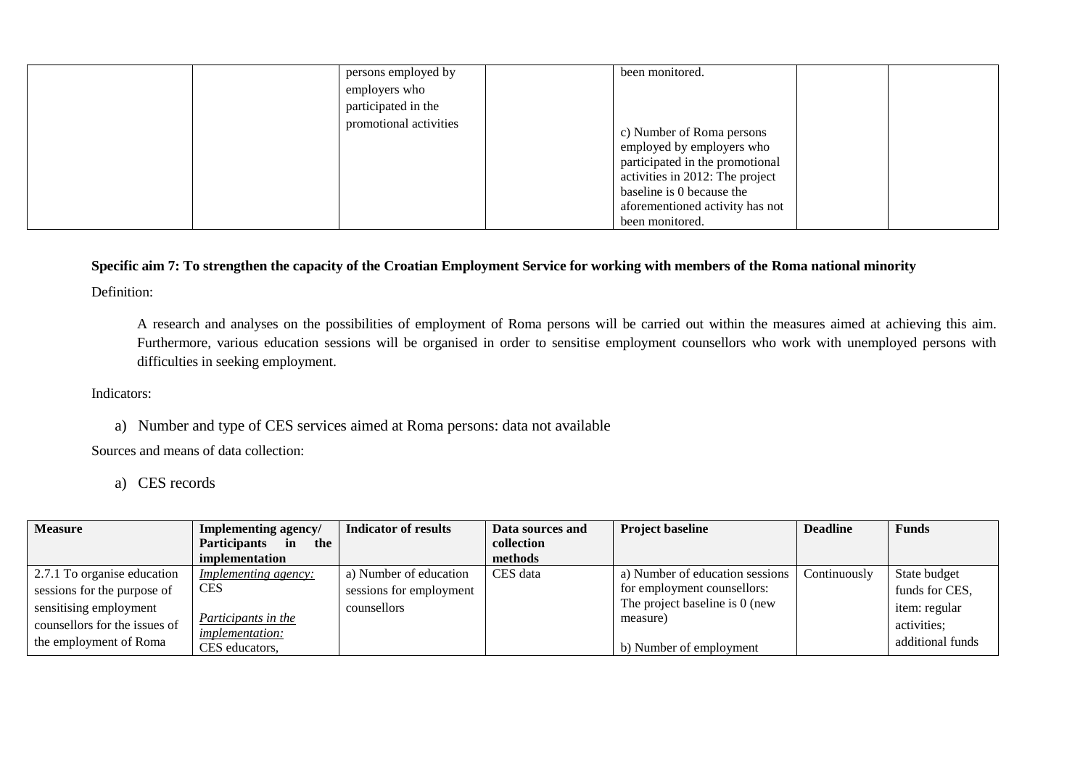| been monitored. |
|-----------------|
|-----------------|

# **Specific aim 7: To strengthen the capacity of the Croatian Employment Service for working with members of the Roma national minority**

Definition:

A research and analyses on the possibilities of employment of Roma persons will be carried out within the measures aimed at achieving this aim. Furthermore, various education sessions will be organised in order to sensitise employment counsellors who work with unemployed persons with difficulties in seeking employment.

Indicators:

a) Number and type of CES services aimed at Roma persons: data not available

Sources and means of data collection:

a) CES records

| Implementing agency/             | Indicator of results                                            | Data sources and | <b>Project baseline</b>         | <b>Deadline</b>                                                       | <b>Funds</b>     |
|----------------------------------|-----------------------------------------------------------------|------------------|---------------------------------|-----------------------------------------------------------------------|------------------|
| <b>Participants</b><br>in<br>the |                                                                 | collection       |                                 |                                                                       |                  |
| implementation                   |                                                                 | methods          |                                 |                                                                       |                  |
| <i>Implementing agency:</i>      | a) Number of education                                          | CES data         | a) Number of education sessions | Continuously                                                          | State budget     |
| <b>CES</b>                       | sessions for employment                                         |                  | for employment counsellors:     |                                                                       | funds for CES,   |
|                                  | counsellors                                                     |                  |                                 |                                                                       | item: regular    |
|                                  |                                                                 |                  |                                 |                                                                       | activities;      |
|                                  |                                                                 |                  |                                 |                                                                       | additional funds |
|                                  | Participants in the<br><i>implementation:</i><br>CES educators, |                  |                                 | The project baseline is 0 (new<br>measure)<br>b) Number of employment |                  |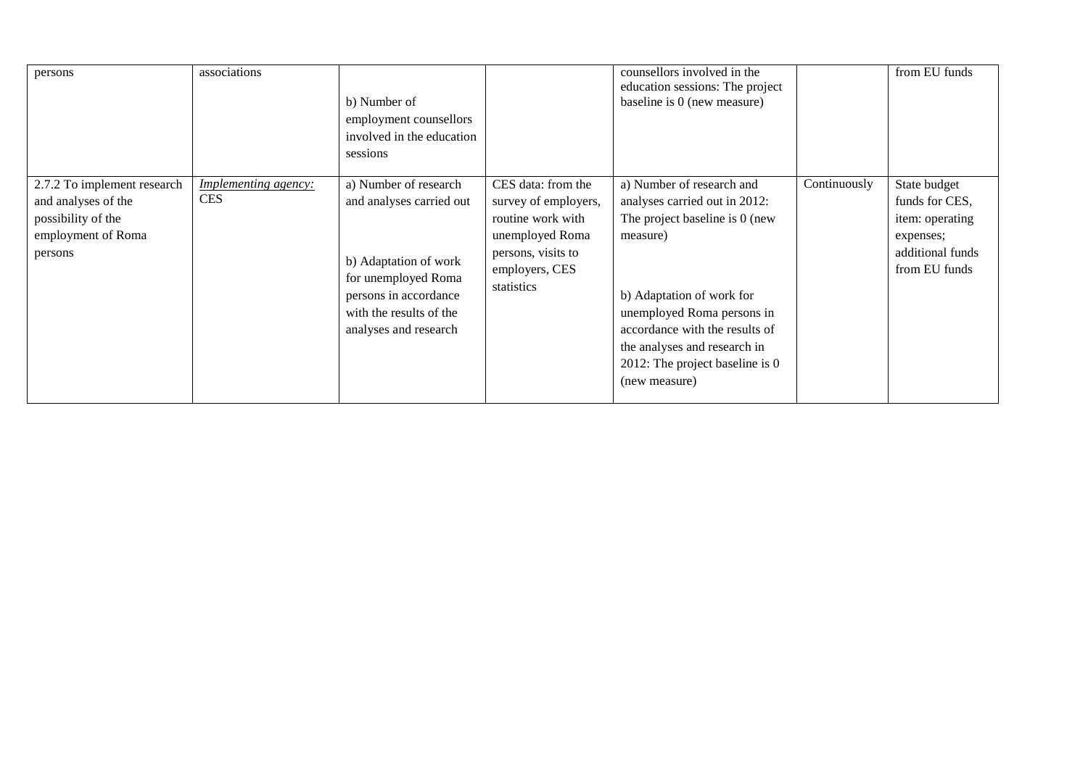| persons                                                                                                   | associations                              | b) Number of<br>employment counsellors<br>involved in the education<br>sessions                                                                                                |                                                                                                                                          | counsellors involved in the<br>education sessions: The project<br>baseline is 0 (new measure)                                                                                                                                                                                               |              | from EU funds                                                                                       |
|-----------------------------------------------------------------------------------------------------------|-------------------------------------------|--------------------------------------------------------------------------------------------------------------------------------------------------------------------------------|------------------------------------------------------------------------------------------------------------------------------------------|---------------------------------------------------------------------------------------------------------------------------------------------------------------------------------------------------------------------------------------------------------------------------------------------|--------------|-----------------------------------------------------------------------------------------------------|
| 2.7.2 To implement research<br>and analyses of the<br>possibility of the<br>employment of Roma<br>persons | <i>Implementing agency:</i><br><b>CES</b> | a) Number of research<br>and analyses carried out<br>b) Adaptation of work<br>for unemployed Roma<br>persons in accordance<br>with the results of the<br>analyses and research | CES data: from the<br>survey of employers,<br>routine work with<br>unemployed Roma<br>persons, visits to<br>employers, CES<br>statistics | a) Number of research and<br>analyses carried out in 2012:<br>The project baseline is 0 (new<br>measure)<br>b) Adaptation of work for<br>unemployed Roma persons in<br>accordance with the results of<br>the analyses and research in<br>2012: The project baseline is $0$<br>(new measure) | Continuously | State budget<br>funds for CES,<br>item: operating<br>expenses;<br>additional funds<br>from EU funds |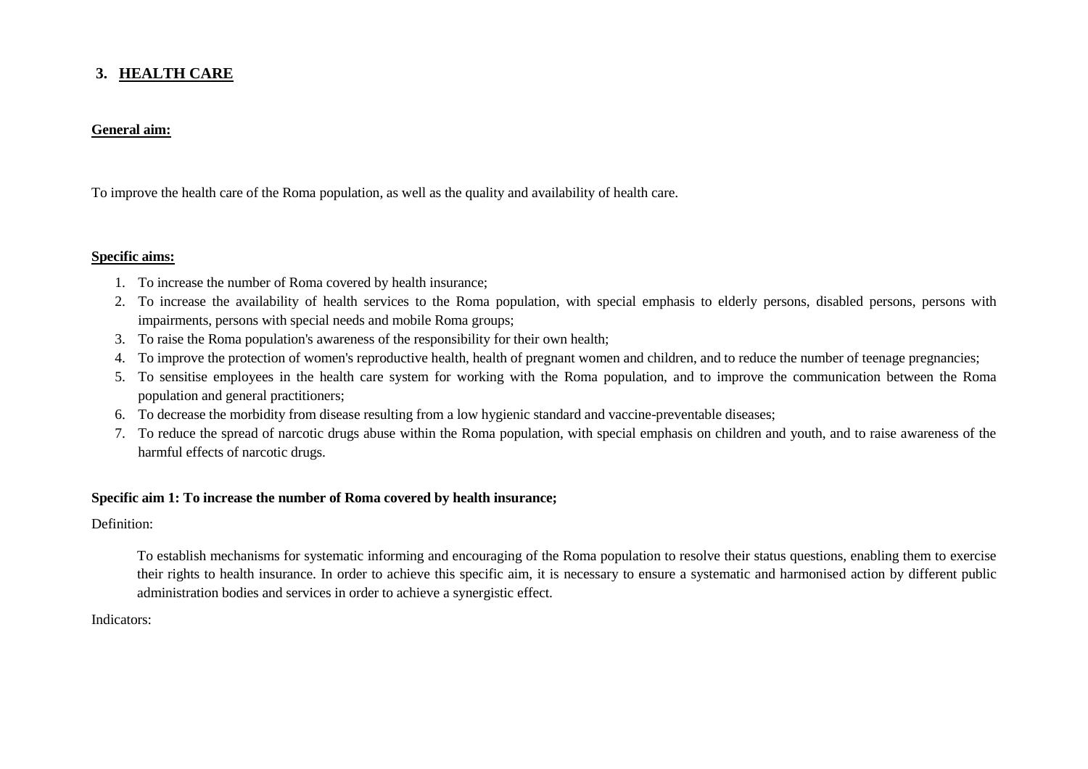# **3. HEALTH CARE**

## **General aim:**

To improve the health care of the Roma population, as well as the quality and availability of health care.

#### **Specific aims:**

- 1. To increase the number of Roma covered by health insurance;
- 2. To increase the availability of health services to the Roma population, with special emphasis to elderly persons, disabled persons, persons with impairments, persons with special needs and mobile Roma groups;
- 3. To raise the Roma population's awareness of the responsibility for their own health;
- 4. To improve the protection of women's reproductive health, health of pregnant women and children, and to reduce the number of teenage pregnancies;
- 5. To sensitise employees in the health care system for working with the Roma population, and to improve the communication between the Roma population and general practitioners;
- 6. To decrease the morbidity from disease resulting from a low hygienic standard and vaccine-preventable diseases;
- 7. To reduce the spread of narcotic drugs abuse within the Roma population, with special emphasis on children and youth, and to raise awareness of the harmful effects of narcotic drugs.

## **Specific aim 1: To increase the number of Roma covered by health insurance;**

Definition:

To establish mechanisms for systematic informing and encouraging of the Roma population to resolve their status questions, enabling them to exercise their rights to health insurance. In order to achieve this specific aim, it is necessary to ensure a systematic and harmonised action by different public administration bodies and services in order to achieve a synergistic effect.

### Indicators: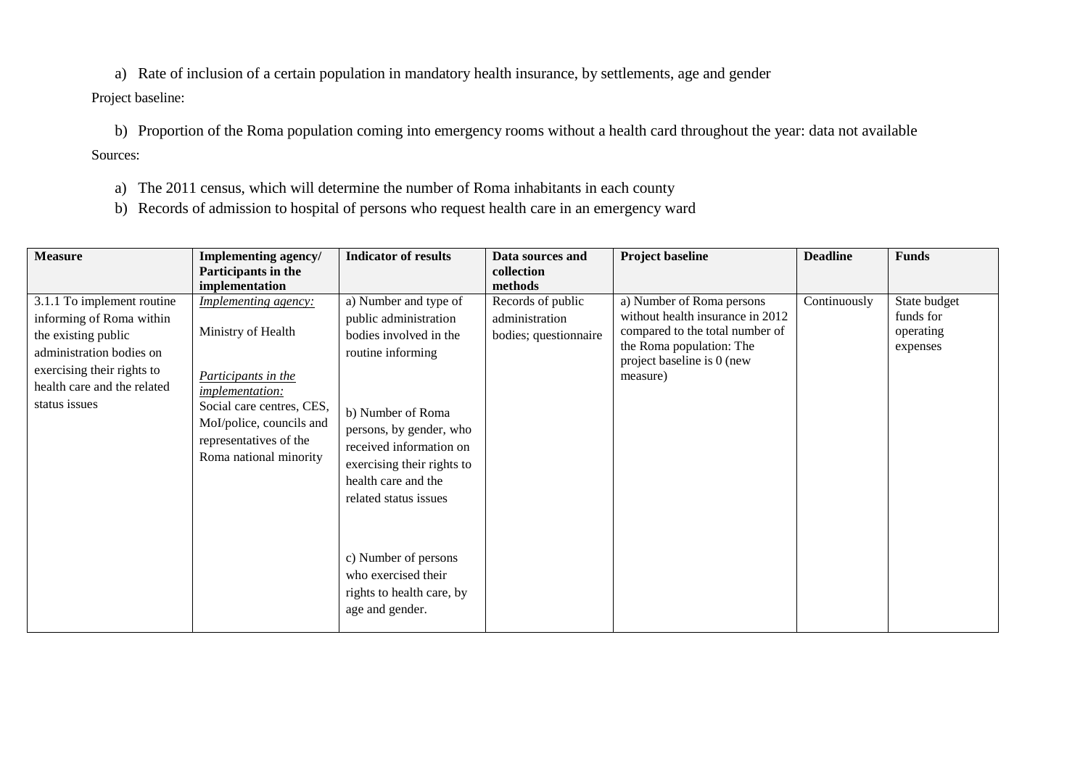a) Rate of inclusion of a certain population in mandatory health insurance, by settlements, age and gender

Project baseline:

b) Proportion of the Roma population coming into emergency rooms without a health card throughout the year: data not available Sources:

- a) The 2011 census, which will determine the number of Roma inhabitants in each county
- b) Records of admission to hospital of persons who request health care in an emergency ward

| <b>Measure</b>                                                                                                                                                                          | Implementing agency/<br>Participants in the<br>implementation                                                                                                                                                   | <b>Indicator of results</b>                                                                                                                                                                                                                            | Data sources and<br>collection<br>methods                    | <b>Project baseline</b>                                                                                                                                                | <b>Deadline</b> | <b>Funds</b>                                       |
|-----------------------------------------------------------------------------------------------------------------------------------------------------------------------------------------|-----------------------------------------------------------------------------------------------------------------------------------------------------------------------------------------------------------------|--------------------------------------------------------------------------------------------------------------------------------------------------------------------------------------------------------------------------------------------------------|--------------------------------------------------------------|------------------------------------------------------------------------------------------------------------------------------------------------------------------------|-----------------|----------------------------------------------------|
| 3.1.1 To implement routine<br>informing of Roma within<br>the existing public<br>administration bodies on<br>exercising their rights to<br>health care and the related<br>status issues | <b>Implementing agency:</b><br>Ministry of Health<br>Participants in the<br><i>implementation:</i><br>Social care centres, CES,<br>MoI/police, councils and<br>representatives of the<br>Roma national minority | a) Number and type of<br>public administration<br>bodies involved in the<br>routine informing<br>b) Number of Roma<br>persons, by gender, who<br>received information on<br>exercising their rights to<br>health care and the<br>related status issues | Records of public<br>administration<br>bodies; questionnaire | a) Number of Roma persons<br>without health insurance in 2012<br>compared to the total number of<br>the Roma population: The<br>project baseline is 0 (new<br>measure) | Continuously    | State budget<br>funds for<br>operating<br>expenses |
|                                                                                                                                                                                         |                                                                                                                                                                                                                 | c) Number of persons<br>who exercised their<br>rights to health care, by<br>age and gender.                                                                                                                                                            |                                                              |                                                                                                                                                                        |                 |                                                    |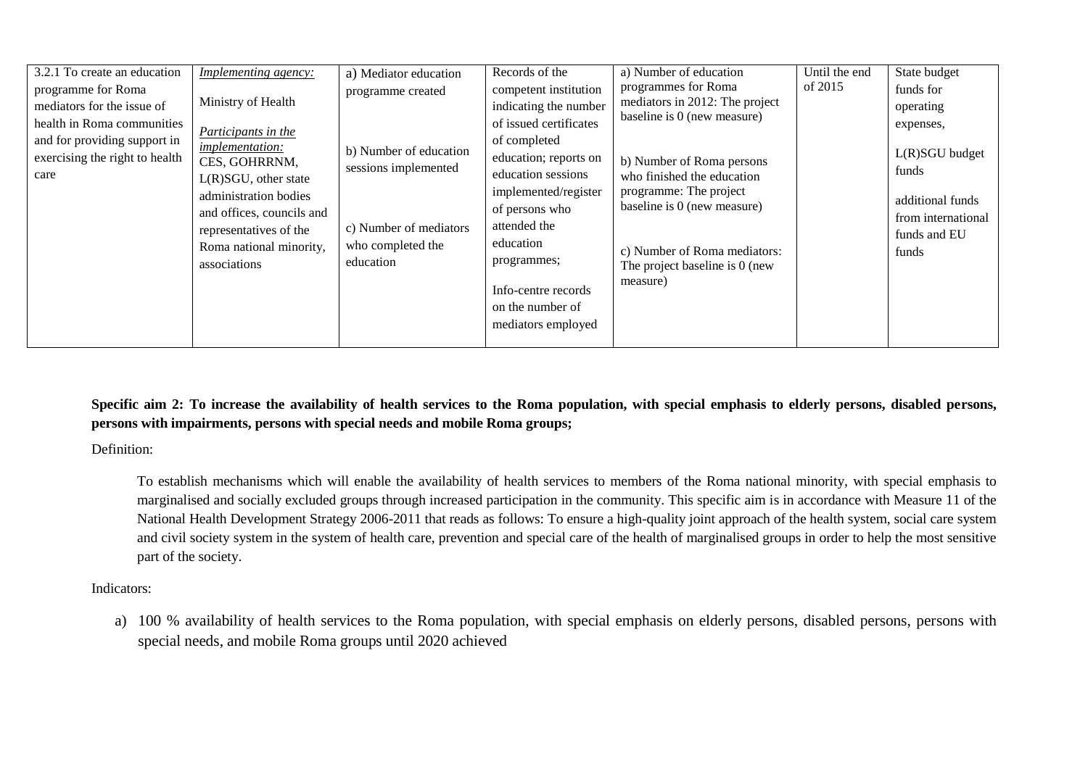| 3.2.1 To create an education                                                                                                                             | Implementing agency:                                                                                                                                                                                                                       | a) Mediator education                                                                                                           | Records of the                                                                                                                                                                                                                                                                                 | a) Number of education                                                                                                                                                                                                                                                                 | Until the end | State budget                                                                                                                      |
|----------------------------------------------------------------------------------------------------------------------------------------------------------|--------------------------------------------------------------------------------------------------------------------------------------------------------------------------------------------------------------------------------------------|---------------------------------------------------------------------------------------------------------------------------------|------------------------------------------------------------------------------------------------------------------------------------------------------------------------------------------------------------------------------------------------------------------------------------------------|----------------------------------------------------------------------------------------------------------------------------------------------------------------------------------------------------------------------------------------------------------------------------------------|---------------|-----------------------------------------------------------------------------------------------------------------------------------|
| programme for Roma<br>mediators for the issue of<br>health in Roma communities<br>and for providing support in<br>exercising the right to health<br>care | Ministry of Health<br>Participants in the<br><i>implementation:</i><br>CES, GOHRRNM,<br>$L(R)SGU$ , other state<br>administration bodies<br>and offices, councils and<br>representatives of the<br>Roma national minority,<br>associations | programme created<br>b) Number of education<br>sessions implemented<br>c) Number of mediators<br>who completed the<br>education | competent institution<br>indicating the number<br>of issued certificates<br>of completed<br>education; reports on<br>education sessions<br>implemented/register<br>of persons who<br>attended the<br>education<br>programmes;<br>Info-centre records<br>on the number of<br>mediators employed | programmes for Roma<br>mediators in 2012: The project<br>baseline is 0 (new measure)<br>b) Number of Roma persons<br>who finished the education<br>programme: The project<br>baseline is 0 (new measure)<br>c) Number of Roma mediators:<br>The project baseline is 0 (new<br>measure) | of 2015       | funds for<br>operating<br>expenses,<br>L(R)SGU budget<br>funds<br>additional funds<br>from international<br>funds and EU<br>funds |

**Specific aim 2: To increase the availability of health services to the Roma population, with special emphasis to elderly persons, disabled persons, persons with impairments, persons with special needs and mobile Roma groups;**

Definition:

To establish mechanisms which will enable the availability of health services to members of the Roma national minority, with special emphasis to marginalised and socially excluded groups through increased participation in the community. This specific aim is in accordance with Measure 11 of the National Health Development Strategy 2006-2011 that reads as follows: To ensure a high-quality joint approach of the health system, social care system and civil society system in the system of health care, prevention and special care of the health of marginalised groups in order to help the most sensitive part of the society.

Indicators:

a) 100 % availability of health services to the Roma population, with special emphasis on elderly persons, disabled persons, persons with special needs, and mobile Roma groups until 2020 achieved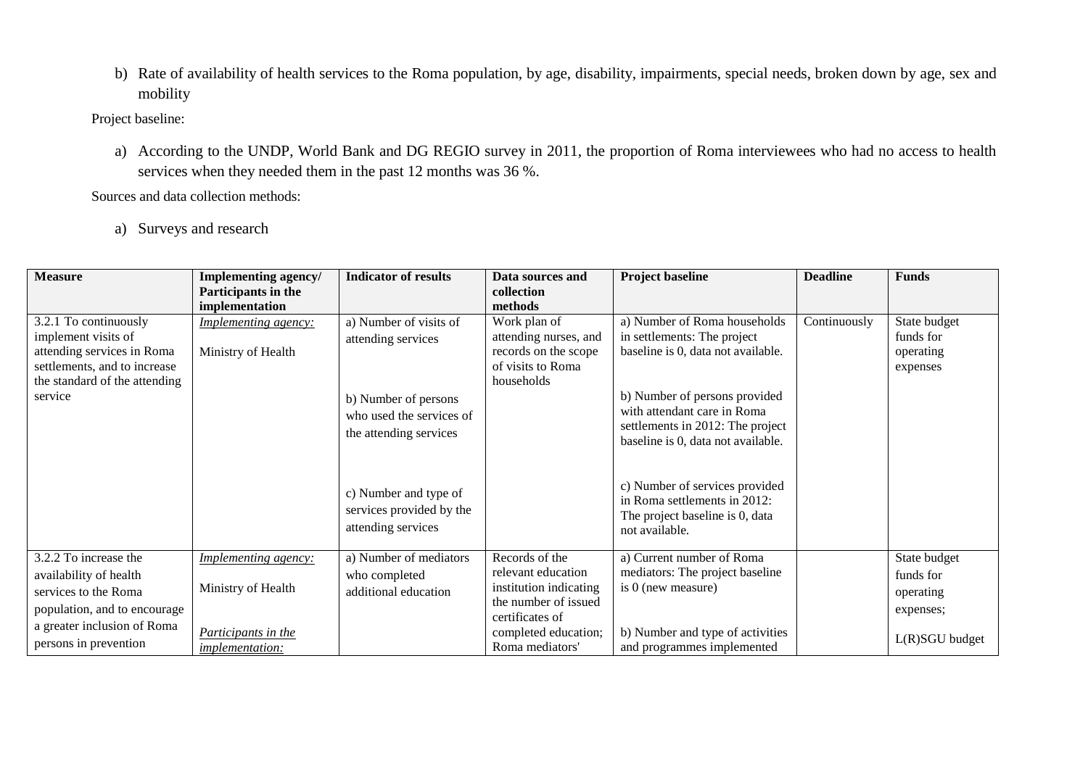b) Rate of availability of health services to the Roma population, by age, disability, impairments, special needs, broken down by age, sex and mobility

Project baseline:

a) According to the UNDP, World Bank and DG REGIO survey in 2011, the proportion of Roma interviewees who had no access to health services when they needed them in the past 12 months was 36 %.

Sources and data collection methods:

a) Surveys and research

| <b>Measure</b>                                                                                                                                                  | <b>Implementing agency/</b>                                                                        | <b>Indicator of results</b>                                                                                                | Data sources and                                                                                                                                     | <b>Project baseline</b>                                                                                                                                                                                                                     | <b>Deadline</b> | <b>Funds</b>                                                          |
|-----------------------------------------------------------------------------------------------------------------------------------------------------------------|----------------------------------------------------------------------------------------------------|----------------------------------------------------------------------------------------------------------------------------|------------------------------------------------------------------------------------------------------------------------------------------------------|---------------------------------------------------------------------------------------------------------------------------------------------------------------------------------------------------------------------------------------------|-----------------|-----------------------------------------------------------------------|
|                                                                                                                                                                 | Participants in the<br>implementation                                                              |                                                                                                                            | collection<br>methods                                                                                                                                |                                                                                                                                                                                                                                             |                 |                                                                       |
| 3.2.1 To continuously<br>implement visits of<br>attending services in Roma<br>settlements, and to increase<br>the standard of the attending<br>service          | <b>Implementing agency:</b><br>Ministry of Health                                                  | a) Number of visits of<br>attending services<br>b) Number of persons<br>who used the services of<br>the attending services | Work plan of<br>attending nurses, and<br>records on the scope<br>of visits to Roma<br>households                                                     | a) Number of Roma households<br>in settlements: The project<br>baseline is 0, data not available.<br>b) Number of persons provided<br>with attendant care in Roma<br>settlements in 2012: The project<br>baseline is 0, data not available. | Continuously    | State budget<br>funds for<br>operating<br>expenses                    |
|                                                                                                                                                                 |                                                                                                    | c) Number and type of<br>services provided by the<br>attending services                                                    |                                                                                                                                                      | c) Number of services provided<br>in Roma settlements in 2012:<br>The project baseline is 0, data<br>not available.                                                                                                                         |                 |                                                                       |
| 3.2.2 To increase the<br>availability of health<br>services to the Roma<br>population, and to encourage<br>a greater inclusion of Roma<br>persons in prevention | <b>Implementing agency:</b><br>Ministry of Health<br>Participants in the<br><i>implementation:</i> | a) Number of mediators<br>who completed<br>additional education                                                            | Records of the<br>relevant education<br>institution indicating<br>the number of issued<br>certificates of<br>completed education;<br>Roma mediators' | a) Current number of Roma<br>mediators: The project baseline<br>is 0 (new measure)<br>b) Number and type of activities<br>and programmes implemented                                                                                        |                 | State budget<br>funds for<br>operating<br>expenses;<br>L(R)SGU budget |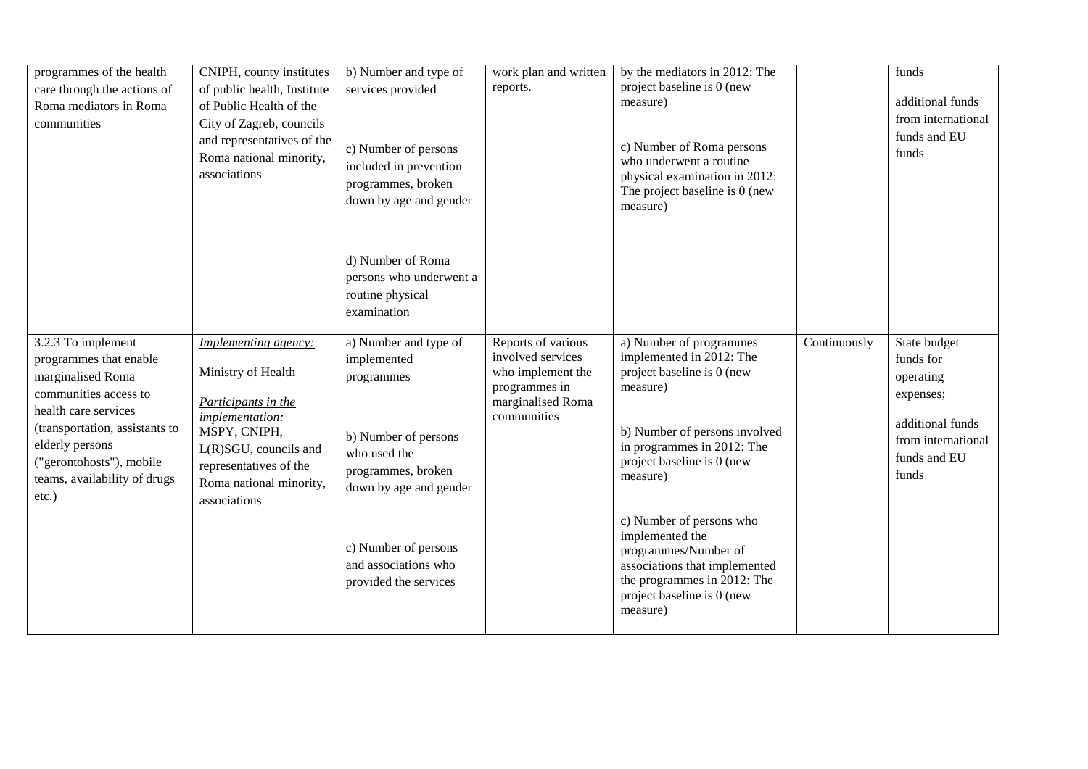| programmes of the health<br>care through the actions of<br>Roma mediators in Roma<br>communities                                                                                                                                                | CNIPH, county institutes<br>of public health, Institute<br>of Public Health of the<br>City of Zagreb, councils<br>and representatives of the<br>Roma national minority,<br>associations                      | b) Number and type of<br>services provided<br>c) Number of persons<br>included in prevention<br>programmes, broken<br>down by age and gender                       | work plan and written<br>reports.                                                                                 | by the mediators in 2012: The<br>project baseline is 0 (new<br>measure)<br>c) Number of Roma persons<br>who underwent a routine<br>physical examination in 2012:<br>The project baseline is 0 (new<br>measure)                                                                |              | funds<br>additional funds<br>from international<br>funds and EU<br>funds                                               |
|-------------------------------------------------------------------------------------------------------------------------------------------------------------------------------------------------------------------------------------------------|--------------------------------------------------------------------------------------------------------------------------------------------------------------------------------------------------------------|--------------------------------------------------------------------------------------------------------------------------------------------------------------------|-------------------------------------------------------------------------------------------------------------------|-------------------------------------------------------------------------------------------------------------------------------------------------------------------------------------------------------------------------------------------------------------------------------|--------------|------------------------------------------------------------------------------------------------------------------------|
|                                                                                                                                                                                                                                                 |                                                                                                                                                                                                              | d) Number of Roma<br>persons who underwent a<br>routine physical<br>examination                                                                                    |                                                                                                                   |                                                                                                                                                                                                                                                                               |              |                                                                                                                        |
| 3.2.3 To implement<br>programmes that enable<br>marginalised Roma<br>communities access to<br>health care services<br>(transportation, assistants to<br>elderly persons<br>("gerontohosts"), mobile<br>teams, availability of drugs<br>$etc.$ ) | Implementing agency:<br>Ministry of Health<br>Participants in the<br><i>implementation:</i><br>MSPY, CNIPH,<br>$L(R)SGU$ , councils and<br>representatives of the<br>Roma national minority,<br>associations | a) Number and type of<br>implemented<br>programmes<br>b) Number of persons<br>who used the<br>programmes, broken<br>down by age and gender<br>c) Number of persons | Reports of various<br>involved services<br>who implement the<br>programmes in<br>marginalised Roma<br>communities | a) Number of programmes<br>implemented in 2012: The<br>project baseline is 0 (new<br>measure)<br>b) Number of persons involved<br>in programmes in 2012: The<br>project baseline is 0 (new<br>measure)<br>c) Number of persons who<br>implemented the<br>programmes/Number of | Continuously | State budget<br>funds for<br>operating<br>expenses;<br>additional funds<br>from international<br>funds and EU<br>funds |
|                                                                                                                                                                                                                                                 |                                                                                                                                                                                                              | and associations who<br>provided the services                                                                                                                      |                                                                                                                   | associations that implemented<br>the programmes in 2012: The<br>project baseline is 0 (new<br>measure)                                                                                                                                                                        |              |                                                                                                                        |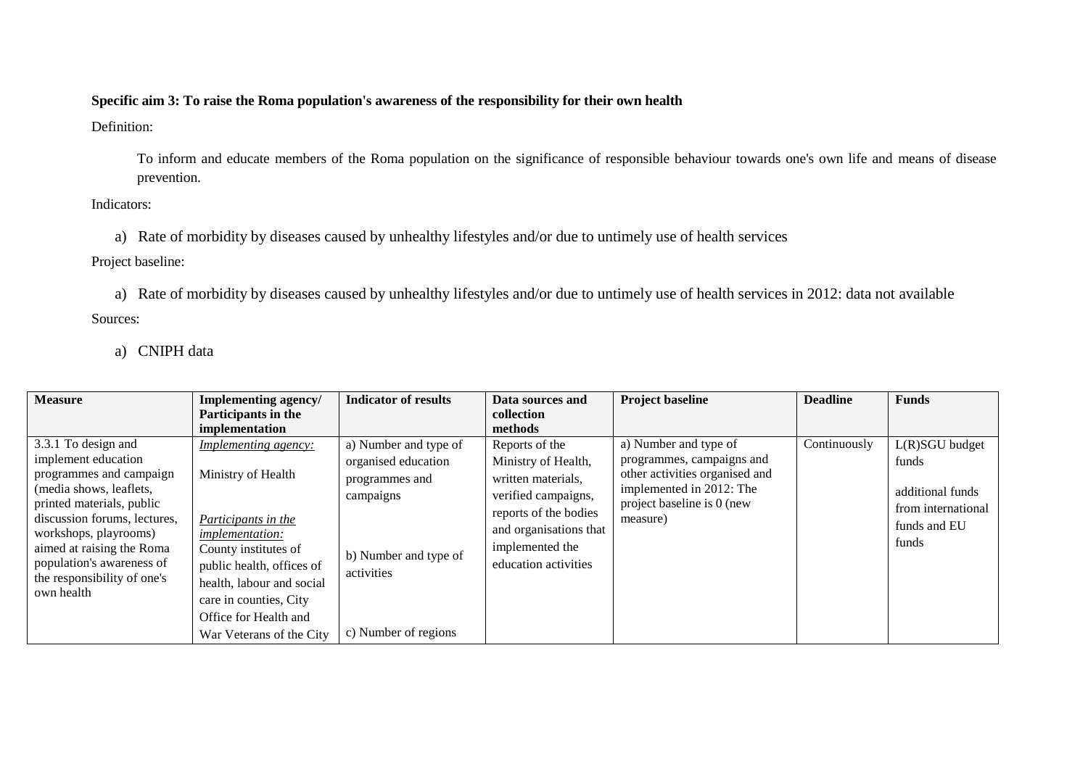## **Specific aim 3: To raise the Roma population's awareness of the responsibility for their own health**

Definition:

To inform and educate members of the Roma population on the significance of responsible behaviour towards one's own life and means of disease prevention.

Indicators:

a) Rate of morbidity by diseases caused by unhealthy lifestyles and/or due to untimely use of health services

Project baseline:

a) Rate of morbidity by diseases caused by unhealthy lifestyles and/or due to untimely use of health services in 2012: data not available Sources:

a) CNIPH data

| <b>Measure</b>                                                                                                                                                                                                                                                                                | Implementing agency/<br>Participants in the<br>implementation                                                                                                                                                                                                | <b>Indicator of results</b>                                                                                                                | Data sources and<br>collection<br>methods                                                                                                                                        | <b>Project baseline</b>                                                                                                                                    | <b>Deadline</b> | <b>Funds</b>                                                                               |
|-----------------------------------------------------------------------------------------------------------------------------------------------------------------------------------------------------------------------------------------------------------------------------------------------|--------------------------------------------------------------------------------------------------------------------------------------------------------------------------------------------------------------------------------------------------------------|--------------------------------------------------------------------------------------------------------------------------------------------|----------------------------------------------------------------------------------------------------------------------------------------------------------------------------------|------------------------------------------------------------------------------------------------------------------------------------------------------------|-----------------|--------------------------------------------------------------------------------------------|
| 3.3.1 To design and<br>implement education<br>programmes and campaign<br>(media shows, leaflets,<br>printed materials, public<br>discussion forums, lectures,<br>workshops, playrooms)<br>aimed at raising the Roma<br>population's awareness of<br>the responsibility of one's<br>own health | Implementing agency:<br>Ministry of Health<br>Participants in the<br><i>implementation:</i><br>County institutes of<br>public health, offices of<br>health, labour and social<br>care in counties, City<br>Office for Health and<br>War Veterans of the City | a) Number and type of<br>organised education<br>programmes and<br>campaigns<br>b) Number and type of<br>activities<br>c) Number of regions | Reports of the<br>Ministry of Health,<br>written materials,<br>verified campaigns,<br>reports of the bodies<br>and organisations that<br>implemented the<br>education activities | a) Number and type of<br>programmes, campaigns and<br>other activities organised and<br>implemented in 2012: The<br>project baseline is 0 (new<br>measure) | Continuously    | L(R)SGU budget<br>funds<br>additional funds<br>from international<br>funds and EU<br>funds |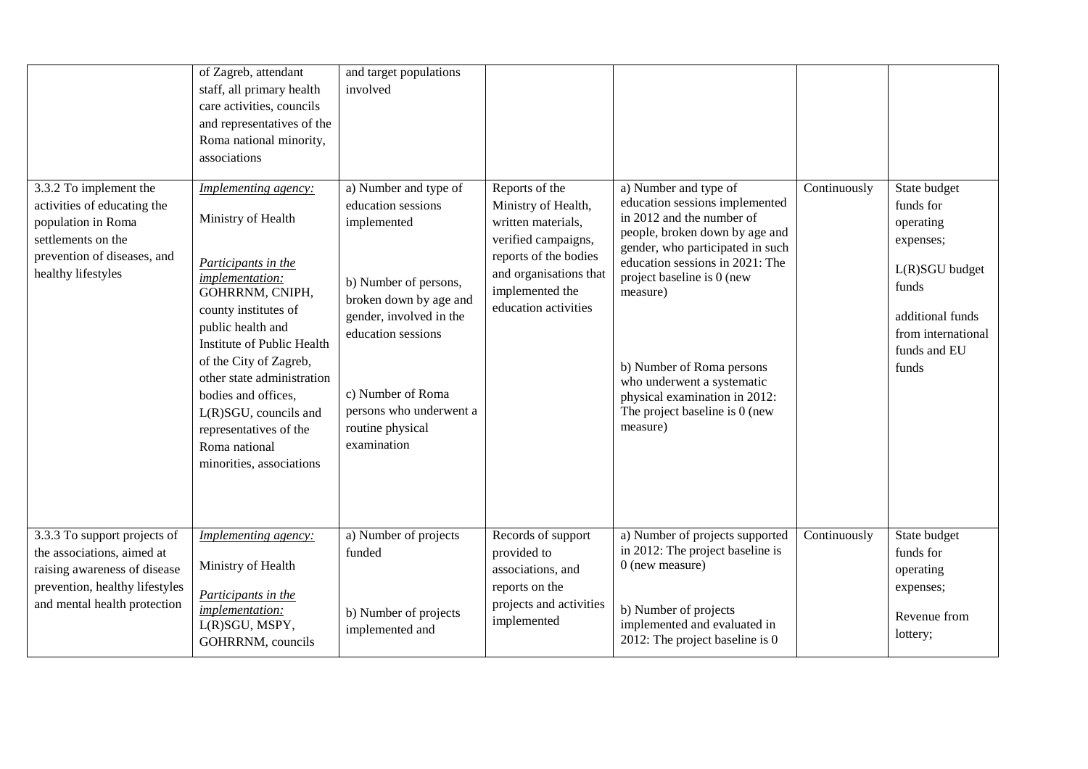| 3.3.2 To implement the<br>activities of educating the<br>population in Roma<br>settlements on the<br>prevention of diseases, and<br>healthy lifestyles       | of Zagreb, attendant<br>staff, all primary health<br>care activities, councils<br>and representatives of the<br>Roma national minority,<br>associations<br><b>Implementing agency:</b><br>Ministry of Health<br>Participants in the<br><i>implementation:</i><br>GOHRRNM, CNIPH,<br>county institutes of<br>public health and<br>Institute of Public Health<br>of the City of Zagreb,<br>other state administration<br>bodies and offices,<br>$L(R)SGU$ , councils and<br>representatives of the<br>Roma national<br>minorities, associations | and target populations<br>involved<br>a) Number and type of<br>education sessions<br>implemented<br>b) Number of persons,<br>broken down by age and<br>gender, involved in the<br>education sessions<br>c) Number of Roma<br>persons who underwent a<br>routine physical<br>examination | Reports of the<br>Ministry of Health,<br>written materials,<br>verified campaigns,<br>reports of the bodies<br>and organisations that<br>implemented the<br>education activities | a) Number and type of<br>education sessions implemented<br>in 2012 and the number of<br>people, broken down by age and<br>gender, who participated in such<br>education sessions in 2021: The<br>project baseline is 0 (new<br>measure)<br>b) Number of Roma persons<br>who underwent a systematic<br>physical examination in 2012:<br>The project baseline is 0 (new<br>measure) | Continuously | State budget<br>funds for<br>operating<br>expenses;<br>L(R)SGU budget<br>funds<br>additional funds<br>from international<br>funds and EU<br>funds |
|--------------------------------------------------------------------------------------------------------------------------------------------------------------|-----------------------------------------------------------------------------------------------------------------------------------------------------------------------------------------------------------------------------------------------------------------------------------------------------------------------------------------------------------------------------------------------------------------------------------------------------------------------------------------------------------------------------------------------|-----------------------------------------------------------------------------------------------------------------------------------------------------------------------------------------------------------------------------------------------------------------------------------------|----------------------------------------------------------------------------------------------------------------------------------------------------------------------------------|-----------------------------------------------------------------------------------------------------------------------------------------------------------------------------------------------------------------------------------------------------------------------------------------------------------------------------------------------------------------------------------|--------------|---------------------------------------------------------------------------------------------------------------------------------------------------|
| 3.3.3 To support projects of<br>the associations, aimed at<br>raising awareness of disease<br>prevention, healthy lifestyles<br>and mental health protection | Implementing agency:<br>Ministry of Health<br>Participants in the<br>implementation:<br>L(R)SGU, MSPY,<br>GOHRRNM, councils                                                                                                                                                                                                                                                                                                                                                                                                                   | a) Number of projects<br>funded<br>b) Number of projects<br>implemented and                                                                                                                                                                                                             | Records of support<br>provided to<br>associations, and<br>reports on the<br>projects and activities<br>implemented                                                               | a) Number of projects supported<br>in 2012: The project baseline is<br>0 (new measure)<br>b) Number of projects<br>implemented and evaluated in<br>2012: The project baseline is 0                                                                                                                                                                                                | Continuously | State budget<br>funds for<br>operating<br>expenses;<br>Revenue from<br>lottery;                                                                   |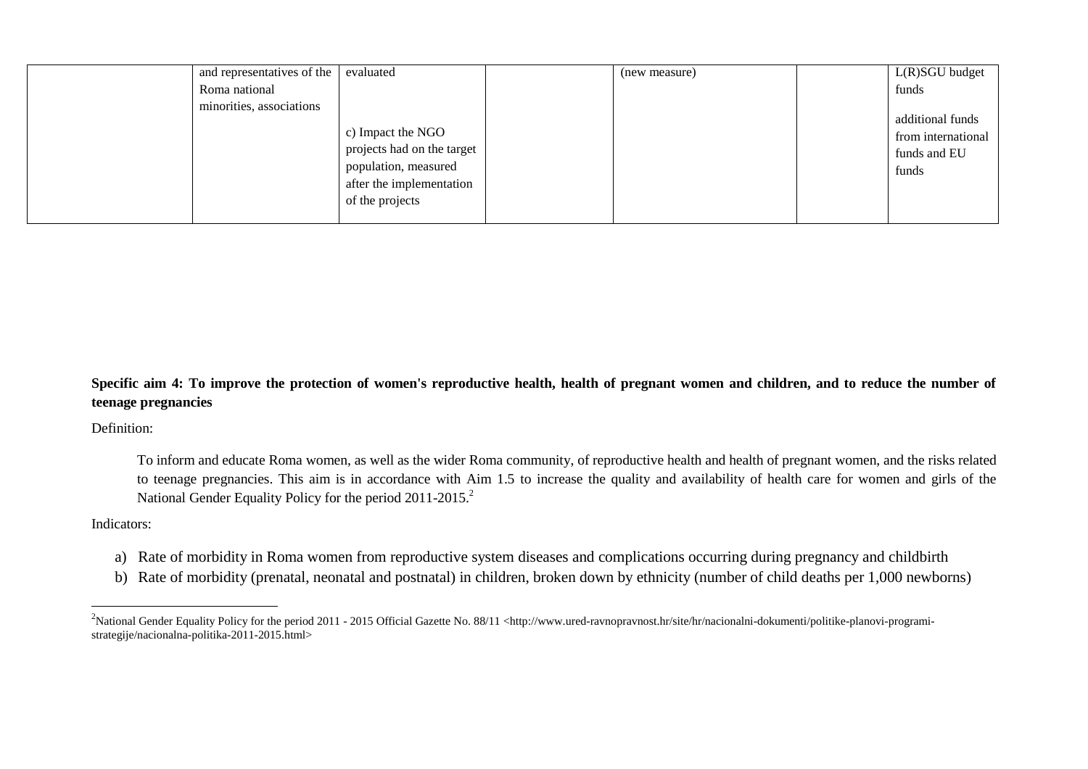| and representatives of the | evaluated                                                                                                              | (new measure) | $L(R)SGU$ budget                                                |
|----------------------------|------------------------------------------------------------------------------------------------------------------------|---------------|-----------------------------------------------------------------|
| Roma national              |                                                                                                                        |               | funds                                                           |
| minorities, associations   | c) Impact the NGO<br>projects had on the target<br>population, measured<br>after the implementation<br>of the projects |               | additional funds<br>from international<br>funds and EU<br>funds |

## **Specific aim 4: To improve the protection of women's reproductive health, health of pregnant women and children, and to reduce the number of teenage pregnancies**

Definition:

To inform and educate Roma women, as well as the wider Roma community, of reproductive health and health of pregnant women, and the risks related to teenage pregnancies. This aim is in accordance with Aim 1.5 to increase the quality and availability of health care for women and girls of the National Gender Equality Policy for the period 2011-2015.<sup>2</sup>

## Indicators:

 $\overline{a}$ 

- a) Rate of morbidity in Roma women from reproductive system diseases and complications occurring during pregnancy and childbirth
- b) Rate of morbidity (prenatal, neonatal and postnatal) in children, broken down by ethnicity (number of child deaths per 1,000 newborns)

<sup>&</sup>lt;sup>2</sup>National Gender Equality Policy for the period 2011 - 2015 Official Gazette No. 88/11 <http://www.ured-ravnopravnost.hr/site/hr/nacionalni-dokumenti/politike-planovi-programistrategije/nacionalna-politika-2011-2015.html>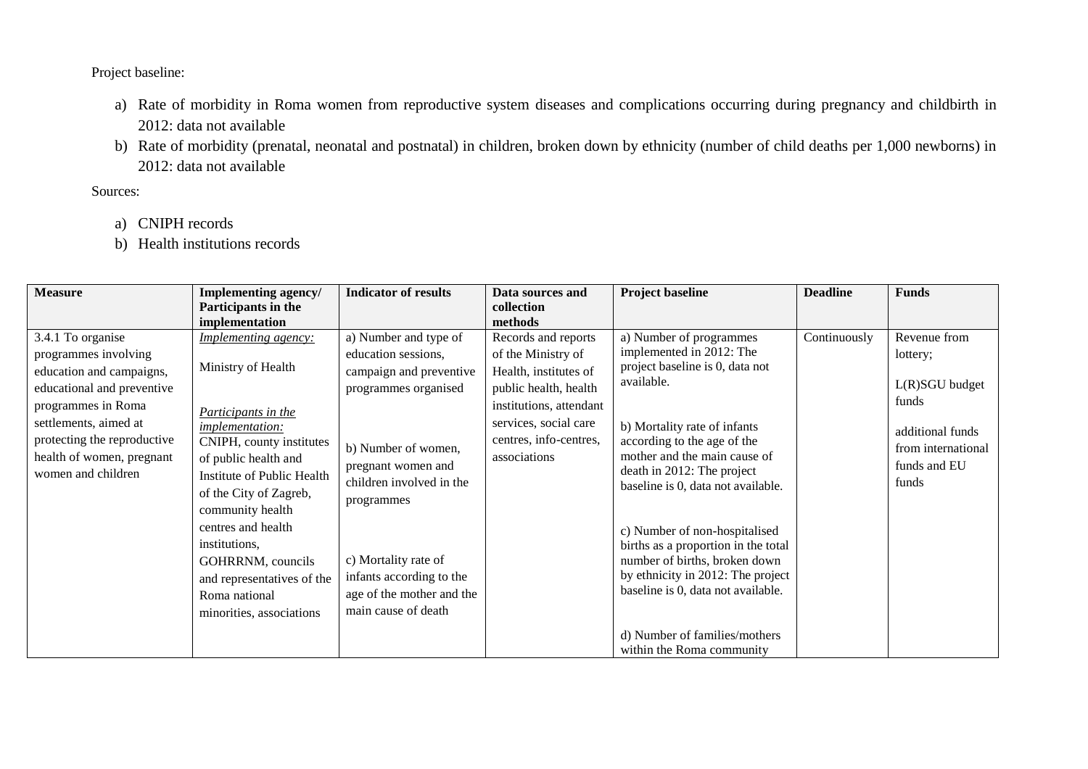Project baseline:

- a) Rate of morbidity in Roma women from reproductive system diseases and complications occurring during pregnancy and childbirth in 2012: data not available
- b) Rate of morbidity (prenatal, neonatal and postnatal) in children, broken down by ethnicity (number of child deaths per 1,000 newborns) in 2012: data not available

- a) CNIPH records
- b) Health institutions records

| <b>Measure</b>                                                                                                                                                                                                                       | Implementing agency/                                                                                                                                                                                                                                                                                                  | <b>Indicator of results</b>                                                                                                                                                                                                                | Data sources and                                                                                                                                                                          | <b>Project baseline</b>                                                                                                                                                                                                                                                                                                                                                                                               | <b>Deadline</b> | <b>Funds</b>                                                                                                           |
|--------------------------------------------------------------------------------------------------------------------------------------------------------------------------------------------------------------------------------------|-----------------------------------------------------------------------------------------------------------------------------------------------------------------------------------------------------------------------------------------------------------------------------------------------------------------------|--------------------------------------------------------------------------------------------------------------------------------------------------------------------------------------------------------------------------------------------|-------------------------------------------------------------------------------------------------------------------------------------------------------------------------------------------|-----------------------------------------------------------------------------------------------------------------------------------------------------------------------------------------------------------------------------------------------------------------------------------------------------------------------------------------------------------------------------------------------------------------------|-----------------|------------------------------------------------------------------------------------------------------------------------|
|                                                                                                                                                                                                                                      | Participants in the                                                                                                                                                                                                                                                                                                   |                                                                                                                                                                                                                                            | collection                                                                                                                                                                                |                                                                                                                                                                                                                                                                                                                                                                                                                       |                 |                                                                                                                        |
|                                                                                                                                                                                                                                      | implementation                                                                                                                                                                                                                                                                                                        |                                                                                                                                                                                                                                            | methods                                                                                                                                                                                   |                                                                                                                                                                                                                                                                                                                                                                                                                       |                 |                                                                                                                        |
| 3.4.1 To organise<br>programmes involving<br>education and campaigns,<br>educational and preventive<br>programmes in Roma<br>settlements, aimed at<br>protecting the reproductive<br>health of women, pregnant<br>women and children | <b>Implementing agency:</b><br>Ministry of Health<br>Participants in the<br>implementation:<br>CNIPH, county institutes<br>of public health and<br>Institute of Public Health<br>of the City of Zagreb,<br>community health<br>centres and health<br>institutions,<br>GOHRRNM, councils<br>and representatives of the | a) Number and type of<br>education sessions,<br>campaign and preventive<br>programmes organised<br>b) Number of women,<br>pregnant women and<br>children involved in the<br>programmes<br>c) Mortality rate of<br>infants according to the | Records and reports<br>of the Ministry of<br>Health, institutes of<br>public health, health<br>institutions, attendant<br>services, social care<br>centres, info-centres,<br>associations | a) Number of programmes<br>implemented in 2012: The<br>project baseline is 0, data not<br>available.<br>b) Mortality rate of infants<br>according to the age of the<br>mother and the main cause of<br>death in 2012: The project<br>baseline is 0, data not available.<br>c) Number of non-hospitalised<br>births as a proportion in the total<br>number of births, broken down<br>by ethnicity in 2012: The project | Continuously    | Revenue from<br>lottery;<br>L(R)SGU budget<br>funds<br>additional funds<br>from international<br>funds and EU<br>funds |
|                                                                                                                                                                                                                                      | Roma national<br>minorities, associations                                                                                                                                                                                                                                                                             | age of the mother and the<br>main cause of death                                                                                                                                                                                           |                                                                                                                                                                                           | baseline is 0, data not available.                                                                                                                                                                                                                                                                                                                                                                                    |                 |                                                                                                                        |
|                                                                                                                                                                                                                                      |                                                                                                                                                                                                                                                                                                                       |                                                                                                                                                                                                                                            |                                                                                                                                                                                           | d) Number of families/mothers<br>within the Roma community                                                                                                                                                                                                                                                                                                                                                            |                 |                                                                                                                        |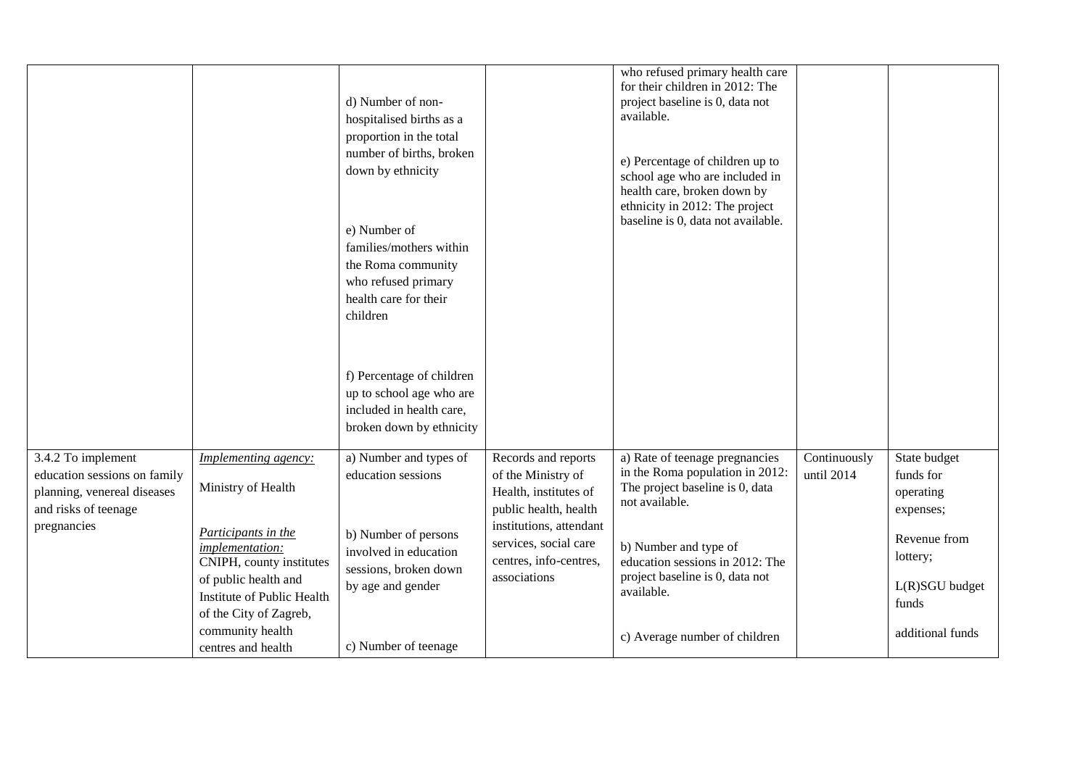|                                                                                                                          |                                                                                                                                                                                                  | d) Number of non-<br>hospitalised births as a<br>proportion in the total<br>number of births, broken<br>down by ethnicity<br>e) Number of<br>families/mothers within<br>the Roma community<br>who refused primary<br>health care for their<br>children |                                                                                                                                                                                           | who refused primary health care<br>for their children in 2012: The<br>project baseline is 0, data not<br>available.<br>e) Percentage of children up to<br>school age who are included in<br>health care, broken down by<br>ethnicity in 2012: The project<br>baseline is 0, data not available. |                            |                                                                                                            |
|--------------------------------------------------------------------------------------------------------------------------|--------------------------------------------------------------------------------------------------------------------------------------------------------------------------------------------------|--------------------------------------------------------------------------------------------------------------------------------------------------------------------------------------------------------------------------------------------------------|-------------------------------------------------------------------------------------------------------------------------------------------------------------------------------------------|-------------------------------------------------------------------------------------------------------------------------------------------------------------------------------------------------------------------------------------------------------------------------------------------------|----------------------------|------------------------------------------------------------------------------------------------------------|
|                                                                                                                          |                                                                                                                                                                                                  | f) Percentage of children<br>up to school age who are<br>included in health care,<br>broken down by ethnicity                                                                                                                                          |                                                                                                                                                                                           |                                                                                                                                                                                                                                                                                                 |                            |                                                                                                            |
| 3.4.2 To implement<br>education sessions on family<br>planning, venereal diseases<br>and risks of teenage<br>pregnancies | Implementing agency:<br>Ministry of Health<br>Participants in the<br>implementation:<br>CNIPH, county institutes<br>of public health and<br>Institute of Public Health<br>of the City of Zagreb, | a) Number and types of<br>education sessions<br>b) Number of persons<br>involved in education<br>sessions, broken down<br>by age and gender                                                                                                            | Records and reports<br>of the Ministry of<br>Health, institutes of<br>public health, health<br>institutions, attendant<br>services, social care<br>centres, info-centres,<br>associations | a) Rate of teenage pregnancies<br>in the Roma population in 2012:<br>The project baseline is 0, data<br>not available.<br>b) Number and type of<br>education sessions in 2012: The<br>project baseline is 0, data not<br>available.                                                             | Continuously<br>until 2014 | State budget<br>funds for<br>operating<br>expenses;<br>Revenue from<br>lottery;<br>L(R)SGU budget<br>funds |
|                                                                                                                          | community health<br>centres and health                                                                                                                                                           | c) Number of teenage                                                                                                                                                                                                                                   |                                                                                                                                                                                           | c) Average number of children                                                                                                                                                                                                                                                                   |                            | additional funds                                                                                           |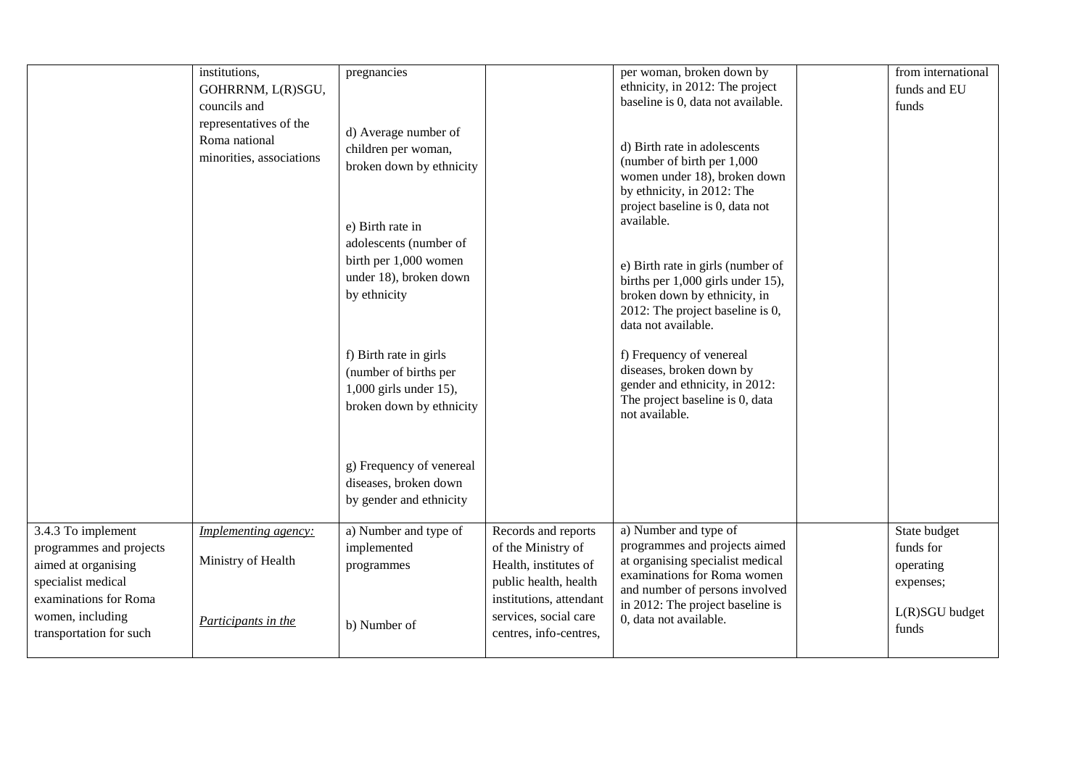|                                                                                                                                         | institutions,<br>GOHRRNM, L(R)SGU,<br>councils and<br>representatives of the<br>Roma national<br>minorities, associations | pregnancies<br>d) Average number of<br>children per woman,<br>broken down by ethnicity<br>e) Birth rate in<br>adolescents (number of<br>birth per 1,000 women<br>under 18), broken down<br>by ethnicity<br>f) Birth rate in girls<br>(number of births per<br>1,000 girls under 15),<br>broken down by ethnicity<br>g) Frequency of venereal |                                                                                                                                                 | per woman, broken down by<br>ethnicity, in 2012: The project<br>baseline is 0, data not available.<br>d) Birth rate in adolescents<br>(number of birth per 1,000<br>women under 18), broken down<br>by ethnicity, in 2012: The<br>project baseline is 0, data not<br>available.<br>e) Birth rate in girls (number of<br>births per 1,000 girls under 15),<br>broken down by ethnicity, in<br>2012: The project baseline is 0,<br>data not available.<br>f) Frequency of venereal<br>diseases, broken down by<br>gender and ethnicity, in 2012:<br>The project baseline is 0, data<br>not available. | from international<br>funds and EU<br>funds                             |
|-----------------------------------------------------------------------------------------------------------------------------------------|---------------------------------------------------------------------------------------------------------------------------|----------------------------------------------------------------------------------------------------------------------------------------------------------------------------------------------------------------------------------------------------------------------------------------------------------------------------------------------|-------------------------------------------------------------------------------------------------------------------------------------------------|-----------------------------------------------------------------------------------------------------------------------------------------------------------------------------------------------------------------------------------------------------------------------------------------------------------------------------------------------------------------------------------------------------------------------------------------------------------------------------------------------------------------------------------------------------------------------------------------------------|-------------------------------------------------------------------------|
|                                                                                                                                         |                                                                                                                           | diseases, broken down<br>by gender and ethnicity                                                                                                                                                                                                                                                                                             |                                                                                                                                                 |                                                                                                                                                                                                                                                                                                                                                                                                                                                                                                                                                                                                     |                                                                         |
| 3.4.3 To implement<br>programmes and projects<br>aimed at organising<br>specialist medical<br>examinations for Roma<br>women, including | <i>Implementing agency:</i><br>Ministry of Health                                                                         | a) Number and type of<br>implemented<br>programmes                                                                                                                                                                                                                                                                                           | Records and reports<br>of the Ministry of<br>Health, institutes of<br>public health, health<br>institutions, attendant<br>services, social care | a) Number and type of<br>programmes and projects aimed<br>at organising specialist medical<br>examinations for Roma women<br>and number of persons involved<br>in 2012: The project baseline is                                                                                                                                                                                                                                                                                                                                                                                                     | State budget<br>funds for<br>operating<br>expenses;<br>$L(R)SGU$ budget |
| transportation for such                                                                                                                 | Participants in the                                                                                                       | b) Number of                                                                                                                                                                                                                                                                                                                                 | centres, info-centres,                                                                                                                          | 0, data not available.                                                                                                                                                                                                                                                                                                                                                                                                                                                                                                                                                                              | funds                                                                   |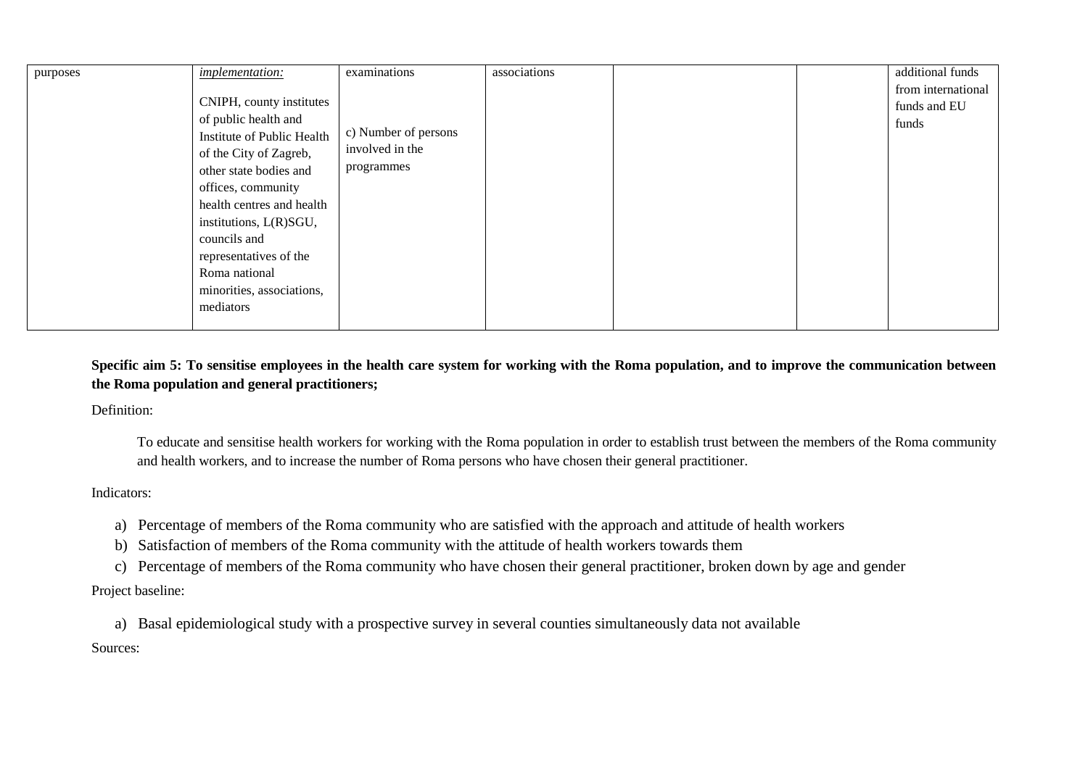| purposes | implementation:            | examinations         | associations |  | additional funds   |
|----------|----------------------------|----------------------|--------------|--|--------------------|
|          |                            |                      |              |  | from international |
|          | CNIPH, county institutes   |                      |              |  | funds and EU       |
|          | of public health and       |                      |              |  | funds              |
|          | Institute of Public Health | c) Number of persons |              |  |                    |
|          | of the City of Zagreb,     | involved in the      |              |  |                    |
|          | other state bodies and     | programmes           |              |  |                    |
|          | offices, community         |                      |              |  |                    |
|          | health centres and health  |                      |              |  |                    |
|          | institutions, L(R)SGU,     |                      |              |  |                    |
|          | councils and               |                      |              |  |                    |
|          | representatives of the     |                      |              |  |                    |
|          | Roma national              |                      |              |  |                    |
|          | minorities, associations,  |                      |              |  |                    |
|          | mediators                  |                      |              |  |                    |
|          |                            |                      |              |  |                    |

**Specific aim 5: To sensitise employees in the health care system for working with the Roma population, and to improve the communication between the Roma population and general practitioners;**

Definition:

To educate and sensitise health workers for working with the Roma population in order to establish trust between the members of the Roma community and health workers, and to increase the number of Roma persons who have chosen their general practitioner.

Indicators:

- a) Percentage of members of the Roma community who are satisfied with the approach and attitude of health workers
- b) Satisfaction of members of the Roma community with the attitude of health workers towards them
- c) Percentage of members of the Roma community who have chosen their general practitioner, broken down by age and gender

Project baseline:

a) Basal epidemiological study with a prospective survey in several counties simultaneously data not available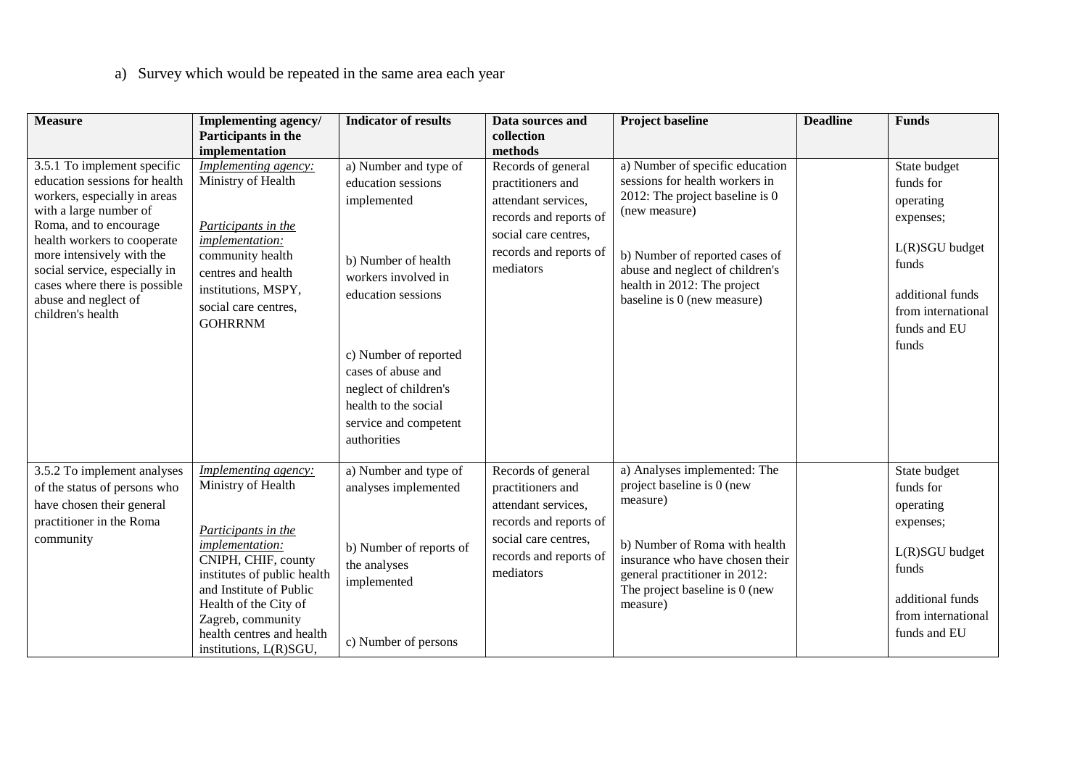# a) Survey which would be repeated in the same area each year

| <b>Measure</b>                                                                                                                                                                                                                                                                                                              | <b>Implementing agency/</b><br>Participants in the                                                                                                                                                                                                                                       | <b>Indicator of results</b>                                                                                                                                                                                                                                            | Data sources and<br>collection                                                                                                                                     | <b>Project baseline</b>                                                                                                                                                                                                                                  | <b>Deadline</b> | <b>Funds</b>                                                                                                                                      |
|-----------------------------------------------------------------------------------------------------------------------------------------------------------------------------------------------------------------------------------------------------------------------------------------------------------------------------|------------------------------------------------------------------------------------------------------------------------------------------------------------------------------------------------------------------------------------------------------------------------------------------|------------------------------------------------------------------------------------------------------------------------------------------------------------------------------------------------------------------------------------------------------------------------|--------------------------------------------------------------------------------------------------------------------------------------------------------------------|----------------------------------------------------------------------------------------------------------------------------------------------------------------------------------------------------------------------------------------------------------|-----------------|---------------------------------------------------------------------------------------------------------------------------------------------------|
| 3.5.1 To implement specific<br>education sessions for health<br>workers, especially in areas<br>with a large number of<br>Roma, and to encourage<br>health workers to cooperate<br>more intensively with the<br>social service, especially in<br>cases where there is possible<br>abuse and neglect of<br>children's health | implementation<br><b>Implementing agency:</b><br>Ministry of Health<br>Participants in the<br>implementation:<br>community health<br>centres and health<br>institutions, MSPY,<br>social care centres,<br><b>GOHRRNM</b>                                                                 | a) Number and type of<br>education sessions<br>implemented<br>b) Number of health<br>workers involved in<br>education sessions<br>c) Number of reported<br>cases of abuse and<br>neglect of children's<br>health to the social<br>service and competent<br>authorities | methods<br>Records of general<br>practitioners and<br>attendant services.<br>records and reports of<br>social care centres,<br>records and reports of<br>mediators | a) Number of specific education<br>sessions for health workers in<br>2012: The project baseline is 0<br>(new measure)<br>b) Number of reported cases of<br>abuse and neglect of children's<br>health in 2012: The project<br>baseline is 0 (new measure) |                 | State budget<br>funds for<br>operating<br>expenses;<br>L(R)SGU budget<br>funds<br>additional funds<br>from international<br>funds and EU<br>funds |
| 3.5.2 To implement analyses<br>of the status of persons who<br>have chosen their general<br>practitioner in the Roma<br>community                                                                                                                                                                                           | <b>Implementing agency:</b><br>Ministry of Health<br>Participants in the<br><i>implementation:</i><br>CNIPH, CHIF, county<br>institutes of public health<br>and Institute of Public<br>Health of the City of<br>Zagreb, community<br>health centres and health<br>institutions, L(R)SGU, | a) Number and type of<br>analyses implemented<br>b) Number of reports of<br>the analyses<br>implemented<br>c) Number of persons                                                                                                                                        | Records of general<br>practitioners and<br>attendant services,<br>records and reports of<br>social care centres,<br>records and reports of<br>mediators            | a) Analyses implemented: The<br>project baseline is 0 (new<br>measure)<br>b) Number of Roma with health<br>insurance who have chosen their<br>general practitioner in 2012:<br>The project baseline is 0 (new<br>measure)                                |                 | State budget<br>funds for<br>operating<br>expenses;<br>L(R)SGU budget<br>funds<br>additional funds<br>from international<br>funds and EU          |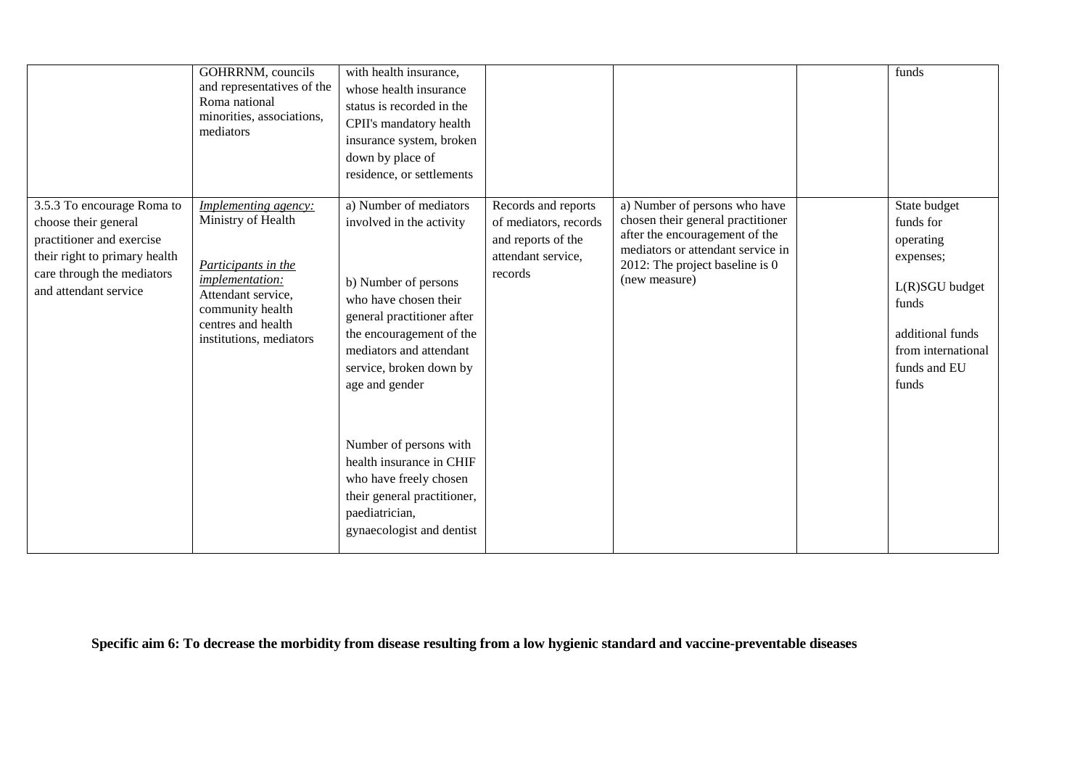|                                                                                                                                                                         | GOHRRNM, councils<br>and representatives of the<br>Roma national<br>minorities, associations,<br>mediators                                                                             | with health insurance,<br>whose health insurance<br>status is recorded in the<br>CPII's mandatory health<br>insurance system, broken<br>down by place of<br>residence, or settlements                                                                                                                                                                                                               |                                                                                                     |                                                                                                                                                                                               | funds                                                                                                                                             |
|-------------------------------------------------------------------------------------------------------------------------------------------------------------------------|----------------------------------------------------------------------------------------------------------------------------------------------------------------------------------------|-----------------------------------------------------------------------------------------------------------------------------------------------------------------------------------------------------------------------------------------------------------------------------------------------------------------------------------------------------------------------------------------------------|-----------------------------------------------------------------------------------------------------|-----------------------------------------------------------------------------------------------------------------------------------------------------------------------------------------------|---------------------------------------------------------------------------------------------------------------------------------------------------|
| 3.5.3 To encourage Roma to<br>choose their general<br>practitioner and exercise<br>their right to primary health<br>care through the mediators<br>and attendant service | <b>Implementing agency:</b><br>Ministry of Health<br>Participants in the<br>implementation:<br>Attendant service,<br>community health<br>centres and health<br>institutions, mediators | a) Number of mediators<br>involved in the activity<br>b) Number of persons<br>who have chosen their<br>general practitioner after<br>the encouragement of the<br>mediators and attendant<br>service, broken down by<br>age and gender<br>Number of persons with<br>health insurance in CHIF<br>who have freely chosen<br>their general practitioner,<br>paediatrician,<br>gynaecologist and dentist | Records and reports<br>of mediators, records<br>and reports of the<br>attendant service,<br>records | a) Number of persons who have<br>chosen their general practitioner<br>after the encouragement of the<br>mediators or attendant service in<br>2012: The project baseline is 0<br>(new measure) | State budget<br>funds for<br>operating<br>expenses;<br>L(R)SGU budget<br>funds<br>additional funds<br>from international<br>funds and EU<br>funds |

**Specific aim 6: To decrease the morbidity from disease resulting from a low hygienic standard and vaccine-preventable diseases**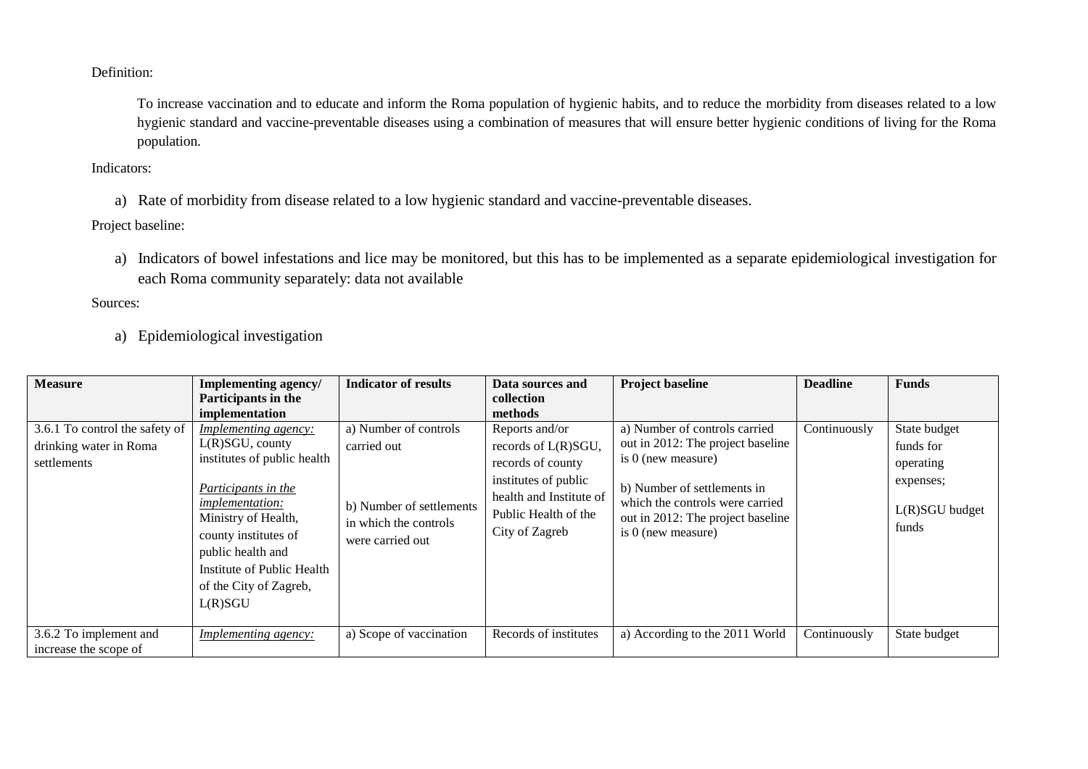Definition:

To increase vaccination and to educate and inform the Roma population of hygienic habits, and to reduce the morbidity from diseases related to a low hygienic standard and vaccine-preventable diseases using a combination of measures that will ensure better hygienic conditions of living for the Roma population.

Indicators:

a) Rate of morbidity from disease related to a low hygienic standard and vaccine-preventable diseases.

Project baseline:

a) Indicators of bowel infestations and lice may be monitored, but this has to be implemented as a separate epidemiological investigation for each Roma community separately: data not available

Sources:

a) Epidemiological investigation

| <b>Measure</b>                                                          | Implementing agency/<br>Participants in the<br>implementation                                                                                                                                                                                                            | <b>Indicator of results</b>                                                                                   | Data sources and<br>collection<br>methods                                                                                                               | <b>Project baseline</b>                                                                                                                                                                                                   | <b>Deadline</b> | <b>Funds</b>                                                                   |
|-------------------------------------------------------------------------|--------------------------------------------------------------------------------------------------------------------------------------------------------------------------------------------------------------------------------------------------------------------------|---------------------------------------------------------------------------------------------------------------|---------------------------------------------------------------------------------------------------------------------------------------------------------|---------------------------------------------------------------------------------------------------------------------------------------------------------------------------------------------------------------------------|-----------------|--------------------------------------------------------------------------------|
| 3.6.1 To control the safety of<br>drinking water in Roma<br>settlements | <i>Implementing agency:</i><br>$L(R)SGU$ , county<br>institutes of public health<br>Participants in the<br><i>implementation:</i><br>Ministry of Health,<br>county institutes of<br>public health and<br>Institute of Public Health<br>of the City of Zagreb,<br>L(R)SGU | a) Number of controls<br>carried out<br>b) Number of settlements<br>in which the controls<br>were carried out | Reports and/or<br>records of L(R)SGU,<br>records of county<br>institutes of public<br>health and Institute of<br>Public Health of the<br>City of Zagreb | a) Number of controls carried<br>out in 2012: The project baseline<br>is $0$ (new measure)<br>b) Number of settlements in<br>which the controls were carried<br>out in 2012: The project baseline<br>is $0$ (new measure) | Continuously    | State budget<br>funds for<br>operating<br>expenses;<br>L(R)SGU budget<br>funds |
| 3.6.2 To implement and<br>increase the scope of                         | <i>Implementing agency:</i>                                                                                                                                                                                                                                              | a) Scope of vaccination                                                                                       | Records of institutes                                                                                                                                   | a) According to the 2011 World                                                                                                                                                                                            | Continuously    | State budget                                                                   |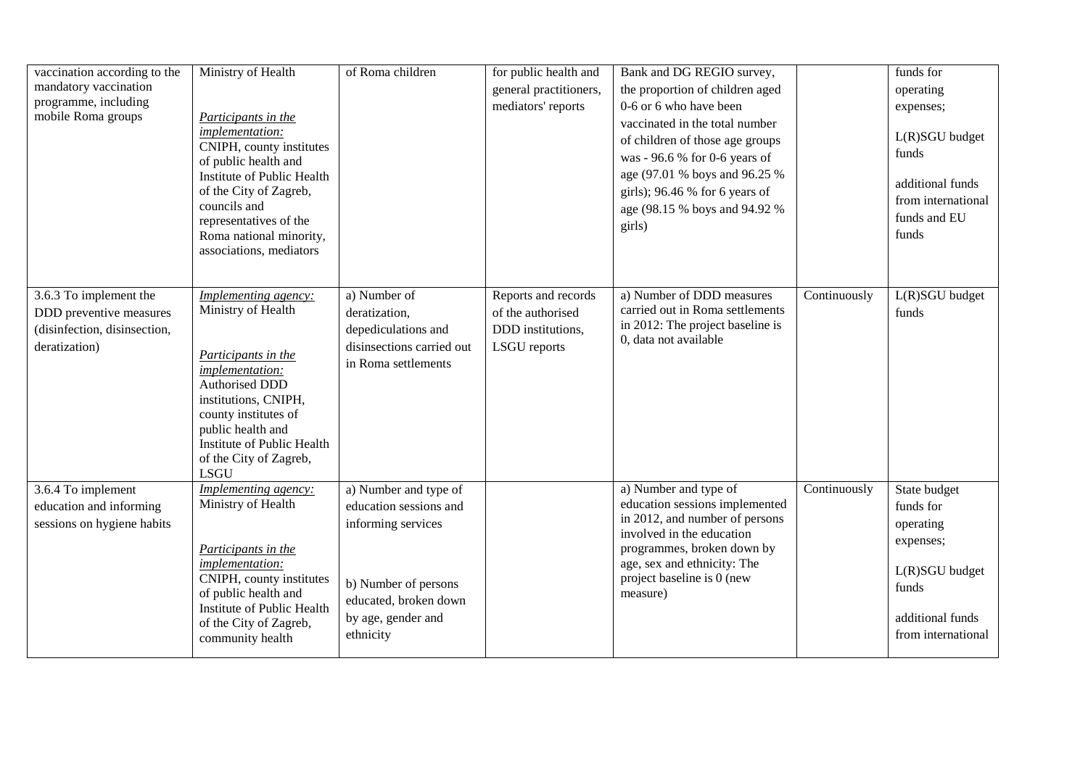| vaccination according to the<br>mandatory vaccination<br>programme, including<br>mobile Roma groups | Ministry of Health<br>Participants in the<br>implementation:<br>CNIPH, county institutes<br>of public health and<br>Institute of Public Health<br>of the City of Zagreb,<br>councils and<br>representatives of the<br>Roma national minority,<br>associations, mediators | of Roma children                                                                                                                                          | for public health and<br>general practitioners,<br>mediators' reports                | Bank and DG REGIO survey,<br>the proportion of children aged<br>0-6 or 6 who have been<br>vaccinated in the total number<br>of children of those age groups<br>was - 96.6 % for 0-6 years of<br>age (97.01 % boys and 96.25 %<br>girls); 96.46 % for 6 years of<br>age (98.15 % boys and 94.92 %<br>girls) |              | funds for<br>operating<br>expenses;<br>L(R)SGU budget<br>funds<br>additional funds<br>from international<br>funds and EU<br>funds |
|-----------------------------------------------------------------------------------------------------|--------------------------------------------------------------------------------------------------------------------------------------------------------------------------------------------------------------------------------------------------------------------------|-----------------------------------------------------------------------------------------------------------------------------------------------------------|--------------------------------------------------------------------------------------|------------------------------------------------------------------------------------------------------------------------------------------------------------------------------------------------------------------------------------------------------------------------------------------------------------|--------------|-----------------------------------------------------------------------------------------------------------------------------------|
| 3.6.3 To implement the<br>DDD preventive measures<br>(disinfection, disinsection,<br>deratization)  | Implementing agency:<br>Ministry of Health<br>Participants in the<br>implementation:<br><b>Authorised DDD</b><br>institutions, CNIPH,<br>county institutes of<br>public health and<br>Institute of Public Health<br>of the City of Zagreb,<br><b>LSGU</b>                | a) Number of<br>deratization,<br>depediculations and<br>disinsections carried out<br>in Roma settlements                                                  | Reports and records<br>of the authorised<br>DDD institutions,<br><b>LSGU</b> reports | a) Number of DDD measures<br>carried out in Roma settlements<br>in 2012: The project baseline is<br>0, data not available                                                                                                                                                                                  | Continuously | L(R)SGU budget<br>funds                                                                                                           |
| 3.6.4 To implement<br>education and informing<br>sessions on hygiene habits                         | Implementing agency:<br>Ministry of Health<br>Participants in the<br>implementation:<br>CNIPH, county institutes<br>of public health and<br>Institute of Public Health<br>of the City of Zagreb,<br>community health                                                     | a) Number and type of<br>education sessions and<br>informing services<br>b) Number of persons<br>educated, broken down<br>by age, gender and<br>ethnicity |                                                                                      | a) Number and type of<br>education sessions implemented<br>in 2012, and number of persons<br>involved in the education<br>programmes, broken down by<br>age, sex and ethnicity: The<br>project baseline is 0 (new<br>measure)                                                                              | Continuously | State budget<br>funds for<br>operating<br>expenses;<br>L(R)SGU budget<br>funds<br>additional funds<br>from international          |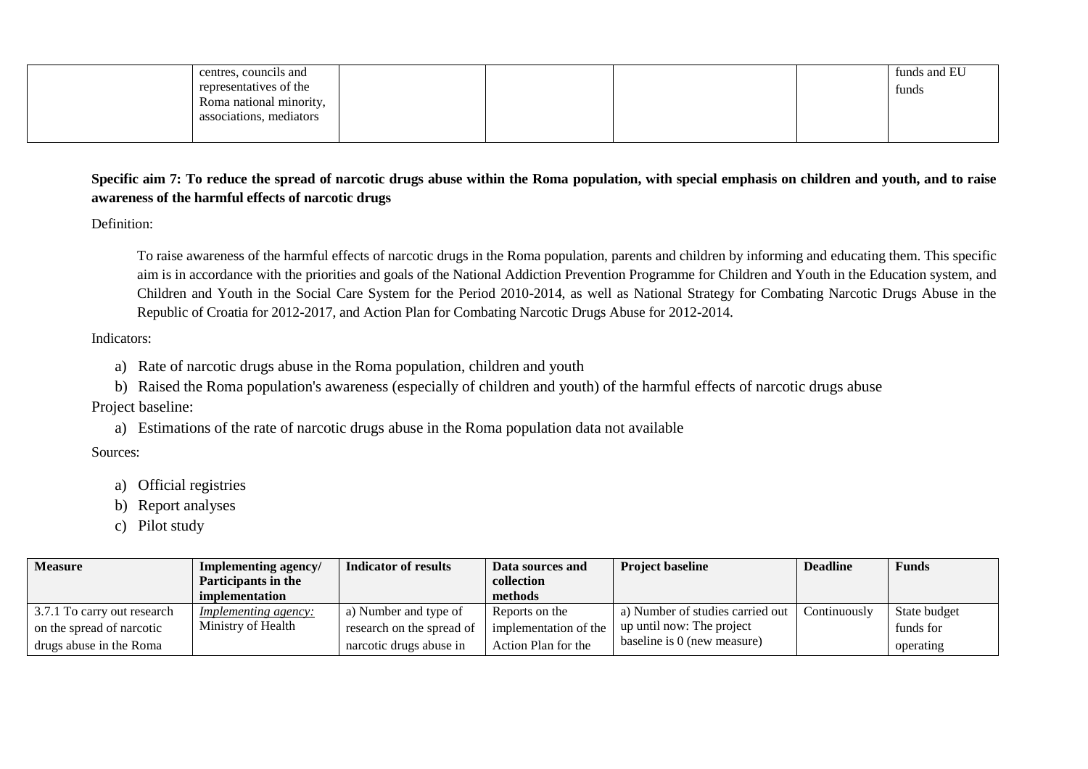| centres, councils and   |  |  | funds and EU |
|-------------------------|--|--|--------------|
| representatives of the  |  |  | funds        |
| Roma national minority, |  |  |              |
| associations, mediators |  |  |              |
|                         |  |  |              |

# **Specific aim 7: To reduce the spread of narcotic drugs abuse within the Roma population, with special emphasis on children and youth, and to raise awareness of the harmful effects of narcotic drugs**

Definition:

To raise awareness of the harmful effects of narcotic drugs in the Roma population, parents and children by informing and educating them. This specific aim is in accordance with the priorities and goals of the National Addiction Prevention Programme for Children and Youth in the Education system, and Children and Youth in the Social Care System for the Period 2010-2014, as well as National Strategy for Combating Narcotic Drugs Abuse in the Republic of Croatia for 2012-2017, and Action Plan for Combating Narcotic Drugs Abuse for 2012-2014.

Indicators:

- a) Rate of narcotic drugs abuse in the Roma population, children and youth
- b) Raised the Roma population's awareness (especially of children and youth) of the harmful effects of narcotic drugs abuse

Project baseline:

a) Estimations of the rate of narcotic drugs abuse in the Roma population data not available

- a) Official registries
- b) Report analyses
- c) Pilot study

| <b>Measure</b>              | Implementing agency/<br>Participants in the<br>implementation | Indicator of results      | Data sources and<br>collection<br>methods | <b>Project baseline</b>          | <b>Deadline</b> | <b>Funds</b> |
|-----------------------------|---------------------------------------------------------------|---------------------------|-------------------------------------------|----------------------------------|-----------------|--------------|
| 3.7.1 To carry out research | <i>Implementing agency:</i>                                   | a) Number and type of     | Reports on the                            | a) Number of studies carried out | Continuously    | State budget |
| on the spread of narcotic   | Ministry of Health                                            | research on the spread of | implementation of the                     | up until now: The project        |                 | funds for    |
| drugs abuse in the Roma     |                                                               | narcotic drugs abuse in   | Action Plan for the                       | baseline is 0 (new measure)      |                 | operating    |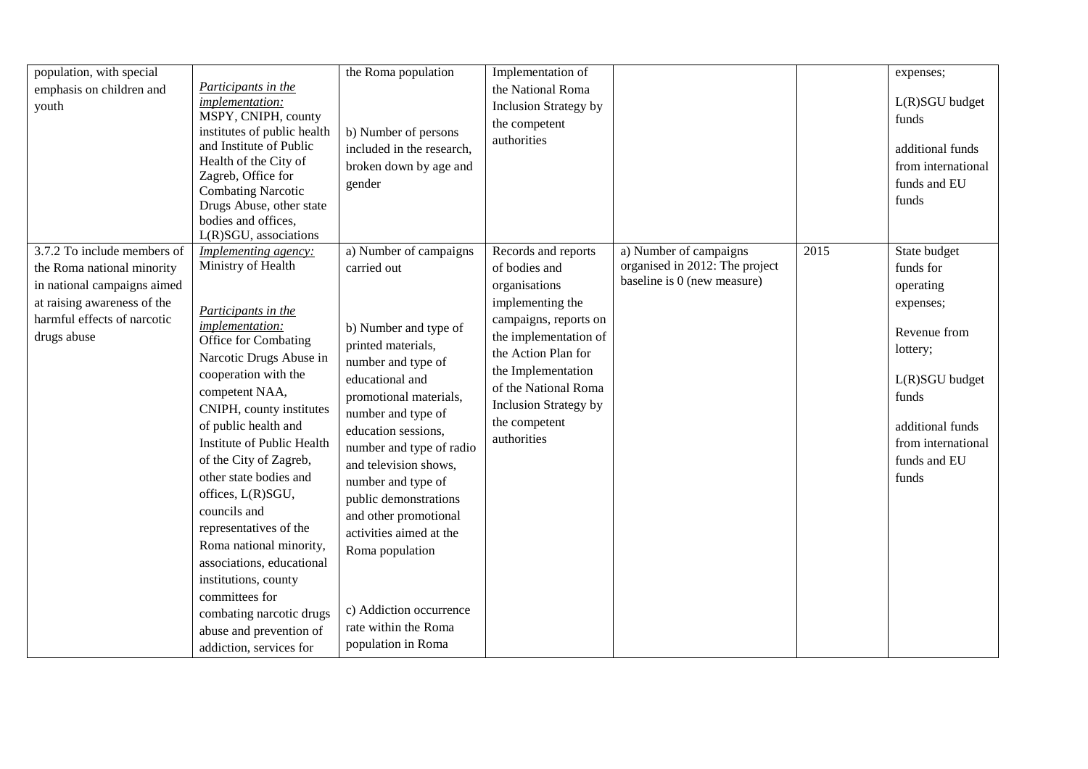| population, with special<br>emphasis on children and<br>youth                                                                                                         | <i>Participants in the</i><br>implementation:<br>MSPY, CNIPH, county<br>institutes of public health<br>and Institute of Public<br>Health of the City of<br>Zagreb, Office for<br><b>Combating Narcotic</b><br>Drugs Abuse, other state<br>bodies and offices,<br>L(R)SGU, associations                                                                                                                                                                                                                                                                                     | the Roma population<br>b) Number of persons<br>included in the research,<br>broken down by age and<br>gender                                                                                                                                                                                                                                                                                                                                             | Implementation of<br>the National Roma<br><b>Inclusion Strategy by</b><br>the competent<br>authorities                                                                                                                                                           |                                                                                         |      | expenses;<br>$L(R)SGU$ budget<br>funds<br>additional funds<br>from international<br>funds and EU<br>funds                                                                     |
|-----------------------------------------------------------------------------------------------------------------------------------------------------------------------|----------------------------------------------------------------------------------------------------------------------------------------------------------------------------------------------------------------------------------------------------------------------------------------------------------------------------------------------------------------------------------------------------------------------------------------------------------------------------------------------------------------------------------------------------------------------------|----------------------------------------------------------------------------------------------------------------------------------------------------------------------------------------------------------------------------------------------------------------------------------------------------------------------------------------------------------------------------------------------------------------------------------------------------------|------------------------------------------------------------------------------------------------------------------------------------------------------------------------------------------------------------------------------------------------------------------|-----------------------------------------------------------------------------------------|------|-------------------------------------------------------------------------------------------------------------------------------------------------------------------------------|
| 3.7.2 To include members of<br>the Roma national minority<br>in national campaigns aimed<br>at raising awareness of the<br>harmful effects of narcotic<br>drugs abuse | Implementing agency:<br>Ministry of Health<br>Participants in the<br>implementation:<br>Office for Combating<br>Narcotic Drugs Abuse in<br>cooperation with the<br>competent NAA,<br>CNIPH, county institutes<br>of public health and<br>Institute of Public Health<br>of the City of Zagreb,<br>other state bodies and<br>offices, L(R)SGU,<br>councils and<br>representatives of the<br>Roma national minority,<br>associations, educational<br>institutions, county<br>committees for<br>combating narcotic drugs<br>abuse and prevention of<br>addiction, services for | a) Number of campaigns<br>carried out<br>b) Number and type of<br>printed materials,<br>number and type of<br>educational and<br>promotional materials,<br>number and type of<br>education sessions,<br>number and type of radio<br>and television shows,<br>number and type of<br>public demonstrations<br>and other promotional<br>activities aimed at the<br>Roma population<br>c) Addiction occurrence<br>rate within the Roma<br>population in Roma | Records and reports<br>of bodies and<br>organisations<br>implementing the<br>campaigns, reports on<br>the implementation of<br>the Action Plan for<br>the Implementation<br>of the National Roma<br><b>Inclusion Strategy by</b><br>the competent<br>authorities | a) Number of campaigns<br>organised in 2012: The project<br>baseline is 0 (new measure) | 2015 | State budget<br>funds for<br>operating<br>expenses;<br>Revenue from<br>lottery;<br>L(R)SGU budget<br>funds<br>additional funds<br>from international<br>funds and EU<br>funds |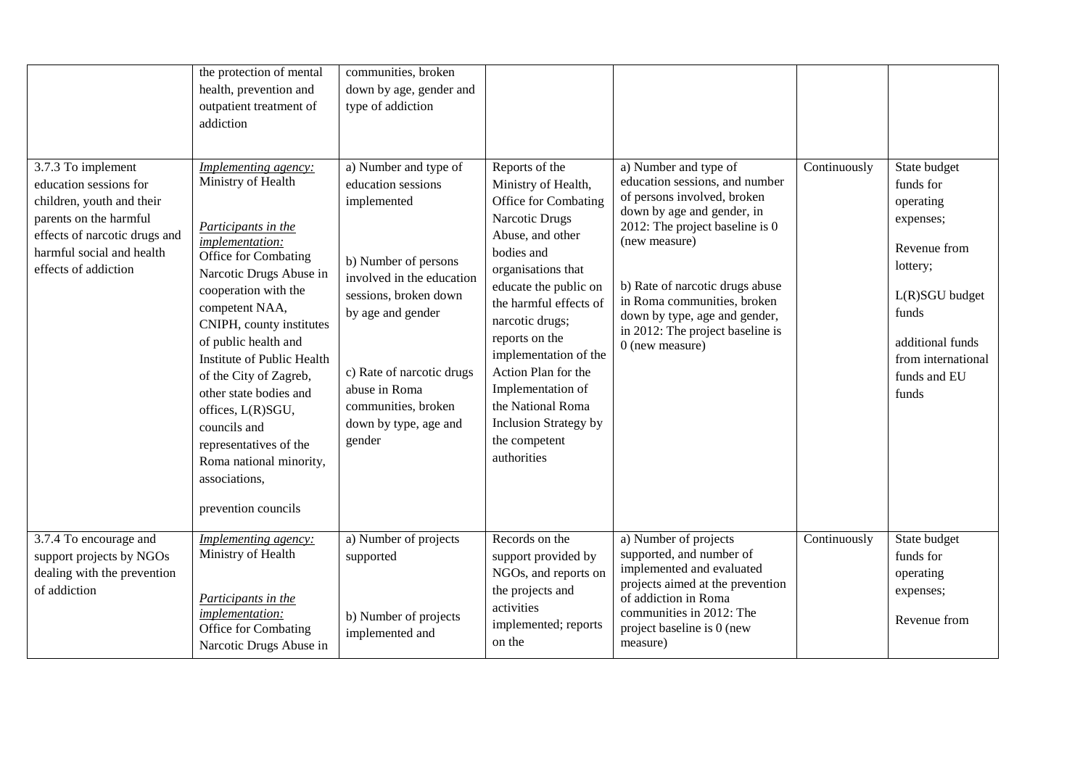| 3.7.3 To implement<br>education sessions for<br>children, youth and their<br>parents on the harmful<br>effects of narcotic drugs and<br>harmful social and health<br>effects of addiction | the protection of mental<br>health, prevention and<br>outpatient treatment of<br>addiction<br><b>Implementing agency:</b><br>Ministry of Health<br>Participants in the<br>implementation:<br>Office for Combating<br>Narcotic Drugs Abuse in<br>cooperation with the<br>competent NAA,<br>CNIPH, county institutes<br>of public health and<br>Institute of Public Health<br>of the City of Zagreb,<br>other state bodies and<br>offices, L(R)SGU,<br>councils and<br>representatives of the<br>Roma national minority,<br>associations,<br>prevention councils | communities, broken<br>down by age, gender and<br>type of addiction<br>a) Number and type of<br>education sessions<br>implemented<br>b) Number of persons<br>involved in the education<br>sessions, broken down<br>by age and gender<br>c) Rate of narcotic drugs<br>abuse in Roma<br>communities, broken<br>down by type, age and<br>gender | Reports of the<br>Ministry of Health,<br>Office for Combating<br>Narcotic Drugs<br>Abuse, and other<br>bodies and<br>organisations that<br>educate the public on<br>the harmful effects of<br>narcotic drugs;<br>reports on the<br>implementation of the<br>Action Plan for the<br>Implementation of<br>the National Roma<br>Inclusion Strategy by<br>the competent<br>authorities | a) Number and type of<br>education sessions, and number<br>of persons involved, broken<br>down by age and gender, in<br>2012: The project baseline is 0<br>(new measure)<br>b) Rate of narcotic drugs abuse<br>in Roma communities, broken<br>down by type, age and gender,<br>in 2012: The project baseline is<br>$0$ (new measure) | Continuously | State budget<br>funds for<br>operating<br>expenses;<br>Revenue from<br>lottery;<br>L(R)SGU budget<br>funds<br>additional funds<br>from international<br>funds and EU<br>funds |
|-------------------------------------------------------------------------------------------------------------------------------------------------------------------------------------------|----------------------------------------------------------------------------------------------------------------------------------------------------------------------------------------------------------------------------------------------------------------------------------------------------------------------------------------------------------------------------------------------------------------------------------------------------------------------------------------------------------------------------------------------------------------|----------------------------------------------------------------------------------------------------------------------------------------------------------------------------------------------------------------------------------------------------------------------------------------------------------------------------------------------|------------------------------------------------------------------------------------------------------------------------------------------------------------------------------------------------------------------------------------------------------------------------------------------------------------------------------------------------------------------------------------|--------------------------------------------------------------------------------------------------------------------------------------------------------------------------------------------------------------------------------------------------------------------------------------------------------------------------------------|--------------|-------------------------------------------------------------------------------------------------------------------------------------------------------------------------------|
| 3.7.4 To encourage and<br>support projects by NGOs<br>dealing with the prevention<br>of addiction                                                                                         | Implementing agency:<br>Ministry of Health<br>Participants in the<br>implementation:<br>Office for Combating<br>Narcotic Drugs Abuse in                                                                                                                                                                                                                                                                                                                                                                                                                        | a) Number of projects<br>supported<br>b) Number of projects<br>implemented and                                                                                                                                                                                                                                                               | Records on the<br>support provided by<br>NGOs, and reports on<br>the projects and<br>activities<br>implemented; reports<br>on the                                                                                                                                                                                                                                                  | a) Number of projects<br>supported, and number of<br>implemented and evaluated<br>projects aimed at the prevention<br>of addiction in Roma<br>communities in 2012: The<br>project baseline is 0 (new<br>measure)                                                                                                                     | Continuously | State budget<br>funds for<br>operating<br>expenses;<br>Revenue from                                                                                                           |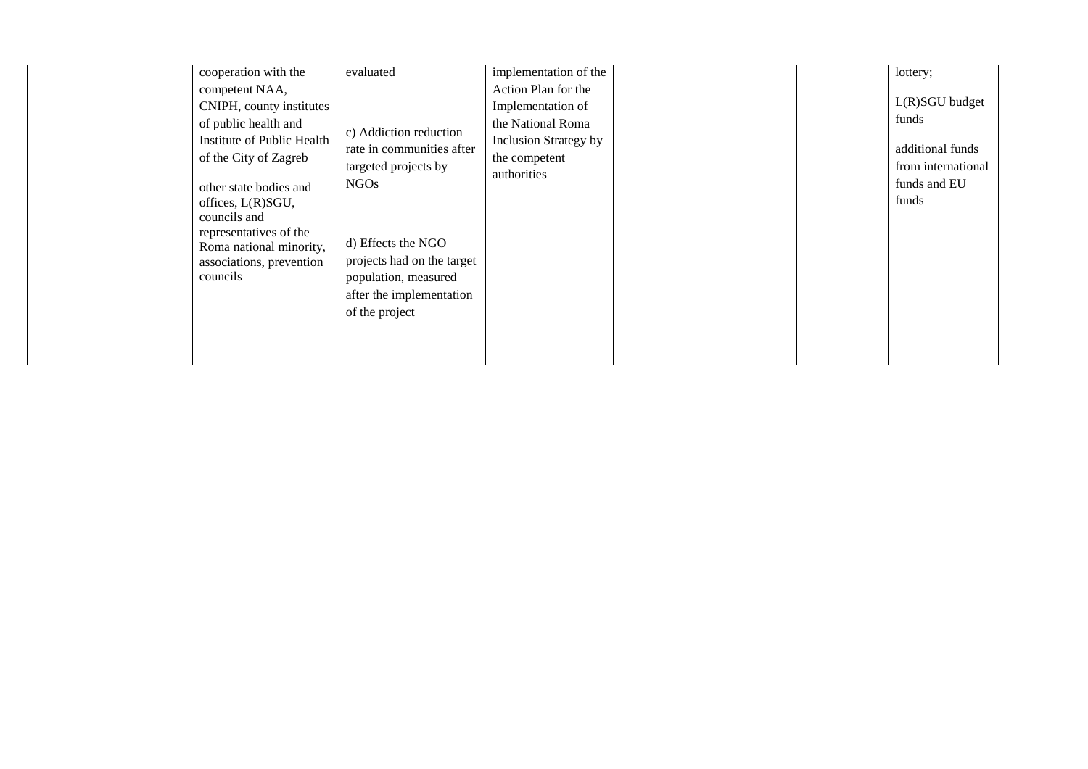| councils and<br>councils | cooperation with the<br>competent NAA,<br>CNIPH, county institutes<br>of public health and<br>Institute of Public Health<br>of the City of Zagreb<br>other state bodies and<br>offices, L(R)SGU,<br>representatives of the<br>Roma national minority,<br>associations, prevention | evaluated<br>c) Addiction reduction<br>rate in communities after<br>targeted projects by<br>NGO <sub>s</sub><br>d) Effects the NGO<br>projects had on the target<br>population, measured | implementation of the<br>Action Plan for the<br>Implementation of<br>the National Roma<br>Inclusion Strategy by<br>the competent<br>authorities |  |  | lottery;<br>$L(R)SGU$ budget<br>funds<br>additional funds<br>from international<br>funds and EU<br>funds |
|--------------------------|-----------------------------------------------------------------------------------------------------------------------------------------------------------------------------------------------------------------------------------------------------------------------------------|------------------------------------------------------------------------------------------------------------------------------------------------------------------------------------------|-------------------------------------------------------------------------------------------------------------------------------------------------|--|--|----------------------------------------------------------------------------------------------------------|
|--------------------------|-----------------------------------------------------------------------------------------------------------------------------------------------------------------------------------------------------------------------------------------------------------------------------------|------------------------------------------------------------------------------------------------------------------------------------------------------------------------------------------|-------------------------------------------------------------------------------------------------------------------------------------------------|--|--|----------------------------------------------------------------------------------------------------------|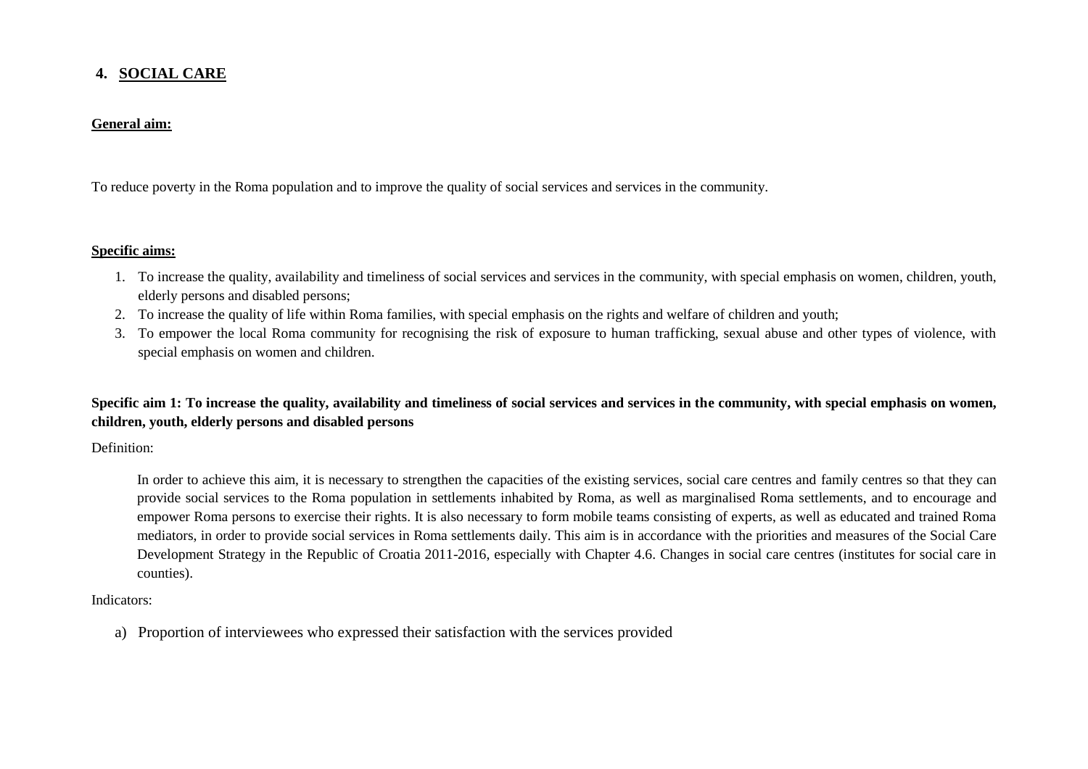## **4. SOCIAL CARE**

## **General aim:**

To reduce poverty in the Roma population and to improve the quality of social services and services in the community.

### **Specific aims:**

- 1. To increase the quality, availability and timeliness of social services and services in the community, with special emphasis on women, children, youth, elderly persons and disabled persons;
- 2. To increase the quality of life within Roma families, with special emphasis on the rights and welfare of children and youth;
- 3. To empower the local Roma community for recognising the risk of exposure to human trafficking, sexual abuse and other types of violence, with special emphasis on women and children.

# **Specific aim 1: To increase the quality, availability and timeliness of social services and services in the community, with special emphasis on women, children, youth, elderly persons and disabled persons**

Definition:

In order to achieve this aim, it is necessary to strengthen the capacities of the existing services, social care centres and family centres so that they can provide social services to the Roma population in settlements inhabited by Roma, as well as marginalised Roma settlements, and to encourage and empower Roma persons to exercise their rights. It is also necessary to form mobile teams consisting of experts, as well as educated and trained Roma mediators, in order to provide social services in Roma settlements daily. This aim is in accordance with the priorities and measures of the Social Care Development Strategy in the Republic of Croatia 2011-2016, especially with Chapter 4.6. Changes in social care centres (institutes for social care in counties).

### Indicators:

a) Proportion of interviewees who expressed their satisfaction with the services provided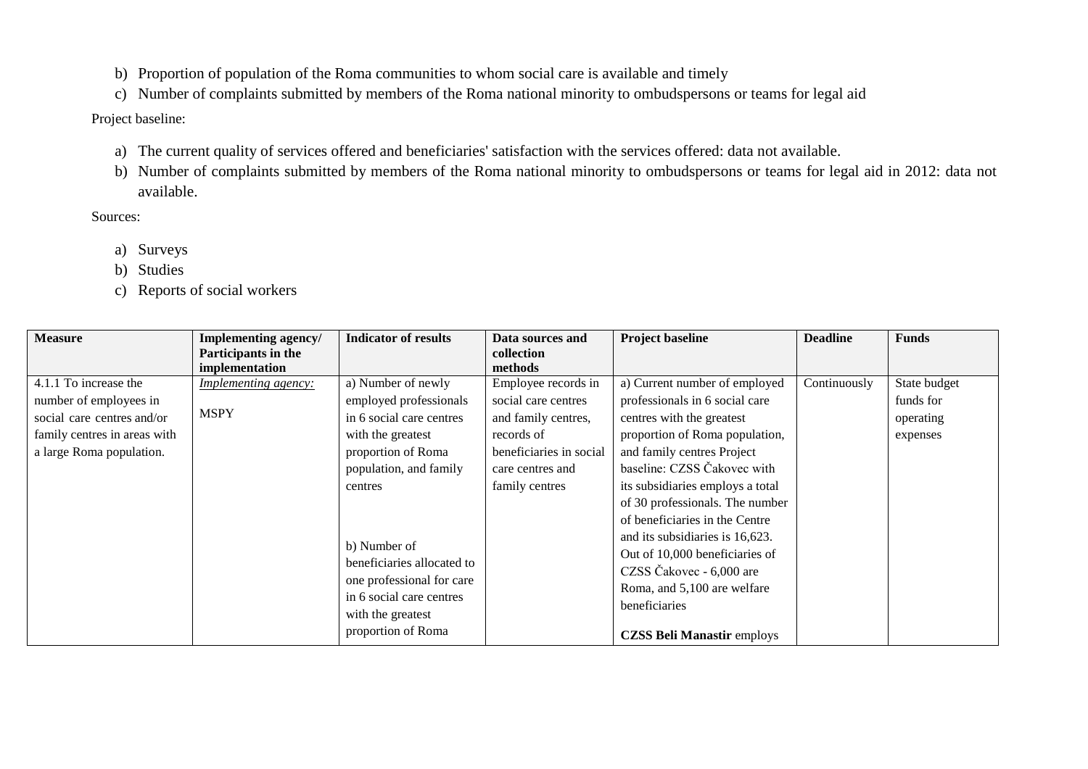- b) Proportion of population of the Roma communities to whom social care is available and timely
- c) Number of complaints submitted by members of the Roma national minority to ombudspersons or teams for legal aid

# Project baseline:

- a) The current quality of services offered and beneficiaries' satisfaction with the services offered: data not available.
- b) Number of complaints submitted by members of the Roma national minority to ombudspersons or teams for legal aid in 2012: data not available.

- a) Surveys
- b) Studies
- c) Reports of social workers

| <b>Measure</b>                                                                                                                            | Implementing agency/<br>Participants in the<br>implementation | <b>Indicator of results</b>                                                                                                                                                                                                                                                                                | Data sources and<br>collection<br>methods                                                                                                        | <b>Project baseline</b>                                                                                                                                                                                                                                                                                                                                                                                                                                                                    | <b>Deadline</b> | <b>Funds</b>                                       |
|-------------------------------------------------------------------------------------------------------------------------------------------|---------------------------------------------------------------|------------------------------------------------------------------------------------------------------------------------------------------------------------------------------------------------------------------------------------------------------------------------------------------------------------|--------------------------------------------------------------------------------------------------------------------------------------------------|--------------------------------------------------------------------------------------------------------------------------------------------------------------------------------------------------------------------------------------------------------------------------------------------------------------------------------------------------------------------------------------------------------------------------------------------------------------------------------------------|-----------------|----------------------------------------------------|
| 4.1.1 To increase the<br>number of employees in<br>social care centres and/or<br>family centres in areas with<br>a large Roma population. | <b>Implementing agency:</b><br><b>MSPY</b>                    | a) Number of newly<br>employed professionals<br>in 6 social care centres<br>with the greatest<br>proportion of Roma<br>population, and family<br>centres<br>b) Number of<br>beneficiaries allocated to<br>one professional for care<br>in 6 social care centres<br>with the greatest<br>proportion of Roma | Employee records in<br>social care centres<br>and family centres,<br>records of<br>beneficiaries in social<br>care centres and<br>family centres | a) Current number of employed<br>professionals in 6 social care<br>centres with the greatest<br>proportion of Roma population,<br>and family centres Project<br>baseline: CZSS Čakovec with<br>its subsidiaries employs a total<br>of 30 professionals. The number<br>of beneficiaries in the Centre<br>and its subsidiaries is 16,623.<br>Out of 10,000 beneficiaries of<br>CZSS Čakovec - 6,000 are<br>Roma, and 5,100 are welfare<br>beneficiaries<br><b>CZSS Beli Manastir employs</b> | Continuously    | State budget<br>funds for<br>operating<br>expenses |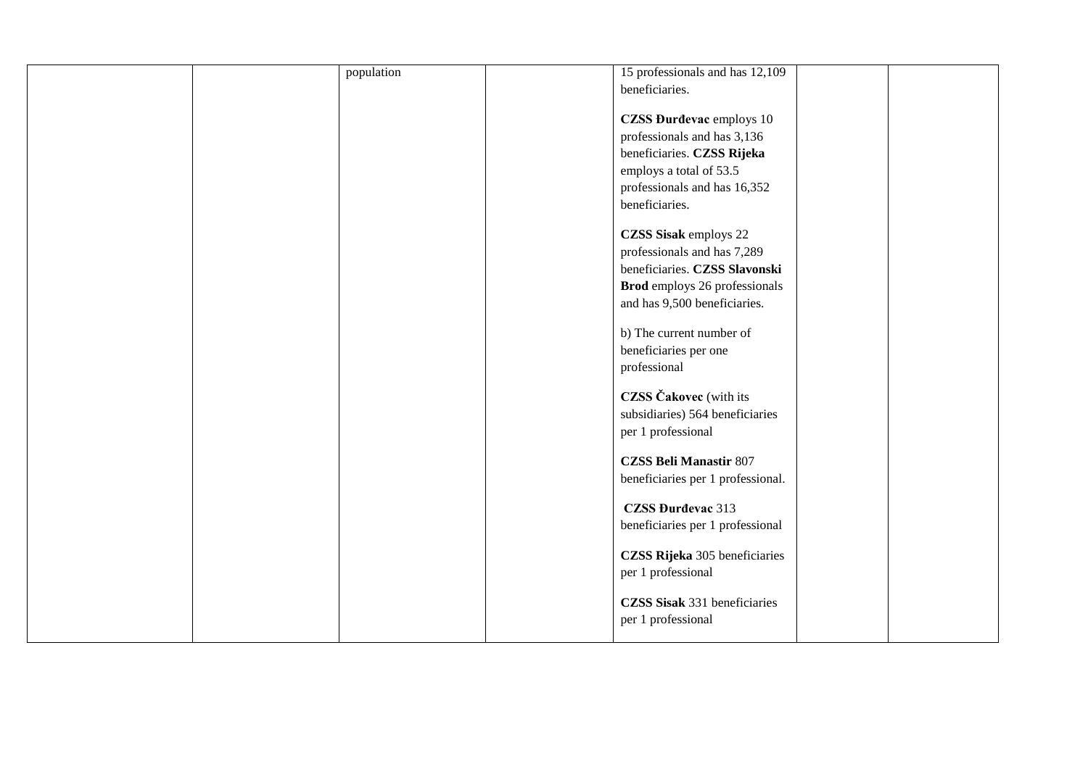|  | population | 15 professionals and has 12,109      |  |
|--|------------|--------------------------------------|--|
|  |            | beneficiaries.                       |  |
|  |            |                                      |  |
|  |            | <b>CZSS Đurđevac</b> employs 10      |  |
|  |            | professionals and has 3,136          |  |
|  |            | beneficiaries. CZSS Rijeka           |  |
|  |            | employs a total of 53.5              |  |
|  |            | professionals and has 16,352         |  |
|  |            | beneficiaries.                       |  |
|  |            |                                      |  |
|  |            | CZSS Sisak employs 22                |  |
|  |            | professionals and has 7,289          |  |
|  |            | beneficiaries. CZSS Slavonski        |  |
|  |            | <b>Brod</b> employs 26 professionals |  |
|  |            | and has 9,500 beneficiaries.         |  |
|  |            |                                      |  |
|  |            | b) The current number of             |  |
|  |            | beneficiaries per one                |  |
|  |            | professional                         |  |
|  |            |                                      |  |
|  |            | <b>CZSS</b> Čakovec (with its        |  |
|  |            | subsidiaries) 564 beneficiaries      |  |
|  |            | per 1 professional                   |  |
|  |            |                                      |  |
|  |            | <b>CZSS Beli Manastir 807</b>        |  |
|  |            | beneficiaries per 1 professional.    |  |
|  |            | <b>CZSS Đurđevac 313</b>             |  |
|  |            | beneficiaries per 1 professional     |  |
|  |            |                                      |  |
|  |            | CZSS Rijeka 305 beneficiaries        |  |
|  |            | per 1 professional                   |  |
|  |            |                                      |  |
|  |            | CZSS Sisak 331 beneficiaries         |  |
|  |            | per 1 professional                   |  |
|  |            |                                      |  |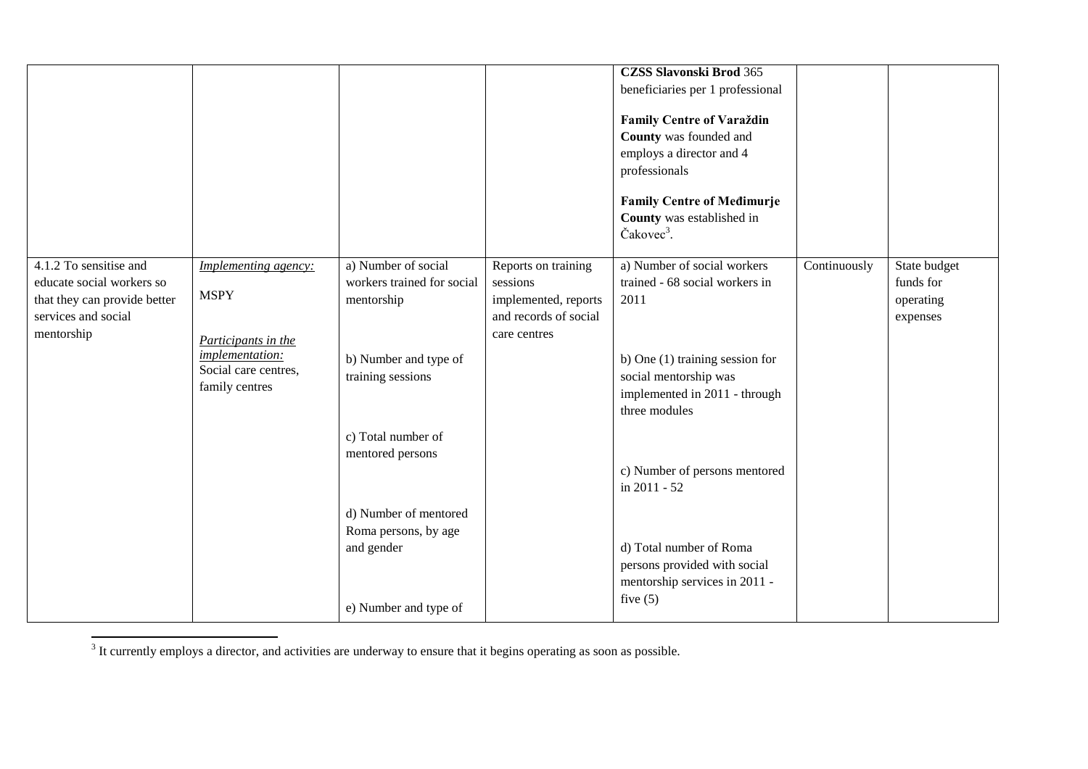|                                                                                                                          |                                                                                                                         |                                                                                                                                                         |                                                                                                  | <b>CZSS Slavonski Brod 365</b><br>beneficiaries per 1 professional<br><b>Family Centre of Varaždin</b><br>County was founded and<br>employs a director and 4<br>professionals<br><b>Family Centre of Medimurje</b><br>County was established in<br>Čakovec <sup>3</sup> . |              |                                                    |
|--------------------------------------------------------------------------------------------------------------------------|-------------------------------------------------------------------------------------------------------------------------|---------------------------------------------------------------------------------------------------------------------------------------------------------|--------------------------------------------------------------------------------------------------|---------------------------------------------------------------------------------------------------------------------------------------------------------------------------------------------------------------------------------------------------------------------------|--------------|----------------------------------------------------|
| 4.1.2 To sensitise and<br>educate social workers so<br>that they can provide better<br>services and social<br>mentorship | Implementing agency:<br><b>MSPY</b><br>Participants in the<br>implementation:<br>Social care centres,<br>family centres | a) Number of social<br>workers trained for social<br>mentorship<br>b) Number and type of<br>training sessions<br>c) Total number of<br>mentored persons | Reports on training<br>sessions<br>implemented, reports<br>and records of social<br>care centres | a) Number of social workers<br>trained - 68 social workers in<br>2011<br>b) One (1) training session for<br>social mentorship was<br>implemented in 2011 - through<br>three modules<br>c) Number of persons mentored<br>in 2011 - 52                                      | Continuously | State budget<br>funds for<br>operating<br>expenses |
|                                                                                                                          |                                                                                                                         | d) Number of mentored<br>Roma persons, by age<br>and gender<br>e) Number and type of                                                                    |                                                                                                  | d) Total number of Roma<br>persons provided with social<br>mentorship services in 2011 -<br>five $(5)$                                                                                                                                                                    |              |                                                    |

<sup>3</sup> It currently employs a director, and activities are underway to ensure that it begins operating as soon as possible.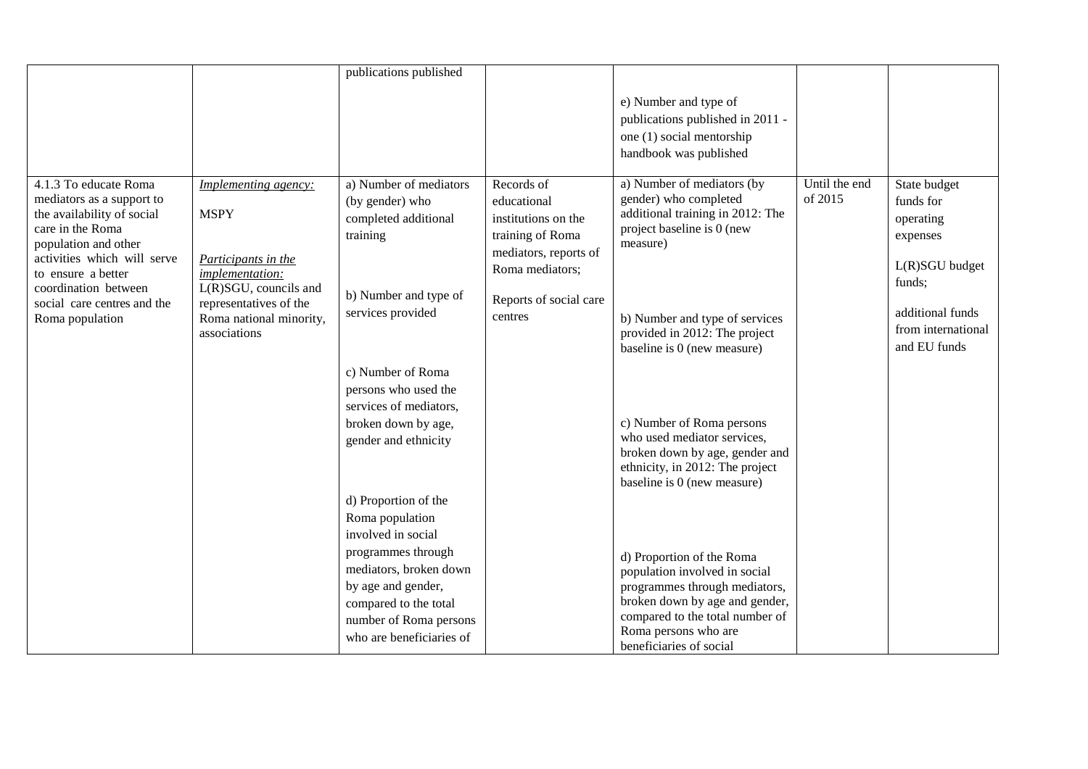|                                                                                                                                                                                                                                                             |                                                                                                                                                                             | publications published                                                                                                                                                                                                                                                                                                                                                                                                                                                  |                                                                                                                                                       |                                                                                                                                                                                                                                                                                                                                                                                                                                                                                                                                                                                                                            |                          |                                                                                                                                          |
|-------------------------------------------------------------------------------------------------------------------------------------------------------------------------------------------------------------------------------------------------------------|-----------------------------------------------------------------------------------------------------------------------------------------------------------------------------|-------------------------------------------------------------------------------------------------------------------------------------------------------------------------------------------------------------------------------------------------------------------------------------------------------------------------------------------------------------------------------------------------------------------------------------------------------------------------|-------------------------------------------------------------------------------------------------------------------------------------------------------|----------------------------------------------------------------------------------------------------------------------------------------------------------------------------------------------------------------------------------------------------------------------------------------------------------------------------------------------------------------------------------------------------------------------------------------------------------------------------------------------------------------------------------------------------------------------------------------------------------------------------|--------------------------|------------------------------------------------------------------------------------------------------------------------------------------|
|                                                                                                                                                                                                                                                             |                                                                                                                                                                             |                                                                                                                                                                                                                                                                                                                                                                                                                                                                         |                                                                                                                                                       | e) Number and type of<br>publications published in 2011 -<br>one (1) social mentorship<br>handbook was published                                                                                                                                                                                                                                                                                                                                                                                                                                                                                                           |                          |                                                                                                                                          |
| 4.1.3 To educate Roma<br>mediators as a support to<br>the availability of social<br>care in the Roma<br>population and other<br>activities which will serve<br>to ensure a better<br>coordination between<br>social care centres and the<br>Roma population | Implementing agency:<br><b>MSPY</b><br>Participants in the<br>implementation:<br>L(R)SGU, councils and<br>representatives of the<br>Roma national minority,<br>associations | a) Number of mediators<br>(by gender) who<br>completed additional<br>training<br>b) Number and type of<br>services provided<br>c) Number of Roma<br>persons who used the<br>services of mediators,<br>broken down by age,<br>gender and ethnicity<br>d) Proportion of the<br>Roma population<br>involved in social<br>programmes through<br>mediators, broken down<br>by age and gender,<br>compared to the total<br>number of Roma persons<br>who are beneficiaries of | Records of<br>educational<br>institutions on the<br>training of Roma<br>mediators, reports of<br>Roma mediators;<br>Reports of social care<br>centres | a) Number of mediators (by<br>gender) who completed<br>additional training in 2012: The<br>project baseline is 0 (new<br>measure)<br>b) Number and type of services<br>provided in 2012: The project<br>baseline is 0 (new measure)<br>c) Number of Roma persons<br>who used mediator services,<br>broken down by age, gender and<br>ethnicity, in 2012: The project<br>baseline is 0 (new measure)<br>d) Proportion of the Roma<br>population involved in social<br>programmes through mediators,<br>broken down by age and gender,<br>compared to the total number of<br>Roma persons who are<br>beneficiaries of social | Until the end<br>of 2015 | State budget<br>funds for<br>operating<br>expenses<br>L(R)SGU budget<br>funds;<br>additional funds<br>from international<br>and EU funds |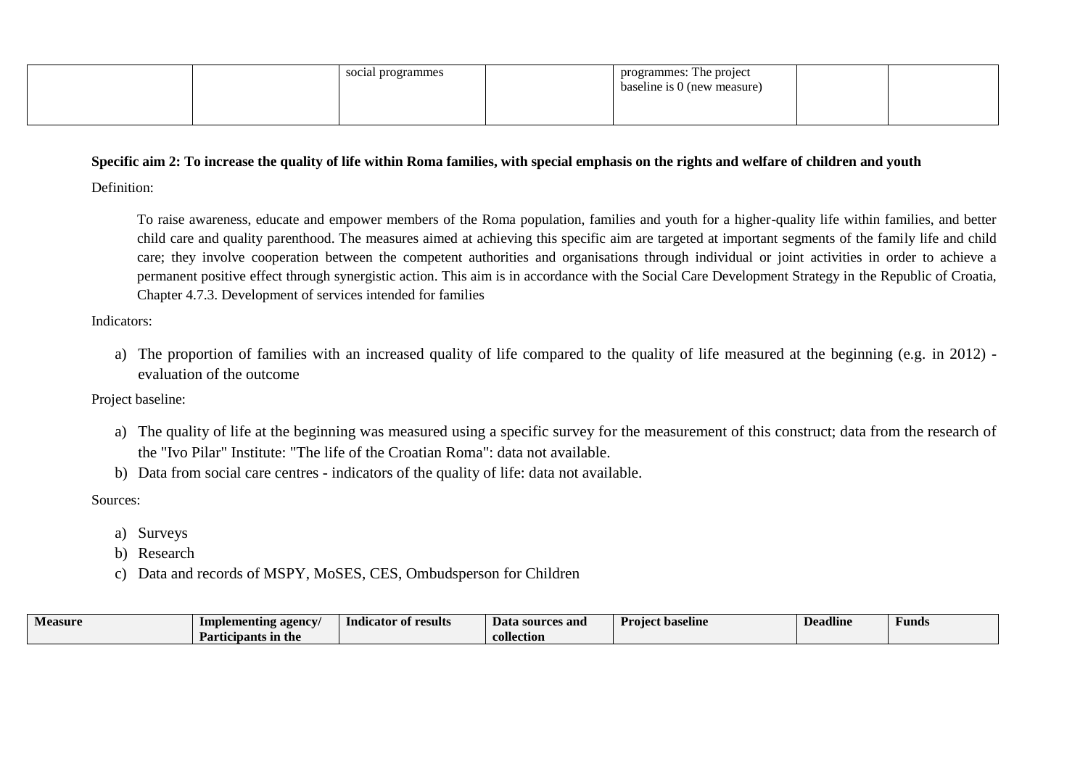|  | social programmes | programmes: The project<br>baseline is 0 (new measure) |  |
|--|-------------------|--------------------------------------------------------|--|
|  |                   |                                                        |  |

## **Specific aim 2: To increase the quality of life within Roma families, with special emphasis on the rights and welfare of children and youth**

Definition:

To raise awareness, educate and empower members of the Roma population, families and youth for a higher-quality life within families, and better child care and quality parenthood. The measures aimed at achieving this specific aim are targeted at important segments of the family life and child care; they involve cooperation between the competent authorities and organisations through individual or joint activities in order to achieve a permanent positive effect through synergistic action. This aim is in accordance with the Social Care Development Strategy in the Republic of Croatia, Chapter 4.7.3. Development of services intended for families

Indicators:

a) The proportion of families with an increased quality of life compared to the quality of life measured at the beginning (e.g. in 2012) evaluation of the outcome

Project baseline:

- a) The quality of life at the beginning was measured using a specific survey for the measurement of this construct; data from the research of the "Ivo Pilar" Institute: "The life of the Croatian Roma": data not available.
- b) Data from social care centres indicators of the quality of life: data not available.

- a) Surveys
- b) Research
- c) Data and records of MSPY, MoSES, CES, Ombudsperson for Children

| <b>B</b> <i>B</i><br>Measure | Implementing agency/ | $\bullet$<br>of results<br><b>Indicator</b> | Data sources and | <b>Project</b><br>baseline | Deadline | Funds |
|------------------------------|----------------------|---------------------------------------------|------------------|----------------------------|----------|-------|
|                              | Participants in the  |                                             | collection       |                            |          |       |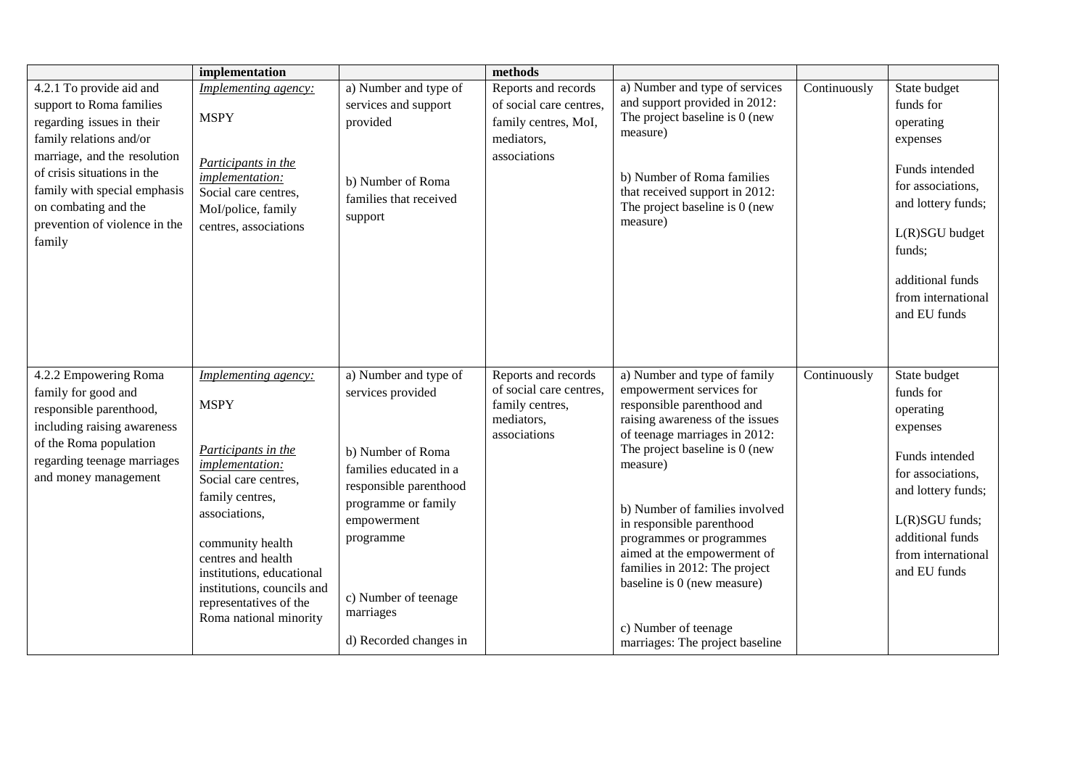|                                                                                                                                                                                                                                                                                | implementation                                                                                                                                                                                                                                                                                            |                                                                                                                                                                                                                                       | methods                                                                                              |                                                                                                                                                                                                                                                                                                                                                                                                                                                               |              |                                                                                                                                                                                                       |
|--------------------------------------------------------------------------------------------------------------------------------------------------------------------------------------------------------------------------------------------------------------------------------|-----------------------------------------------------------------------------------------------------------------------------------------------------------------------------------------------------------------------------------------------------------------------------------------------------------|---------------------------------------------------------------------------------------------------------------------------------------------------------------------------------------------------------------------------------------|------------------------------------------------------------------------------------------------------|---------------------------------------------------------------------------------------------------------------------------------------------------------------------------------------------------------------------------------------------------------------------------------------------------------------------------------------------------------------------------------------------------------------------------------------------------------------|--------------|-------------------------------------------------------------------------------------------------------------------------------------------------------------------------------------------------------|
| 4.2.1 To provide aid and<br>support to Roma families<br>regarding issues in their<br>family relations and/or<br>marriage, and the resolution<br>of crisis situations in the<br>family with special emphasis<br>on combating and the<br>prevention of violence in the<br>family | Implementing agency:<br><b>MSPY</b><br>Participants in the<br>implementation:<br>Social care centres,<br>Mol/police, family<br>centres, associations                                                                                                                                                      | a) Number and type of<br>services and support<br>provided<br>b) Number of Roma<br>families that received<br>support                                                                                                                   | Reports and records<br>of social care centres,<br>family centres, MoI,<br>mediators,<br>associations | a) Number and type of services<br>and support provided in 2012:<br>The project baseline is 0 (new<br>measure)<br>b) Number of Roma families<br>that received support in 2012:<br>The project baseline is 0 (new<br>measure)                                                                                                                                                                                                                                   | Continuously | State budget<br>funds for<br>operating<br>expenses<br>Funds intended<br>for associations,<br>and lottery funds;<br>L(R)SGU budget<br>funds;<br>additional funds<br>from international<br>and EU funds |
| 4.2.2 Empowering Roma<br>family for good and<br>responsible parenthood,<br>including raising awareness<br>of the Roma population<br>regarding teenage marriages<br>and money management                                                                                        | Implementing agency:<br><b>MSPY</b><br>Participants in the<br><i>implementation:</i><br>Social care centres,<br>family centres,<br>associations,<br>community health<br>centres and health<br>institutions, educational<br>institutions, councils and<br>representatives of the<br>Roma national minority | a) Number and type of<br>services provided<br>b) Number of Roma<br>families educated in a<br>responsible parenthood<br>programme or family<br>empowerment<br>programme<br>c) Number of teenage<br>marriages<br>d) Recorded changes in | Reports and records<br>of social care centres,<br>family centres,<br>mediators,<br>associations      | a) Number and type of family<br>empowerment services for<br>responsible parenthood and<br>raising awareness of the issues<br>of teenage marriages in 2012:<br>The project baseline is 0 (new<br>measure)<br>b) Number of families involved<br>in responsible parenthood<br>programmes or programmes<br>aimed at the empowerment of<br>families in 2012: The project<br>baseline is 0 (new measure)<br>c) Number of teenage<br>marriages: The project baseline | Continuously | State budget<br>funds for<br>operating<br>expenses<br>Funds intended<br>for associations,<br>and lottery funds;<br>L(R)SGU funds;<br>additional funds<br>from international<br>and EU funds           |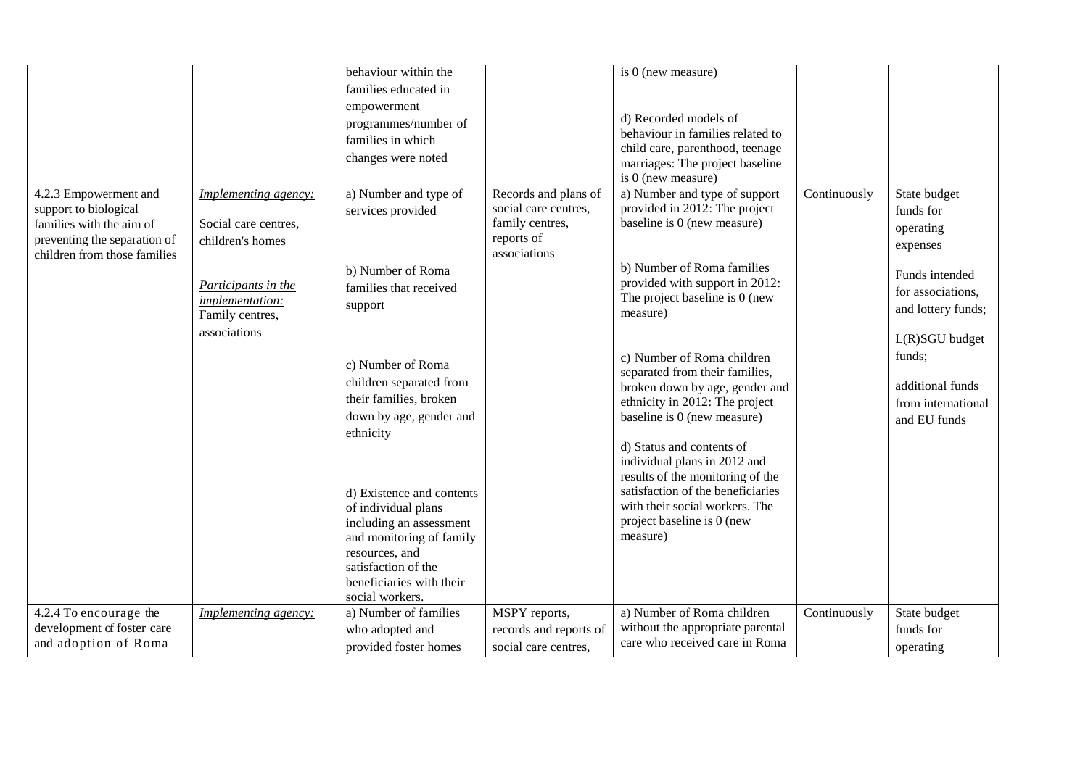|                              |                      | behaviour within the                           |                        | is $0$ (new measure)                                                  |              |                    |
|------------------------------|----------------------|------------------------------------------------|------------------------|-----------------------------------------------------------------------|--------------|--------------------|
|                              |                      | families educated in                           |                        |                                                                       |              |                    |
|                              |                      | empowerment                                    |                        |                                                                       |              |                    |
|                              |                      | programmes/number of                           |                        | d) Recorded models of<br>behaviour in families related to             |              |                    |
|                              |                      | families in which                              |                        | child care, parenthood, teenage                                       |              |                    |
|                              |                      | changes were noted                             |                        | marriages: The project baseline                                       |              |                    |
|                              |                      |                                                |                        | is $0$ (new measure)                                                  |              |                    |
| 4.2.3 Empowerment and        | Implementing agency: | a) Number and type of                          | Records and plans of   | a) Number and type of support                                         | Continuously | State budget       |
| support to biological        |                      | services provided                              | social care centres,   | provided in 2012: The project                                         |              | funds for          |
| families with the aim of     | Social care centres, |                                                | family centres,        | baseline is 0 (new measure)                                           |              | operating          |
| preventing the separation of | children's homes     |                                                | reports of             |                                                                       |              | expenses           |
| children from those families |                      |                                                | associations           |                                                                       |              |                    |
|                              |                      | b) Number of Roma                              |                        | b) Number of Roma families                                            |              | Funds intended     |
|                              | Participants in the  | families that received                         |                        | provided with support in 2012:                                        |              | for associations,  |
|                              | implementation:      | support                                        |                        | The project baseline is 0 (new                                        |              | and lottery funds; |
|                              | Family centres,      |                                                |                        | measure)                                                              |              |                    |
|                              | associations         |                                                |                        |                                                                       |              | L(R)SGU budget     |
|                              |                      |                                                |                        | c) Number of Roma children                                            |              | funds;             |
|                              |                      | c) Number of Roma                              |                        | separated from their families,                                        |              |                    |
|                              |                      | children separated from                        |                        | broken down by age, gender and                                        |              | additional funds   |
|                              |                      | their families, broken                         |                        | ethnicity in 2012: The project                                        |              | from international |
|                              |                      | down by age, gender and                        |                        | baseline is 0 (new measure)                                           |              | and EU funds       |
|                              |                      | ethnicity                                      |                        |                                                                       |              |                    |
|                              |                      |                                                |                        | d) Status and contents of                                             |              |                    |
|                              |                      |                                                |                        | individual plans in 2012 and                                          |              |                    |
|                              |                      |                                                |                        | results of the monitoring of the<br>satisfaction of the beneficiaries |              |                    |
|                              |                      | d) Existence and contents                      |                        | with their social workers. The                                        |              |                    |
|                              |                      | of individual plans<br>including an assessment |                        | project baseline is 0 (new                                            |              |                    |
|                              |                      | and monitoring of family                       |                        | measure)                                                              |              |                    |
|                              |                      | resources, and                                 |                        |                                                                       |              |                    |
|                              |                      | satisfaction of the                            |                        |                                                                       |              |                    |
|                              |                      | beneficiaries with their                       |                        |                                                                       |              |                    |
|                              |                      | social workers.                                |                        |                                                                       |              |                    |
| 4.2.4 To encourage the       | Implementing agency: | a) Number of families                          | MSPY reports,          | a) Number of Roma children                                            | Continuously | State budget       |
| development of foster care   |                      | who adopted and                                | records and reports of | without the appropriate parental                                      |              | funds for          |
| and adoption of Roma         |                      | provided foster homes                          | social care centres,   | care who received care in Roma                                        |              | operating          |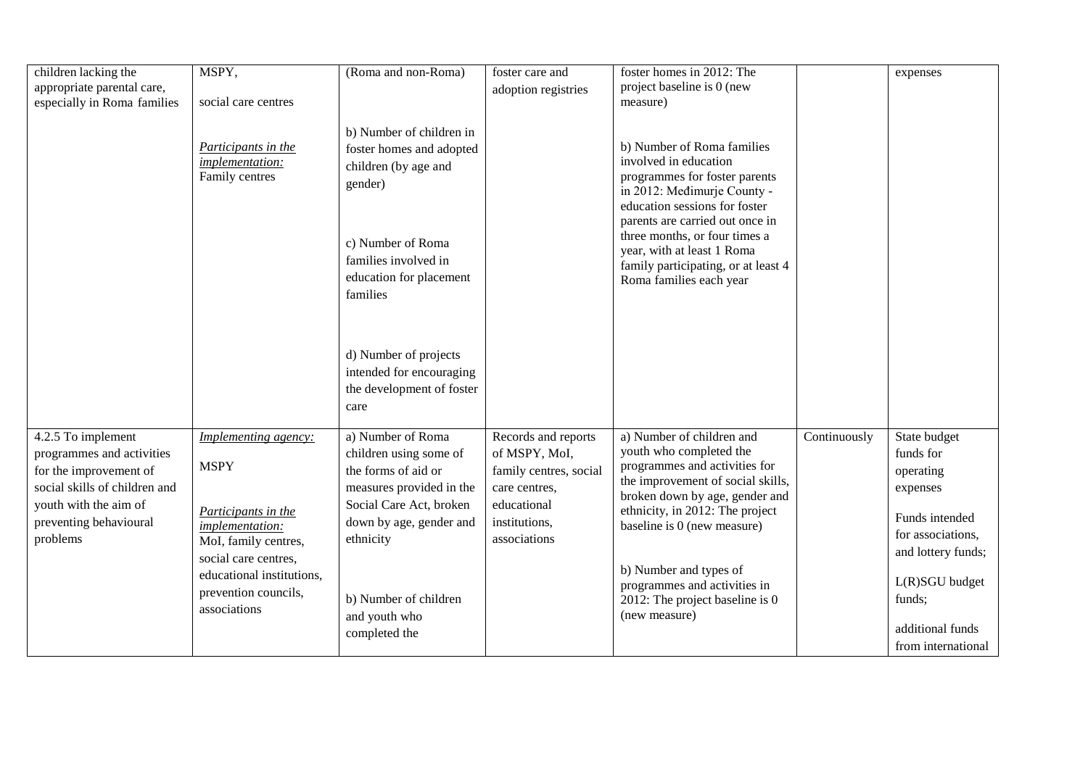| children lacking the                                                                                                                                          | MSPY,                                                                  | (Roma and non-Roma)                                                                                                                                  | foster care and                                                                                                 | foster homes in 2012: The                                                                                                                                                                       |              | expenses                                                             |
|---------------------------------------------------------------------------------------------------------------------------------------------------------------|------------------------------------------------------------------------|------------------------------------------------------------------------------------------------------------------------------------------------------|-----------------------------------------------------------------------------------------------------------------|-------------------------------------------------------------------------------------------------------------------------------------------------------------------------------------------------|--------------|----------------------------------------------------------------------|
| appropriate parental care,                                                                                                                                    |                                                                        |                                                                                                                                                      | adoption registries                                                                                             | project baseline is 0 (new                                                                                                                                                                      |              |                                                                      |
| especially in Roma families                                                                                                                                   | social care centres                                                    |                                                                                                                                                      |                                                                                                                 | measure)                                                                                                                                                                                        |              |                                                                      |
|                                                                                                                                                               | Participants in the<br>implementation:<br>Family centres               | b) Number of children in<br>foster homes and adopted<br>children (by age and<br>gender)                                                              |                                                                                                                 | b) Number of Roma families<br>involved in education<br>programmes for foster parents<br>in 2012: Medimurje County -<br>education sessions for foster                                            |              |                                                                      |
|                                                                                                                                                               |                                                                        | c) Number of Roma<br>families involved in<br>education for placement<br>families                                                                     |                                                                                                                 | parents are carried out once in<br>three months, or four times a<br>year, with at least 1 Roma<br>family participating, or at least 4<br>Roma families each year                                |              |                                                                      |
|                                                                                                                                                               |                                                                        | d) Number of projects<br>intended for encouraging<br>the development of foster<br>care                                                               |                                                                                                                 |                                                                                                                                                                                                 |              |                                                                      |
| 4.2.5 To implement<br>programmes and activities<br>for the improvement of<br>social skills of children and<br>youth with the aim of<br>preventing behavioural | Implementing agency:<br><b>MSPY</b><br>Participants in the             | a) Number of Roma<br>children using some of<br>the forms of aid or<br>measures provided in the<br>Social Care Act, broken<br>down by age, gender and | Records and reports<br>of MSPY, MoI,<br>family centres, social<br>care centres,<br>educational<br>institutions, | a) Number of children and<br>youth who completed the<br>programmes and activities for<br>the improvement of social skills,<br>broken down by age, gender and<br>ethnicity, in 2012: The project | Continuously | State budget<br>funds for<br>operating<br>expenses<br>Funds intended |
| problems                                                                                                                                                      | <i>implementation:</i><br>MoI, family centres,<br>social care centres, | ethnicity                                                                                                                                            | associations                                                                                                    | baseline is 0 (new measure)                                                                                                                                                                     |              | for associations,<br>and lottery funds;                              |
|                                                                                                                                                               | educational institutions,<br>prevention councils,<br>associations      | b) Number of children<br>and youth who                                                                                                               |                                                                                                                 | b) Number and types of<br>programmes and activities in<br>2012: The project baseline is 0<br>(new measure)                                                                                      |              | $L(R)SGU$ budget<br>funds;                                           |
|                                                                                                                                                               |                                                                        | completed the                                                                                                                                        |                                                                                                                 |                                                                                                                                                                                                 |              | additional funds<br>from international                               |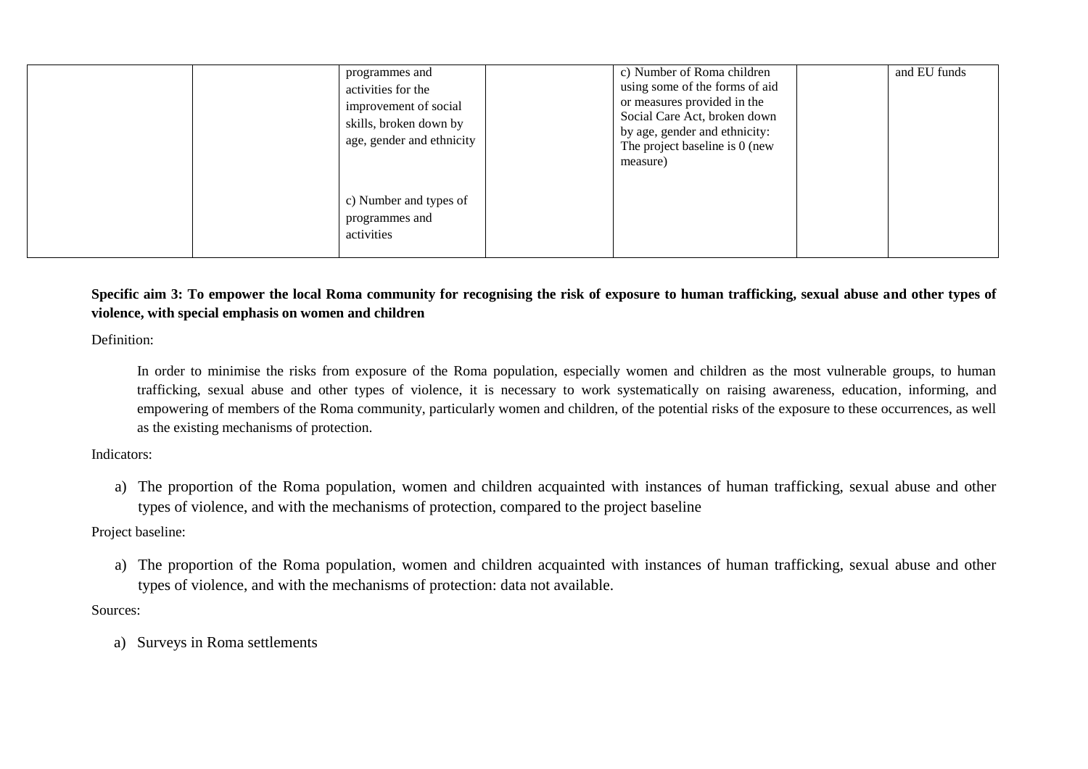| programmes and<br>activities for the<br>improvement of social<br>skills, broken down by<br>age, gender and ethnicity | c) Number of Roma children<br>using some of the forms of aid<br>or measures provided in the<br>Social Care Act, broken down<br>by age, gender and ethnicity:<br>The project baseline is 0 (new<br>measure) | and EU funds |
|----------------------------------------------------------------------------------------------------------------------|------------------------------------------------------------------------------------------------------------------------------------------------------------------------------------------------------------|--------------|
| c) Number and types of<br>programmes and<br>activities                                                               |                                                                                                                                                                                                            |              |

# **Specific aim 3: To empower the local Roma community for recognising the risk of exposure to human trafficking, sexual abuse and other types of violence, with special emphasis on women and children**

Definition:

In order to minimise the risks from exposure of the Roma population, especially women and children as the most vulnerable groups, to human trafficking, sexual abuse and other types of violence, it is necessary to work systematically on raising awareness, education, informing, and empowering of members of the Roma community, particularly women and children, of the potential risks of the exposure to these occurrences, as well as the existing mechanisms of protection.

Indicators:

a) The proportion of the Roma population, women and children acquainted with instances of human trafficking, sexual abuse and other types of violence, and with the mechanisms of protection, compared to the project baseline

Project baseline:

a) The proportion of the Roma population, women and children acquainted with instances of human trafficking, sexual abuse and other types of violence, and with the mechanisms of protection: data not available.

Sources:

a) Surveys in Roma settlements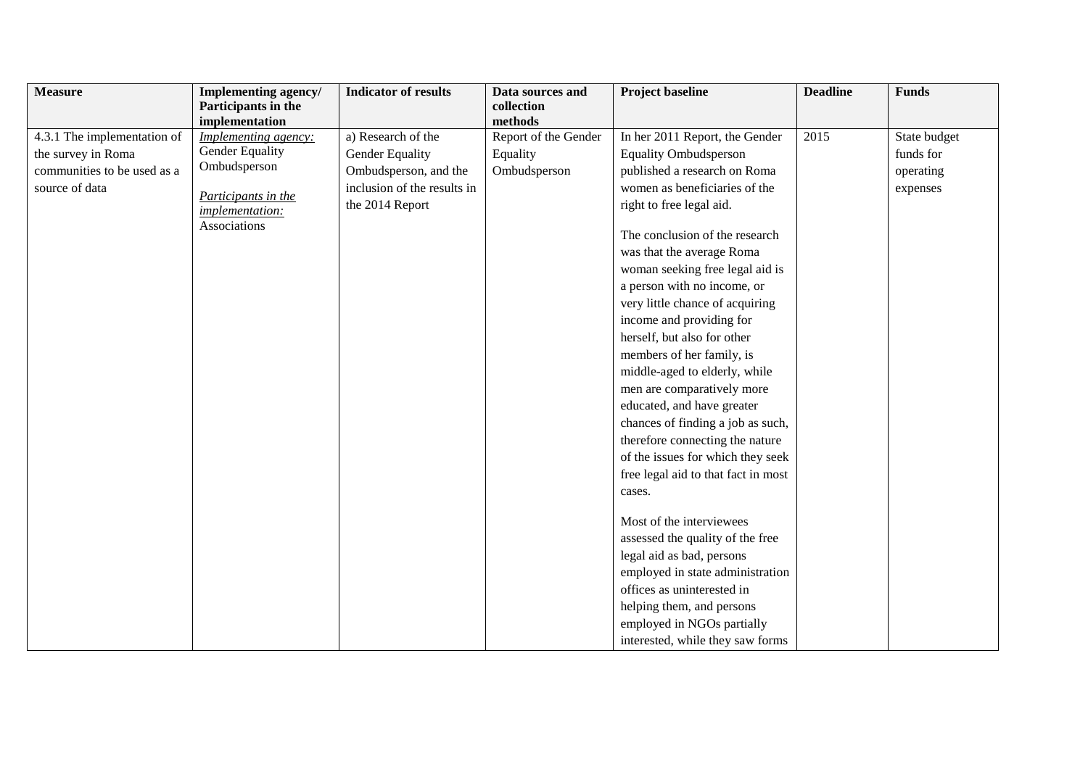| <b>Measure</b>              | Implementing agency/   | <b>Indicator of results</b> | Data sources and     | <b>Project baseline</b>             | <b>Deadline</b> | <b>Funds</b> |
|-----------------------------|------------------------|-----------------------------|----------------------|-------------------------------------|-----------------|--------------|
|                             | Participants in the    |                             | collection           |                                     |                 |              |
|                             | implementation         |                             | methods              |                                     |                 |              |
| 4.3.1 The implementation of | Implementing agency:   | a) Research of the          | Report of the Gender | In her 2011 Report, the Gender      | 2015            | State budget |
| the survey in Roma          | <b>Gender Equality</b> | Gender Equality             | Equality             | <b>Equality Ombudsperson</b>        |                 | funds for    |
| communities to be used as a | Ombudsperson           | Ombudsperson, and the       | Ombudsperson         | published a research on Roma        |                 | operating    |
| source of data              | Participants in the    | inclusion of the results in |                      | women as beneficiaries of the       |                 | expenses     |
|                             | implementation:        | the 2014 Report             |                      | right to free legal aid.            |                 |              |
|                             | Associations           |                             |                      |                                     |                 |              |
|                             |                        |                             |                      | The conclusion of the research      |                 |              |
|                             |                        |                             |                      | was that the average Roma           |                 |              |
|                             |                        |                             |                      | woman seeking free legal aid is     |                 |              |
|                             |                        |                             |                      | a person with no income, or         |                 |              |
|                             |                        |                             |                      | very little chance of acquiring     |                 |              |
|                             |                        |                             |                      | income and providing for            |                 |              |
|                             |                        |                             |                      | herself, but also for other         |                 |              |
|                             |                        |                             |                      | members of her family, is           |                 |              |
|                             |                        |                             |                      | middle-aged to elderly, while       |                 |              |
|                             |                        |                             |                      | men are comparatively more          |                 |              |
|                             |                        |                             |                      | educated, and have greater          |                 |              |
|                             |                        |                             |                      | chances of finding a job as such,   |                 |              |
|                             |                        |                             |                      | therefore connecting the nature     |                 |              |
|                             |                        |                             |                      | of the issues for which they seek   |                 |              |
|                             |                        |                             |                      | free legal aid to that fact in most |                 |              |
|                             |                        |                             |                      | cases.                              |                 |              |
|                             |                        |                             |                      |                                     |                 |              |
|                             |                        |                             |                      | Most of the interviewees            |                 |              |
|                             |                        |                             |                      | assessed the quality of the free    |                 |              |
|                             |                        |                             |                      | legal aid as bad, persons           |                 |              |
|                             |                        |                             |                      | employed in state administration    |                 |              |
|                             |                        |                             |                      | offices as uninterested in          |                 |              |
|                             |                        |                             |                      | helping them, and persons           |                 |              |
|                             |                        |                             |                      | employed in NGOs partially          |                 |              |
|                             |                        |                             |                      | interested, while they saw forms    |                 |              |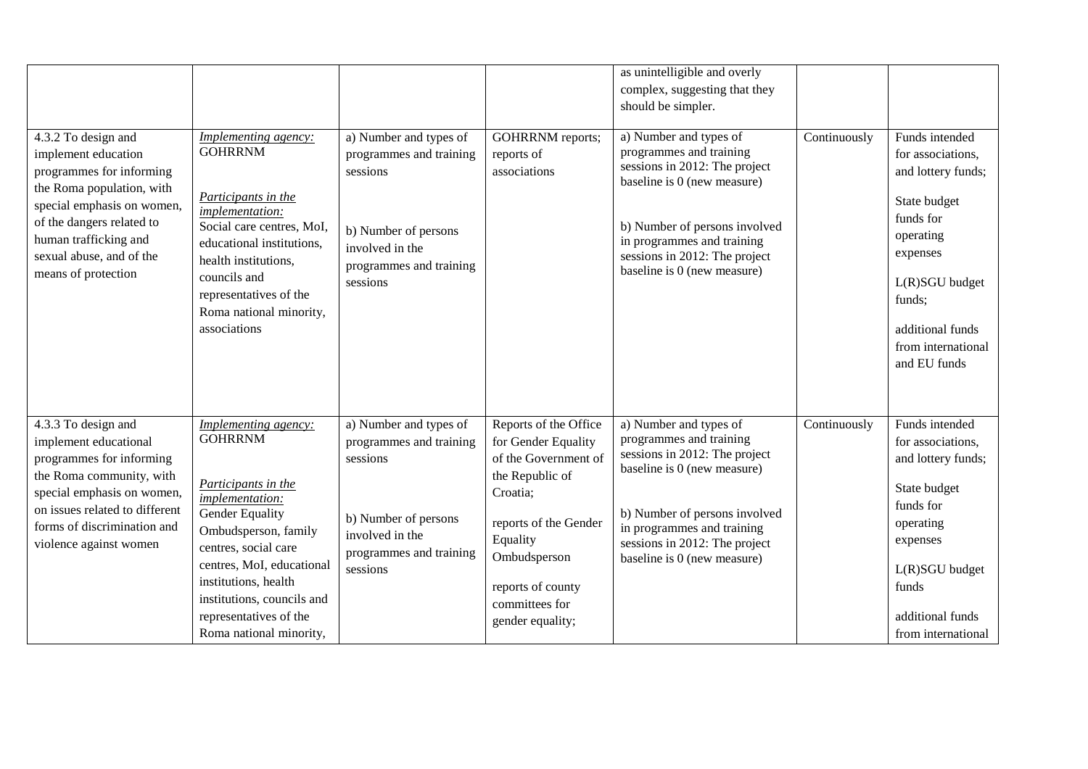| 4.3.2 To design and<br>implement education<br>programmes for informing<br>the Roma population, with<br>special emphasis on women,<br>of the dangers related to<br>human trafficking and<br>sexual abuse, and of the<br>means of protection | <b>Implementing agency:</b><br><b>GOHRRNM</b><br>Participants in the<br>implementation:<br>Social care centres, MoI,<br>educational institutions,<br>health institutions,<br>councils and<br>representatives of the<br>Roma national minority,<br>associations                              | a) Number and types of<br>programmes and training<br>sessions<br>b) Number of persons<br>involved in the<br>programmes and training<br>sessions | GOHRRNM reports;<br>reports of<br>associations                                                                                                                                                                      | as unintelligible and overly<br>complex, suggesting that they<br>should be simpler.<br>a) Number and types of<br>programmes and training<br>sessions in 2012: The project<br>baseline is 0 (new measure)<br>b) Number of persons involved<br>in programmes and training<br>sessions in 2012: The project<br>baseline is 0 (new measure) | Continuously | Funds intended<br>for associations,<br>and lottery funds;<br>State budget<br>funds for<br>operating<br>expenses<br>L(R)SGU budget<br>funds;<br>additional funds<br>from international<br>and EU funds |
|--------------------------------------------------------------------------------------------------------------------------------------------------------------------------------------------------------------------------------------------|---------------------------------------------------------------------------------------------------------------------------------------------------------------------------------------------------------------------------------------------------------------------------------------------|-------------------------------------------------------------------------------------------------------------------------------------------------|---------------------------------------------------------------------------------------------------------------------------------------------------------------------------------------------------------------------|-----------------------------------------------------------------------------------------------------------------------------------------------------------------------------------------------------------------------------------------------------------------------------------------------------------------------------------------|--------------|-------------------------------------------------------------------------------------------------------------------------------------------------------------------------------------------------------|
| 4.3.3 To design and<br>implement educational<br>programmes for informing<br>the Roma community, with<br>special emphasis on women,<br>on issues related to different<br>forms of discrimination and<br>violence against women              | Implementing agency:<br><b>GOHRRNM</b><br>Participants in the<br>implementation:<br>Gender Equality<br>Ombudsperson, family<br>centres, social care<br>centres, MoI, educational<br>institutions, health<br>institutions, councils and<br>representatives of the<br>Roma national minority, | a) Number and types of<br>programmes and training<br>sessions<br>b) Number of persons<br>involved in the<br>programmes and training<br>sessions | Reports of the Office<br>for Gender Equality<br>of the Government of<br>the Republic of<br>Croatia;<br>reports of the Gender<br>Equality<br>Ombudsperson<br>reports of county<br>committees for<br>gender equality; | a) Number and types of<br>programmes and training<br>sessions in 2012: The project<br>baseline is 0 (new measure)<br>b) Number of persons involved<br>in programmes and training<br>sessions in 2012: The project<br>baseline is 0 (new measure)                                                                                        | Continuously | Funds intended<br>for associations,<br>and lottery funds;<br>State budget<br>funds for<br>operating<br>expenses<br>L(R)SGU budget<br>funds<br>additional funds<br>from international                  |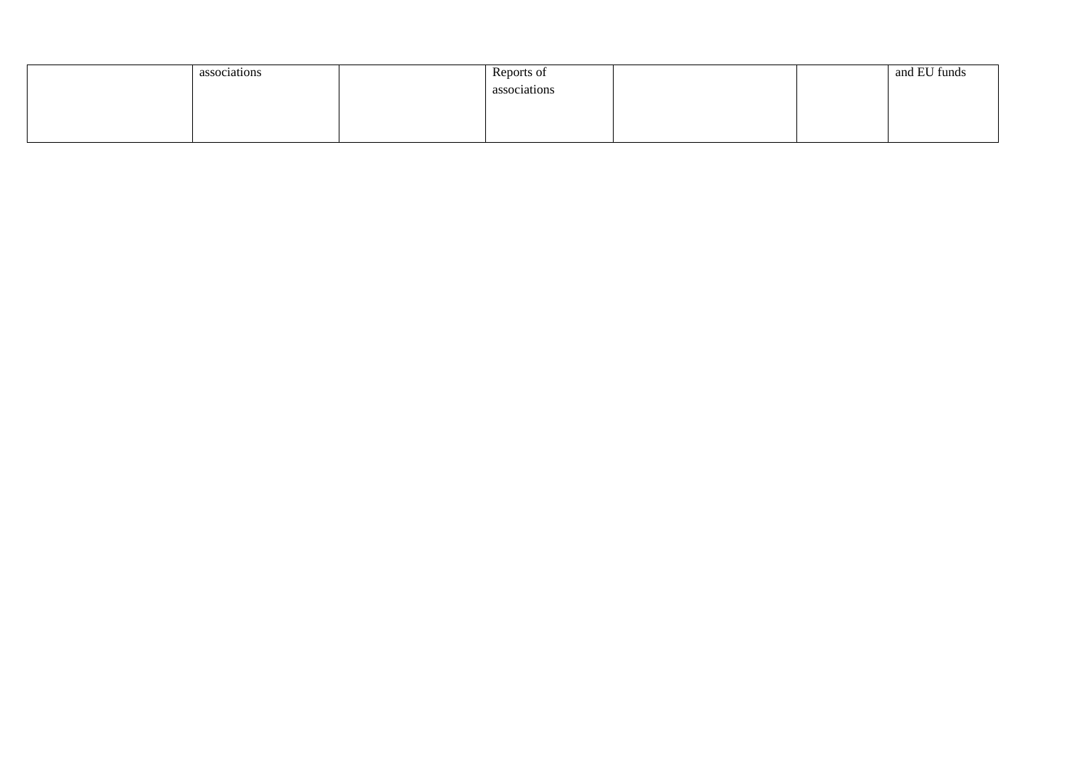| associations | Reports of   | and EU funds |
|--------------|--------------|--------------|
|              | associations |              |
|              |              |              |
|              |              |              |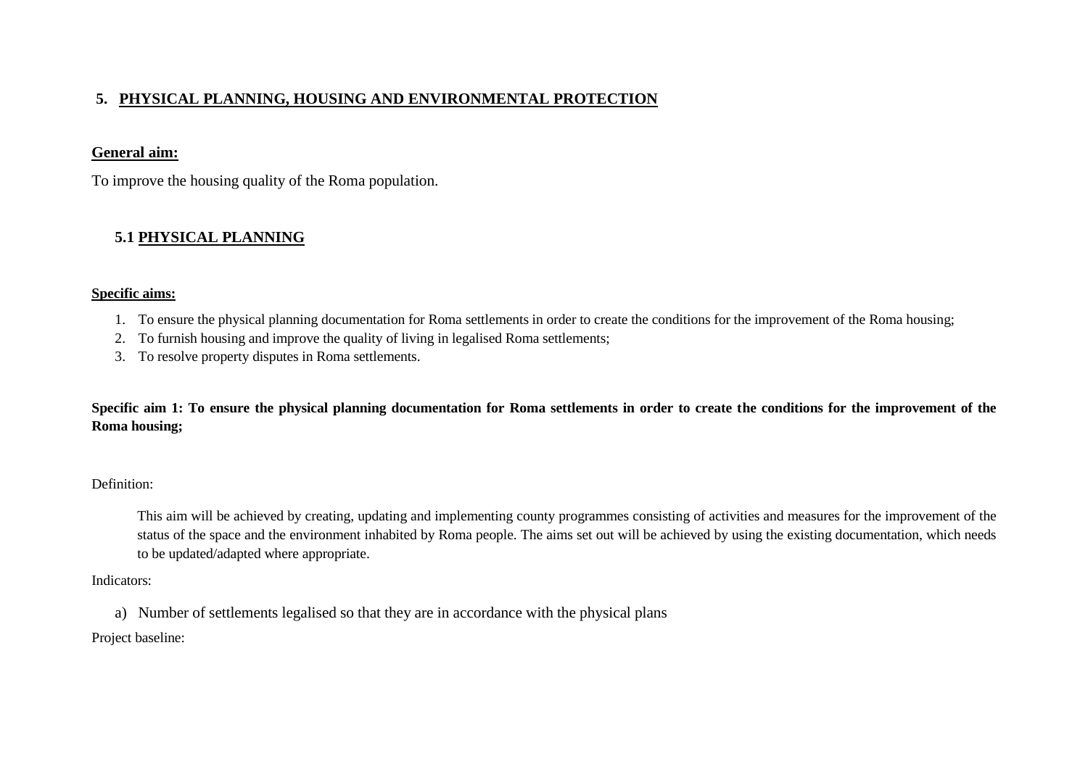# **5. PHYSICAL PLANNING, HOUSING AND ENVIRONMENTAL PROTECTION**

## **General aim:**

To improve the housing quality of the Roma population.

# **5.1 PHYSICAL PLANNING**

### **Specific aims:**

- 1. To ensure the physical planning documentation for Roma settlements in order to create the conditions for the improvement of the Roma housing;
- 2. To furnish housing and improve the quality of living in legalised Roma settlements;
- 3. To resolve property disputes in Roma settlements.

**Specific aim 1: To ensure the physical planning documentation for Roma settlements in order to create the conditions for the improvement of the Roma housing;**

## Definition:

This aim will be achieved by creating, updating and implementing county programmes consisting of activities and measures for the improvement of the status of the space and the environment inhabited by Roma people. The aims set out will be achieved by using the existing documentation, which needs to be updated/adapted where appropriate.

Indicators:

a) Number of settlements legalised so that they are in accordance with the physical plans

Project baseline: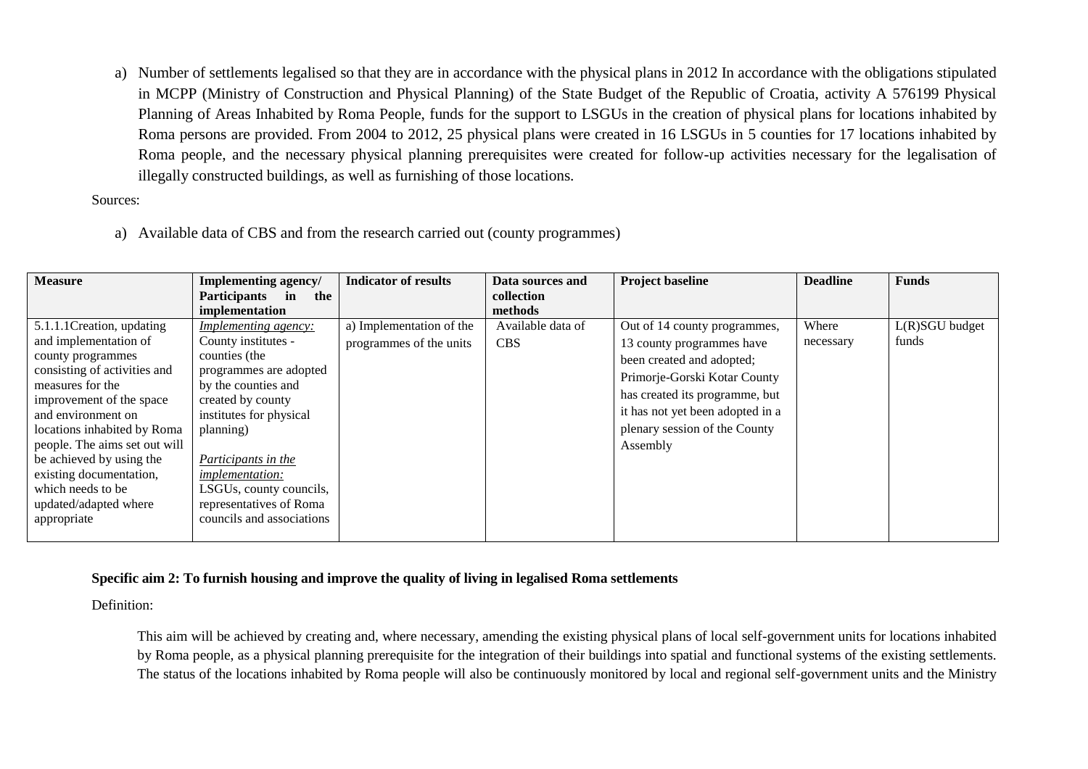a) Number of settlements legalised so that they are in accordance with the physical plans in 2012 In accordance with the obligations stipulated in MCPP (Ministry of Construction and Physical Planning) of the State Budget of the Republic of Croatia, activity A 576199 Physical Planning of Areas Inhabited by Roma People, funds for the support to LSGUs in the creation of physical plans for locations inhabited by Roma persons are provided. From 2004 to 2012, 25 physical plans were created in 16 LSGUs in 5 counties for 17 locations inhabited by Roma people, and the necessary physical planning prerequisites were created for follow-up activities necessary for the legalisation of illegally constructed buildings, as well as furnishing of those locations.

Sources:

a) Available data of CBS and from the research carried out (county programmes)

| <b>Measure</b>                | Implementing agency/             | <b>Indicator of results</b> | Data sources and  | <b>Project baseline</b>          | <b>Deadline</b> | <b>Funds</b>     |
|-------------------------------|----------------------------------|-----------------------------|-------------------|----------------------------------|-----------------|------------------|
|                               | <b>Participants</b><br>in<br>the |                             | collection        |                                  |                 |                  |
|                               | implementation                   |                             | methods           |                                  |                 |                  |
| 5.1.1.1 Creation, updating    | <b>Implementing agency:</b>      | a) Implementation of the    | Available data of | Out of 14 county programmes,     | Where           | $L(R)SGU$ budget |
| and implementation of         | County institutes -              | programmes of the units     | <b>CBS</b>        | 13 county programmes have        | necessary       | funds            |
| county programmes             | counties (the                    |                             |                   | been created and adopted;        |                 |                  |
| consisting of activities and  | programmes are adopted           |                             |                   | Primorje-Gorski Kotar County     |                 |                  |
| measures for the              | by the counties and              |                             |                   | has created its programme, but   |                 |                  |
| improvement of the space      | created by county                |                             |                   |                                  |                 |                  |
| and environment on            | institutes for physical          |                             |                   | it has not yet been adopted in a |                 |                  |
| locations inhabited by Roma   | planning)                        |                             |                   | plenary session of the County    |                 |                  |
| people. The aims set out will |                                  |                             |                   | Assembly                         |                 |                  |
| be achieved by using the      | Participants in the              |                             |                   |                                  |                 |                  |
| existing documentation,       | <i>implementation:</i>           |                             |                   |                                  |                 |                  |
| which needs to be             | LSGUs, county councils,          |                             |                   |                                  |                 |                  |
| updated/adapted where         | representatives of Roma          |                             |                   |                                  |                 |                  |
| appropriate                   | councils and associations        |                             |                   |                                  |                 |                  |
|                               |                                  |                             |                   |                                  |                 |                  |

### **Specific aim 2: To furnish housing and improve the quality of living in legalised Roma settlements**

Definition:

This aim will be achieved by creating and, where necessary, amending the existing physical plans of local self-government units for locations inhabited by Roma people, as a physical planning prerequisite for the integration of their buildings into spatial and functional systems of the existing settlements. The status of the locations inhabited by Roma people will also be continuously monitored by local and regional self-government units and the Ministry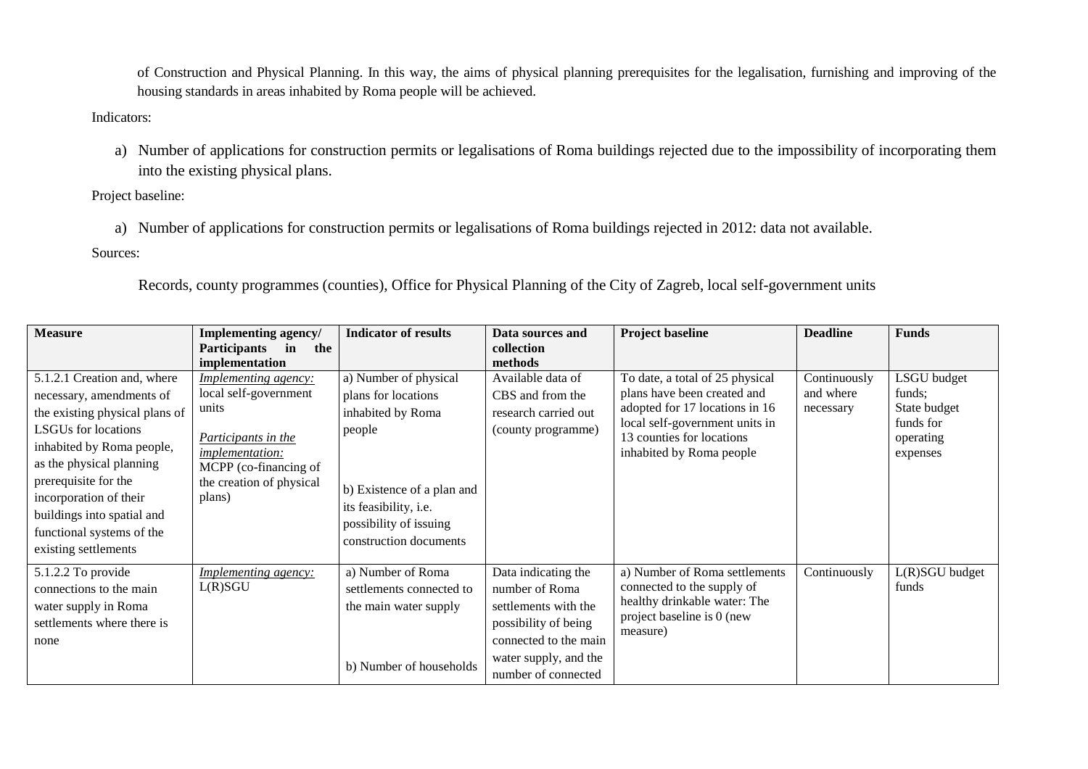of Construction and Physical Planning. In this way, the aims of physical planning prerequisites for the legalisation, furnishing and improving of the housing standards in areas inhabited by Roma people will be achieved.

## Indicators:

a) Number of applications for construction permits or legalisations of Roma buildings rejected due to the impossibility of incorporating them into the existing physical plans.

Project baseline:

a) Number of applications for construction permits or legalisations of Roma buildings rejected in 2012: data not available. Sources:

Records, county programmes (counties), Office for Physical Planning of the City of Zagreb, local self-government units

| <b>Measure</b>                                                                                                                                                                                                                                                                                                        | Implementing agency/<br><b>Participants</b><br>in<br>the                                                                                                                                 | <b>Indicator of results</b>                                                                                                                                                            | Data sources and<br>collection                                                                                                                                 | <b>Project baseline</b>                                                                                                                                                                     | <b>Deadline</b>                        | <b>Funds</b>                                                                |
|-----------------------------------------------------------------------------------------------------------------------------------------------------------------------------------------------------------------------------------------------------------------------------------------------------------------------|------------------------------------------------------------------------------------------------------------------------------------------------------------------------------------------|----------------------------------------------------------------------------------------------------------------------------------------------------------------------------------------|----------------------------------------------------------------------------------------------------------------------------------------------------------------|---------------------------------------------------------------------------------------------------------------------------------------------------------------------------------------------|----------------------------------------|-----------------------------------------------------------------------------|
| 5.1.2.1 Creation and, where<br>necessary, amendments of<br>the existing physical plans of<br><b>LSGUs</b> for locations<br>inhabited by Roma people,<br>as the physical planning<br>prerequisite for the<br>incorporation of their<br>buildings into spatial and<br>functional systems of the<br>existing settlements | implementation<br>Implementing agency:<br>local self-government<br>units<br>Participants in the<br><i>implementation:</i><br>MCPP (co-financing of<br>the creation of physical<br>plans) | a) Number of physical<br>plans for locations<br>inhabited by Roma<br>people<br>b) Existence of a plan and<br>its feasibility, i.e.<br>possibility of issuing<br>construction documents | methods<br>Available data of<br>CBS and from the<br>research carried out<br>(county programme)                                                                 | To date, a total of 25 physical<br>plans have been created and<br>adopted for 17 locations in 16<br>local self-government units in<br>13 counties for locations<br>inhabited by Roma people | Continuously<br>and where<br>necessary | LSGU budget<br>funds;<br>State budget<br>funds for<br>operating<br>expenses |
| 5.1.2.2 To provide<br>connections to the main<br>water supply in Roma<br>settlements where there is<br>none                                                                                                                                                                                                           | <i>Implementing agency:</i><br>L(R)SGU                                                                                                                                                   | a) Number of Roma<br>settlements connected to<br>the main water supply<br>b) Number of households                                                                                      | Data indicating the<br>number of Roma<br>settlements with the<br>possibility of being<br>connected to the main<br>water supply, and the<br>number of connected | a) Number of Roma settlements<br>connected to the supply of<br>healthy drinkable water: The<br>project baseline is 0 (new<br>measure)                                                       | Continuously                           | L(R)SGU budget<br>funds                                                     |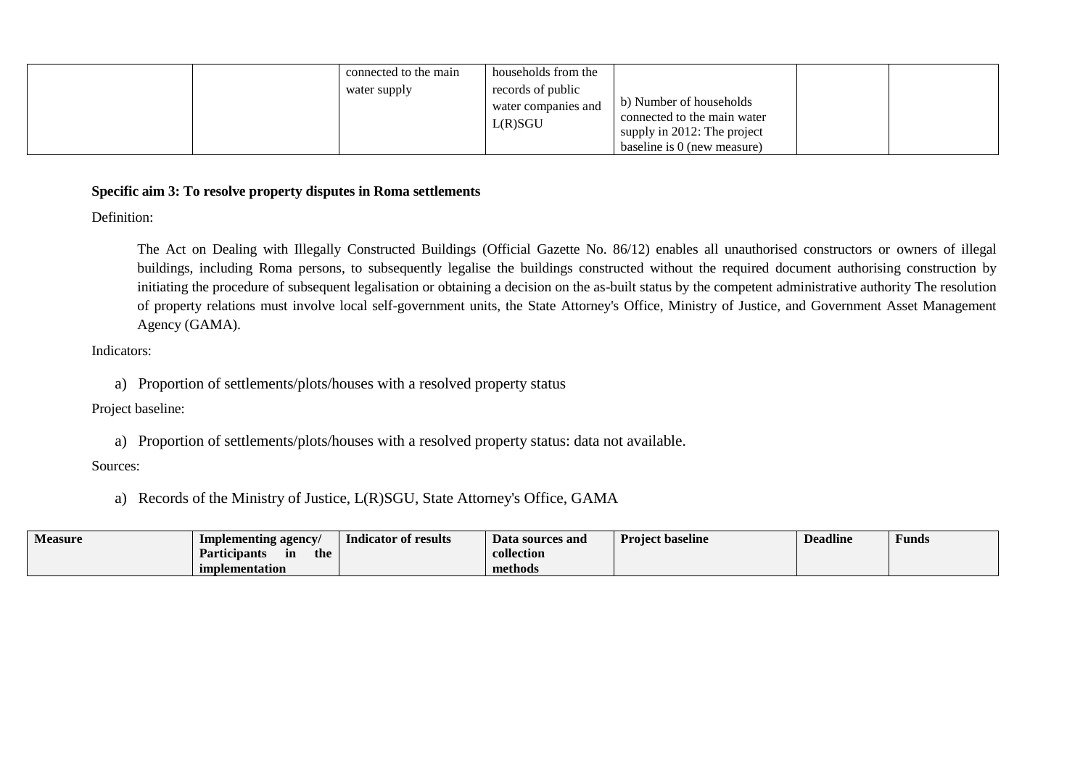|  |  | connected to the main<br>water supply | households from the<br>records of public<br>water companies and<br>L(R)SGU | b) Number of households<br>connected to the main water<br>supply in 2012: The project<br>baseline is 0 (new measure) |  |  |
|--|--|---------------------------------------|----------------------------------------------------------------------------|----------------------------------------------------------------------------------------------------------------------|--|--|
|--|--|---------------------------------------|----------------------------------------------------------------------------|----------------------------------------------------------------------------------------------------------------------|--|--|

## **Specific aim 3: To resolve property disputes in Roma settlements**

Definition:

The Act on Dealing with Illegally Constructed Buildings (Official Gazette No. 86/12) enables all unauthorised constructors or owners of illegal buildings, including Roma persons, to subsequently legalise the buildings constructed without the required document authorising construction by initiating the procedure of subsequent legalisation or obtaining a decision on the as-built status by the competent administrative authority The resolution of property relations must involve local self-government units, the State Attorney's Office, Ministry of Justice, and Government Asset Management Agency (GAMA).

Indicators:

a) Proportion of settlements/plots/houses with a resolved property status

Project baseline:

a) Proportion of settlements/plots/houses with a resolved property status: data not available.

Sources:

a) Records of the Ministry of Justice, L(R)SGU, State Attorney's Office, GAMA

| <b>Measure</b> | Implementing agency/                          | Indicator of results | Data sources and | <b>Project baseline</b> | <b>Deadline</b> | Funds |
|----------------|-----------------------------------------------|----------------------|------------------|-------------------------|-----------------|-------|
|                | $\cdot$ .<br>the<br><b>Participants</b><br>in |                      | collection       |                         |                 |       |
|                | implementation                                |                      | methods          |                         |                 |       |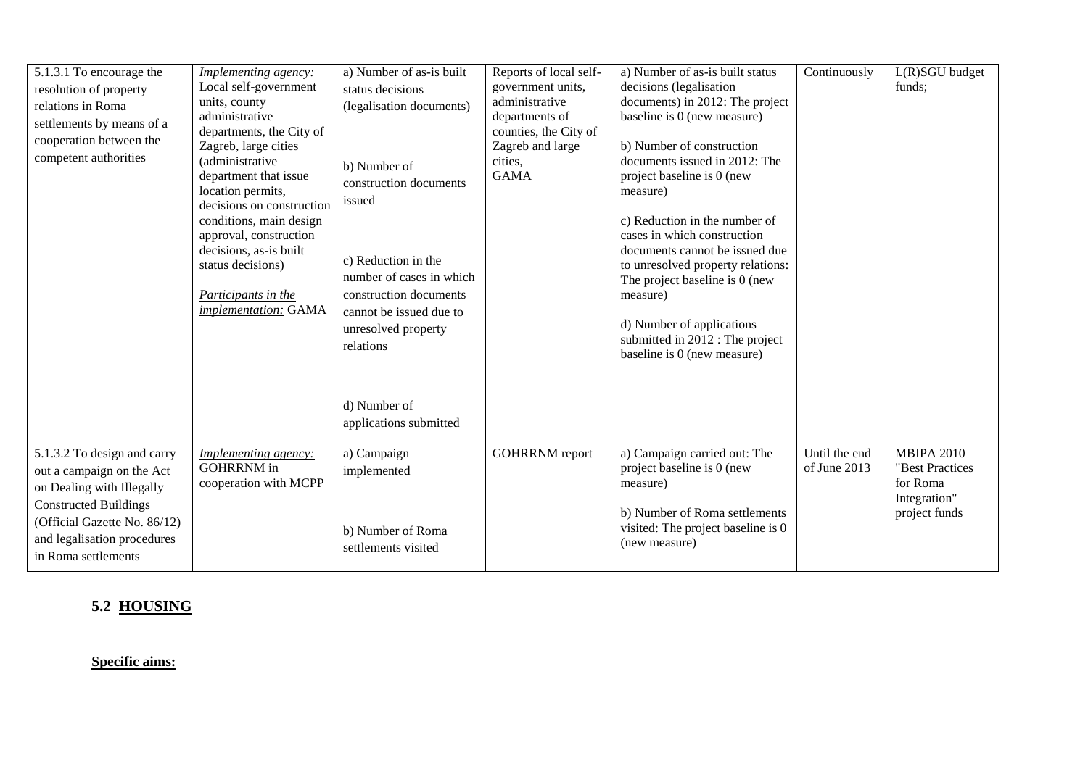| 5.1.3.1 To encourage the<br>resolution of property<br>relations in Roma<br>settlements by means of a<br>cooperation between the<br>competent authorities                                                    | <b>Implementing agency:</b><br>Local self-government<br>units, county<br>administrative<br>departments, the City of<br>Zagreb, large cities<br>(administrative<br>department that issue<br>location permits,<br>decisions on construction<br>conditions, main design<br>approval, construction<br>decisions, as-is built<br>status decisions)<br>Participants in the<br>implementation: GAMA | a) Number of as-is built<br>status decisions<br>(legalisation documents)<br>b) Number of<br>construction documents<br>issued<br>c) Reduction in the<br>number of cases in which<br>construction documents<br>cannot be issued due to<br>unresolved property<br>relations | Reports of local self-<br>government units,<br>administrative<br>departments of<br>counties, the City of<br>Zagreb and large<br>cities,<br><b>GAMA</b> | a) Number of as-is built status<br>decisions (legalisation<br>documents) in 2012: The project<br>baseline is 0 (new measure)<br>b) Number of construction<br>documents issued in 2012: The<br>project baseline is 0 (new<br>measure)<br>c) Reduction in the number of<br>cases in which construction<br>documents cannot be issued due<br>to unresolved property relations:<br>The project baseline is 0 (new<br>measure)<br>d) Number of applications<br>submitted in 2012 : The project<br>baseline is 0 (new measure) | Continuously                  | $L(R)SGU$ budget<br>funds;                                                        |
|-------------------------------------------------------------------------------------------------------------------------------------------------------------------------------------------------------------|----------------------------------------------------------------------------------------------------------------------------------------------------------------------------------------------------------------------------------------------------------------------------------------------------------------------------------------------------------------------------------------------|--------------------------------------------------------------------------------------------------------------------------------------------------------------------------------------------------------------------------------------------------------------------------|--------------------------------------------------------------------------------------------------------------------------------------------------------|--------------------------------------------------------------------------------------------------------------------------------------------------------------------------------------------------------------------------------------------------------------------------------------------------------------------------------------------------------------------------------------------------------------------------------------------------------------------------------------------------------------------------|-------------------------------|-----------------------------------------------------------------------------------|
|                                                                                                                                                                                                             |                                                                                                                                                                                                                                                                                                                                                                                              | d) Number of<br>applications submitted                                                                                                                                                                                                                                   |                                                                                                                                                        |                                                                                                                                                                                                                                                                                                                                                                                                                                                                                                                          |                               |                                                                                   |
| 5.1.3.2 To design and carry<br>out a campaign on the Act<br>on Dealing with Illegally<br><b>Constructed Buildings</b><br>(Official Gazette No. 86/12)<br>and legalisation procedures<br>in Roma settlements | Implementing agency:<br><b>GOHRRNM</b> in<br>cooperation with MCPP                                                                                                                                                                                                                                                                                                                           | a) Campaign<br>implemented<br>b) Number of Roma<br>settlements visited                                                                                                                                                                                                   | <b>GOHRRNM</b> report                                                                                                                                  | a) Campaign carried out: The<br>project baseline is 0 (new<br>measure)<br>b) Number of Roma settlements<br>visited: The project baseline is 0<br>(new measure)                                                                                                                                                                                                                                                                                                                                                           | Until the end<br>of June 2013 | <b>MBIPA 2010</b><br>"Best Practices<br>for Roma<br>Integration"<br>project funds |

# **5.2 HOUSING**

**Specific aims:**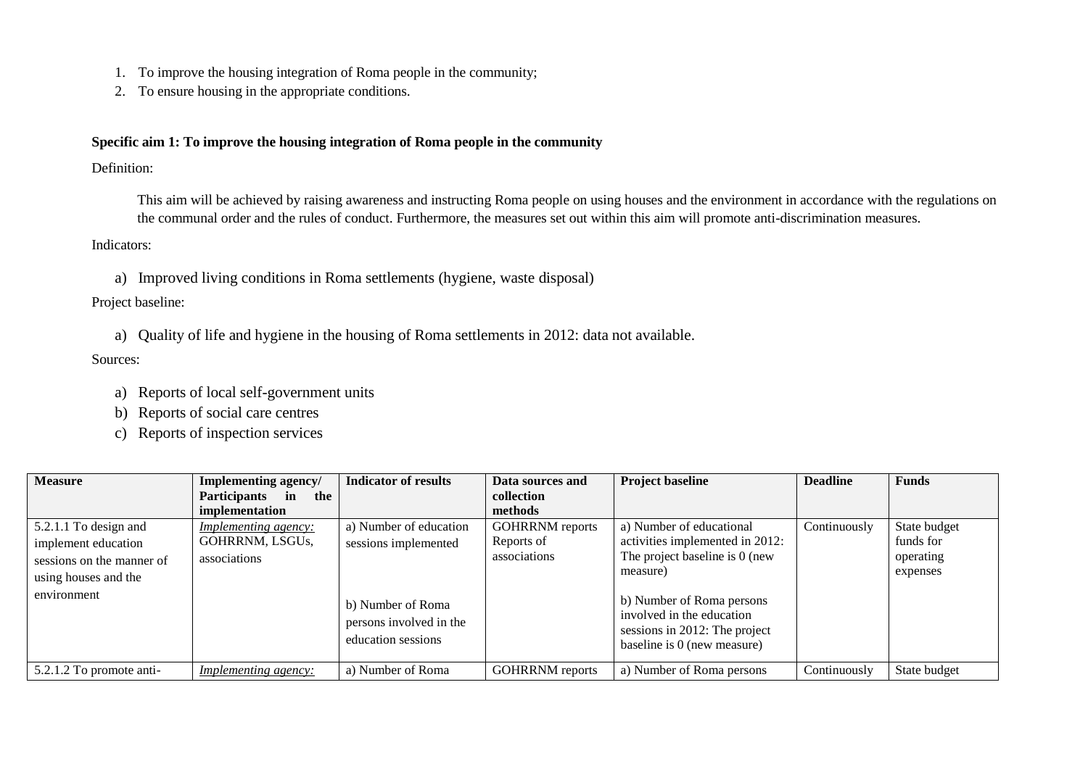- 1. To improve the housing integration of Roma people in the community;
- 2. To ensure housing in the appropriate conditions.

### **Specific aim 1: To improve the housing integration of Roma people in the community**

#### Definition:

This aim will be achieved by raising awareness and instructing Roma people on using houses and the environment in accordance with the regulations on the communal order and the rules of conduct. Furthermore, the measures set out within this aim will promote anti-discrimination measures.

### Indicators:

a) Improved living conditions in Roma settlements (hygiene, waste disposal)

### Project baseline:

a) Quality of life and hygiene in the housing of Roma settlements in 2012: data not available.

### Sources:

- a) Reports of local self-government units
- b) Reports of social care centres
- c) Reports of inspection services

| <b>Measure</b>            | Implementing agency/        | <b>Indicator of results</b>                                        | Data sources and       | <b>Project baseline</b>                                                                                                | <b>Deadline</b> | <b>Funds</b> |
|---------------------------|-----------------------------|--------------------------------------------------------------------|------------------------|------------------------------------------------------------------------------------------------------------------------|-----------------|--------------|
|                           | Participants in<br>the      |                                                                    | collection             |                                                                                                                        |                 |              |
|                           | implementation              |                                                                    | methods                |                                                                                                                        |                 |              |
| 5.2.1.1 To design and     | <i>Implementing agency:</i> | a) Number of education                                             | <b>GOHRRNM</b> reports | a) Number of educational                                                                                               | Continuously    | State budget |
| implement education       | GOHRRNM, LSGUs,             | sessions implemented                                               | Reports of             | activities implemented in 2012:                                                                                        |                 | funds for    |
| sessions on the manner of | associations                |                                                                    | associations           | The project baseline is 0 (new                                                                                         |                 | operating    |
| using houses and the      |                             |                                                                    |                        | measure)                                                                                                               |                 | expenses     |
| environment               |                             | b) Number of Roma<br>persons involved in the<br>education sessions |                        | b) Number of Roma persons<br>involved in the education<br>sessions in 2012: The project<br>baseline is 0 (new measure) |                 |              |
| 5.2.1.2 To promote anti-  | <i>Implementing agency:</i> | a) Number of Roma                                                  | <b>GOHRRNM</b> reports | a) Number of Roma persons                                                                                              | Continuously    | State budget |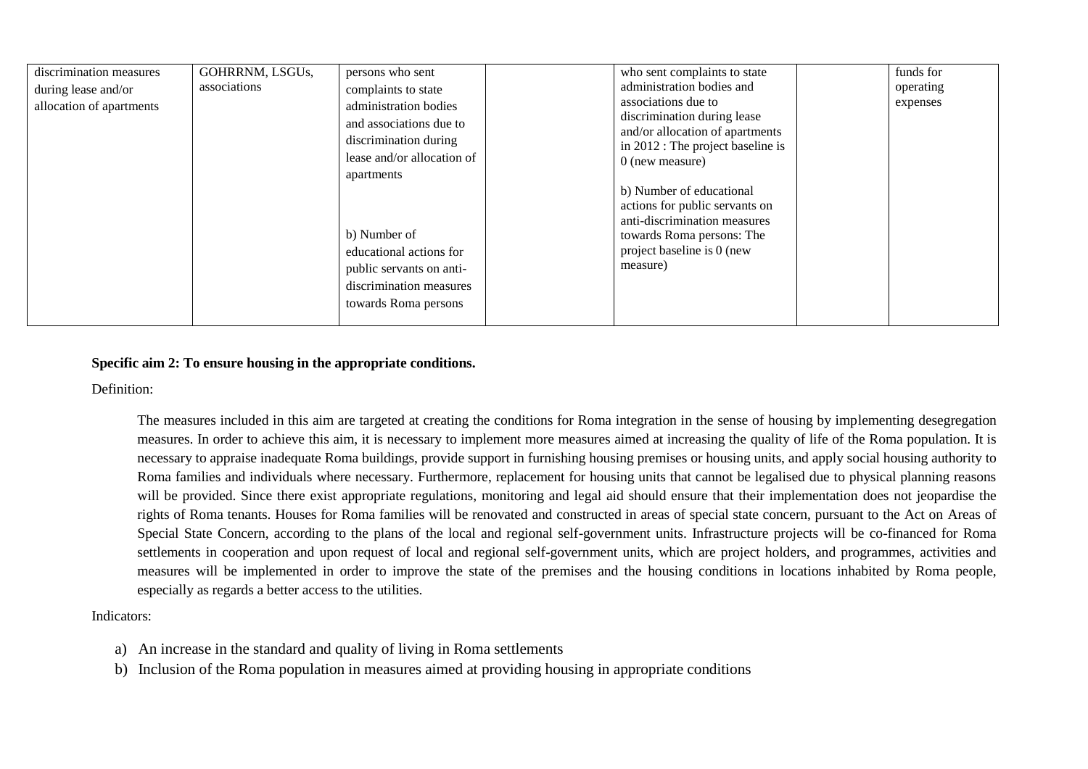| discrimination measures<br>during lease and/or<br>allocation of apartments | GOHRRNM, LSGUs,<br>associations | persons who sent<br>complaints to state<br>administration bodies<br>and associations due to<br>discrimination during<br>lease and/or allocation of<br>apartments<br>b) Number of<br>educational actions for<br>public servants on anti-<br>discrimination measures<br>towards Roma persons |  | who sent complaints to state<br>administration bodies and<br>associations due to<br>discrimination during lease<br>and/or allocation of apartments<br>in 2012 : The project baseline is<br>$0$ (new measure)<br>b) Number of educational<br>actions for public servants on<br>anti-discrimination measures<br>towards Roma persons: The<br>project baseline is 0 (new<br>measure) |  | funds for<br>operating<br>expenses |
|----------------------------------------------------------------------------|---------------------------------|--------------------------------------------------------------------------------------------------------------------------------------------------------------------------------------------------------------------------------------------------------------------------------------------|--|-----------------------------------------------------------------------------------------------------------------------------------------------------------------------------------------------------------------------------------------------------------------------------------------------------------------------------------------------------------------------------------|--|------------------------------------|
|----------------------------------------------------------------------------|---------------------------------|--------------------------------------------------------------------------------------------------------------------------------------------------------------------------------------------------------------------------------------------------------------------------------------------|--|-----------------------------------------------------------------------------------------------------------------------------------------------------------------------------------------------------------------------------------------------------------------------------------------------------------------------------------------------------------------------------------|--|------------------------------------|

### **Specific aim 2: To ensure housing in the appropriate conditions.**

Definition:

The measures included in this aim are targeted at creating the conditions for Roma integration in the sense of housing by implementing desegregation measures. In order to achieve this aim, it is necessary to implement more measures aimed at increasing the quality of life of the Roma population. It is necessary to appraise inadequate Roma buildings, provide support in furnishing housing premises or housing units, and apply social housing authority to Roma families and individuals where necessary. Furthermore, replacement for housing units that cannot be legalised due to physical planning reasons will be provided. Since there exist appropriate regulations, monitoring and legal aid should ensure that their implementation does not jeopardise the rights of Roma tenants. Houses for Roma families will be renovated and constructed in areas of special state concern, pursuant to the Act on Areas of Special State Concern, according to the plans of the local and regional self-government units. Infrastructure projects will be co-financed for Roma settlements in cooperation and upon request of local and regional self-government units, which are project holders, and programmes, activities and measures will be implemented in order to improve the state of the premises and the housing conditions in locations inhabited by Roma people, especially as regards a better access to the utilities.

Indicators:

- a) An increase in the standard and quality of living in Roma settlements
- b) Inclusion of the Roma population in measures aimed at providing housing in appropriate conditions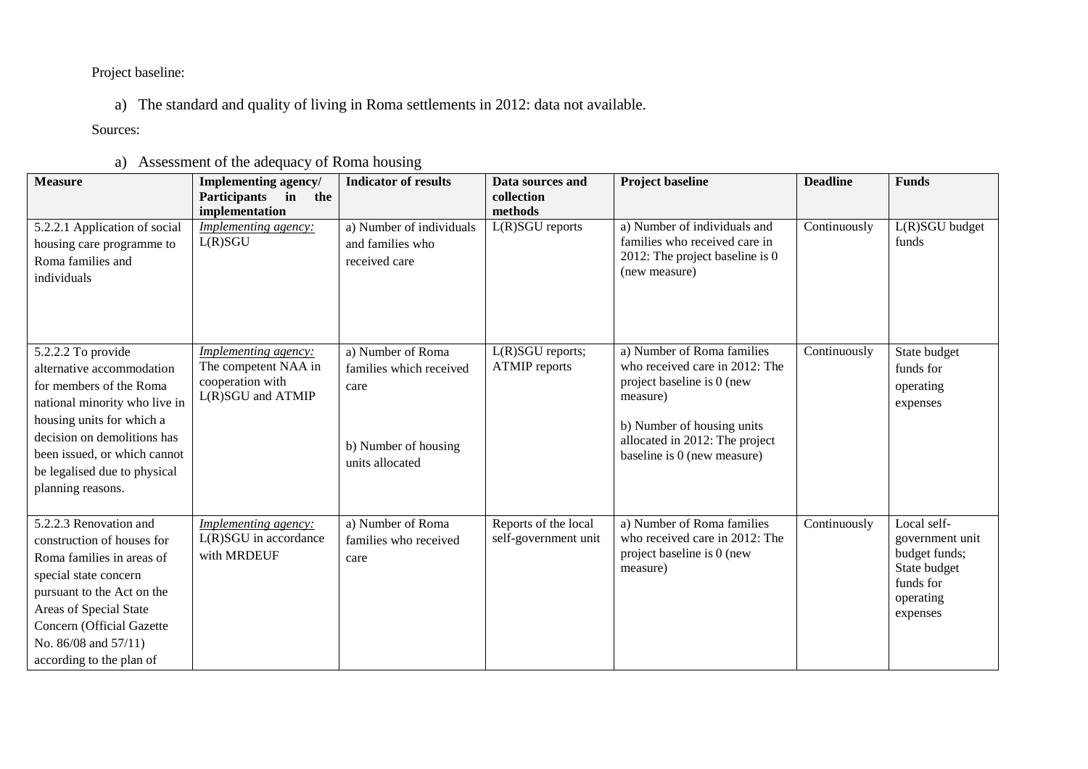Project baseline:

a) The standard and quality of living in Roma settlements in 2012: data not available.

Sources:

# a) Assessment of the adequacy of Roma housing

| <b>Measure</b>                                                                                                                                                                                                                                               | <b>Implementing agency/</b><br>Participants in<br>the                                 | <b>Indicator of results</b>                                                                     | Data sources and<br>collection<br>methods    | <b>Project baseline</b>                                                                                                                                                                               | <b>Deadline</b> | <b>Funds</b>                                                                                          |
|--------------------------------------------------------------------------------------------------------------------------------------------------------------------------------------------------------------------------------------------------------------|---------------------------------------------------------------------------------------|-------------------------------------------------------------------------------------------------|----------------------------------------------|-------------------------------------------------------------------------------------------------------------------------------------------------------------------------------------------------------|-----------------|-------------------------------------------------------------------------------------------------------|
| 5.2.2.1 Application of social<br>housing care programme to<br>Roma families and<br>individuals                                                                                                                                                               | implementation<br>Implementing agency:<br>L(R)SGU                                     | a) Number of individuals<br>and families who<br>received care                                   | $L(R)SGU$ reports                            | a) Number of individuals and<br>families who received care in<br>2012: The project baseline is 0<br>(new measure)                                                                                     | Continuously    | L(R)SGU budget<br>funds                                                                               |
| 5.2.2.2 To provide<br>alternative accommodation<br>for members of the Roma<br>national minority who live in<br>housing units for which a<br>decision on demolitions has<br>been issued, or which cannot<br>be legalised due to physical<br>planning reasons. | Implementing agency:<br>The competent NAA in<br>cooperation with<br>L(R)SGU and ATMIP | a) Number of Roma<br>families which received<br>care<br>b) Number of housing<br>units allocated | $L(R)SGU$ reports;<br><b>ATMIP</b> reports   | a) Number of Roma families<br>who received care in 2012: The<br>project baseline is 0 (new<br>measure)<br>b) Number of housing units<br>allocated in 2012: The project<br>baseline is 0 (new measure) | Continuously    | State budget<br>funds for<br>operating<br>expenses                                                    |
| 5.2.2.3 Renovation and<br>construction of houses for<br>Roma families in areas of<br>special state concern<br>pursuant to the Act on the<br>Areas of Special State<br>Concern (Official Gazette<br>No. 86/08 and 57/11)<br>according to the plan of          | Implementing agency:<br>L(R)SGU in accordance<br>with MRDEUF                          | a) Number of Roma<br>families who received<br>care                                              | Reports of the local<br>self-government unit | a) Number of Roma families<br>who received care in 2012: The<br>project baseline is 0 (new<br>measure)                                                                                                | Continuously    | Local self-<br>government unit<br>budget funds;<br>State budget<br>funds for<br>operating<br>expenses |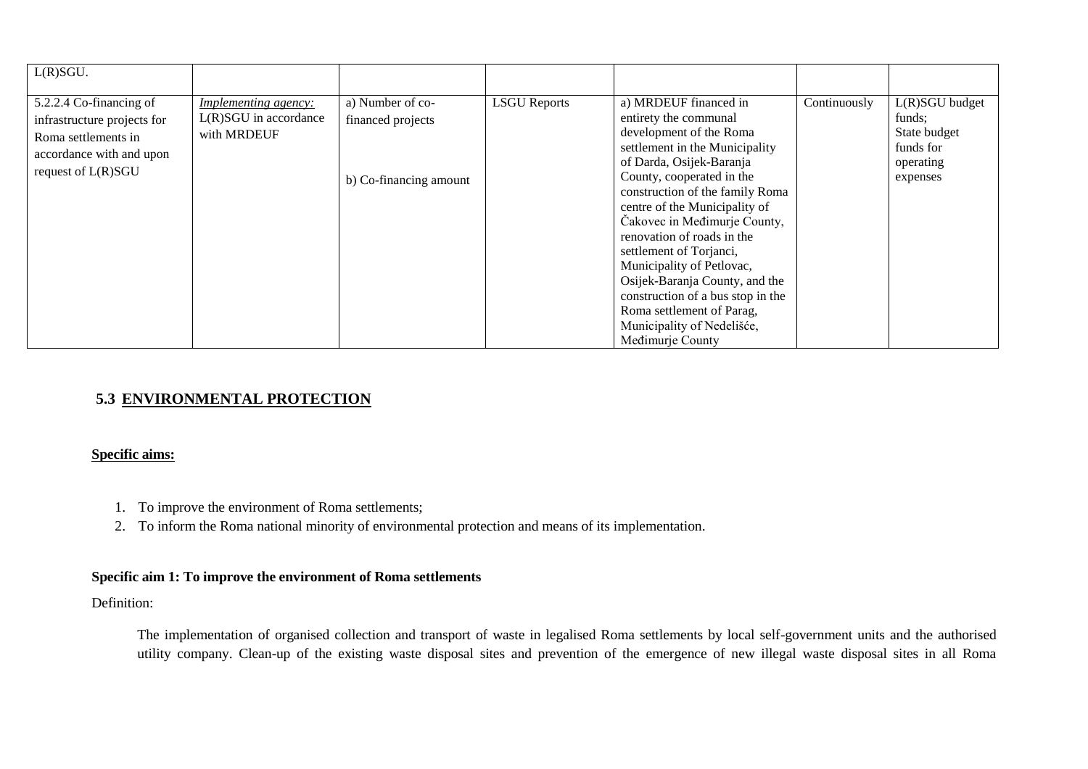| L(R)SGU.                                                                                                                        |                                                                     |                                                                 |                     |                                                                                                                                                                                                                                                                                                                                                                                                                                                                                                                      |              |                                                                                  |
|---------------------------------------------------------------------------------------------------------------------------------|---------------------------------------------------------------------|-----------------------------------------------------------------|---------------------|----------------------------------------------------------------------------------------------------------------------------------------------------------------------------------------------------------------------------------------------------------------------------------------------------------------------------------------------------------------------------------------------------------------------------------------------------------------------------------------------------------------------|--------------|----------------------------------------------------------------------------------|
| 5.2.2.4 Co-financing of<br>infrastructure projects for<br>Roma settlements in<br>accordance with and upon<br>request of L(R)SGU | <i>Implementing agency:</i><br>L(R)SGU in accordance<br>with MRDEUF | a) Number of co-<br>financed projects<br>b) Co-financing amount | <b>LSGU</b> Reports | a) MRDEUF financed in<br>entirety the communal<br>development of the Roma<br>settlement in the Municipality<br>of Darda, Osijek-Baranja<br>County, cooperated in the<br>construction of the family Roma<br>centre of the Municipality of<br>Čakovec in Međimurje County,<br>renovation of roads in the<br>settlement of Torjanci,<br>Municipality of Petlovac,<br>Osijek-Baranja County, and the<br>construction of a bus stop in the<br>Roma settlement of Parag,<br>Municipality of Nedelišće,<br>Medimurje County | Continuously | $L(R)SGU$ budget<br>funds:<br>State budget<br>funds for<br>operating<br>expenses |

# **5.3 ENVIRONMENTAL PROTECTION**

## **Specific aims:**

- 1. To improve the environment of Roma settlements;
- 2. To inform the Roma national minority of environmental protection and means of its implementation.

## **Specific aim 1: To improve the environment of Roma settlements**

### Definition:

The implementation of organised collection and transport of waste in legalised Roma settlements by local self-government units and the authorised utility company. Clean-up of the existing waste disposal sites and prevention of the emergence of new illegal waste disposal sites in all Roma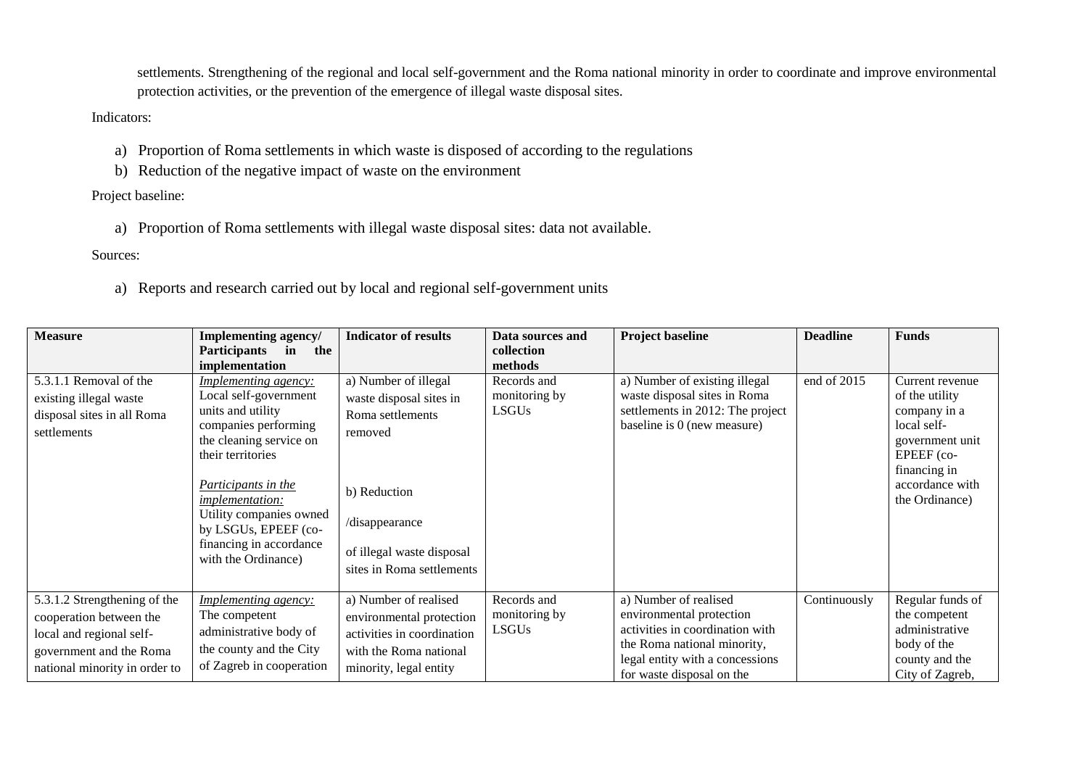settlements. Strengthening of the regional and local self-government and the Roma national minority in order to coordinate and improve environmental protection activities, or the prevention of the emergence of illegal waste disposal sites.

Indicators:

- a) Proportion of Roma settlements in which waste is disposed of according to the regulations
- b) Reduction of the negative impact of waste on the environment

Project baseline:

a) Proportion of Roma settlements with illegal waste disposal sites: data not available.

Sources:

a) Reports and research carried out by local and regional self-government units

| <b>Measure</b>                                                                                                                                  | Implementing agency/<br>Participants in<br>the<br>implementation                                                                                                                                                                                                                                        | <b>Indicator of results</b>                                                                                                                                                | Data sources and<br>collection<br>methods    | <b>Project baseline</b>                                                                                                                                                             | <b>Deadline</b> | <b>Funds</b>                                                                                                                                           |
|-------------------------------------------------------------------------------------------------------------------------------------------------|---------------------------------------------------------------------------------------------------------------------------------------------------------------------------------------------------------------------------------------------------------------------------------------------------------|----------------------------------------------------------------------------------------------------------------------------------------------------------------------------|----------------------------------------------|-------------------------------------------------------------------------------------------------------------------------------------------------------------------------------------|-----------------|--------------------------------------------------------------------------------------------------------------------------------------------------------|
| 5.3.1.1 Removal of the<br>existing illegal waste<br>disposal sites in all Roma<br>settlements                                                   | Implementing agency:<br>Local self-government<br>units and utility<br>companies performing<br>the cleaning service on<br>their territories<br><b>Participants in the</b><br><i>implementation:</i><br>Utility companies owned<br>by LSGUs, EPEEF (co-<br>financing in accordance<br>with the Ordinance) | a) Number of illegal<br>waste disposal sites in<br>Roma settlements<br>removed<br>b) Reduction<br>/disappearance<br>of illegal waste disposal<br>sites in Roma settlements | Records and<br>monitoring by<br><b>LSGUs</b> | a) Number of existing illegal<br>waste disposal sites in Roma<br>settlements in 2012: The project<br>baseline is 0 (new measure)                                                    | end of 2015     | Current revenue<br>of the utility<br>company in a<br>local self-<br>government unit<br>EPEEF (co-<br>financing in<br>accordance with<br>the Ordinance) |
| 5.3.1.2 Strengthening of the<br>cooperation between the<br>local and regional self-<br>government and the Roma<br>national minority in order to | <b>Implementing agency:</b><br>The competent<br>administrative body of<br>the county and the City<br>of Zagreb in cooperation                                                                                                                                                                           | a) Number of realised<br>environmental protection<br>activities in coordination<br>with the Roma national<br>minority, legal entity                                        | Records and<br>monitoring by<br><b>LSGUs</b> | a) Number of realised<br>environmental protection<br>activities in coordination with<br>the Roma national minority,<br>legal entity with a concessions<br>for waste disposal on the | Continuously    | Regular funds of<br>the competent<br>administrative<br>body of the<br>county and the<br>City of Zagreb,                                                |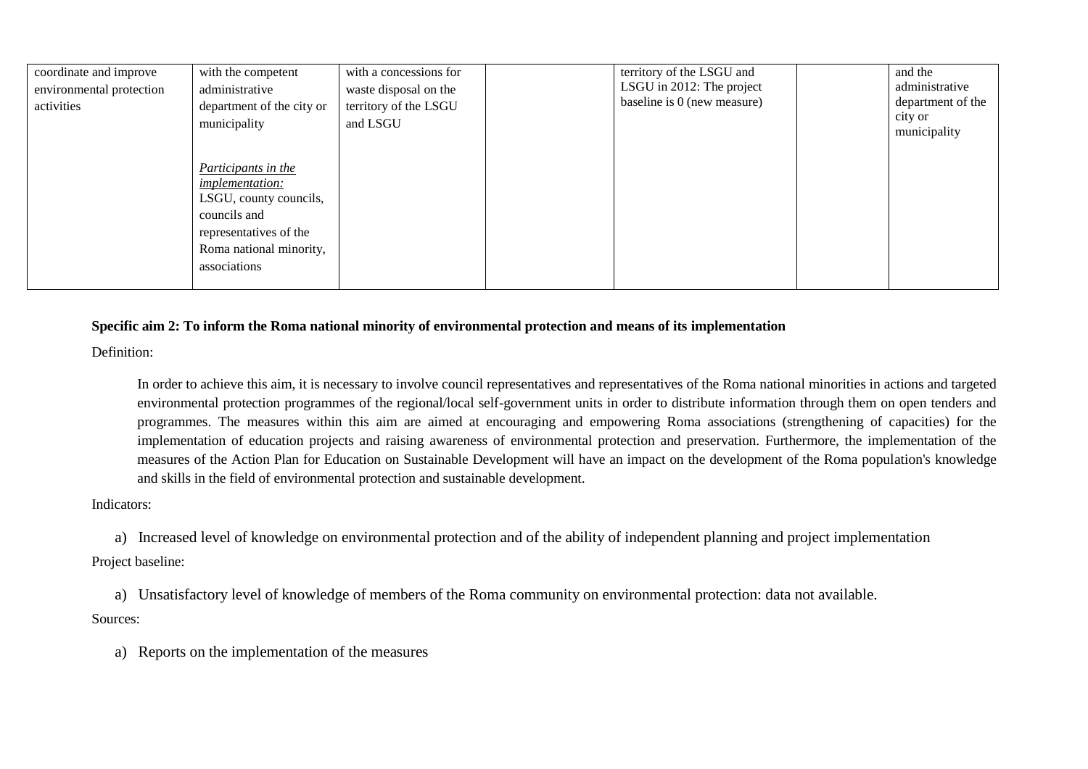| coordinate and improve<br>environmental protection<br>activities | with the competent<br>administrative<br>department of the city or<br>municipality                                                                            | with a concessions for<br>waste disposal on the<br>territory of the LSGU<br>and LSGU | territory of the LSGU and<br>LSGU in 2012: The project<br>baseline is 0 (new measure) | and the<br>administrative<br>department of the<br>city or<br>municipality |
|------------------------------------------------------------------|--------------------------------------------------------------------------------------------------------------------------------------------------------------|--------------------------------------------------------------------------------------|---------------------------------------------------------------------------------------|---------------------------------------------------------------------------|
|                                                                  | Participants in the<br><i>implementation:</i><br>LSGU, county councils,<br>councils and<br>representatives of the<br>Roma national minority,<br>associations |                                                                                      |                                                                                       |                                                                           |

## **Specific aim 2: To inform the Roma national minority of environmental protection and means of its implementation**

Definition:

In order to achieve this aim, it is necessary to involve council representatives and representatives of the Roma national minorities in actions and targeted environmental protection programmes of the regional/local self-government units in order to distribute information through them on open tenders and programmes. The measures within this aim are aimed at encouraging and empowering Roma associations (strengthening of capacities) for the implementation of education projects and raising awareness of environmental protection and preservation. Furthermore, the implementation of the measures of the Action Plan for Education on Sustainable Development will have an impact on the development of the Roma population's knowledge and skills in the field of environmental protection and sustainable development.

### Indicators:

a) Increased level of knowledge on environmental protection and of the ability of independent planning and project implementation

## Project baseline:

a) Unsatisfactory level of knowledge of members of the Roma community on environmental protection: data not available. Sources:

a) Reports on the implementation of the measures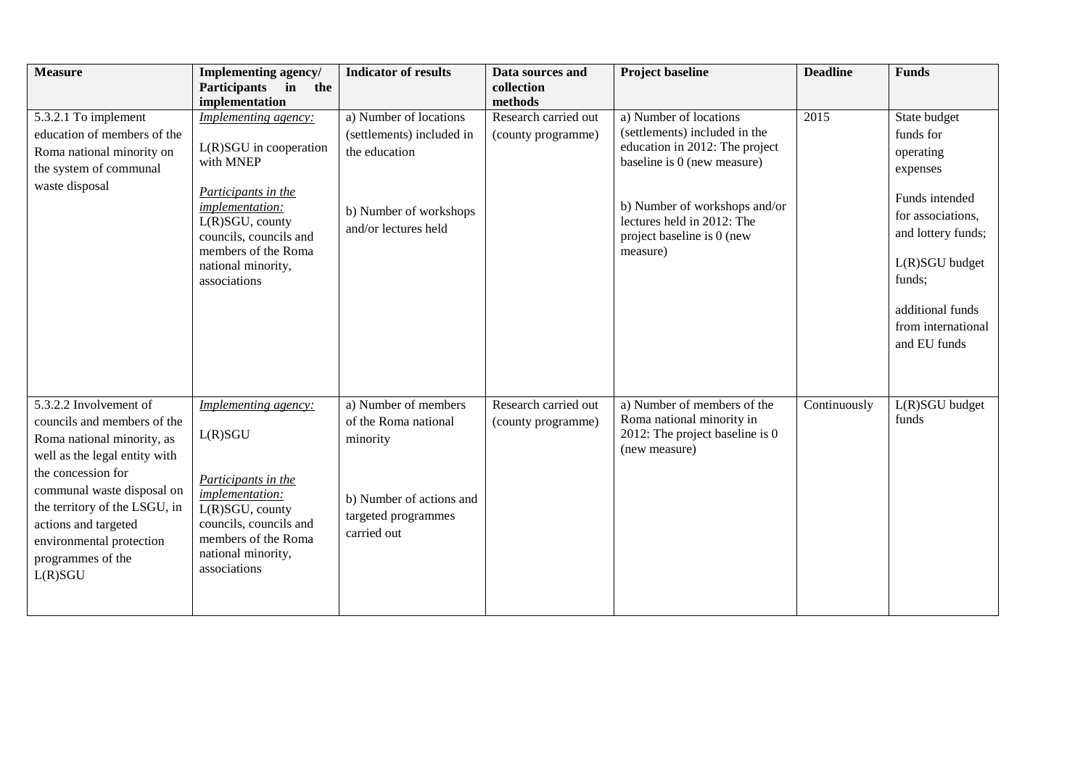| <b>Measure</b>                                                                                                                                                                                                                                                                                | Implementing agency/<br>Participants in<br>the                                                                                                                                                                                             | <b>Indicator of results</b>                                                                                                | Data sources and<br>collection                        | <b>Project baseline</b>                                                                                                                                                                                                           | <b>Deadline</b> | <b>Funds</b>                                                                                                                                                                                          |
|-----------------------------------------------------------------------------------------------------------------------------------------------------------------------------------------------------------------------------------------------------------------------------------------------|--------------------------------------------------------------------------------------------------------------------------------------------------------------------------------------------------------------------------------------------|----------------------------------------------------------------------------------------------------------------------------|-------------------------------------------------------|-----------------------------------------------------------------------------------------------------------------------------------------------------------------------------------------------------------------------------------|-----------------|-------------------------------------------------------------------------------------------------------------------------------------------------------------------------------------------------------|
| 5.3.2.1 To implement<br>education of members of the<br>Roma national minority on<br>the system of communal<br>waste disposal                                                                                                                                                                  | implementation<br>Implementing agency:<br>$L(R)SGU$ in cooperation<br>with MNEP<br>Participants in the<br><i>implementation:</i><br>L(R)SGU, county<br>councils, councils and<br>members of the Roma<br>national minority,<br>associations | a) Number of locations<br>(settlements) included in<br>the education<br>b) Number of workshops<br>and/or lectures held     | methods<br>Research carried out<br>(county programme) | a) Number of locations<br>(settlements) included in the<br>education in 2012: The project<br>baseline is 0 (new measure)<br>b) Number of workshops and/or<br>lectures held in 2012: The<br>project baseline is 0 (new<br>measure) | 2015            | State budget<br>funds for<br>operating<br>expenses<br>Funds intended<br>for associations,<br>and lottery funds;<br>L(R)SGU budget<br>funds;<br>additional funds<br>from international<br>and EU funds |
| 5.3.2.2 Involvement of<br>councils and members of the<br>Roma national minority, as<br>well as the legal entity with<br>the concession for<br>communal waste disposal on<br>the territory of the LSGU, in<br>actions and targeted<br>environmental protection<br>programmes of the<br>L(R)SGU | <b>Implementing agency:</b><br>L(R)SGU<br>Participants in the<br>implementation:<br>L(R)SGU, county<br>councils, councils and<br>members of the Roma<br>national minority,<br>associations                                                 | a) Number of members<br>of the Roma national<br>minority<br>b) Number of actions and<br>targeted programmes<br>carried out | Research carried out<br>(county programme)            | a) Number of members of the<br>Roma national minority in<br>2012: The project baseline is 0<br>(new measure)                                                                                                                      | Continuously    | L(R)SGU budget<br>funds                                                                                                                                                                               |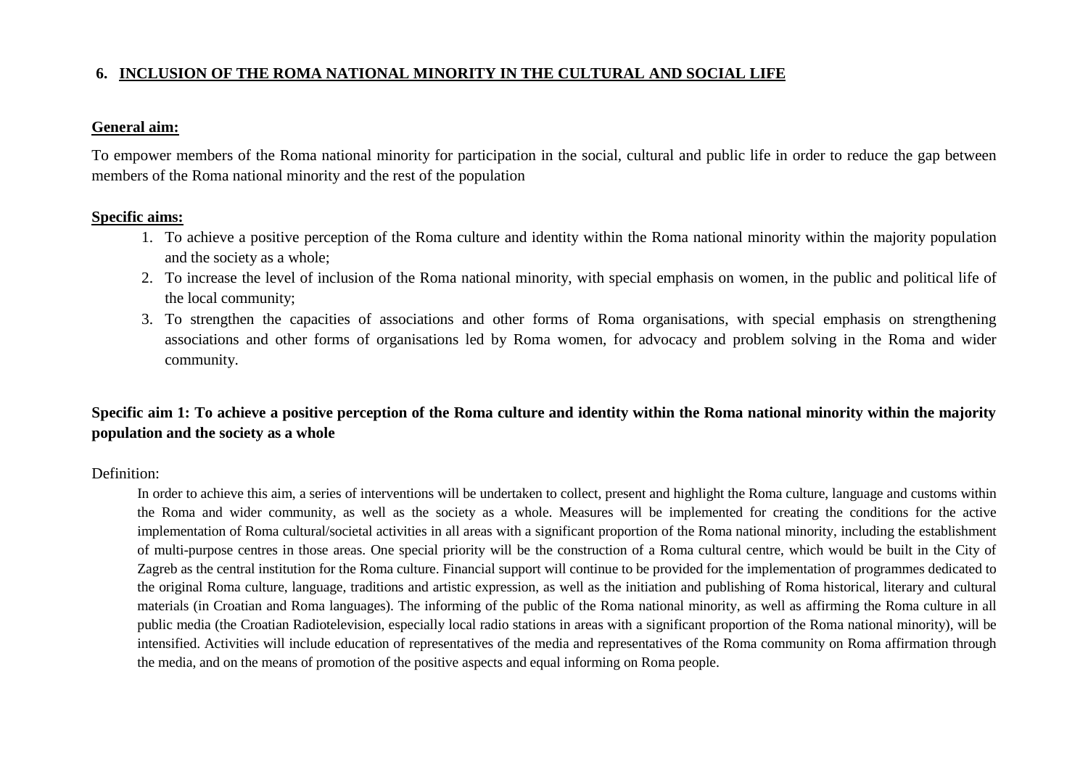# **6. INCLUSION OF THE ROMA NATIONAL MINORITY IN THE CULTURAL AND SOCIAL LIFE**

## **General aim:**

To empower members of the Roma national minority for participation in the social, cultural and public life in order to reduce the gap between members of the Roma national minority and the rest of the population

## **Specific aims:**

- 1. To achieve a positive perception of the Roma culture and identity within the Roma national minority within the majority population and the society as a whole;
- 2. To increase the level of inclusion of the Roma national minority, with special emphasis on women, in the public and political life of the local community;
- 3. To strengthen the capacities of associations and other forms of Roma organisations, with special emphasis on strengthening associations and other forms of organisations led by Roma women, for advocacy and problem solving in the Roma and wider community.

# **Specific aim 1: To achieve a positive perception of the Roma culture and identity within the Roma national minority within the majority population and the society as a whole**

### Definition:

In order to achieve this aim, a series of interventions will be undertaken to collect, present and highlight the Roma culture, language and customs within the Roma and wider community, as well as the society as a whole. Measures will be implemented for creating the conditions for the active implementation of Roma cultural/societal activities in all areas with a significant proportion of the Roma national minority, including the establishment of multi-purpose centres in those areas. One special priority will be the construction of a Roma cultural centre, which would be built in the City of Zagreb as the central institution for the Roma culture. Financial support will continue to be provided for the implementation of programmes dedicated to the original Roma culture, language, traditions and artistic expression, as well as the initiation and publishing of Roma historical, literary and cultural materials (in Croatian and Roma languages). The informing of the public of the Roma national minority, as well as affirming the Roma culture in all public media (the Croatian Radiotelevision, especially local radio stations in areas with a significant proportion of the Roma national minority), will be intensified. Activities will include education of representatives of the media and representatives of the Roma community on Roma affirmation through the media, and on the means of promotion of the positive aspects and equal informing on Roma people.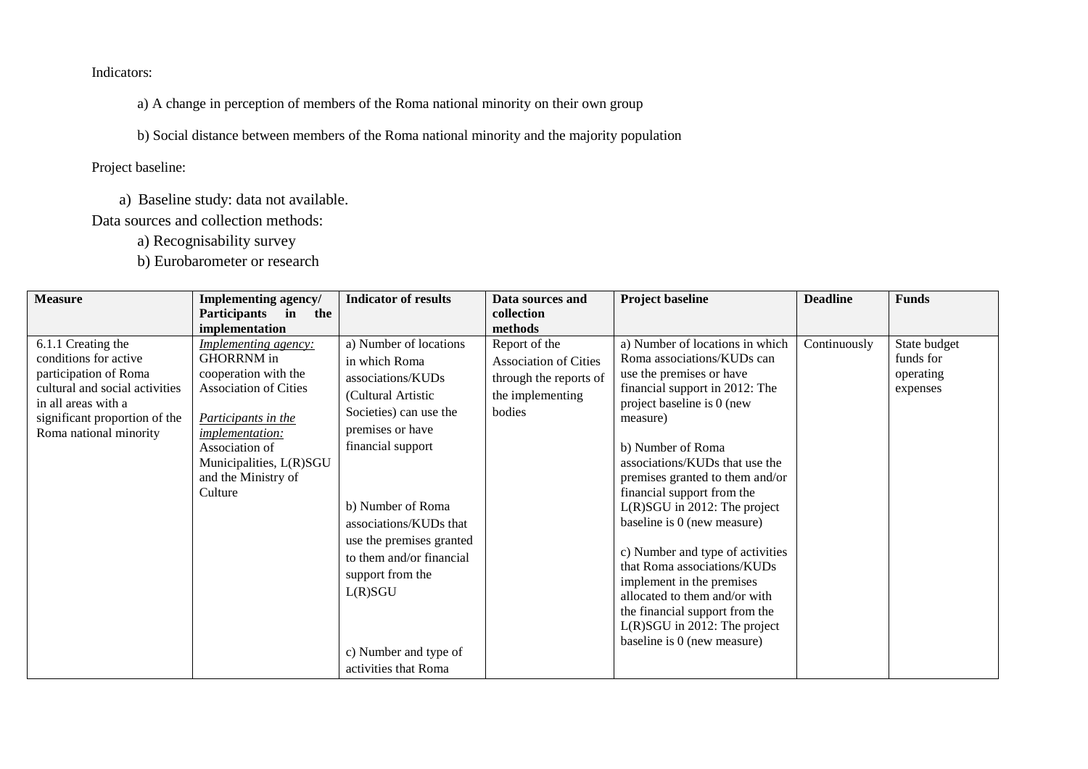Indicators:

a) A change in perception of members of the Roma national minority on their own group

b) Social distance between members of the Roma national minority and the majority population

Project baseline:

a) Baseline study: data not available.

Data sources and collection methods:

a) Recognisability survey

b) Eurobarometer or research

| <b>Measure</b>                                                                                                                                                                           | Implementing agency/<br><b>Participants</b><br>in<br>the                                                                                                                                                                                            | <b>Indicator of results</b>                                                                                                                                                                                                                                                                                                                  | Data sources and<br>collection                                                                                   | <b>Project baseline</b>                                                                                                                                                                                                                                                                                                                                                                                                                                                                                                                                                                          | <b>Deadline</b> | <b>Funds</b>                                       |
|------------------------------------------------------------------------------------------------------------------------------------------------------------------------------------------|-----------------------------------------------------------------------------------------------------------------------------------------------------------------------------------------------------------------------------------------------------|----------------------------------------------------------------------------------------------------------------------------------------------------------------------------------------------------------------------------------------------------------------------------------------------------------------------------------------------|------------------------------------------------------------------------------------------------------------------|--------------------------------------------------------------------------------------------------------------------------------------------------------------------------------------------------------------------------------------------------------------------------------------------------------------------------------------------------------------------------------------------------------------------------------------------------------------------------------------------------------------------------------------------------------------------------------------------------|-----------------|----------------------------------------------------|
| 6.1.1 Creating the<br>conditions for active<br>participation of Roma<br>cultural and social activities<br>in all areas with a<br>significant proportion of the<br>Roma national minority | implementation<br><i>Implementing agency:</i><br>GHORRNM in<br>cooperation with the<br><b>Association of Cities</b><br>Participants in the<br><i>implementation:</i><br>Association of<br>Municipalities, L(R)SGU<br>and the Ministry of<br>Culture | a) Number of locations<br>in which Roma<br>associations/KUDs<br>(Cultural Artistic<br>Societies) can use the<br>premises or have<br>financial support<br>b) Number of Roma<br>associations/KUDs that<br>use the premises granted<br>to them and/or financial<br>support from the<br>L(R)SGU<br>c) Number and type of<br>activities that Roma | methods<br>Report of the<br><b>Association of Cities</b><br>through the reports of<br>the implementing<br>bodies | a) Number of locations in which<br>Roma associations/KUDs can<br>use the premises or have<br>financial support in 2012: The<br>project baseline is 0 (new<br>measure)<br>b) Number of Roma<br>associations/KUDs that use the<br>premises granted to them and/or<br>financial support from the<br>L(R)SGU in 2012: The project<br>baseline is 0 (new measure)<br>c) Number and type of activities<br>that Roma associations/KUDs<br>implement in the premises<br>allocated to them and/or with<br>the financial support from the<br>$L(R)SGU$ in 2012: The project<br>baseline is 0 (new measure) | Continuously    | State budget<br>funds for<br>operating<br>expenses |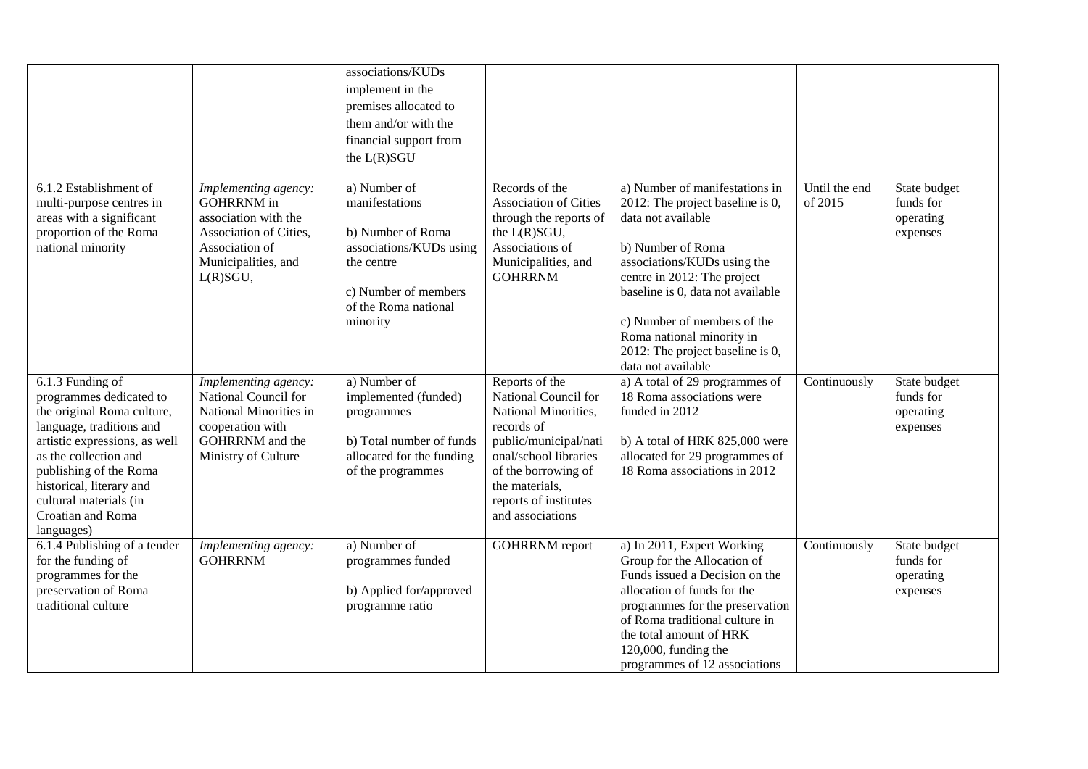|                                                                                                                                                                                                                                                                                    |                                                                                                                                                  | associations/KUDs<br>implement in the<br>premises allocated to<br>them and/or with the<br>financial support from<br>the L(R)SGU                          |                                                                                                                                                                                                                      |                                                                                                                                                                                                                                                                                                                                        |                          |                                                    |
|------------------------------------------------------------------------------------------------------------------------------------------------------------------------------------------------------------------------------------------------------------------------------------|--------------------------------------------------------------------------------------------------------------------------------------------------|----------------------------------------------------------------------------------------------------------------------------------------------------------|----------------------------------------------------------------------------------------------------------------------------------------------------------------------------------------------------------------------|----------------------------------------------------------------------------------------------------------------------------------------------------------------------------------------------------------------------------------------------------------------------------------------------------------------------------------------|--------------------------|----------------------------------------------------|
| 6.1.2 Establishment of<br>multi-purpose centres in<br>areas with a significant<br>proportion of the Roma<br>national minority                                                                                                                                                      | Implementing agency:<br><b>GOHRRNM</b> in<br>association with the<br>Association of Cities,<br>Association of<br>Municipalities, and<br>L(R)SGU, | a) Number of<br>manifestations<br>b) Number of Roma<br>associations/KUDs using<br>the centre<br>c) Number of members<br>of the Roma national<br>minority | Records of the<br><b>Association of Cities</b><br>through the reports of<br>the L(R)SGU,<br>Associations of<br>Municipalities, and<br><b>GOHRRNM</b>                                                                 | a) Number of manifestations in<br>2012: The project baseline is 0,<br>data not available<br>b) Number of Roma<br>associations/KUDs using the<br>centre in 2012: The project<br>baseline is 0, data not available<br>c) Number of members of the<br>Roma national minority in<br>2012: The project baseline is 0,<br>data not available | Until the end<br>of 2015 | State budget<br>funds for<br>operating<br>expenses |
| 6.1.3 Funding of<br>programmes dedicated to<br>the original Roma culture,<br>language, traditions and<br>artistic expressions, as well<br>as the collection and<br>publishing of the Roma<br>historical, literary and<br>cultural materials (in<br>Croatian and Roma<br>languages) | Implementing agency:<br>National Council for<br>National Minorities in<br>cooperation with<br>GOHRRNM and the<br>Ministry of Culture             | a) Number of<br>implemented (funded)<br>programmes<br>b) Total number of funds<br>allocated for the funding<br>of the programmes                         | Reports of the<br>National Council for<br>National Minorities,<br>records of<br>public/municipal/nati<br>onal/school libraries<br>of the borrowing of<br>the materials,<br>reports of institutes<br>and associations | a) A total of 29 programmes of<br>18 Roma associations were<br>funded in 2012<br>b) A total of HRK 825,000 were<br>allocated for 29 programmes of<br>18 Roma associations in 2012                                                                                                                                                      | Continuously             | State budget<br>funds for<br>operating<br>expenses |
| 6.1.4 Publishing of a tender<br>for the funding of<br>programmes for the<br>preservation of Roma<br>traditional culture                                                                                                                                                            | Implementing agency:<br><b>GOHRRNM</b>                                                                                                           | a) Number of<br>programmes funded<br>b) Applied for/approved<br>programme ratio                                                                          | <b>GOHRRNM</b> report                                                                                                                                                                                                | a) In 2011, Expert Working<br>Group for the Allocation of<br>Funds issued a Decision on the<br>allocation of funds for the<br>programmes for the preservation<br>of Roma traditional culture in<br>the total amount of HRK<br>120,000, funding the<br>programmes of 12 associations                                                    | Continuously             | State budget<br>funds for<br>operating<br>expenses |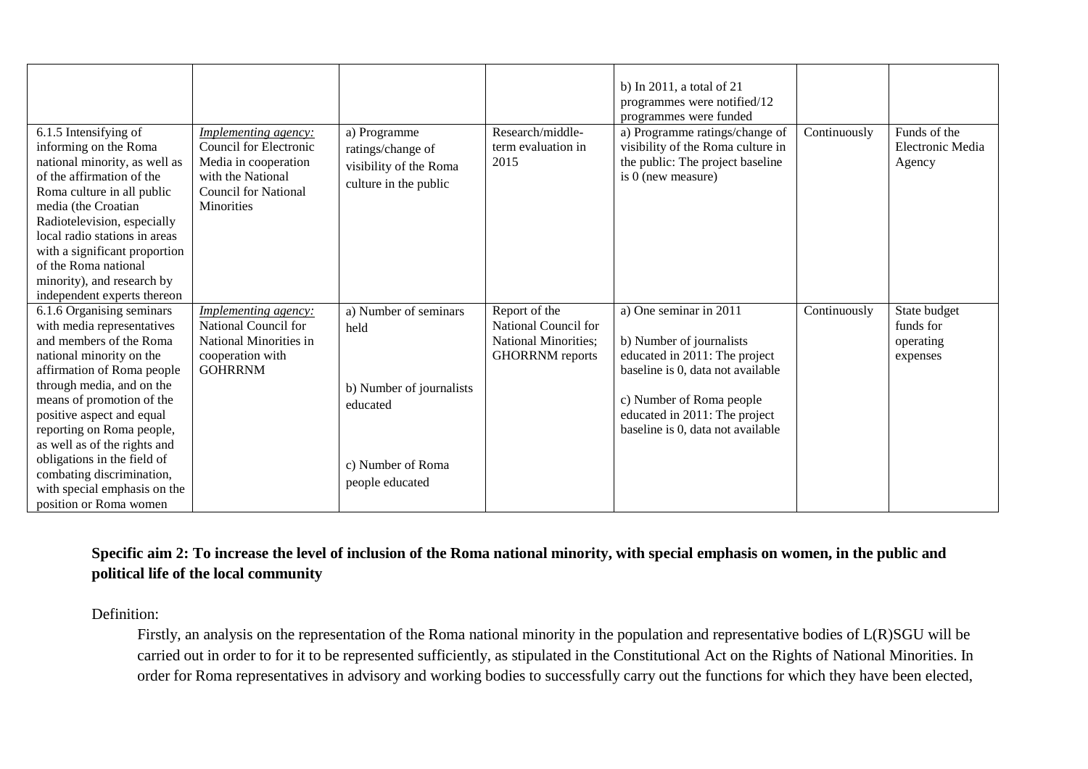| 6.1.5 Intensifying of                                                                                                                                                                                                                     | <b>Implementing agency:</b>                                                                                      | a) Programme                                                         | Research/middle-           | b) In $2011$ , a total of $21$<br>programmes were notified/12<br>programmes were funded<br>a) Programme ratings/change of | Continuously | Funds of the               |
|-------------------------------------------------------------------------------------------------------------------------------------------------------------------------------------------------------------------------------------------|------------------------------------------------------------------------------------------------------------------|----------------------------------------------------------------------|----------------------------|---------------------------------------------------------------------------------------------------------------------------|--------------|----------------------------|
| informing on the Roma<br>national minority, as well as<br>of the affirmation of the<br>Roma culture in all public<br>media (the Croatian<br>Radiotelevision, especially<br>local radio stations in areas<br>with a significant proportion | Council for Electronic<br>Media in cooperation<br>with the National<br><b>Council for National</b><br>Minorities | ratings/change of<br>visibility of the Roma<br>culture in the public | term evaluation in<br>2015 | visibility of the Roma culture in<br>the public: The project baseline<br>is 0 (new measure)                               |              | Electronic Media<br>Agency |
| of the Roma national                                                                                                                                                                                                                      |                                                                                                                  |                                                                      |                            |                                                                                                                           |              |                            |
| minority), and research by                                                                                                                                                                                                                |                                                                                                                  |                                                                      |                            |                                                                                                                           |              |                            |
| independent experts thereon                                                                                                                                                                                                               |                                                                                                                  |                                                                      |                            |                                                                                                                           |              |                            |
| 6.1.6 Organising seminars                                                                                                                                                                                                                 | <i>Implementing agency:</i>                                                                                      | a) Number of seminars                                                | Report of the              | a) One seminar in 2011                                                                                                    | Continuously | State budget               |
| with media representatives                                                                                                                                                                                                                | National Council for                                                                                             | held                                                                 | National Council for       |                                                                                                                           |              | funds for                  |
| and members of the Roma                                                                                                                                                                                                                   | National Minorities in                                                                                           |                                                                      | National Minorities;       | b) Number of journalists                                                                                                  |              | operating                  |
| national minority on the                                                                                                                                                                                                                  | cooperation with<br><b>GOHRRNM</b>                                                                               |                                                                      | <b>GHORRNM</b> reports     | educated in 2011: The project                                                                                             |              | expenses                   |
| affirmation of Roma people<br>through media, and on the                                                                                                                                                                                   |                                                                                                                  |                                                                      |                            | baseline is 0, data not available                                                                                         |              |                            |
| means of promotion of the                                                                                                                                                                                                                 |                                                                                                                  | b) Number of journalists                                             |                            | c) Number of Roma people                                                                                                  |              |                            |
| positive aspect and equal                                                                                                                                                                                                                 |                                                                                                                  | educated                                                             |                            | educated in 2011: The project                                                                                             |              |                            |
| reporting on Roma people,                                                                                                                                                                                                                 |                                                                                                                  |                                                                      |                            | baseline is 0, data not available                                                                                         |              |                            |
| as well as of the rights and                                                                                                                                                                                                              |                                                                                                                  |                                                                      |                            |                                                                                                                           |              |                            |
| obligations in the field of                                                                                                                                                                                                               |                                                                                                                  | c) Number of Roma                                                    |                            |                                                                                                                           |              |                            |
| combating discrimination,                                                                                                                                                                                                                 |                                                                                                                  |                                                                      |                            |                                                                                                                           |              |                            |
| with special emphasis on the                                                                                                                                                                                                              |                                                                                                                  | people educated                                                      |                            |                                                                                                                           |              |                            |
| position or Roma women                                                                                                                                                                                                                    |                                                                                                                  |                                                                      |                            |                                                                                                                           |              |                            |

# **Specific aim 2: To increase the level of inclusion of the Roma national minority, with special emphasis on women, in the public and political life of the local community**

# Definition:

Firstly, an analysis on the representation of the Roma national minority in the population and representative bodies of L(R)SGU will be carried out in order to for it to be represented sufficiently, as stipulated in the Constitutional Act on the Rights of National Minorities. In order for Roma representatives in advisory and working bodies to successfully carry out the functions for which they have been elected,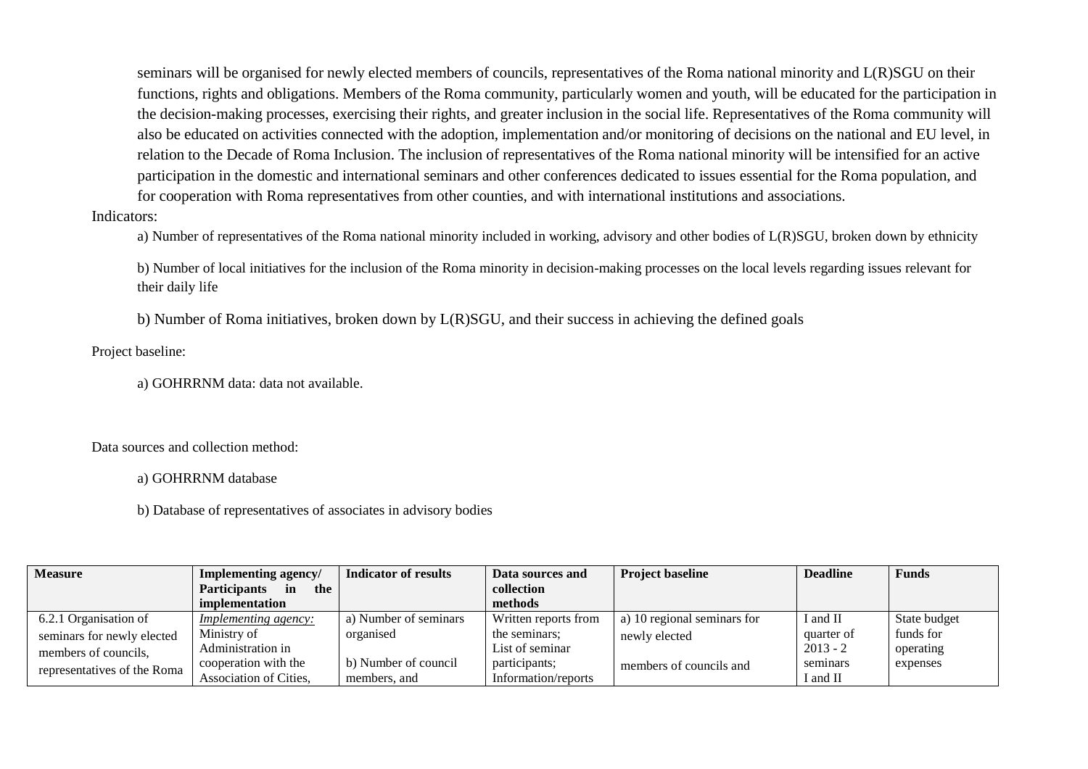seminars will be organised for newly elected members of councils, representatives of the Roma national minority and L(R)SGU on their functions, rights and obligations. Members of the Roma community, particularly women and youth, will be educated for the participation in the decision-making processes, exercising their rights, and greater inclusion in the social life. Representatives of the Roma community will also be educated on activities connected with the adoption, implementation and/or monitoring of decisions on the national and EU level, in relation to the Decade of Roma Inclusion. The inclusion of representatives of the Roma national minority will be intensified for an active participation in the domestic and international seminars and other conferences dedicated to issues essential for the Roma population, and for cooperation with Roma representatives from other counties, and with international institutions and associations.

Indicators:

a) Number of representatives of the Roma national minority included in working, advisory and other bodies of L(R)SGU, broken down by ethnicity

b) Number of local initiatives for the inclusion of the Roma minority in decision-making processes on the local levels regarding issues relevant for their daily life

b) Number of Roma initiatives, broken down by L(R)SGU, and their success in achieving the defined goals

Project baseline:

a) GOHRRNM data: data not available.

Data sources and collection method:

a) GOHRRNM database

b) Database of representatives of associates in advisory bodies

| <b>Measure</b>              | <b>Implementing agency/</b>      | Indicator of results  | Data sources and     | <b>Project baseline</b>     | <b>Deadline</b> | <b>Funds</b> |
|-----------------------------|----------------------------------|-----------------------|----------------------|-----------------------------|-----------------|--------------|
|                             | <b>Participants</b><br>the<br>in |                       | collection           |                             |                 |              |
|                             | implementation                   |                       | methods              |                             |                 |              |
| 6.2.1 Organisation of       | <i>Implementing agency:</i>      | a) Number of seminars | Written reports from | a) 10 regional seminars for | I and II        | State budget |
| seminars for newly elected  | Ministry of                      | organised             | the seminars;        | newly elected               | quarter of      | funds for    |
| members of councils,        | Administration in                |                       | List of seminar      |                             | $2013 - 2$      | operating    |
| representatives of the Roma | cooperation with the             | b) Number of council  | participants;        | members of councils and     | seminars        | expenses     |
|                             | Association of Cities.           | members, and          | Information/reports  |                             | I and II        |              |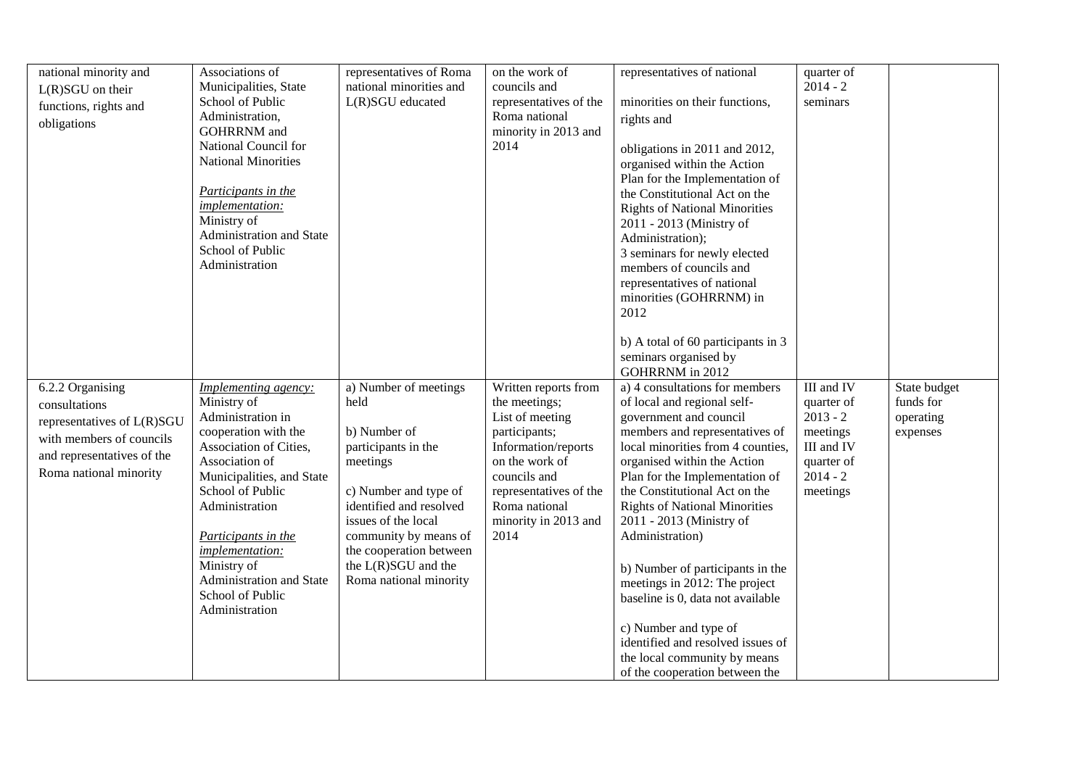| national minority and      | Associations of             | representatives of Roma | on the work of         | representatives of national          | quarter of |              |
|----------------------------|-----------------------------|-------------------------|------------------------|--------------------------------------|------------|--------------|
| $L(R)SGU$ on their         | Municipalities, State       | national minorities and | councils and           |                                      | $2014 - 2$ |              |
| functions, rights and      | School of Public            | $L(R)SGU$ educated      | representatives of the | minorities on their functions,       | seminars   |              |
| obligations                | Administration,             |                         | Roma national          | rights and                           |            |              |
|                            | <b>GOHRRNM</b> and          |                         | minority in 2013 and   |                                      |            |              |
|                            | National Council for        |                         | 2014                   | obligations in 2011 and 2012,        |            |              |
|                            | <b>National Minorities</b>  |                         |                        | organised within the Action          |            |              |
|                            |                             |                         |                        | Plan for the Implementation of       |            |              |
|                            | Participants in the         |                         |                        | the Constitutional Act on the        |            |              |
|                            | implementation:             |                         |                        | <b>Rights of National Minorities</b> |            |              |
|                            | Ministry of                 |                         |                        | 2011 - 2013 (Ministry of             |            |              |
|                            | Administration and State    |                         |                        | Administration);                     |            |              |
|                            | School of Public            |                         |                        | 3 seminars for newly elected         |            |              |
|                            | Administration              |                         |                        | members of councils and              |            |              |
|                            |                             |                         |                        | representatives of national          |            |              |
|                            |                             |                         |                        | minorities (GOHRRNM) in              |            |              |
|                            |                             |                         |                        | 2012                                 |            |              |
|                            |                             |                         |                        |                                      |            |              |
|                            |                             |                         |                        | b) A total of 60 participants in 3   |            |              |
|                            |                             |                         |                        | seminars organised by                |            |              |
|                            |                             |                         |                        | GOHRRNM in 2012                      |            |              |
| 6.2.2 Organising           | <i>Implementing agency:</i> | a) Number of meetings   | Written reports from   | a) 4 consultations for members       | III and IV | State budget |
| consultations              | Ministry of                 | held                    | the meetings;          | of local and regional self-          | quarter of | funds for    |
|                            | Administration in           |                         | List of meeting        | government and council               | $2013 - 2$ | operating    |
| representatives of L(R)SGU | cooperation with the        | b) Number of            | participants;          | members and representatives of       | meetings   | expenses     |
| with members of councils   | Association of Cities,      | participants in the     | Information/reports    | local minorities from 4 counties,    | III and IV |              |
| and representatives of the | Association of              | meetings                | on the work of         | organised within the Action          | quarter of |              |
| Roma national minority     | Municipalities, and State   |                         | councils and           | Plan for the Implementation of       | $2014 - 2$ |              |
|                            | School of Public            | c) Number and type of   | representatives of the | the Constitutional Act on the        | meetings   |              |
|                            | Administration              | identified and resolved | Roma national          | <b>Rights of National Minorities</b> |            |              |
|                            |                             | issues of the local     | minority in 2013 and   | 2011 - 2013 (Ministry of             |            |              |
|                            | Participants in the         | community by means of   | 2014                   | Administration)                      |            |              |
|                            | implementation:             | the cooperation between |                        |                                      |            |              |
|                            | Ministry of                 | the L(R)SGU and the     |                        |                                      |            |              |
|                            | Administration and State    | Roma national minority  |                        | b) Number of participants in the     |            |              |
|                            | School of Public            |                         |                        | meetings in 2012: The project        |            |              |
|                            | Administration              |                         |                        | baseline is 0, data not available    |            |              |
|                            |                             |                         |                        |                                      |            |              |
|                            |                             |                         |                        | c) Number and type of                |            |              |
|                            |                             |                         |                        | identified and resolved issues of    |            |              |
|                            |                             |                         |                        | the local community by means         |            |              |
|                            |                             |                         |                        | of the cooperation between the       |            |              |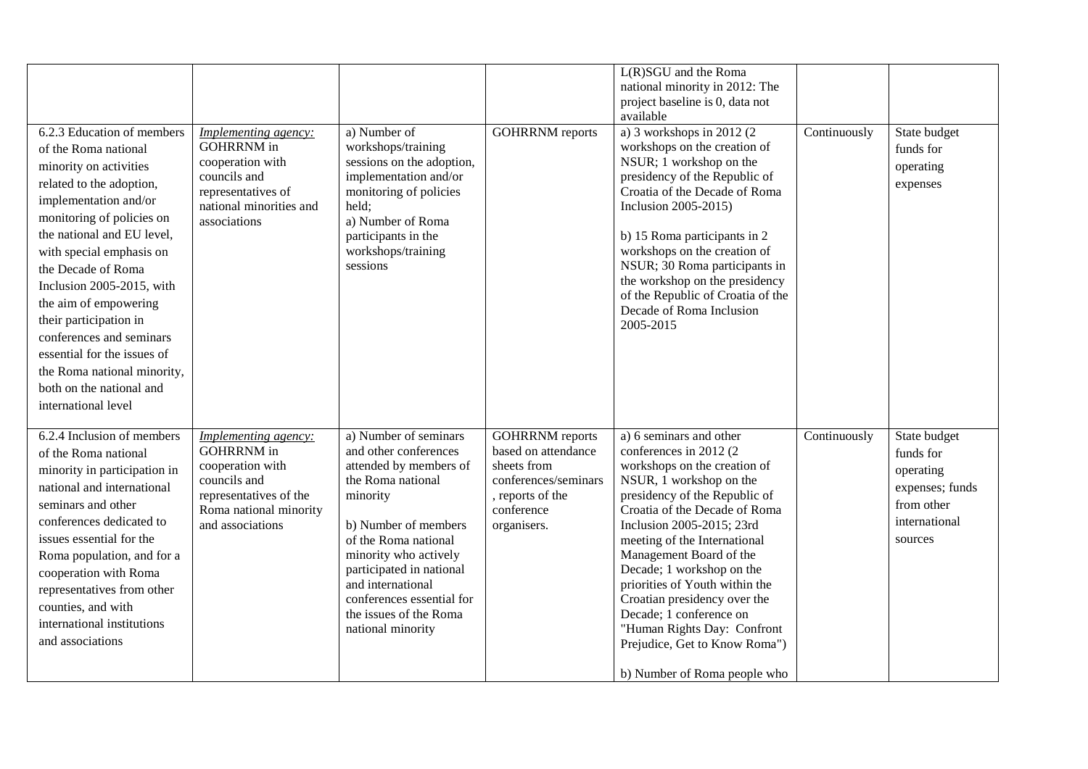| 6.2.3 Education of members<br>of the Roma national<br>minority on activities<br>related to the adoption,<br>implementation and/or<br>monitoring of policies on<br>the national and EU level,<br>with special emphasis on<br>the Decade of Roma<br>Inclusion 2005-2015, with<br>the aim of empowering<br>their participation in<br>conferences and seminars<br>essential for the issues of<br>the Roma national minority, | <b>Implementing agency:</b><br><b>GOHRRNM</b> in<br>cooperation with<br>councils and<br>representatives of<br>national minorities and<br>associations | a) Number of<br>workshops/training<br>sessions on the adoption,<br>implementation and/or<br>monitoring of policies<br>held;<br>a) Number of Roma<br>participants in the<br>workshops/training<br>sessions                                                                                                       | <b>GOHRRNM</b> reports                                                                                                                | L(R)SGU and the Roma<br>national minority in 2012: The<br>project baseline is 0, data not<br>available<br>a) 3 workshops in $2012(2)$<br>workshops on the creation of<br>NSUR; 1 workshop on the<br>presidency of the Republic of<br>Croatia of the Decade of Roma<br>Inclusion 2005-2015)<br>b) 15 Roma participants in 2<br>workshops on the creation of<br>NSUR; 30 Roma participants in<br>the workshop on the presidency<br>of the Republic of Croatia of the<br>Decade of Roma Inclusion<br>2005-2015 | Continuously | State budget<br>funds for<br>operating<br>expenses                                                  |
|--------------------------------------------------------------------------------------------------------------------------------------------------------------------------------------------------------------------------------------------------------------------------------------------------------------------------------------------------------------------------------------------------------------------------|-------------------------------------------------------------------------------------------------------------------------------------------------------|-----------------------------------------------------------------------------------------------------------------------------------------------------------------------------------------------------------------------------------------------------------------------------------------------------------------|---------------------------------------------------------------------------------------------------------------------------------------|-------------------------------------------------------------------------------------------------------------------------------------------------------------------------------------------------------------------------------------------------------------------------------------------------------------------------------------------------------------------------------------------------------------------------------------------------------------------------------------------------------------|--------------|-----------------------------------------------------------------------------------------------------|
| both on the national and<br>international level<br>6.2.4 Inclusion of members<br>of the Roma national<br>minority in participation in<br>national and international<br>seminars and other<br>conferences dedicated to<br>issues essential for the<br>Roma population, and for a<br>cooperation with Roma<br>representatives from other<br>counties, and with<br>international institutions<br>and associations           | Implementing agency:<br><b>GOHRRNM</b> in<br>cooperation with<br>councils and<br>representatives of the<br>Roma national minority<br>and associations | a) Number of seminars<br>and other conferences<br>attended by members of<br>the Roma national<br>minority<br>b) Number of members<br>of the Roma national<br>minority who actively<br>participated in national<br>and international<br>conferences essential for<br>the issues of the Roma<br>national minority | <b>GOHRRNM</b> reports<br>based on attendance<br>sheets from<br>conferences/seminars<br>, reports of the<br>conference<br>organisers. | a) 6 seminars and other<br>conferences in 2012 (2)<br>workshops on the creation of<br>NSUR, 1 workshop on the<br>presidency of the Republic of<br>Croatia of the Decade of Roma<br>Inclusion 2005-2015; 23rd<br>meeting of the International<br>Management Board of the<br>Decade; 1 workshop on the<br>priorities of Youth within the<br>Croatian presidency over the<br>Decade; 1 conference on<br>"Human Rights Day: Confront<br>Prejudice, Get to Know Roma")<br>b) Number of Roma people who           | Continuously | State budget<br>funds for<br>operating<br>expenses; funds<br>from other<br>international<br>sources |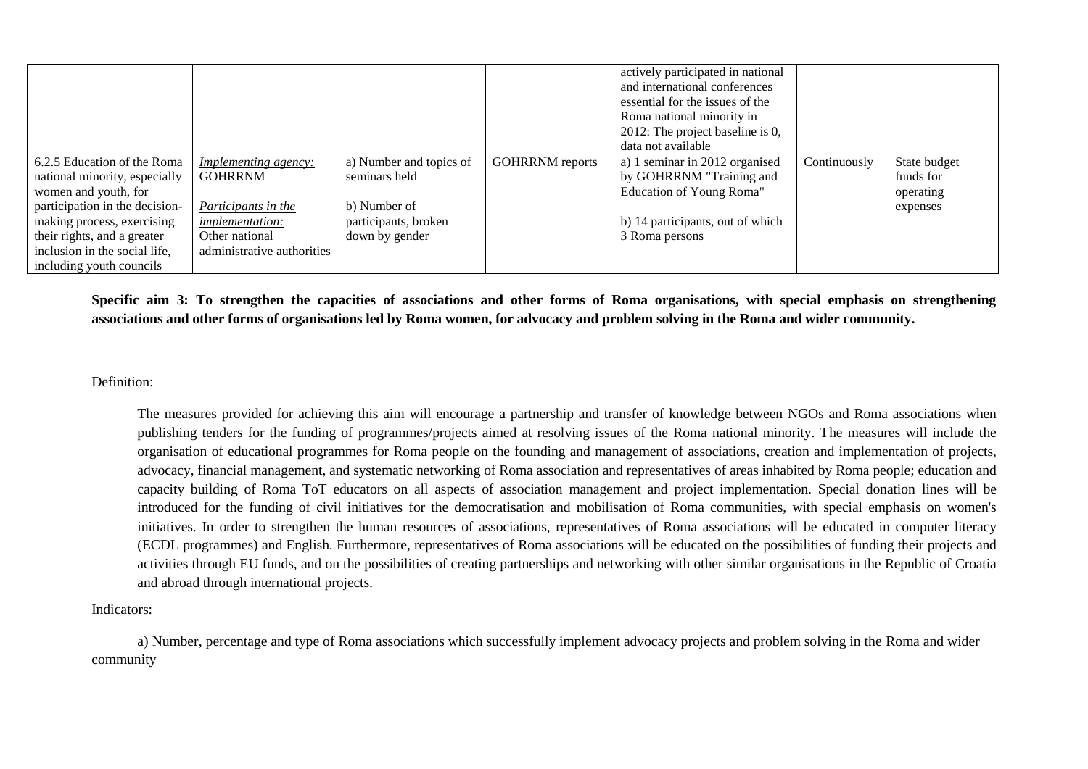|                                |                             |                         |                        | actively participated in national   |              |              |
|--------------------------------|-----------------------------|-------------------------|------------------------|-------------------------------------|--------------|--------------|
|                                |                             |                         |                        | and international conferences       |              |              |
|                                |                             |                         |                        | essential for the issues of the     |              |              |
|                                |                             |                         |                        | Roma national minority in           |              |              |
|                                |                             |                         |                        | 2012: The project baseline is $0$ , |              |              |
|                                |                             |                         |                        | data not available                  |              |              |
| 6.2.5 Education of the Roma    | <i>Implementing agency:</i> | a) Number and topics of | <b>GOHRRNM</b> reports | a) 1 seminar in 2012 organised      | Continuously | State budget |
| national minority, especially  | <b>GOHRRNM</b>              | seminars held           |                        | by GOHRRNM "Training and            |              | funds for    |
| women and youth, for           |                             |                         |                        | Education of Young Roma"            |              | operating    |
| participation in the decision- | Participants in the         | b) Number of            |                        |                                     |              | expenses     |
| making process, exercising     | <i>implementation:</i>      | participants, broken    |                        | b) 14 participants, out of which    |              |              |
| their rights, and a greater    | Other national              | down by gender          |                        | 3 Roma persons                      |              |              |
| inclusion in the social life,  | administrative authorities  |                         |                        |                                     |              |              |
| including youth councils       |                             |                         |                        |                                     |              |              |

**Specific aim 3: To strengthen the capacities of associations and other forms of Roma organisations, with special emphasis on strengthening associations and other forms of organisations led by Roma women, for advocacy and problem solving in the Roma and wider community.**

#### Definition:

The measures provided for achieving this aim will encourage a partnership and transfer of knowledge between NGOs and Roma associations when publishing tenders for the funding of programmes/projects aimed at resolving issues of the Roma national minority. The measures will include the organisation of educational programmes for Roma people on the founding and management of associations, creation and implementation of projects, advocacy, financial management, and systematic networking of Roma association and representatives of areas inhabited by Roma people; education and capacity building of Roma ToT educators on all aspects of association management and project implementation. Special donation lines will be introduced for the funding of civil initiatives for the democratisation and mobilisation of Roma communities, with special emphasis on women's initiatives. In order to strengthen the human resources of associations, representatives of Roma associations will be educated in computer literacy (ECDL programmes) and English. Furthermore, representatives of Roma associations will be educated on the possibilities of funding their projects and activities through EU funds, and on the possibilities of creating partnerships and networking with other similar organisations in the Republic of Croatia and abroad through international projects.

#### Indicators:

a) Number, percentage and type of Roma associations which successfully implement advocacy projects and problem solving in the Roma and wider community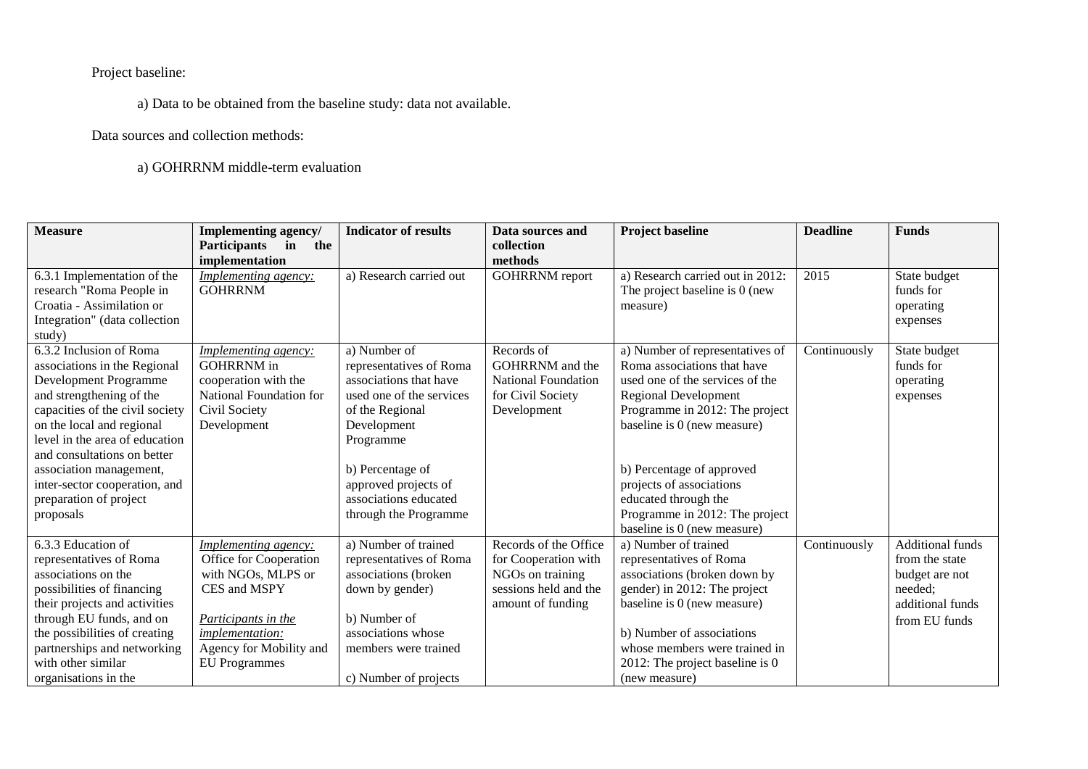Project baseline:

a) Data to be obtained from the baseline study: data not available.

Data sources and collection methods:

a) GOHRRNM middle-term evaluation

| <b>Measure</b>                                                                                                                                                                                                                                                                | Implementing agency/<br><b>Participants</b><br>the<br>in<br>implementation                                                                                                        | <b>Indicator of results</b>                                                                                                                                                       | Data sources and<br>collection<br>methods                                                                       | <b>Project baseline</b>                                                                                                                                                                                                                                          | <b>Deadline</b> | <b>Funds</b>                                                                                                |
|-------------------------------------------------------------------------------------------------------------------------------------------------------------------------------------------------------------------------------------------------------------------------------|-----------------------------------------------------------------------------------------------------------------------------------------------------------------------------------|-----------------------------------------------------------------------------------------------------------------------------------------------------------------------------------|-----------------------------------------------------------------------------------------------------------------|------------------------------------------------------------------------------------------------------------------------------------------------------------------------------------------------------------------------------------------------------------------|-----------------|-------------------------------------------------------------------------------------------------------------|
| 6.3.1 Implementation of the<br>research "Roma People in<br>Croatia - Assimilation or<br>Integration" (data collection<br>study)                                                                                                                                               | Implementing agency:<br><b>GOHRRNM</b>                                                                                                                                            | a) Research carried out                                                                                                                                                           | <b>GOHRRNM</b> report                                                                                           | a) Research carried out in 2012:<br>The project baseline is 0 (new<br>measure)                                                                                                                                                                                   | 2015            | State budget<br>funds for<br>operating<br>expenses                                                          |
| 6.3.2 Inclusion of Roma<br>associations in the Regional<br>Development Programme<br>and strengthening of the<br>capacities of the civil society<br>on the local and regional<br>level in the area of education<br>and consultations on better                                 | Implementing agency:<br><b>GOHRRNM</b> in<br>cooperation with the<br>National Foundation for<br>Civil Society<br>Development                                                      | a) Number of<br>representatives of Roma<br>associations that have<br>used one of the services<br>of the Regional<br>Development<br>Programme                                      | Records of<br><b>GOHRRNM</b> and the<br><b>National Foundation</b><br>for Civil Society<br>Development          | a) Number of representatives of<br>Roma associations that have<br>used one of the services of the<br><b>Regional Development</b><br>Programme in 2012: The project<br>baseline is 0 (new measure)                                                                | Continuously    | State budget<br>funds for<br>operating<br>expenses                                                          |
| association management,<br>inter-sector cooperation, and<br>preparation of project<br>proposals                                                                                                                                                                               |                                                                                                                                                                                   | b) Percentage of<br>approved projects of<br>associations educated<br>through the Programme                                                                                        |                                                                                                                 | b) Percentage of approved<br>projects of associations<br>educated through the<br>Programme in 2012: The project<br>baseline is 0 (new measure)                                                                                                                   |                 |                                                                                                             |
| 6.3.3 Education of<br>representatives of Roma<br>associations on the<br>possibilities of financing<br>their projects and activities<br>through EU funds, and on<br>the possibilities of creating<br>partnerships and networking<br>with other similar<br>organisations in the | Implementing agency:<br>Office for Cooperation<br>with NGOs, MLPS or<br>CES and MSPY<br>Participants in the<br>implementation:<br>Agency for Mobility and<br><b>EU</b> Programmes | a) Number of trained<br>representatives of Roma<br>associations (broken<br>down by gender)<br>b) Number of<br>associations whose<br>members were trained<br>c) Number of projects | Records of the Office<br>for Cooperation with<br>NGOs on training<br>sessions held and the<br>amount of funding | a) Number of trained<br>representatives of Roma<br>associations (broken down by<br>gender) in 2012: The project<br>baseline is 0 (new measure)<br>b) Number of associations<br>whose members were trained in<br>2012: The project baseline is 0<br>(new measure) | Continuously    | <b>Additional funds</b><br>from the state<br>budget are not<br>needed:<br>additional funds<br>from EU funds |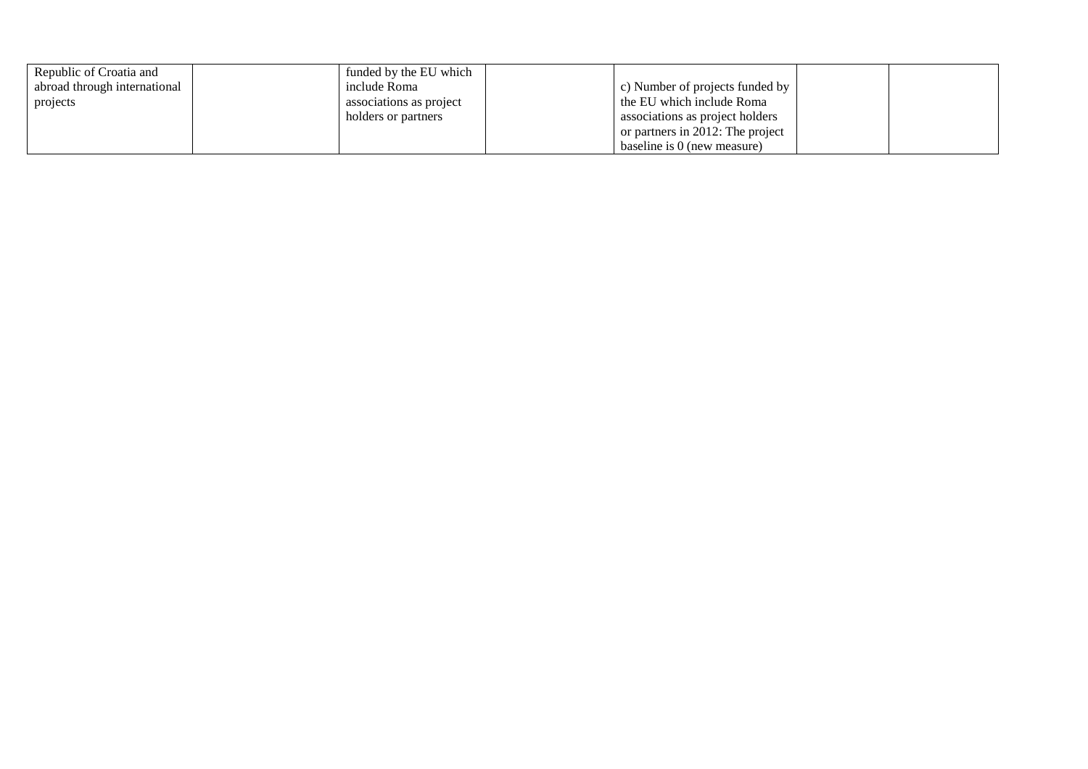| Republic of Croatia and      | funded by the EU which  |                                   |  |
|------------------------------|-------------------------|-----------------------------------|--|
| abroad through international | include Roma            | c) Number of projects funded by   |  |
| projects                     | associations as project | the EU which include Roma         |  |
|                              | holders or partners     | associations as project holders   |  |
|                              |                         | or partners in 2012: The project  |  |
|                              |                         | $\mu$ baseline is 0 (new measure) |  |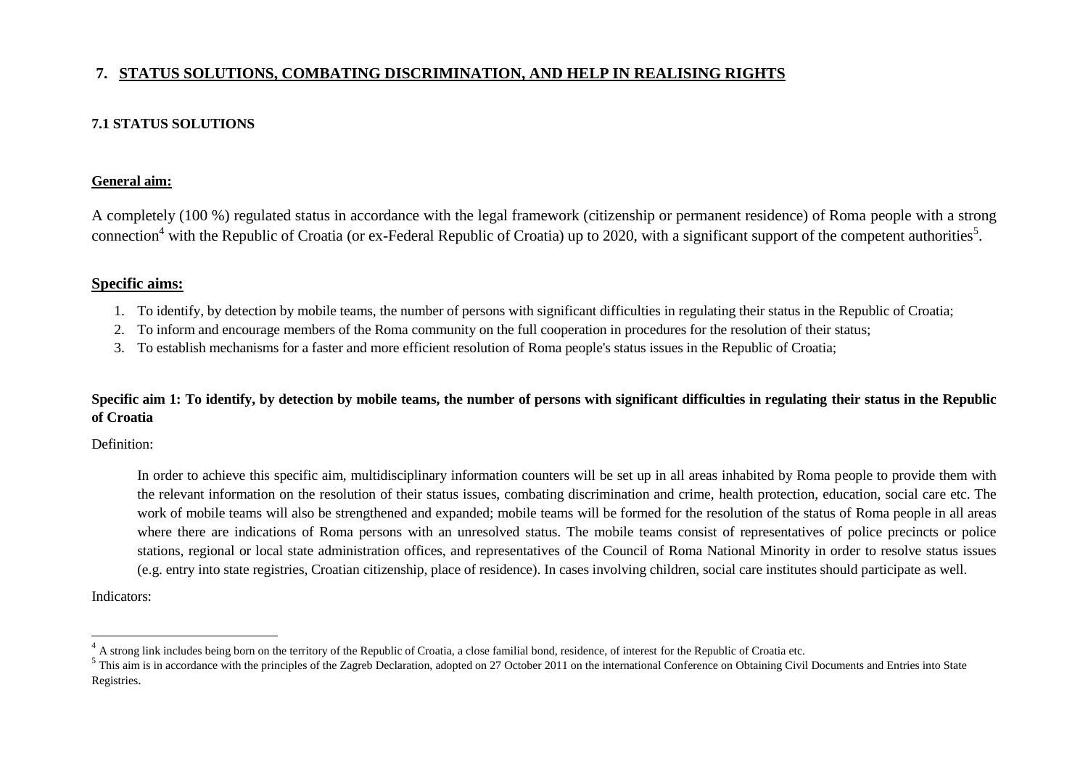# **7. STATUS SOLUTIONS, COMBATING DISCRIMINATION, AND HELP IN REALISING RIGHTS**

# **7.1 STATUS SOLUTIONS**

## **General aim:**

A completely (100 %) regulated status in accordance with the legal framework (citizenship or permanent residence) of Roma people with a strong connection<sup>4</sup> with the Republic of Croatia (or ex-Federal Republic of Croatia) up to 2020, with a significant support of the competent authorities<sup>5</sup>.

# **Specific aims:**

- 1. To identify, by detection by mobile teams, the number of persons with significant difficulties in regulating their status in the Republic of Croatia;
- 2. To inform and encourage members of the Roma community on the full cooperation in procedures for the resolution of their status;
- 3. To establish mechanisms for a faster and more efficient resolution of Roma people's status issues in the Republic of Croatia;

## **Specific aim 1: To identify, by detection by mobile teams, the number of persons with significant difficulties in regulating their status in the Republic of Croatia**

Definition:

In order to achieve this specific aim, multidisciplinary information counters will be set up in all areas inhabited by Roma people to provide them with the relevant information on the resolution of their status issues, combating discrimination and crime, health protection, education, social care etc. The work of mobile teams will also be strengthened and expanded; mobile teams will be formed for the resolution of the status of Roma people in all areas where there are indications of Roma persons with an unresolved status. The mobile teams consist of representatives of police precincts or police stations, regional or local state administration offices, and representatives of the Council of Roma National Minority in order to resolve status issues (e.g. entry into state registries, Croatian citizenship, place of residence). In cases involving children, social care institutes should participate as well.

Indicators:

 $\overline{a}$ 

A strong link includes being born on the territory of the Republic of Croatia, a close familial bond, residence, of interest for the Republic of Croatia etc.

 $<sup>5</sup>$  This aim is in accordance with the principles of the Zagreb Declaration, adopted on 27 October 2011 on the international Conference on Obtaining Civil Documents and Entries into State</sup> Registries.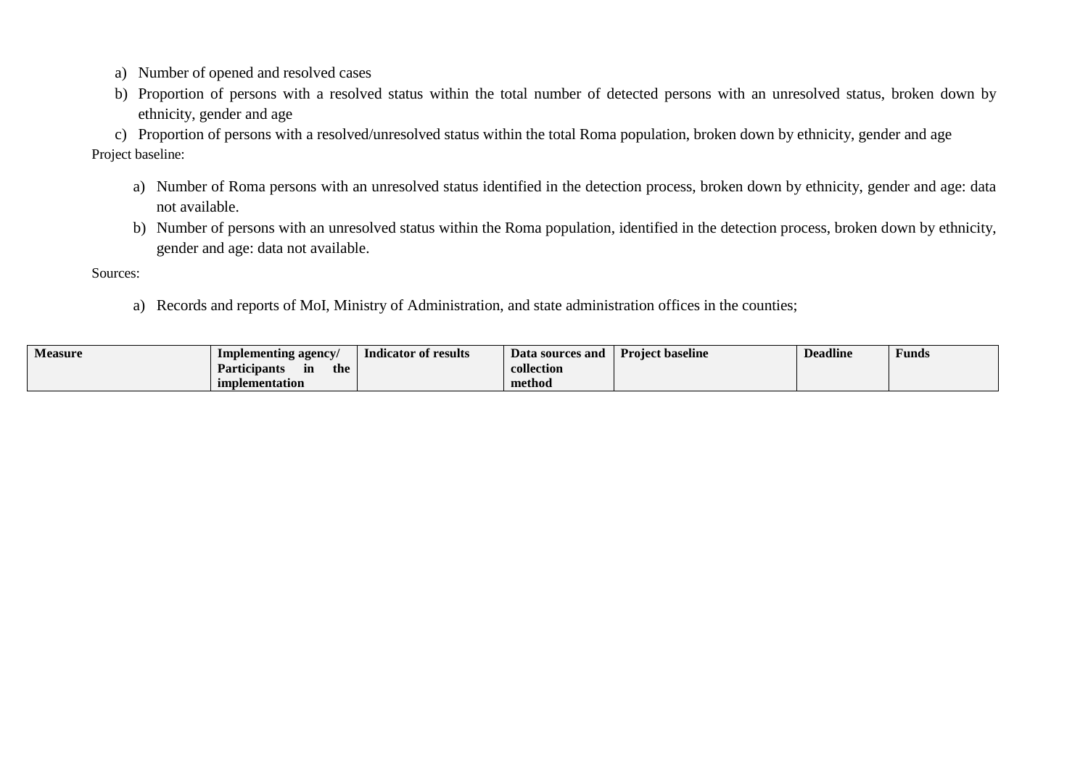- a) Number of opened and resolved cases
- b) Proportion of persons with a resolved status within the total number of detected persons with an unresolved status, broken down by ethnicity, gender and age

c) Proportion of persons with a resolved/unresolved status within the total Roma population, broken down by ethnicity, gender and age Project baseline:

- a) Number of Roma persons with an unresolved status identified in the detection process, broken down by ethnicity, gender and age: data not available.
- b) Number of persons with an unresolved status within the Roma population, identified in the detection process, broken down by ethnicity, gender and age: data not available.

Sources:

a) Records and reports of MoI, Ministry of Administration, and state administration offices in the counties;

| <b>Measure</b> | Implementing agency              | Indicator of results | Data sources and | <b>Project baseline</b> | <b>Deadline</b> | $\overline{\phantom{a}}$<br>Funds |
|----------------|----------------------------------|----------------------|------------------|-------------------------|-----------------|-----------------------------------|
|                | <b>Participants</b><br>the<br>ın |                      | collection       |                         |                 |                                   |
|                | implementation                   |                      | method           |                         |                 |                                   |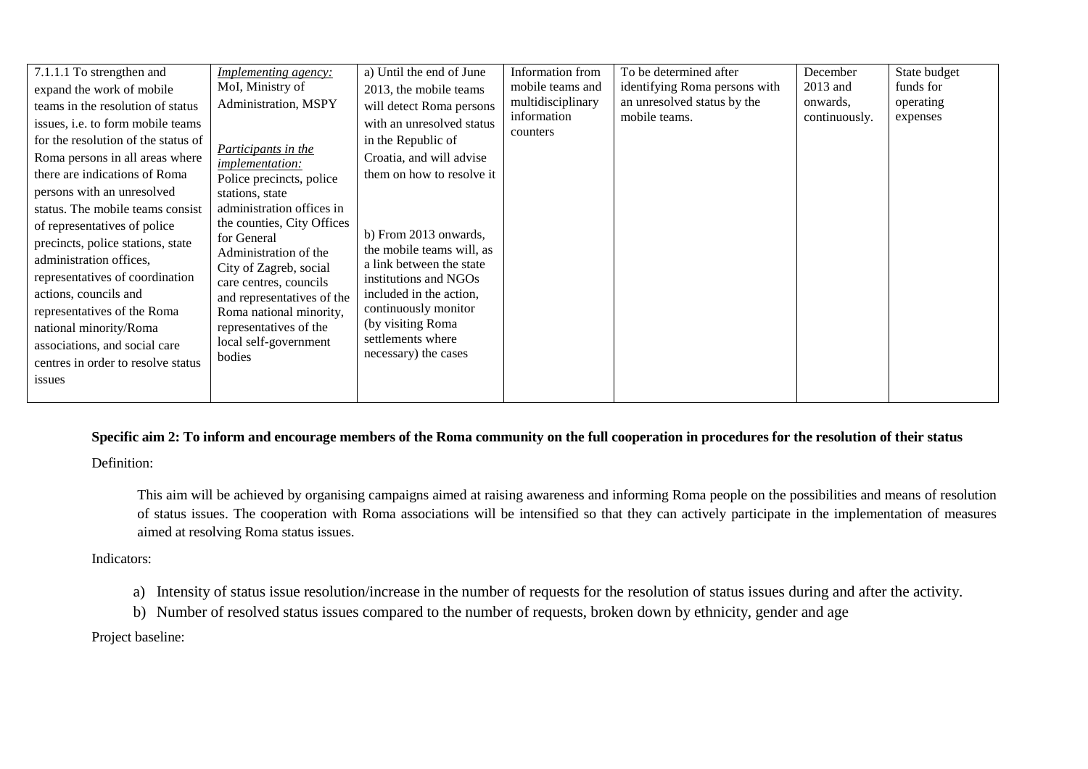| 7.1.1.1 To strengthen and           | <b>Implementing agency:</b>                     | a) Until the end of June                           | Information from        | To be determined after        | December      | State budget |
|-------------------------------------|-------------------------------------------------|----------------------------------------------------|-------------------------|-------------------------------|---------------|--------------|
| expand the work of mobile           | MoI, Ministry of                                | 2013, the mobile teams                             | mobile teams and        | identifying Roma persons with | 2013 and      | funds for    |
| teams in the resolution of status   | Administration, MSPY                            | will detect Roma persons                           | multidisciplinary       | an unresolved status by the   | onwards.      | operating    |
| issues, i.e. to form mobile teams   |                                                 | with an unresolved status                          | information<br>counters | mobile teams.                 | continuously. | expenses     |
| for the resolution of the status of | Participants in the                             | in the Republic of                                 |                         |                               |               |              |
| Roma persons in all areas where     | <i>implementation:</i>                          | Croatia, and will advise                           |                         |                               |               |              |
| there are indications of Roma       | Police precincts, police                        | them on how to resolve it                          |                         |                               |               |              |
| persons with an unresolved          | stations, state                                 |                                                    |                         |                               |               |              |
| status. The mobile teams consist    | administration offices in                       |                                                    |                         |                               |               |              |
| of representatives of police        | the counties, City Offices                      |                                                    |                         |                               |               |              |
| precincts, police stations, state   | for General                                     | b) From 2013 onwards,<br>the mobile teams will, as |                         |                               |               |              |
| administration offices,             | Administration of the<br>City of Zagreb, social | a link between the state                           |                         |                               |               |              |
| representatives of coordination     | care centres, councils                          | institutions and NGOs                              |                         |                               |               |              |
| actions, councils and               | and representatives of the                      | included in the action,                            |                         |                               |               |              |
| representatives of the Roma         | Roma national minority,                         | continuously monitor                               |                         |                               |               |              |
| national minority/Roma              | representatives of the                          | (by visiting Roma                                  |                         |                               |               |              |
| associations, and social care       | local self-government                           | settlements where                                  |                         |                               |               |              |
| centres in order to resolve status  | bodies                                          | necessary) the cases                               |                         |                               |               |              |
| issues                              |                                                 |                                                    |                         |                               |               |              |
|                                     |                                                 |                                                    |                         |                               |               |              |

# **Specific aim 2: To inform and encourage members of the Roma community on the full cooperation in procedures for the resolution of their status**

Definition:

This aim will be achieved by organising campaigns aimed at raising awareness and informing Roma people on the possibilities and means of resolution of status issues. The cooperation with Roma associations will be intensified so that they can actively participate in the implementation of measures aimed at resolving Roma status issues.

Indicators:

- a) Intensity of status issue resolution/increase in the number of requests for the resolution of status issues during and after the activity.
- b) Number of resolved status issues compared to the number of requests, broken down by ethnicity, gender and age

Project baseline: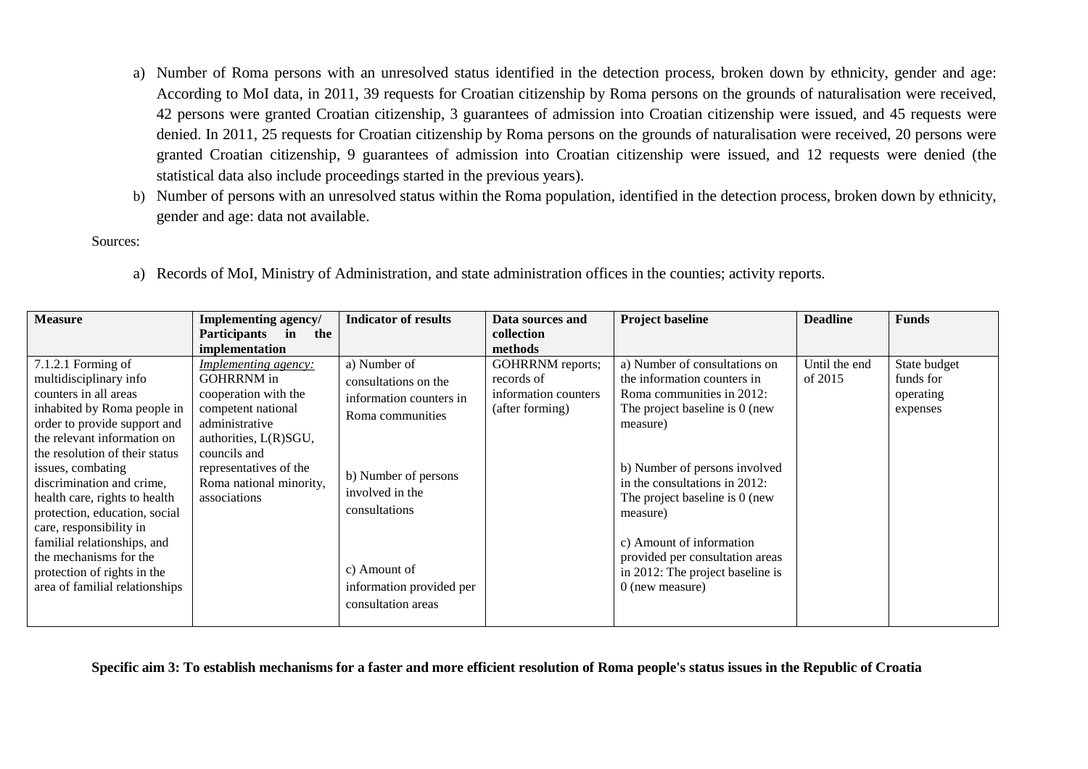- a) Number of Roma persons with an unresolved status identified in the detection process, broken down by ethnicity, gender and age: According to MoI data, in 2011, 39 requests for Croatian citizenship by Roma persons on the grounds of naturalisation were received, 42 persons were granted Croatian citizenship, 3 guarantees of admission into Croatian citizenship were issued, and 45 requests were denied. In 2011, 25 requests for Croatian citizenship by Roma persons on the grounds of naturalisation were received, 20 persons were granted Croatian citizenship, 9 guarantees of admission into Croatian citizenship were issued, and 12 requests were denied (the statistical data also include proceedings started in the previous years).
- b) Number of persons with an unresolved status within the Roma population, identified in the detection process, broken down by ethnicity, gender and age: data not available.

Sources:

| <b>Measure</b>                                                                                                                                                                                                                                                                                                                                                                                                                                                                 | Implementing agency/<br><b>Participants</b><br>$\mathbf{in}$<br>the                                                                                                                                                            | <b>Indicator of results</b>                                                                                                                                                                                       | Data sources and<br>collection                                            | <b>Project baseline</b>                                                                                                                                                                                                                                                                                                                                                         | <b>Deadline</b>          | <b>Funds</b>                                       |
|--------------------------------------------------------------------------------------------------------------------------------------------------------------------------------------------------------------------------------------------------------------------------------------------------------------------------------------------------------------------------------------------------------------------------------------------------------------------------------|--------------------------------------------------------------------------------------------------------------------------------------------------------------------------------------------------------------------------------|-------------------------------------------------------------------------------------------------------------------------------------------------------------------------------------------------------------------|---------------------------------------------------------------------------|---------------------------------------------------------------------------------------------------------------------------------------------------------------------------------------------------------------------------------------------------------------------------------------------------------------------------------------------------------------------------------|--------------------------|----------------------------------------------------|
|                                                                                                                                                                                                                                                                                                                                                                                                                                                                                | implementation                                                                                                                                                                                                                 |                                                                                                                                                                                                                   | methods                                                                   |                                                                                                                                                                                                                                                                                                                                                                                 |                          |                                                    |
| 7.1.2.1 Forming of<br>multidisciplinary info<br>counters in all areas<br>inhabited by Roma people in<br>order to provide support and<br>the relevant information on<br>the resolution of their status<br>issues, combating<br>discrimination and crime,<br>health care, rights to health<br>protection, education, social<br>care, responsibility in<br>familial relationships, and<br>the mechanisms for the<br>protection of rights in the<br>area of familial relationships | <b>Implementing agency:</b><br><b>GOHRRNM</b> in<br>cooperation with the<br>competent national<br>administrative<br>authorities, L(R)SGU,<br>councils and<br>representatives of the<br>Roma national minority,<br>associations | a) Number of<br>consultations on the<br>information counters in<br>Roma communities<br>b) Number of persons<br>involved in the<br>consultations<br>c) Amount of<br>information provided per<br>consultation areas | GOHRRNM reports;<br>records of<br>information counters<br>(after forming) | a) Number of consultations on<br>the information counters in<br>Roma communities in 2012:<br>The project baseline is 0 (new<br>measure)<br>b) Number of persons involved<br>in the consultations in 2012:<br>The project baseline is 0 (new<br>measure)<br>c) Amount of information<br>provided per consultation areas<br>in 2012: The project baseline is<br>$0$ (new measure) | Until the end<br>of 2015 | State budget<br>funds for<br>operating<br>expenses |

a) Records of MoI, Ministry of Administration, and state administration offices in the counties; activity reports.

**Specific aim 3: To establish mechanisms for a faster and more efficient resolution of Roma people's status issues in the Republic of Croatia**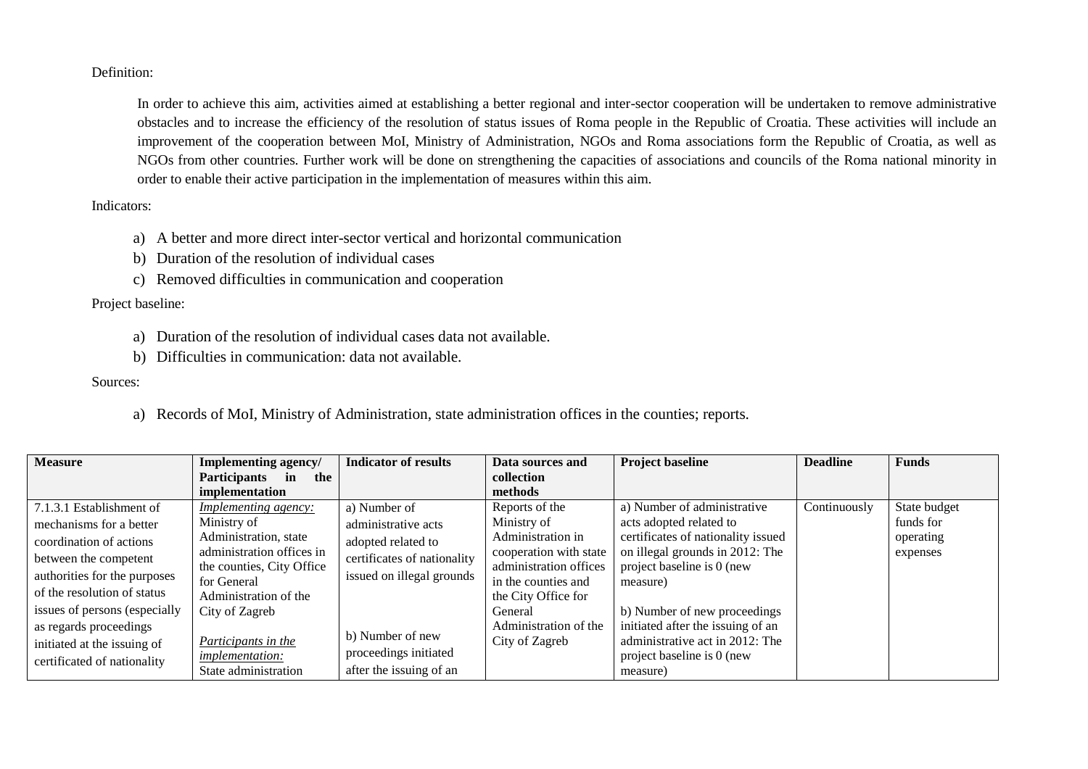Definition:

In order to achieve this aim, activities aimed at establishing a better regional and inter-sector cooperation will be undertaken to remove administrative obstacles and to increase the efficiency of the resolution of status issues of Roma people in the Republic of Croatia. These activities will include an improvement of the cooperation between MoI, Ministry of Administration, NGOs and Roma associations form the Republic of Croatia, as well as NGOs from other countries. Further work will be done on strengthening the capacities of associations and councils of the Roma national minority in order to enable their active participation in the implementation of measures within this aim.

Indicators:

- a) A better and more direct inter-sector vertical and horizontal communication
- b) Duration of the resolution of individual cases
- c) Removed difficulties in communication and cooperation

Project baseline:

- a) Duration of the resolution of individual cases data not available.
- b) Difficulties in communication: data not available.

Sources:

a) Records of MoI, Ministry of Administration, state administration offices in the counties; reports.

| <b>Measure</b>                | <b>Implementing agency/</b> | <b>Indicator of results</b> | Data sources and       | <b>Project baseline</b>            | <b>Deadline</b> | <b>Funds</b> |
|-------------------------------|-----------------------------|-----------------------------|------------------------|------------------------------------|-----------------|--------------|
|                               | Participants in<br>the      |                             | collection             |                                    |                 |              |
|                               | implementation              |                             | methods                |                                    |                 |              |
| 7.1.3.1 Establishment of      | <b>Implementing agency:</b> | a) Number of                | Reports of the         | a) Number of administrative        | Continuously    | State budget |
| mechanisms for a better       | Ministry of                 | administrative acts         | Ministry of            | acts adopted related to            |                 | funds for    |
| coordination of actions       | Administration, state       | adopted related to          | Administration in      | certificates of nationality issued |                 | operating    |
| between the competent         | administration offices in   | certificates of nationality | cooperation with state | on illegal grounds in 2012: The    |                 | expenses     |
| authorities for the purposes  | the counties, City Office   | issued on illegal grounds   | administration offices | project baseline is 0 (new         |                 |              |
|                               | for General                 |                             | in the counties and    | measure)                           |                 |              |
| of the resolution of status   | Administration of the       |                             | the City Office for    |                                    |                 |              |
| issues of persons (especially | City of Zagreb              |                             | General                | b) Number of new proceedings       |                 |              |
| as regards proceedings        |                             |                             | Administration of the  | initiated after the issuing of an  |                 |              |
| initiated at the issuing of   | Participants in the         | b) Number of new            | City of Zagreb         | administrative act in 2012: The    |                 |              |
| certificated of nationality   | <i>implementation:</i>      | proceedings initiated       |                        | project baseline is $0$ (new       |                 |              |
|                               | State administration        | after the issuing of an     |                        | measure)                           |                 |              |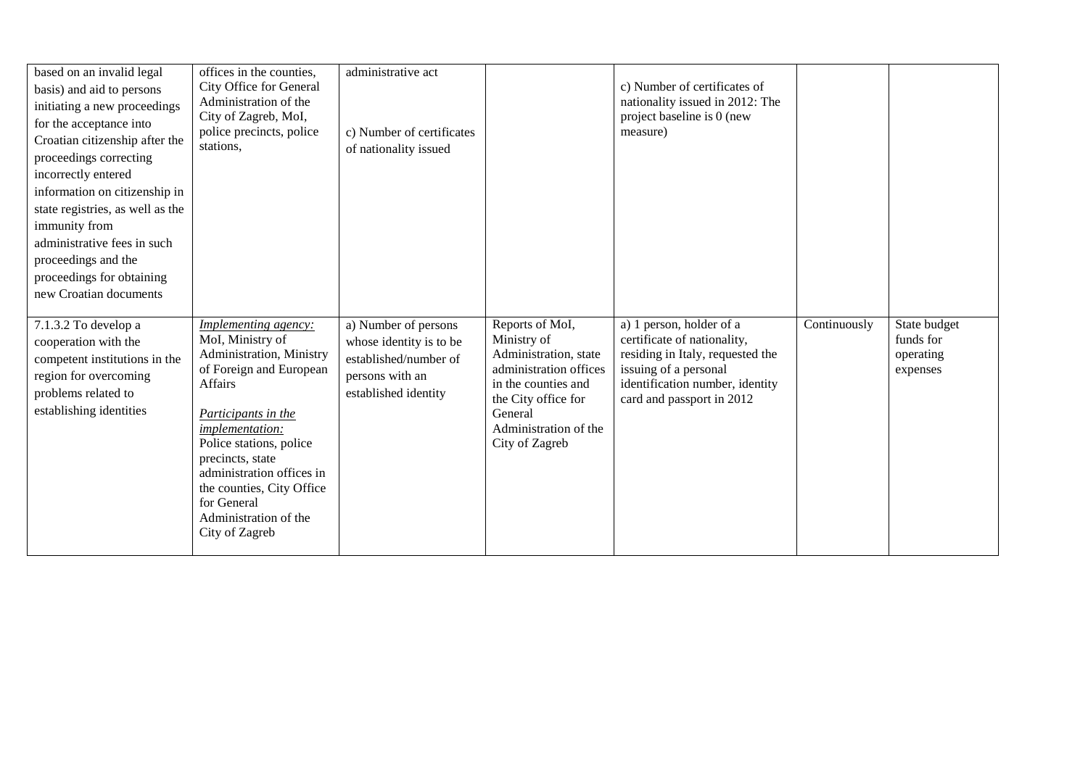| based on an invalid legal<br>basis) and aid to persons<br>initiating a new proceedings<br>for the acceptance into<br>Croatian citizenship after the<br>proceedings correcting<br>incorrectly entered<br>information on citizenship in<br>state registries, as well as the<br>immunity from<br>administrative fees in such<br>proceedings and the<br>proceedings for obtaining<br>new Croatian documents | offices in the counties,<br>City Office for General<br>Administration of the<br>City of Zagreb, MoI,<br>police precincts, police<br>stations,                                                                                                                                                                           | administrative act<br>c) Number of certificates<br>of nationality issued                                            |                                                                                                                                                                                       | c) Number of certificates of<br>nationality issued in 2012: The<br>project baseline is 0 (new<br>measure)                                                                            |              |                                                    |
|---------------------------------------------------------------------------------------------------------------------------------------------------------------------------------------------------------------------------------------------------------------------------------------------------------------------------------------------------------------------------------------------------------|-------------------------------------------------------------------------------------------------------------------------------------------------------------------------------------------------------------------------------------------------------------------------------------------------------------------------|---------------------------------------------------------------------------------------------------------------------|---------------------------------------------------------------------------------------------------------------------------------------------------------------------------------------|--------------------------------------------------------------------------------------------------------------------------------------------------------------------------------------|--------------|----------------------------------------------------|
| 7.1.3.2 To develop a<br>cooperation with the<br>competent institutions in the<br>region for overcoming<br>problems related to<br>establishing identities                                                                                                                                                                                                                                                | Implementing agency:<br>MoI, Ministry of<br>Administration, Ministry<br>of Foreign and European<br>Affairs<br>Participants in the<br>implementation:<br>Police stations, police<br>precincts, state<br>administration offices in<br>the counties, City Office<br>for General<br>Administration of the<br>City of Zagreb | a) Number of persons<br>whose identity is to be<br>established/number of<br>persons with an<br>established identity | Reports of MoI,<br>Ministry of<br>Administration, state<br>administration offices<br>in the counties and<br>the City office for<br>General<br>Administration of the<br>City of Zagreb | a) 1 person, holder of a<br>certificate of nationality,<br>residing in Italy, requested the<br>issuing of a personal<br>identification number, identity<br>card and passport in 2012 | Continuously | State budget<br>funds for<br>operating<br>expenses |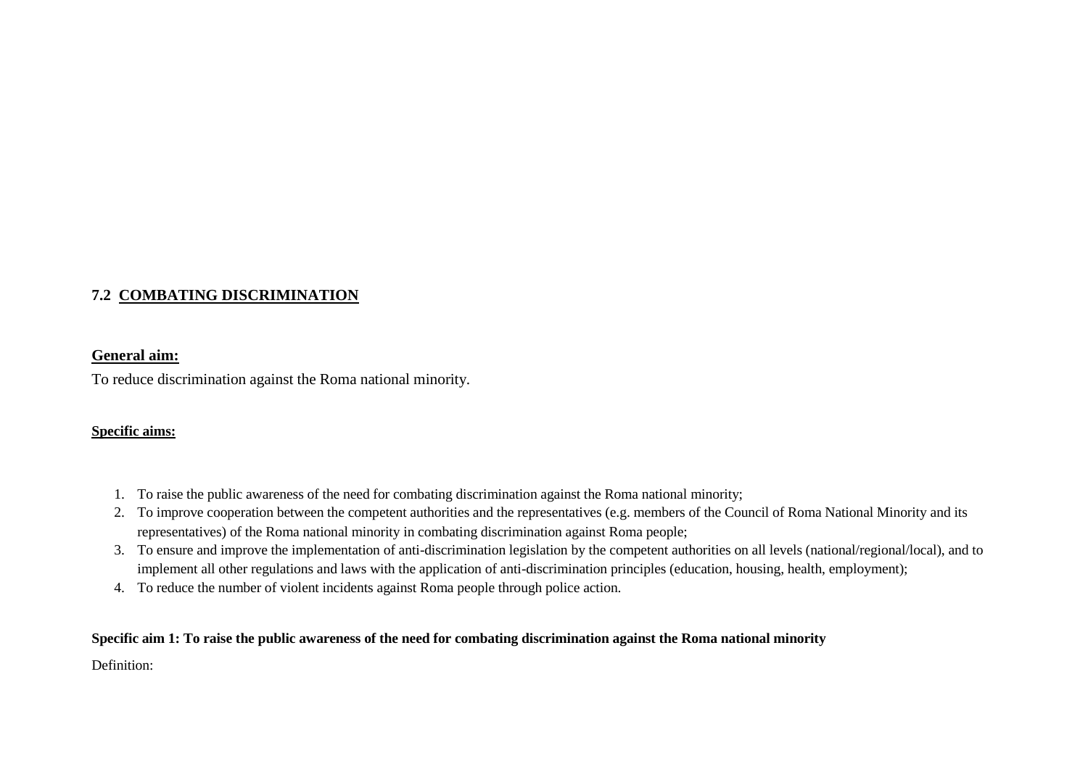# **7.2 COMBATING DISCRIMINATION**

## **General aim:**

To reduce discrimination against the Roma national minority.

## **Specific aims:**

- 1. To raise the public awareness of the need for combating discrimination against the Roma national minority;
- 2. To improve cooperation between the competent authorities and the representatives (e.g. members of the Council of Roma National Minority and its representatives) of the Roma national minority in combating discrimination against Roma people;
- 3. To ensure and improve the implementation of anti-discrimination legislation by the competent authorities on all levels (national/regional/local), and to implement all other regulations and laws with the application of anti-discrimination principles (education, housing, health, employment);
- 4. To reduce the number of violent incidents against Roma people through police action.

## **Specific aim 1: To raise the public awareness of the need for combating discrimination against the Roma national minority**

Definition: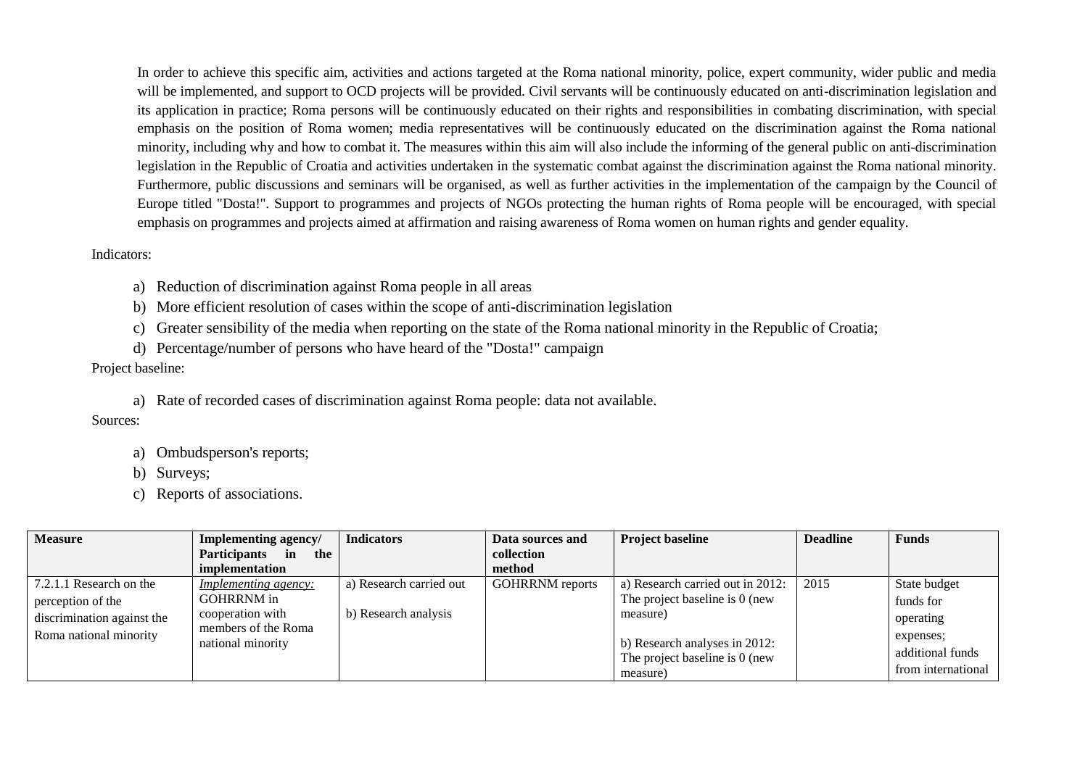In order to achieve this specific aim, activities and actions targeted at the Roma national minority, police, expert community, wider public and media will be implemented, and support to OCD projects will be provided. Civil servants will be continuously educated on anti-discrimination legislation and its application in practice; Roma persons will be continuously educated on their rights and responsibilities in combating discrimination, with special emphasis on the position of Roma women; media representatives will be continuously educated on the discrimination against the Roma national minority, including why and how to combat it. The measures within this aim will also include the informing of the general public on anti-discrimination legislation in the Republic of Croatia and activities undertaken in the systematic combat against the discrimination against the Roma national minority. Furthermore, public discussions and seminars will be organised, as well as further activities in the implementation of the campaign by the Council of Europe titled "Dosta!". Support to programmes and projects of NGOs protecting the human rights of Roma people will be encouraged, with special emphasis on programmes and projects aimed at affirmation and raising awareness of Roma women on human rights and gender equality.

### Indicators:

a) Reduction of discrimination against Roma people in all areas

b) More efficient resolution of cases within the scope of anti-discrimination legislation

c) Greater sensibility of the media when reporting on the state of the Roma national minority in the Republic of Croatia;

d) Percentage/number of persons who have heard of the "Dosta!" campaign

Project baseline:

a) Rate of recorded cases of discrimination against Roma people: data not available.

Sources:

- a) Ombudsperson's reports;
- b) Surveys;
- c) Reports of associations.

| <b>Measure</b>                  | <b>Implementing agency/</b>      | <b>Indicators</b>       | Data sources and       | <b>Project baseline</b>                                         | <b>Deadline</b> | <b>Funds</b>       |
|---------------------------------|----------------------------------|-------------------------|------------------------|-----------------------------------------------------------------|-----------------|--------------------|
|                                 | <b>Participants</b><br>the<br>in |                         | collection             |                                                                 |                 |                    |
|                                 | implementation                   |                         | method                 |                                                                 |                 |                    |
| $\vert$ 7.2.1.1 Research on the | <i>Implementing agency:</i>      | a) Research carried out | <b>GOHRRNM</b> reports | a) Research carried out in 2012:                                | 2015            | State budget       |
| perception of the               | <b>GOHRRNM</b> in                |                         |                        | The project baseline is 0 (new                                  |                 | funds for          |
| discrimination against the      | cooperation with                 | b) Research analysis    |                        | measure)                                                        |                 | operating          |
| Roma national minority          | members of the Roma              |                         |                        |                                                                 |                 | expenses;          |
|                                 | national minority                |                         |                        | b) Research analyses in 2012:<br>The project baseline is 0 (new |                 | additional funds   |
|                                 |                                  |                         |                        | measure)                                                        |                 | from international |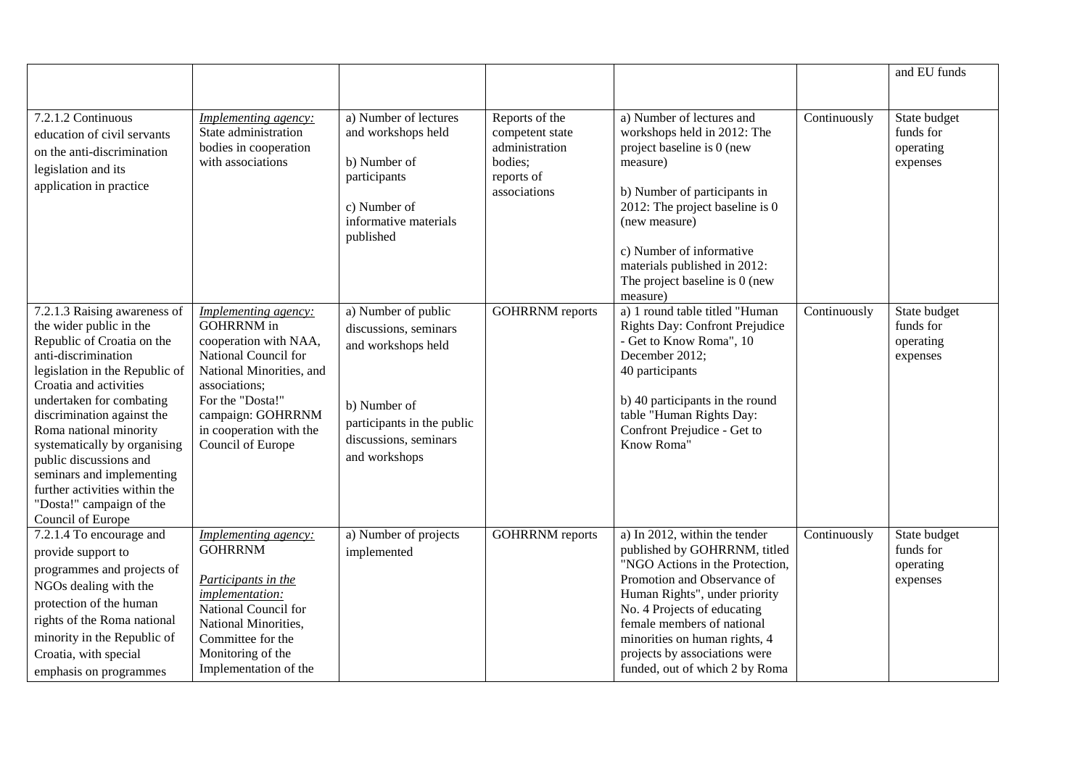|                                                                                                                                                                                                                                                                                                                                                                                                                                       |                                                                                                                                                                                                                                  |                                                                                                                                                            |                                                                                              |                                                                                                                                                                                                                                                                                                                                   |              | and EU funds                                       |
|---------------------------------------------------------------------------------------------------------------------------------------------------------------------------------------------------------------------------------------------------------------------------------------------------------------------------------------------------------------------------------------------------------------------------------------|----------------------------------------------------------------------------------------------------------------------------------------------------------------------------------------------------------------------------------|------------------------------------------------------------------------------------------------------------------------------------------------------------|----------------------------------------------------------------------------------------------|-----------------------------------------------------------------------------------------------------------------------------------------------------------------------------------------------------------------------------------------------------------------------------------------------------------------------------------|--------------|----------------------------------------------------|
| 7.2.1.2 Continuous<br>education of civil servants<br>on the anti-discrimination<br>legislation and its<br>application in practice                                                                                                                                                                                                                                                                                                     | Implementing agency:<br>State administration<br>bodies in cooperation<br>with associations                                                                                                                                       | a) Number of lectures<br>and workshops held<br>b) Number of<br>participants<br>c) Number of<br>informative materials<br>published                          | Reports of the<br>competent state<br>administration<br>bodies;<br>reports of<br>associations | a) Number of lectures and<br>workshops held in 2012: The<br>project baseline is 0 (new<br>measure)<br>b) Number of participants in<br>2012: The project baseline is 0<br>(new measure)<br>c) Number of informative<br>materials published in 2012:<br>The project baseline is 0 (new<br>measure)                                  | Continuously | State budget<br>funds for<br>operating<br>expenses |
| 7.2.1.3 Raising awareness of<br>the wider public in the<br>Republic of Croatia on the<br>anti-discrimination<br>legislation in the Republic of<br>Croatia and activities<br>undertaken for combating<br>discrimination against the<br>Roma national minority<br>systematically by organising<br>public discussions and<br>seminars and implementing<br>further activities within the<br>"Dosta!" campaign of the<br>Council of Europe | Implementing agency:<br><b>GOHRRNM</b> in<br>cooperation with NAA,<br>National Council for<br>National Minorities, and<br>associations;<br>For the "Dosta!"<br>campaign: GOHRRNM<br>in cooperation with the<br>Council of Europe | a) Number of public<br>discussions, seminars<br>and workshops held<br>b) Number of<br>participants in the public<br>discussions, seminars<br>and workshops | <b>GOHRRNM</b> reports                                                                       | a) 1 round table titled "Human<br><b>Rights Day: Confront Prejudice</b><br>- Get to Know Roma", 10<br>December 2012;<br>40 participants<br>b) 40 participants in the round<br>table "Human Rights Day:<br>Confront Prejudice - Get to<br>Know Roma"                                                                               | Continuously | State budget<br>funds for<br>operating<br>expenses |
| 7.2.1.4 To encourage and<br>provide support to<br>programmes and projects of<br>NGOs dealing with the<br>protection of the human<br>rights of the Roma national<br>minority in the Republic of<br>Croatia, with special<br>emphasis on programmes                                                                                                                                                                                     | Implementing agency:<br><b>GOHRRNM</b><br>Participants in the<br><i>implementation:</i><br>National Council for<br>National Minorities,<br>Committee for the<br>Monitoring of the<br>Implementation of the                       | a) Number of projects<br>implemented                                                                                                                       | <b>GOHRRNM</b> reports                                                                       | a) In 2012, within the tender<br>published by GOHRRNM, titled<br>"NGO Actions in the Protection,<br>Promotion and Observance of<br>Human Rights", under priority<br>No. 4 Projects of educating<br>female members of national<br>minorities on human rights, 4<br>projects by associations were<br>funded, out of which 2 by Roma | Continuously | State budget<br>funds for<br>operating<br>expenses |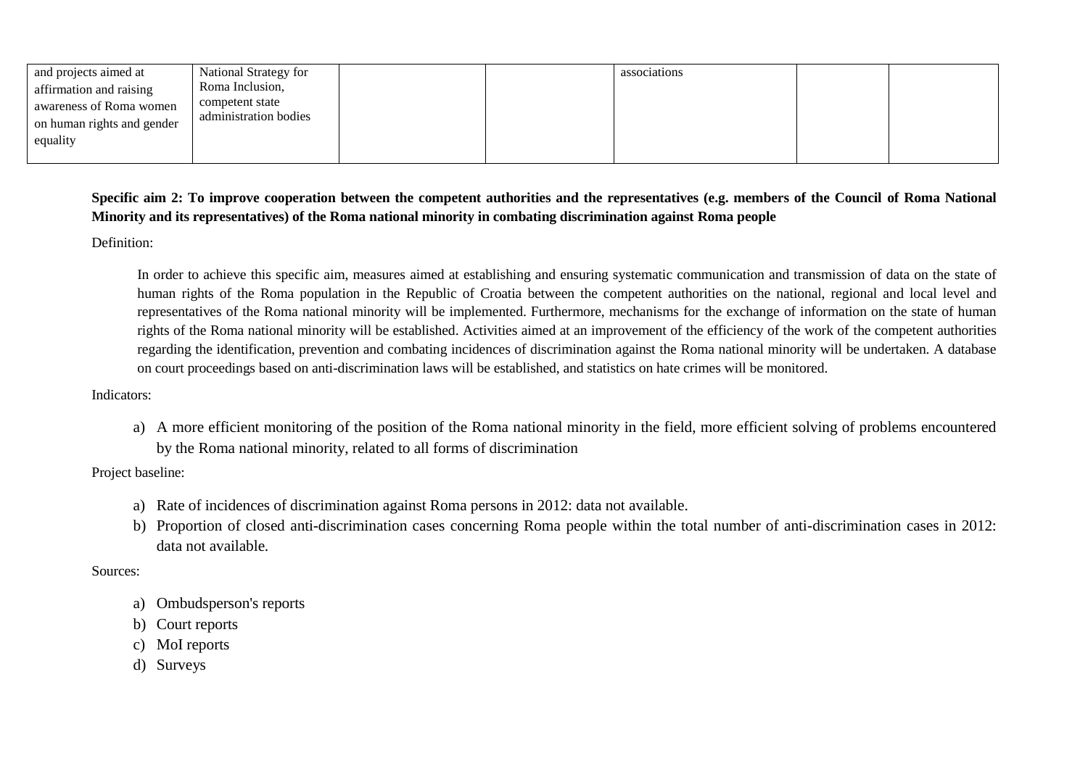| and projects aimed at      | National Strategy for | associations |  |
|----------------------------|-----------------------|--------------|--|
| affirmation and raising    | Roma Inclusion,       |              |  |
| awareness of Roma women    | competent state       |              |  |
| on human rights and gender | administration bodies |              |  |
| equality                   |                       |              |  |
|                            |                       |              |  |

## **Specific aim 2: To improve cooperation between the competent authorities and the representatives (e.g. members of the Council of Roma National Minority and its representatives) of the Roma national minority in combating discrimination against Roma people**

Definition:

In order to achieve this specific aim, measures aimed at establishing and ensuring systematic communication and transmission of data on the state of human rights of the Roma population in the Republic of Croatia between the competent authorities on the national, regional and local level and representatives of the Roma national minority will be implemented. Furthermore, mechanisms for the exchange of information on the state of human rights of the Roma national minority will be established. Activities aimed at an improvement of the efficiency of the work of the competent authorities regarding the identification, prevention and combating incidences of discrimination against the Roma national minority will be undertaken. A database on court proceedings based on anti-discrimination laws will be established, and statistics on hate crimes will be monitored.

### Indicators:

a) A more efficient monitoring of the position of the Roma national minority in the field, more efficient solving of problems encountered by the Roma national minority, related to all forms of discrimination

## Project baseline:

- a) Rate of incidences of discrimination against Roma persons in 2012: data not available.
- b) Proportion of closed anti-discrimination cases concerning Roma people within the total number of anti-discrimination cases in 2012: data not available.

## Sources:

- a) Ombudsperson's reports
- b) Court reports
- c) MoI reports
- d) Surveys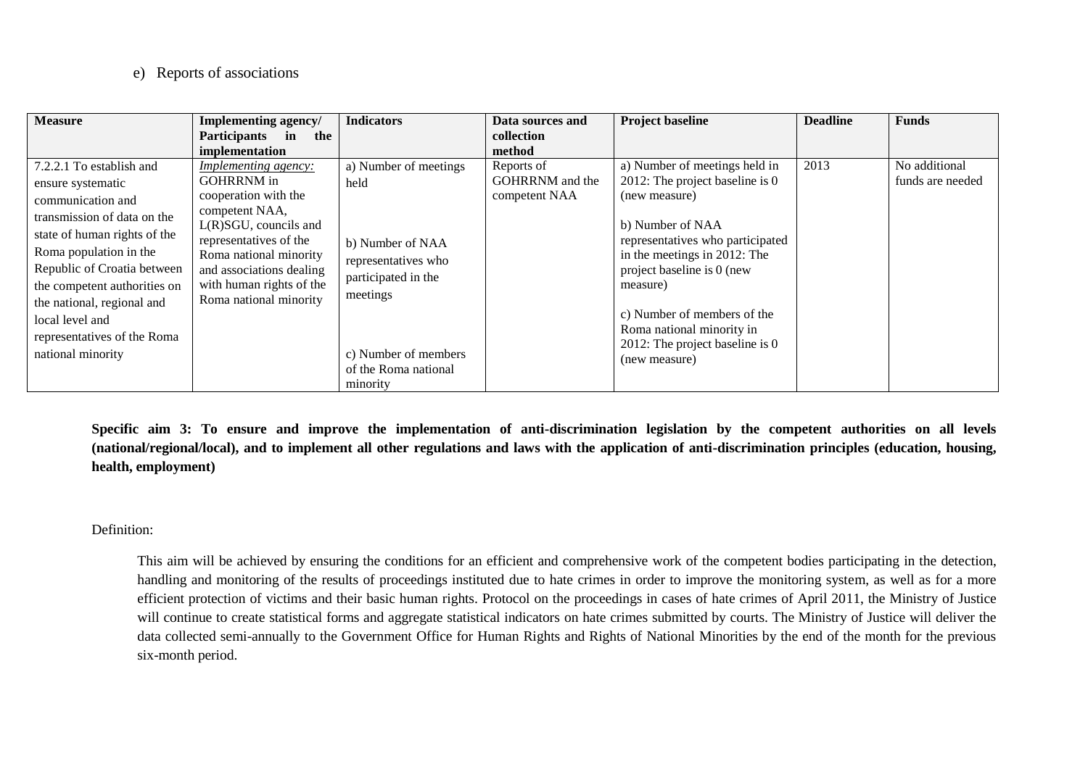## e) Reports of associations

| <b>Measure</b>                                                                                                                                                                                                                                                                                                                  | Implementing agency/                                                                                                                                                                                                                                         | <b>Indicators</b>                                                                                                                                                       | Data sources and                               | <b>Project baseline</b>                                                                                                                                                                                                                                                                                                             | <b>Deadline</b> | <b>Funds</b>                      |
|---------------------------------------------------------------------------------------------------------------------------------------------------------------------------------------------------------------------------------------------------------------------------------------------------------------------------------|--------------------------------------------------------------------------------------------------------------------------------------------------------------------------------------------------------------------------------------------------------------|-------------------------------------------------------------------------------------------------------------------------------------------------------------------------|------------------------------------------------|-------------------------------------------------------------------------------------------------------------------------------------------------------------------------------------------------------------------------------------------------------------------------------------------------------------------------------------|-----------------|-----------------------------------|
|                                                                                                                                                                                                                                                                                                                                 | Participants in<br>the<br>implementation                                                                                                                                                                                                                     |                                                                                                                                                                         | collection<br>method                           |                                                                                                                                                                                                                                                                                                                                     |                 |                                   |
| 7.2.2.1 To establish and<br>ensure systematic<br>communication and<br>transmission of data on the<br>state of human rights of the<br>Roma population in the<br>Republic of Croatia between<br>the competent authorities on<br>the national, regional and<br>local level and<br>representatives of the Roma<br>national minority | <b>Implementing agency:</b><br><b>GOHRRNM</b> in<br>cooperation with the<br>competent NAA,<br>$L(R)SGU$ , councils and<br>representatives of the<br>Roma national minority<br>and associations dealing<br>with human rights of the<br>Roma national minority | a) Number of meetings<br>held<br>b) Number of NAA<br>representatives who<br>participated in the<br>meetings<br>c) Number of members<br>of the Roma national<br>minority | Reports of<br>GOHRRNM and the<br>competent NAA | a) Number of meetings held in<br>2012: The project baseline is 0<br>(new measure)<br>b) Number of NAA<br>representatives who participated<br>in the meetings in 2012: The<br>project baseline is 0 (new<br>measure)<br>c) Number of members of the<br>Roma national minority in<br>2012: The project baseline is 0<br>(new measure) | 2013            | No additional<br>funds are needed |

**Specific aim 3: To ensure and improve the implementation of anti-discrimination legislation by the competent authorities on all levels (national/regional/local), and to implement all other regulations and laws with the application of anti-discrimination principles (education, housing, health, employment)**

### Definition:

This aim will be achieved by ensuring the conditions for an efficient and comprehensive work of the competent bodies participating in the detection, handling and monitoring of the results of proceedings instituted due to hate crimes in order to improve the monitoring system, as well as for a more efficient protection of victims and their basic human rights. Protocol on the proceedings in cases of hate crimes of April 2011, the Ministry of Justice will continue to create statistical forms and aggregate statistical indicators on hate crimes submitted by courts. The Ministry of Justice will deliver the data collected semi-annually to the Government Office for Human Rights and Rights of National Minorities by the end of the month for the previous six-month period.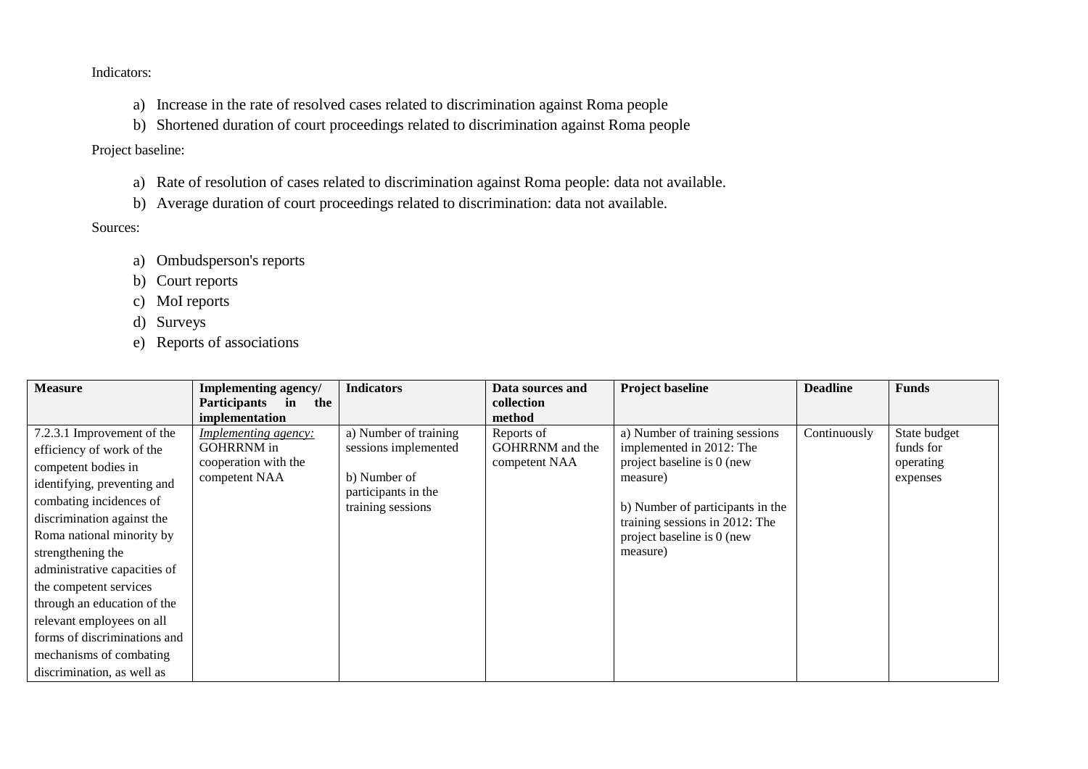Indicators:

- a) Increase in the rate of resolved cases related to discrimination against Roma people
- b) Shortened duration of court proceedings related to discrimination against Roma people

# Project baseline:

- a) Rate of resolution of cases related to discrimination against Roma people: data not available.
- b) Average duration of court proceedings related to discrimination: data not available.

# Sources:

- a) Ombudsperson's reports
- b) Court reports
- c) MoI reports
- d) Surveys
- e) Reports of associations

| <b>Measure</b>               | Implementing agency/        | <b>Indicators</b>                   | Data sources and | <b>Project baseline</b>          | <b>Deadline</b> | <b>Funds</b> |
|------------------------------|-----------------------------|-------------------------------------|------------------|----------------------------------|-----------------|--------------|
|                              | Participants in<br>the      |                                     | collection       |                                  |                 |              |
|                              | implementation              |                                     | method           |                                  |                 |              |
| 7.2.3.1 Improvement of the   | <i>Implementing agency:</i> | a) Number of training               | Reports of       | a) Number of training sessions   | Continuously    | State budget |
| efficiency of work of the    | <b>GOHRRNM</b> in           | sessions implemented                | GOHRRNM and the  | implemented in 2012: The         |                 | funds for    |
| competent bodies in          | cooperation with the        |                                     | competent NAA    | project baseline is 0 (new       |                 | operating    |
| identifying, preventing and  | competent NAA               | b) Number of<br>participants in the |                  | measure)                         |                 | expenses     |
| combating incidences of      |                             | training sessions                   |                  | b) Number of participants in the |                 |              |
| discrimination against the   |                             |                                     |                  | training sessions in 2012: The   |                 |              |
| Roma national minority by    |                             |                                     |                  | project baseline is 0 (new       |                 |              |
| strengthening the            |                             |                                     |                  | measure)                         |                 |              |
| administrative capacities of |                             |                                     |                  |                                  |                 |              |
| the competent services       |                             |                                     |                  |                                  |                 |              |
| through an education of the  |                             |                                     |                  |                                  |                 |              |
| relevant employees on all    |                             |                                     |                  |                                  |                 |              |
| forms of discriminations and |                             |                                     |                  |                                  |                 |              |
| mechanisms of combating      |                             |                                     |                  |                                  |                 |              |
| discrimination, as well as   |                             |                                     |                  |                                  |                 |              |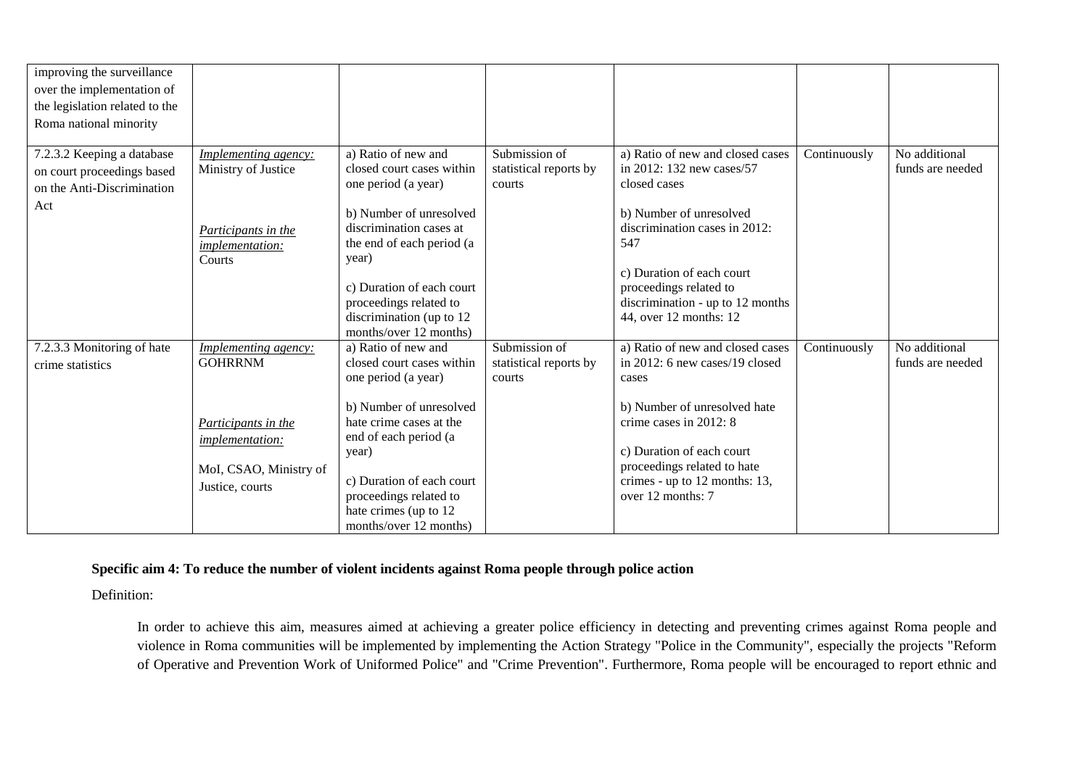| improving the surveillance<br>over the implementation of<br>the legislation related to the<br>Roma national minority |                                                                                                                                             |                                                                                                                                                                                                                                                                                  |                                                   |                                                                                                                                                                                                                                                                       |              |                                   |
|----------------------------------------------------------------------------------------------------------------------|---------------------------------------------------------------------------------------------------------------------------------------------|----------------------------------------------------------------------------------------------------------------------------------------------------------------------------------------------------------------------------------------------------------------------------------|---------------------------------------------------|-----------------------------------------------------------------------------------------------------------------------------------------------------------------------------------------------------------------------------------------------------------------------|--------------|-----------------------------------|
| 7.2.3.2 Keeping a database<br>on court proceedings based<br>on the Anti-Discrimination<br>Act                        | <b>Implementing agency:</b><br>Ministry of Justice<br>Participants in the<br>implementation:<br>Courts                                      | a) Ratio of new and<br>closed court cases within<br>one period (a year)<br>b) Number of unresolved<br>discrimination cases at<br>the end of each period (a<br>year)<br>c) Duration of each court<br>proceedings related to<br>discrimination (up to 12<br>months/over 12 months) | Submission of<br>statistical reports by<br>courts | a) Ratio of new and closed cases<br>in 2012: 132 new cases/57<br>closed cases<br>b) Number of unresolved<br>discrimination cases in 2012:<br>547<br>c) Duration of each court<br>proceedings related to<br>discrimination - up to 12 months<br>44, over 12 months: 12 | Continuously | No additional<br>funds are needed |
| 7.2.3.3 Monitoring of hate<br>crime statistics                                                                       | <i>Implementing agency:</i><br><b>GOHRRNM</b><br>Participants in the<br><i>implementation:</i><br>MoI, CSAO, Ministry of<br>Justice, courts | a) Ratio of new and<br>closed court cases within<br>one period (a year)<br>b) Number of unresolved<br>hate crime cases at the<br>end of each period (a<br>year)<br>c) Duration of each court<br>proceedings related to<br>hate crimes (up to 12<br>months/over 12 months)        | Submission of<br>statistical reports by<br>courts | a) Ratio of new and closed cases<br>in 2012: 6 new cases/19 closed<br>cases<br>b) Number of unresolved hate<br>crime cases in 2012: 8<br>c) Duration of each court<br>proceedings related to hate<br>crimes - up to 12 months: 13,<br>over 12 months: 7               | Continuously | No additional<br>funds are needed |

## **Specific aim 4: To reduce the number of violent incidents against Roma people through police action**

Definition:

In order to achieve this aim, measures aimed at achieving a greater police efficiency in detecting and preventing crimes against Roma people and violence in Roma communities will be implemented by implementing the Action Strategy "Police in the Community", especially the projects "Reform of Operative and Prevention Work of Uniformed Police" and "Crime Prevention". Furthermore, Roma people will be encouraged to report ethnic and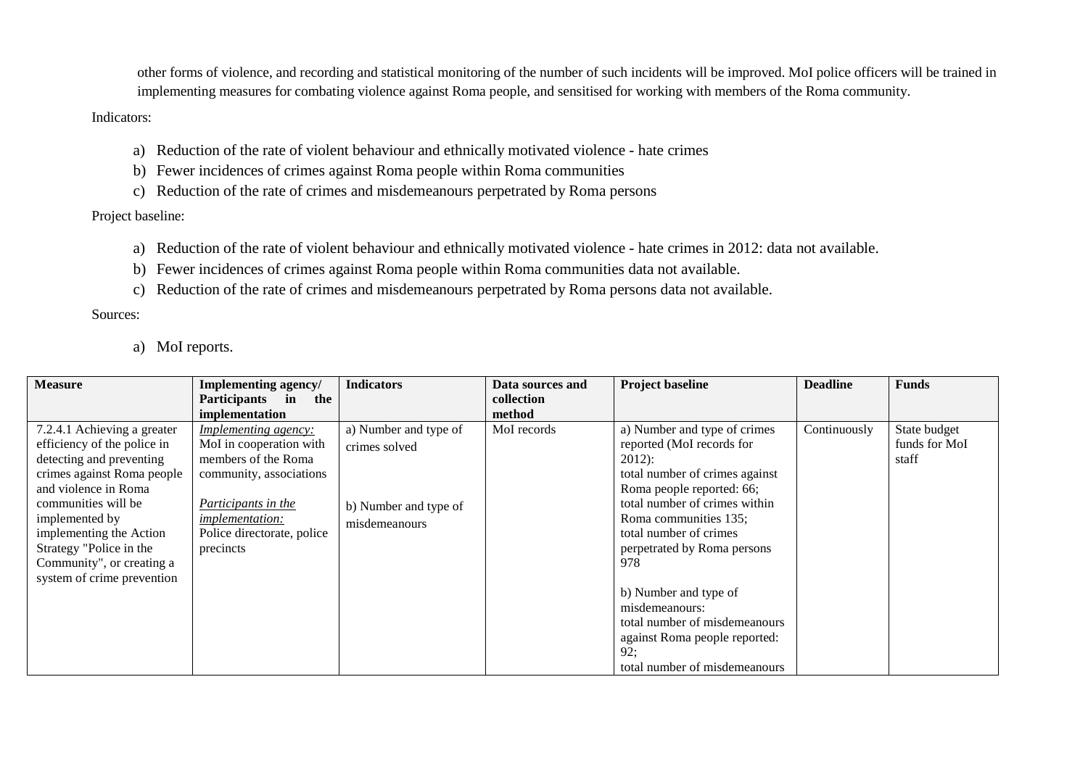other forms of violence, and recording and statistical monitoring of the number of such incidents will be improved. MoI police officers will be trained in implementing measures for combating violence against Roma people, and sensitised for working with members of the Roma community.

#### Indicators:

- a) Reduction of the rate of violent behaviour and ethnically motivated violence hate crimes
- b) Fewer incidences of crimes against Roma people within Roma communities
- c) Reduction of the rate of crimes and misdemeanours perpetrated by Roma persons

### Project baseline:

- a) Reduction of the rate of violent behaviour and ethnically motivated violence hate crimes in 2012: data not available.
- b) Fewer incidences of crimes against Roma people within Roma communities data not available.
- c) Reduction of the rate of crimes and misdemeanours perpetrated by Roma persons data not available.

Sources:

a) MoI reports.

| <b>Measure</b>                                                                                                                                                                                                                                                                                                      | Implementing agency/                                                                                                                                                                                                         | <b>Indicators</b>                                                                | Data sources and                    | <b>Project baseline</b>                                                                                                                                                                                                                                                                                   | <b>Deadline</b> | <b>Funds</b>                           |
|---------------------------------------------------------------------------------------------------------------------------------------------------------------------------------------------------------------------------------------------------------------------------------------------------------------------|------------------------------------------------------------------------------------------------------------------------------------------------------------------------------------------------------------------------------|----------------------------------------------------------------------------------|-------------------------------------|-----------------------------------------------------------------------------------------------------------------------------------------------------------------------------------------------------------------------------------------------------------------------------------------------------------|-----------------|----------------------------------------|
|                                                                                                                                                                                                                                                                                                                     | the                                                                                                                                                                                                                          |                                                                                  |                                     |                                                                                                                                                                                                                                                                                                           |                 |                                        |
| 7.2.4.1 Achieving a greater<br>efficiency of the police in<br>detecting and preventing<br>crimes against Roma people<br>and violence in Roma<br>communities will be<br>implemented by<br>implementing the Action<br>Strategy "Police in the<br>precincts<br>Community", or creating a<br>system of crime prevention | Participants in<br>implementation<br><i>Implementing agency:</i><br>MoI in cooperation with<br>members of the Roma<br>community, associations<br>Participants in the<br><i>implementation:</i><br>Police directorate, police | a) Number and type of<br>crimes solved<br>b) Number and type of<br>misdemeanours | collection<br>method<br>MoI records | a) Number and type of crimes<br>reported (MoI records for<br>$2012$ :<br>total number of crimes against<br>Roma people reported: 66;<br>total number of crimes within<br>Roma communities 135;<br>total number of crimes<br>perpetrated by Roma persons<br>978<br>b) Number and type of<br>misdemeanours: | Continuously    | State budget<br>funds for MoI<br>staff |
|                                                                                                                                                                                                                                                                                                                     |                                                                                                                                                                                                                              |                                                                                  |                                     | total number of misdemeanours                                                                                                                                                                                                                                                                             |                 |                                        |
|                                                                                                                                                                                                                                                                                                                     |                                                                                                                                                                                                                              |                                                                                  |                                     | against Roma people reported:<br>92:<br>total number of misdemeanours                                                                                                                                                                                                                                     |                 |                                        |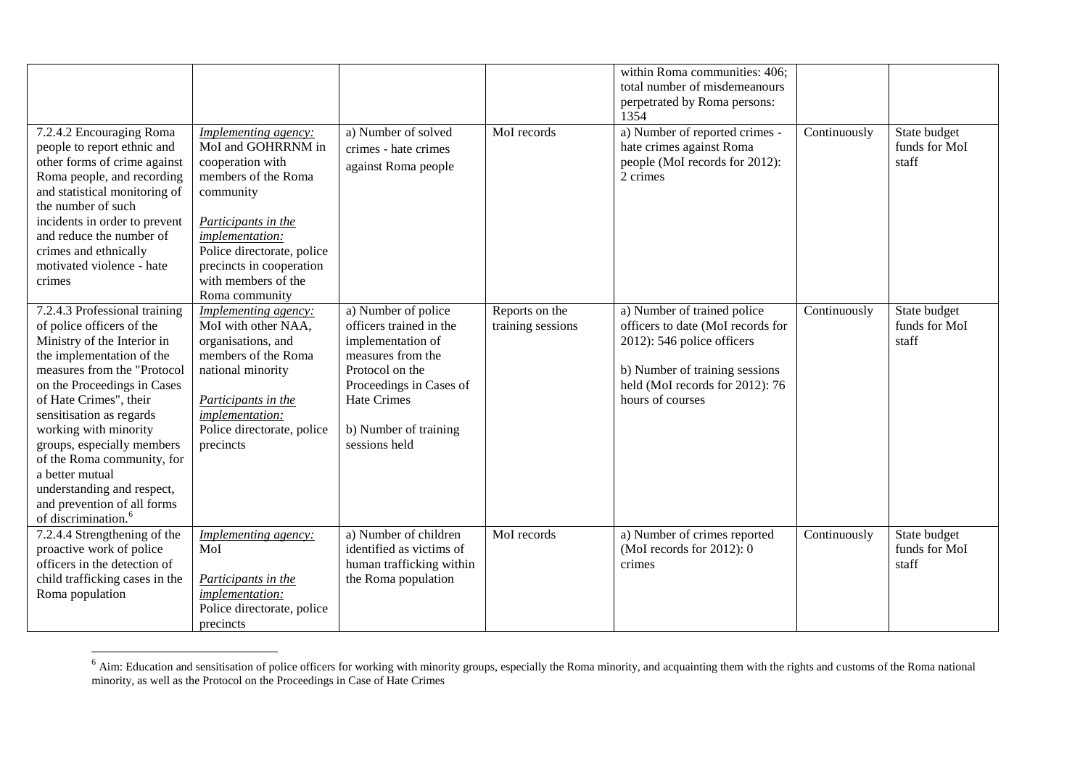|                                                                                                                                                                                                                                                                                                                                                                                                                                                    |                                                                                                                                                                                                                                                        |                                                                                                                                                                                                        |                                     | within Roma communities: 406;<br>total number of misdemeanours<br>perpetrated by Roma persons:<br>1354                                                                                  |              |                                        |
|----------------------------------------------------------------------------------------------------------------------------------------------------------------------------------------------------------------------------------------------------------------------------------------------------------------------------------------------------------------------------------------------------------------------------------------------------|--------------------------------------------------------------------------------------------------------------------------------------------------------------------------------------------------------------------------------------------------------|--------------------------------------------------------------------------------------------------------------------------------------------------------------------------------------------------------|-------------------------------------|-----------------------------------------------------------------------------------------------------------------------------------------------------------------------------------------|--------------|----------------------------------------|
| 7.2.4.2 Encouraging Roma<br>people to report ethnic and<br>other forms of crime against<br>Roma people, and recording<br>and statistical monitoring of<br>the number of such<br>incidents in order to prevent<br>and reduce the number of<br>crimes and ethnically<br>motivated violence - hate<br>crimes                                                                                                                                          | <b>Implementing agency:</b><br>MoI and GOHRRNM in<br>cooperation with<br>members of the Roma<br>community<br>Participants in the<br>implementation:<br>Police directorate, police<br>precincts in cooperation<br>with members of the<br>Roma community | a) Number of solved<br>crimes - hate crimes<br>against Roma people                                                                                                                                     | MoI records                         | a) Number of reported crimes -<br>hate crimes against Roma<br>people (MoI records for 2012):<br>2 crimes                                                                                | Continuously | State budget<br>funds for MoI<br>staff |
| 7.2.4.3 Professional training<br>of police officers of the<br>Ministry of the Interior in<br>the implementation of the<br>measures from the "Protocol<br>on the Proceedings in Cases<br>of Hate Crimes", their<br>sensitisation as regards<br>working with minority<br>groups, especially members<br>of the Roma community, for<br>a better mutual<br>understanding and respect,<br>and prevention of all forms<br>of discrimination. <sup>6</sup> | Implementing agency:<br>MoI with other NAA,<br>organisations, and<br>members of the Roma<br>national minority<br>Participants in the<br>implementation:<br>Police directorate, police<br>precincts                                                     | a) Number of police<br>officers trained in the<br>implementation of<br>measures from the<br>Protocol on the<br>Proceedings in Cases of<br><b>Hate Crimes</b><br>b) Number of training<br>sessions held | Reports on the<br>training sessions | a) Number of trained police<br>officers to date (MoI records for<br>2012): 546 police officers<br>b) Number of training sessions<br>held (MoI records for 2012): 76<br>hours of courses | Continuously | State budget<br>funds for MoI<br>staff |
| 7.2.4.4 Strengthening of the<br>proactive work of police<br>officers in the detection of<br>child trafficking cases in the<br>Roma population                                                                                                                                                                                                                                                                                                      | Implementing agency:<br>MoI<br>Participants in the<br><i>implementation:</i><br>Police directorate, police<br>precincts                                                                                                                                | a) Number of children<br>identified as victims of<br>human trafficking within<br>the Roma population                                                                                                   | MoI records                         | a) Number of crimes reported<br>(MoI records for $2012$ ): 0<br>crimes                                                                                                                  | Continuously | State budget<br>funds for MoI<br>staff |

 $<sup>6</sup>$  Aim: Education and sensitisation of police officers for working with minority groups, especially the Roma minority, and acquainting them with the rights and customs of the Roma national</sup> minority, as well as the Protocol on the Proceedings in Case of Hate Crimes

 $\overline{\phantom{a}}$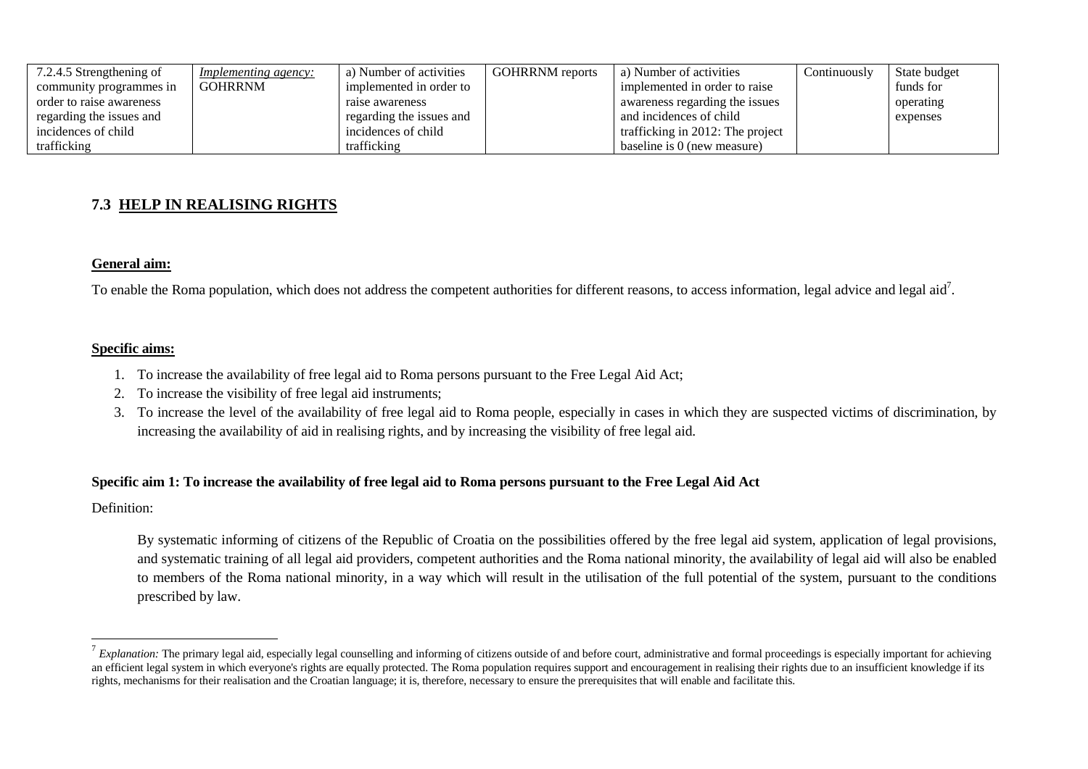| 7.2.4.5 Strengthening of | <i>Implementing agency:</i> | a) Number of activities  | <b>GOHRRNM</b> reports | a) Number of activities          | $\dot{\ }$ continuously | State budget |
|--------------------------|-----------------------------|--------------------------|------------------------|----------------------------------|-------------------------|--------------|
| community programmes in  | <b>GOHRRNM</b>              | implemented in order to  |                        | implemented in order to raise    |                         | funds for    |
| order to raise awareness |                             | raise awareness          |                        | awareness regarding the issues   |                         | operating    |
| regarding the issues and |                             | regarding the issues and |                        | and incidences of child          |                         | expenses     |
| incidences of child      |                             | incidences of child      |                        | trafficking in 2012: The project |                         |              |
| trafficking              |                             | trafficking              |                        | baseline is 0 (new measure)      |                         |              |

# **7.3 HELP IN REALISING RIGHTS**

### **General aim:**

To enable the Roma population, which does not address the competent authorities for different reasons, to access information, legal advice and legal aid<sup>7</sup>.

### **Specific aims:**

- 1. To increase the availability of free legal aid to Roma persons pursuant to the Free Legal Aid Act;
- 2. To increase the visibility of free legal aid instruments;
- 3. To increase the level of the availability of free legal aid to Roma people, especially in cases in which they are suspected victims of discrimination, by increasing the availability of aid in realising rights, and by increasing the visibility of free legal aid.

### **Specific aim 1: To increase the availability of free legal aid to Roma persons pursuant to the Free Legal Aid Act**

Definition:

 $\overline{a}$ 

By systematic informing of citizens of the Republic of Croatia on the possibilities offered by the free legal aid system, application of legal provisions, and systematic training of all legal aid providers, competent authorities and the Roma national minority, the availability of legal aid will also be enabled to members of the Roma national minority, in a way which will result in the utilisation of the full potential of the system, pursuant to the conditions prescribed by law.

 $^7$  *Explanation:* The primary legal aid, especially legal counselling and informing of citizens outside of and before court, administrative and formal proceedings is especially important for achieving an efficient legal system in which everyone's rights are equally protected. The Roma population requires support and encouragement in realising their rights due to an insufficient knowledge if its rights, mechanisms for their realisation and the Croatian language; it is, therefore, necessary to ensure the prerequisites that will enable and facilitate this.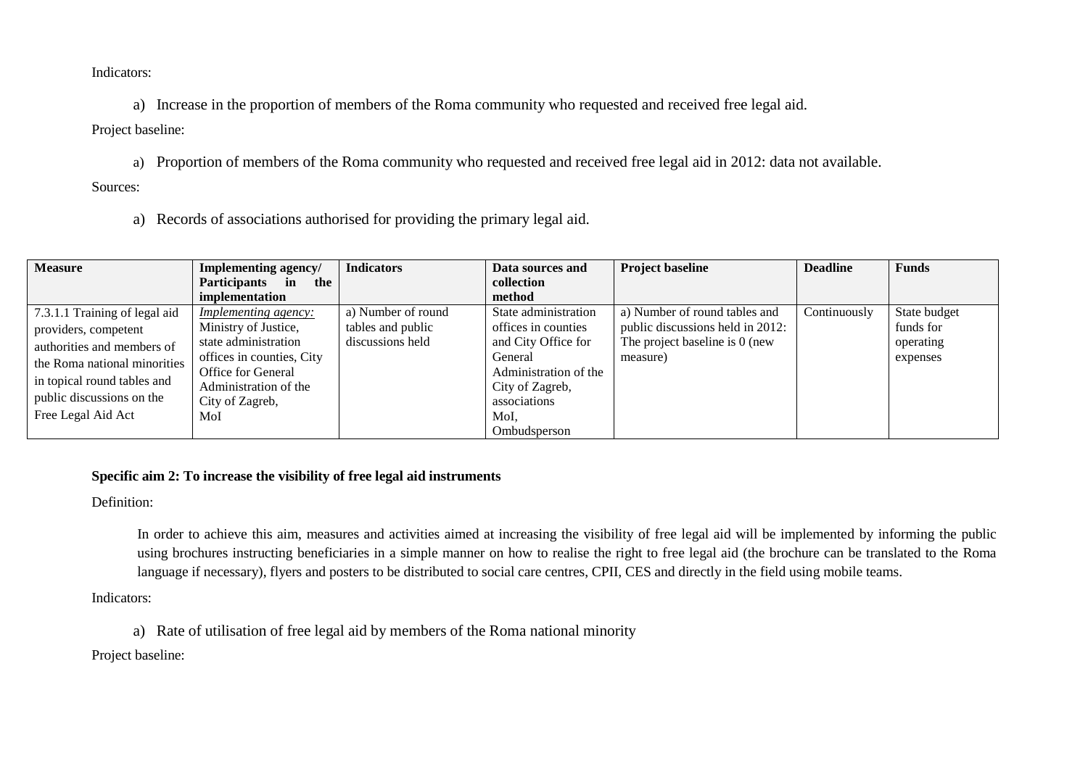Indicators:

a) Increase in the proportion of members of the Roma community who requested and received free legal aid.

Project baseline:

a) Proportion of members of the Roma community who requested and received free legal aid in 2012: data not available.

Sources:

a) Records of associations authorised for providing the primary legal aid.

| <b>Measure</b>                | Implementing agency/             | <b>Indicators</b>  | Data sources and      | <b>Project baseline</b>          | <b>Deadline</b> | <b>Funds</b> |
|-------------------------------|----------------------------------|--------------------|-----------------------|----------------------------------|-----------------|--------------|
|                               | <b>Participants</b><br>in<br>the |                    | collection            |                                  |                 |              |
|                               | implementation                   |                    | method                |                                  |                 |              |
| 7.3.1.1 Training of legal aid | <i>Implementing agency:</i>      | a) Number of round | State administration  | a) Number of round tables and    | Continuously    | State budget |
| providers, competent          | Ministry of Justice,             | tables and public  | offices in counties   | public discussions held in 2012: |                 | funds for    |
| authorities and members of    | state administration             | discussions held   | and City Office for   | The project baseline is 0 (new   |                 | operating    |
| the Roma national minorities  | offices in counties, City        |                    | General               | measure)                         |                 | expenses     |
|                               | Office for General               |                    | Administration of the |                                  |                 |              |
| in topical round tables and   | Administration of the            |                    | City of Zagreb,       |                                  |                 |              |
| public discussions on the     | City of Zagreb,                  |                    | associations          |                                  |                 |              |
| Free Legal Aid Act            | MoI                              |                    | MoI.                  |                                  |                 |              |
|                               |                                  |                    | Ombudsperson          |                                  |                 |              |

## **Specific aim 2: To increase the visibility of free legal aid instruments**

Definition:

In order to achieve this aim, measures and activities aimed at increasing the visibility of free legal aid will be implemented by informing the public using brochures instructing beneficiaries in a simple manner on how to realise the right to free legal aid (the brochure can be translated to the Roma language if necessary), flyers and posters to be distributed to social care centres, CPII, CES and directly in the field using mobile teams.

Indicators:

a) Rate of utilisation of free legal aid by members of the Roma national minority

Project baseline: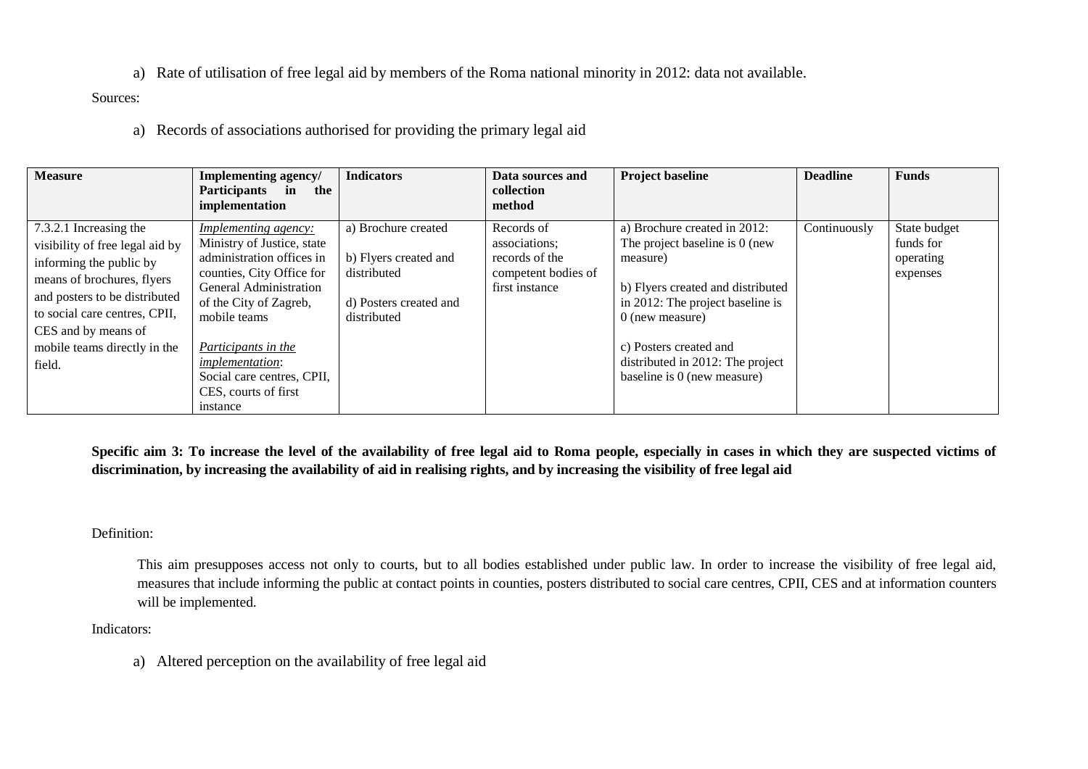a) Rate of utilisation of free legal aid by members of the Roma national minority in 2012: data not available.

Sources:

a) Records of associations authorised for providing the primary legal aid

| <b>Measure</b>                                                                                                                                                                                                                                        | Implementing agency/<br><b>Participants</b><br>in<br>the<br>implementation                                                                                                                                                                                                                                 | <b>Indicators</b>                                                                                    | Data sources and<br>collection<br>method                                               | <b>Project baseline</b>                                                                                                                                                                                                                                               | <b>Deadline</b> | <b>Funds</b>                                       |
|-------------------------------------------------------------------------------------------------------------------------------------------------------------------------------------------------------------------------------------------------------|------------------------------------------------------------------------------------------------------------------------------------------------------------------------------------------------------------------------------------------------------------------------------------------------------------|------------------------------------------------------------------------------------------------------|----------------------------------------------------------------------------------------|-----------------------------------------------------------------------------------------------------------------------------------------------------------------------------------------------------------------------------------------------------------------------|-----------------|----------------------------------------------------|
| 7.3.2.1 Increasing the<br>visibility of free legal aid by<br>informing the public by<br>means of brochures, flyers<br>and posters to be distributed<br>to social care centres, CPII,<br>CES and by means of<br>mobile teams directly in the<br>field. | <i>Implementing agency:</i><br>Ministry of Justice, state<br>administration offices in<br>counties, City Office for<br>General Administration<br>of the City of Zagreb,<br>mobile teams<br>Participants in the<br><i>implementation:</i><br>Social care centres, CPII,<br>CES, courts of first<br>instance | a) Brochure created<br>b) Flyers created and<br>distributed<br>d) Posters created and<br>distributed | Records of<br>associations;<br>records of the<br>competent bodies of<br>first instance | a) Brochure created in 2012:<br>The project baseline is 0 (new<br>measure)<br>b) Flyers created and distributed<br>in 2012: The project baseline is<br>$0$ (new measure)<br>c) Posters created and<br>distributed in 2012: The project<br>baseline is 0 (new measure) | Continuously    | State budget<br>funds for<br>operating<br>expenses |

**Specific aim 3: To increase the level of the availability of free legal aid to Roma people, especially in cases in which they are suspected victims of discrimination, by increasing the availability of aid in realising rights, and by increasing the visibility of free legal aid**

## Definition:

This aim presupposes access not only to courts, but to all bodies established under public law. In order to increase the visibility of free legal aid, measures that include informing the public at contact points in counties, posters distributed to social care centres, CPII, CES and at information counters will be implemented.

Indicators:

a) Altered perception on the availability of free legal aid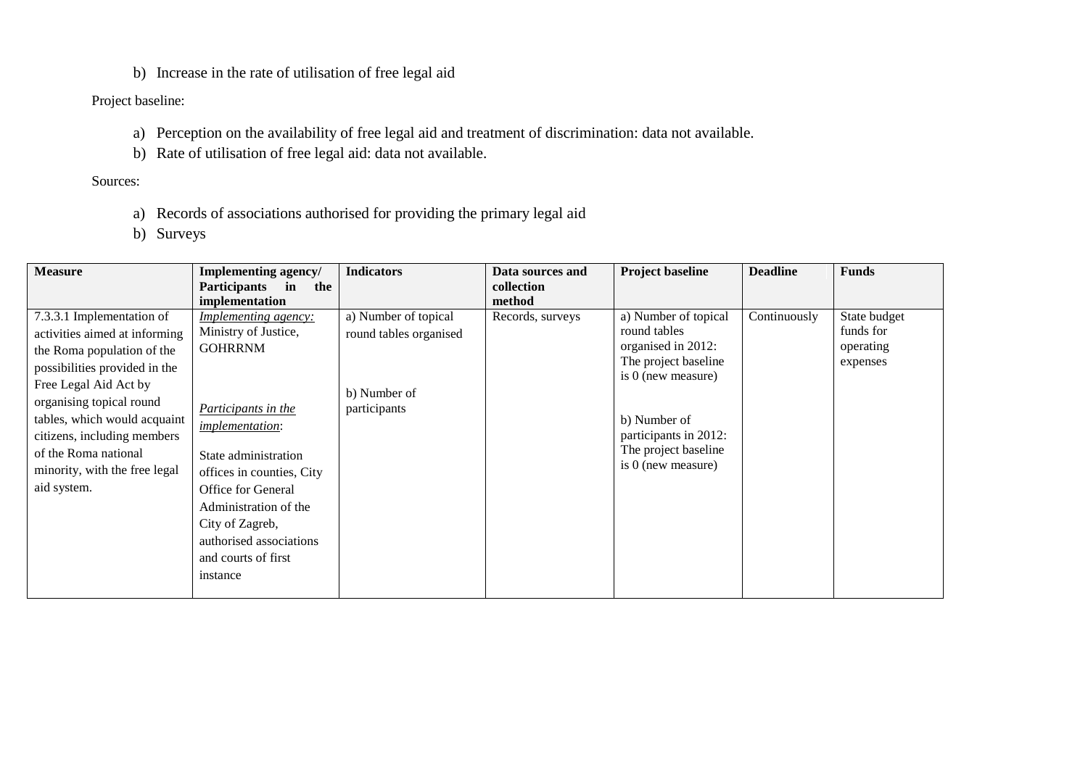b) Increase in the rate of utilisation of free legal aid

# Project baseline:

- a) Perception on the availability of free legal aid and treatment of discrimination: data not available.
- b) Rate of utilisation of free legal aid: data not available.

# Sources:

- a) Records of associations authorised for providing the primary legal aid
- b) Surveys

| <b>Measure</b>                | <b>Implementing agency/</b>      | <b>Indicators</b>      | Data sources and | <b>Project baseline</b> | <b>Deadline</b> | <b>Funds</b> |
|-------------------------------|----------------------------------|------------------------|------------------|-------------------------|-----------------|--------------|
|                               | <b>Participants</b><br>in<br>the |                        | collection       |                         |                 |              |
|                               | implementation                   |                        | method           |                         |                 |              |
| 7.3.3.1 Implementation of     | <i>Implementing agency:</i>      | a) Number of topical   | Records, surveys | a) Number of topical    | Continuously    | State budget |
| activities aimed at informing | Ministry of Justice,             | round tables organised |                  | round tables            |                 | funds for    |
| the Roma population of the    | <b>GOHRRNM</b>                   |                        |                  | organised in 2012:      |                 | operating    |
| possibilities provided in the |                                  |                        |                  | The project baseline    |                 | expenses     |
| Free Legal Aid Act by         |                                  |                        |                  | is 0 (new measure)      |                 |              |
| organising topical round      |                                  | b) Number of           |                  |                         |                 |              |
| tables, which would acquaint  | Participants in the              | participants           |                  | b) Number of            |                 |              |
| citizens, including members   | <i>implementation:</i>           |                        |                  | participants in 2012:   |                 |              |
| of the Roma national          | State administration             |                        |                  | The project baseline    |                 |              |
| minority, with the free legal |                                  |                        |                  | is 0 (new measure)      |                 |              |
|                               | offices in counties, City        |                        |                  |                         |                 |              |
| aid system.                   | <b>Office for General</b>        |                        |                  |                         |                 |              |
|                               | Administration of the            |                        |                  |                         |                 |              |
|                               | City of Zagreb,                  |                        |                  |                         |                 |              |
|                               | authorised associations          |                        |                  |                         |                 |              |
|                               | and courts of first              |                        |                  |                         |                 |              |
|                               | instance                         |                        |                  |                         |                 |              |
|                               |                                  |                        |                  |                         |                 |              |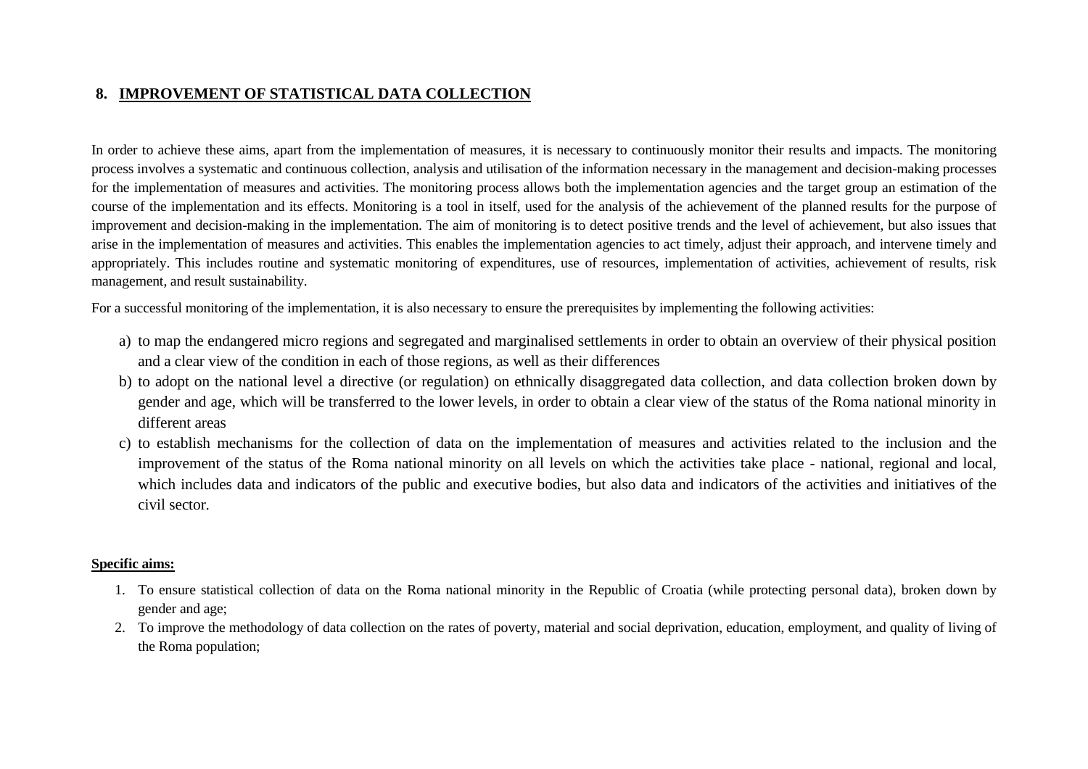# **8. IMPROVEMENT OF STATISTICAL DATA COLLECTION**

In order to achieve these aims, apart from the implementation of measures, it is necessary to continuously monitor their results and impacts. The monitoring process involves a systematic and continuous collection, analysis and utilisation of the information necessary in the management and decision-making processes for the implementation of measures and activities. The monitoring process allows both the implementation agencies and the target group an estimation of the course of the implementation and its effects. Monitoring is a tool in itself, used for the analysis of the achievement of the planned results for the purpose of improvement and decision-making in the implementation. The aim of monitoring is to detect positive trends and the level of achievement, but also issues that arise in the implementation of measures and activities. This enables the implementation agencies to act timely, adjust their approach, and intervene timely and appropriately. This includes routine and systematic monitoring of expenditures, use of resources, implementation of activities, achievement of results, risk management, and result sustainability.

For a successful monitoring of the implementation, it is also necessary to ensure the prerequisites by implementing the following activities:

- a) to map the endangered micro regions and segregated and marginalised settlements in order to obtain an overview of their physical position and a clear view of the condition in each of those regions, as well as their differences
- b) to adopt on the national level a directive (or regulation) on ethnically disaggregated data collection, and data collection broken down by gender and age, which will be transferred to the lower levels, in order to obtain a clear view of the status of the Roma national minority in different areas
- c) to establish mechanisms for the collection of data on the implementation of measures and activities related to the inclusion and the improvement of the status of the Roma national minority on all levels on which the activities take place - national, regional and local, which includes data and indicators of the public and executive bodies, but also data and indicators of the activities and initiatives of the civil sector.

### **Specific aims:**

- 1. To ensure statistical collection of data on the Roma national minority in the Republic of Croatia (while protecting personal data), broken down by gender and age;
- 2. To improve the methodology of data collection on the rates of poverty, material and social deprivation, education, employment, and quality of living of the Roma population;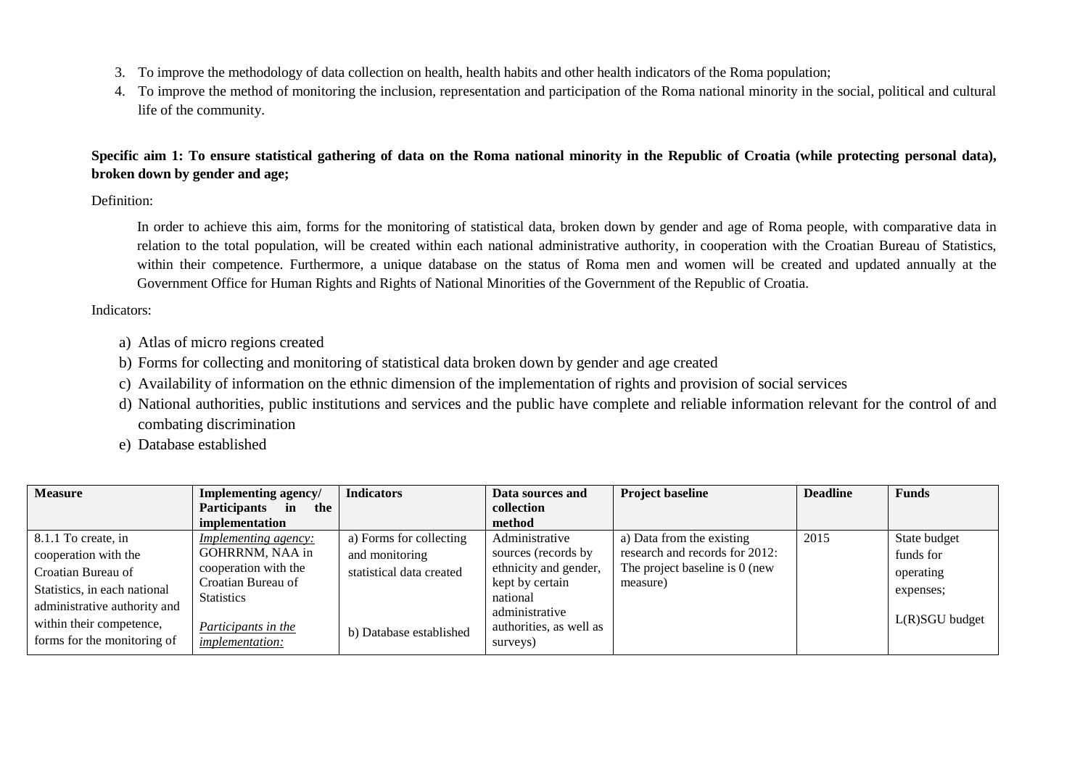- 3. To improve the methodology of data collection on health, health habits and other health indicators of the Roma population;
- 4. To improve the method of monitoring the inclusion, representation and participation of the Roma national minority in the social, political and cultural life of the community.

**Specific aim 1: To ensure statistical gathering of data on the Roma national minority in the Republic of Croatia (while protecting personal data), broken down by gender and age;**

Definition:

In order to achieve this aim, forms for the monitoring of statistical data, broken down by gender and age of Roma people, with comparative data in relation to the total population, will be created within each national administrative authority, in cooperation with the Croatian Bureau of Statistics, within their competence. Furthermore, a unique database on the status of Roma men and women will be created and updated annually at the Government Office for Human Rights and Rights of National Minorities of the Government of the Republic of Croatia.

Indicators:

- a) Atlas of micro regions created
- b) Forms for collecting and monitoring of statistical data broken down by gender and age created
- c) Availability of information on the ethnic dimension of the implementation of rights and provision of social services
- d) National authorities, public institutions and services and the public have complete and reliable information relevant for the control of and combating discrimination
- e) Database established

| <b>Measure</b>               | Implementing agency/             | <b>Indicators</b>        | Data sources and           | <b>Project baseline</b>        | <b>Deadline</b> | <b>Funds</b>     |
|------------------------------|----------------------------------|--------------------------|----------------------------|--------------------------------|-----------------|------------------|
|                              | <b>Participants</b><br>in<br>the |                          | collection                 |                                |                 |                  |
|                              | implementation                   |                          | method                     |                                |                 |                  |
| 8.1.1 To create, in          | <i>Implementing agency:</i>      | a) Forms for collecting  | Administrative             | a) Data from the existing      | 2015            | State budget     |
| cooperation with the         | GOHRRNM, NAA in                  | and monitoring           | sources (records by        | research and records for 2012: |                 | funds for        |
| Croatian Bureau of           | cooperation with the             | statistical data created | ethnicity and gender,      | The project baseline is 0 (new |                 | operating        |
| Statistics, in each national | Croatian Bureau of               |                          | kept by certain            | measure)                       |                 | expenses;        |
| administrative authority and | <b>Statistics</b>                |                          | national<br>administrative |                                |                 |                  |
| within their competence,     | Participants in the              | b) Database established  | authorities, as well as    |                                |                 | $L(R)SGU$ budget |
| forms for the monitoring of  | <i>implementation:</i>           |                          | surveys)                   |                                |                 |                  |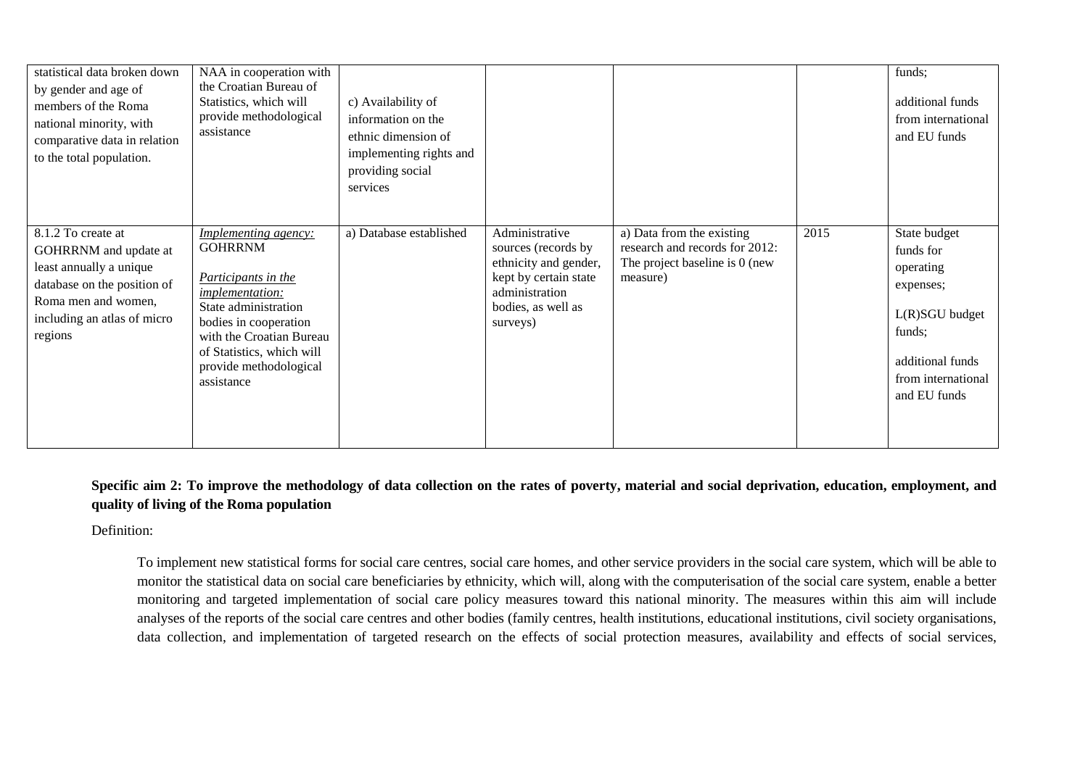| statistical data broken down<br>by gender and age of<br>members of the Roma<br>national minority, with<br>comparative data in relation<br>to the total population.     | NAA in cooperation with<br>the Croatian Bureau of<br>Statistics, which will<br>provide methodological<br>assistance                                                                                                                              | c) Availability of<br>information on the<br>ethnic dimension of<br>implementing rights and<br>providing social<br>services |                                                                                                                                             |                                                                                                           |      | funds;<br>additional funds<br>from international<br>and EU funds                                                                            |
|------------------------------------------------------------------------------------------------------------------------------------------------------------------------|--------------------------------------------------------------------------------------------------------------------------------------------------------------------------------------------------------------------------------------------------|----------------------------------------------------------------------------------------------------------------------------|---------------------------------------------------------------------------------------------------------------------------------------------|-----------------------------------------------------------------------------------------------------------|------|---------------------------------------------------------------------------------------------------------------------------------------------|
| 8.1.2 To create at<br>GOHRRNM and update at<br>least annually a unique<br>database on the position of<br>Roma men and women,<br>including an atlas of micro<br>regions | <i>Implementing agency:</i><br><b>GOHRRNM</b><br>Participants in the<br><i>implementation:</i><br>State administration<br>bodies in cooperation<br>with the Croatian Bureau<br>of Statistics, which will<br>provide methodological<br>assistance | a) Database established                                                                                                    | Administrative<br>sources (records by<br>ethnicity and gender,<br>kept by certain state<br>administration<br>bodies, as well as<br>surveys) | a) Data from the existing<br>research and records for 2012:<br>The project baseline is 0 (new<br>measure) | 2015 | State budget<br>funds for<br>operating<br>expenses;<br>$L(R)SGU$ budget<br>funds;<br>additional funds<br>from international<br>and EU funds |

**Specific aim 2: To improve the methodology of data collection on the rates of poverty, material and social deprivation, education, employment, and quality of living of the Roma population**

Definition:

To implement new statistical forms for social care centres, social care homes, and other service providers in the social care system, which will be able to monitor the statistical data on social care beneficiaries by ethnicity, which will, along with the computerisation of the social care system, enable a better monitoring and targeted implementation of social care policy measures toward this national minority. The measures within this aim will include analyses of the reports of the social care centres and other bodies (family centres, health institutions, educational institutions, civil society organisations, data collection, and implementation of targeted research on the effects of social protection measures, availability and effects of social services,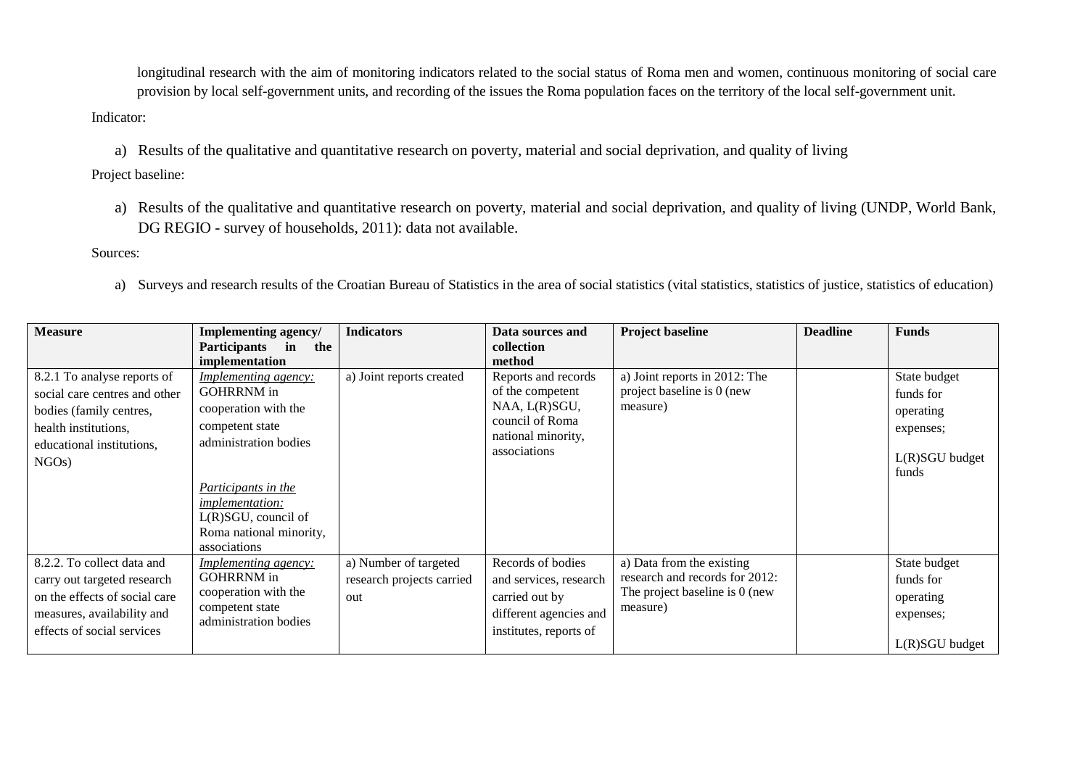longitudinal research with the aim of monitoring indicators related to the social status of Roma men and women, continuous monitoring of social care provision by local self-government units, and recording of the issues the Roma population faces on the territory of the local self-government unit.

## Indicator:

a) Results of the qualitative and quantitative research on poverty, material and social deprivation, and quality of living

Project baseline:

a) Results of the qualitative and quantitative research on poverty, material and social deprivation, and quality of living (UNDP, World Bank, DG REGIO - survey of households, 2011): data not available.

Sources:

a) Surveys and research results of the Croatian Bureau of Statistics in the area of social statistics (vital statistics, statistics of justice, statistics of education)

| <b>Measure</b>                                                                                                                                         | Implementing agency/<br>Participants in<br>the<br>implementation                                                                                                                                                                               | <b>Indicators</b>                                         | Data sources and<br>collection<br>method                                                                          | <b>Project baseline</b>                                                                                   | <b>Deadline</b> | <b>Funds</b>                                                                     |
|--------------------------------------------------------------------------------------------------------------------------------------------------------|------------------------------------------------------------------------------------------------------------------------------------------------------------------------------------------------------------------------------------------------|-----------------------------------------------------------|-------------------------------------------------------------------------------------------------------------------|-----------------------------------------------------------------------------------------------------------|-----------------|----------------------------------------------------------------------------------|
| 8.2.1 To analyse reports of<br>social care centres and other<br>bodies (family centres,<br>health institutions,<br>educational institutions,<br>NGOs)  | <u>Implementing agency:</u><br><b>GOHRRNM</b> in<br>cooperation with the<br>competent state<br>administration bodies<br><i>Participants in the</i><br><i>implementation:</i><br>L(R)SGU, council of<br>Roma national minority,<br>associations | a) Joint reports created                                  | Reports and records<br>of the competent<br>NAA, L(R)SGU,<br>council of Roma<br>national minority,<br>associations | a) Joint reports in 2012: The<br>project baseline is 0 (new<br>measure)                                   |                 | State budget<br>funds for<br>operating<br>expenses;<br>$L(R)SGU$ budget<br>funds |
| 8.2.2. To collect data and<br>carry out targeted research<br>on the effects of social care<br>measures, availability and<br>effects of social services | Implementing agency:<br><b>GOHRRNM</b> in<br>cooperation with the<br>competent state<br>administration bodies                                                                                                                                  | a) Number of targeted<br>research projects carried<br>out | Records of bodies<br>and services, research<br>carried out by<br>different agencies and<br>institutes, reports of | a) Data from the existing<br>research and records for 2012:<br>The project baseline is 0 (new<br>measure) |                 | State budget<br>funds for<br>operating<br>expenses;<br>$L(R)SGU$ budget          |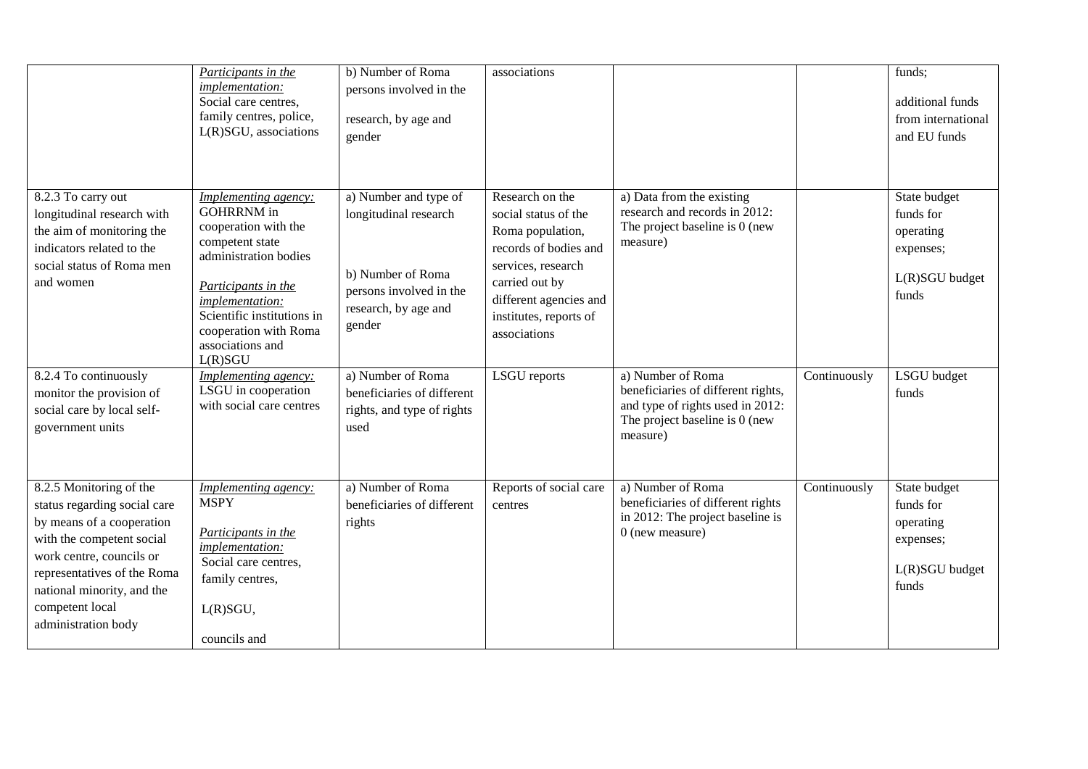|                                                                                                                                                                                                                                                      | Participants in the<br>implementation:<br>Social care centres,<br>family centres, police,<br>L(R)SGU, associations                                                                                                                                   | b) Number of Roma<br>persons involved in the<br>research, by age and<br>gender                                                   | associations                                                                                                                                                                                     |                                                                                                                                           |              | funds;<br>additional funds<br>from international<br>and EU funds                 |
|------------------------------------------------------------------------------------------------------------------------------------------------------------------------------------------------------------------------------------------------------|------------------------------------------------------------------------------------------------------------------------------------------------------------------------------------------------------------------------------------------------------|----------------------------------------------------------------------------------------------------------------------------------|--------------------------------------------------------------------------------------------------------------------------------------------------------------------------------------------------|-------------------------------------------------------------------------------------------------------------------------------------------|--------------|----------------------------------------------------------------------------------|
| 8.2.3 To carry out<br>longitudinal research with<br>the aim of monitoring the<br>indicators related to the<br>social status of Roma men<br>and women                                                                                                 | Implementing agency:<br><b>GOHRRNM</b> in<br>cooperation with the<br>competent state<br>administration bodies<br>Participants in the<br><i>implementation:</i><br>Scientific institutions in<br>cooperation with Roma<br>associations and<br>L(R)SGU | a) Number and type of<br>longitudinal research<br>b) Number of Roma<br>persons involved in the<br>research, by age and<br>gender | Research on the<br>social status of the<br>Roma population,<br>records of bodies and<br>services, research<br>carried out by<br>different agencies and<br>institutes, reports of<br>associations | a) Data from the existing<br>research and records in 2012:<br>The project baseline is 0 (new<br>measure)                                  |              | State budget<br>funds for<br>operating<br>expenses;<br>L(R)SGU budget<br>funds   |
| 8.2.4 To continuously<br>monitor the provision of<br>social care by local self-<br>government units                                                                                                                                                  | <i>Implementing agency:</i><br>LSGU in cooperation<br>with social care centres                                                                                                                                                                       | a) Number of Roma<br>beneficiaries of different<br>rights, and type of rights<br>used                                            | <b>LSGU</b> reports                                                                                                                                                                              | a) Number of Roma<br>beneficiaries of different rights,<br>and type of rights used in 2012:<br>The project baseline is 0 (new<br>measure) | Continuously | LSGU budget<br>funds                                                             |
| 8.2.5 Monitoring of the<br>status regarding social care<br>by means of a cooperation<br>with the competent social<br>work centre, councils or<br>representatives of the Roma<br>national minority, and the<br>competent local<br>administration body | Implementing agency:<br><b>MSPY</b><br>Participants in the<br><i>implementation:</i><br>Social care centres,<br>family centres,<br>L(R)SGU,<br>councils and                                                                                          | a) Number of Roma<br>beneficiaries of different<br>rights                                                                        | Reports of social care<br>centres                                                                                                                                                                | a) Number of Roma<br>beneficiaries of different rights<br>in 2012: The project baseline is<br>$0$ (new measure)                           | Continuously | State budget<br>funds for<br>operating<br>expenses;<br>$L(R)SGU$ budget<br>funds |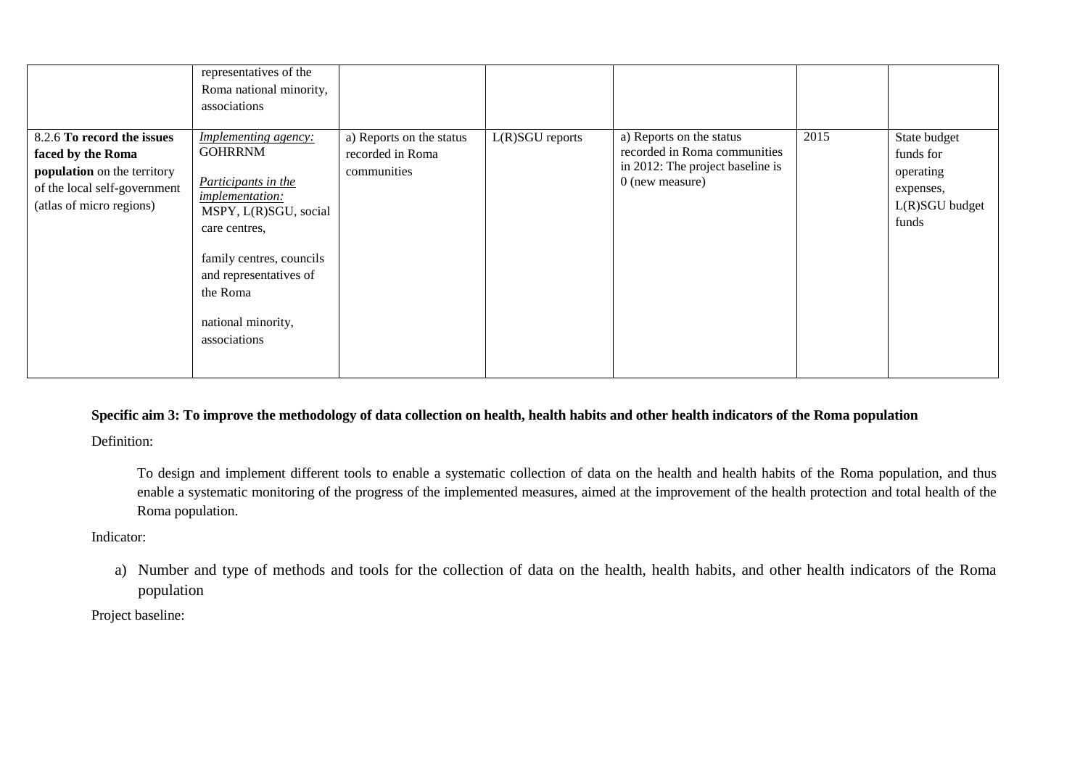|                                                                                                                                            | representatives of the<br>Roma national minority,<br>associations                                                                                                                                                                                |                                                             |                   |                                                                                                                   |      |                                                                                |
|--------------------------------------------------------------------------------------------------------------------------------------------|--------------------------------------------------------------------------------------------------------------------------------------------------------------------------------------------------------------------------------------------------|-------------------------------------------------------------|-------------------|-------------------------------------------------------------------------------------------------------------------|------|--------------------------------------------------------------------------------|
| 8.2.6 To record the issues<br>faced by the Roma<br>population on the territory<br>of the local self-government<br>(atlas of micro regions) | <i>Implementing agency:</i><br><b>GOHRRNM</b><br>Participants in the<br><i>implementation:</i><br>MSPY, L(R)SGU, social<br>care centres,<br>family centres, councils<br>and representatives of<br>the Roma<br>national minority,<br>associations | a) Reports on the status<br>recorded in Roma<br>communities | $L(R)SGU$ reports | a) Reports on the status<br>recorded in Roma communities<br>in 2012: The project baseline is<br>$0$ (new measure) | 2015 | State budget<br>funds for<br>operating<br>expenses,<br>L(R)SGU budget<br>funds |

# **Specific aim 3: To improve the methodology of data collection on health, health habits and other health indicators of the Roma population**

Definition:

To design and implement different tools to enable a systematic collection of data on the health and health habits of the Roma population, and thus enable a systematic monitoring of the progress of the implemented measures, aimed at the improvement of the health protection and total health of the Roma population.

## Indicator:

a) Number and type of methods and tools for the collection of data on the health, health habits, and other health indicators of the Roma population

Project baseline: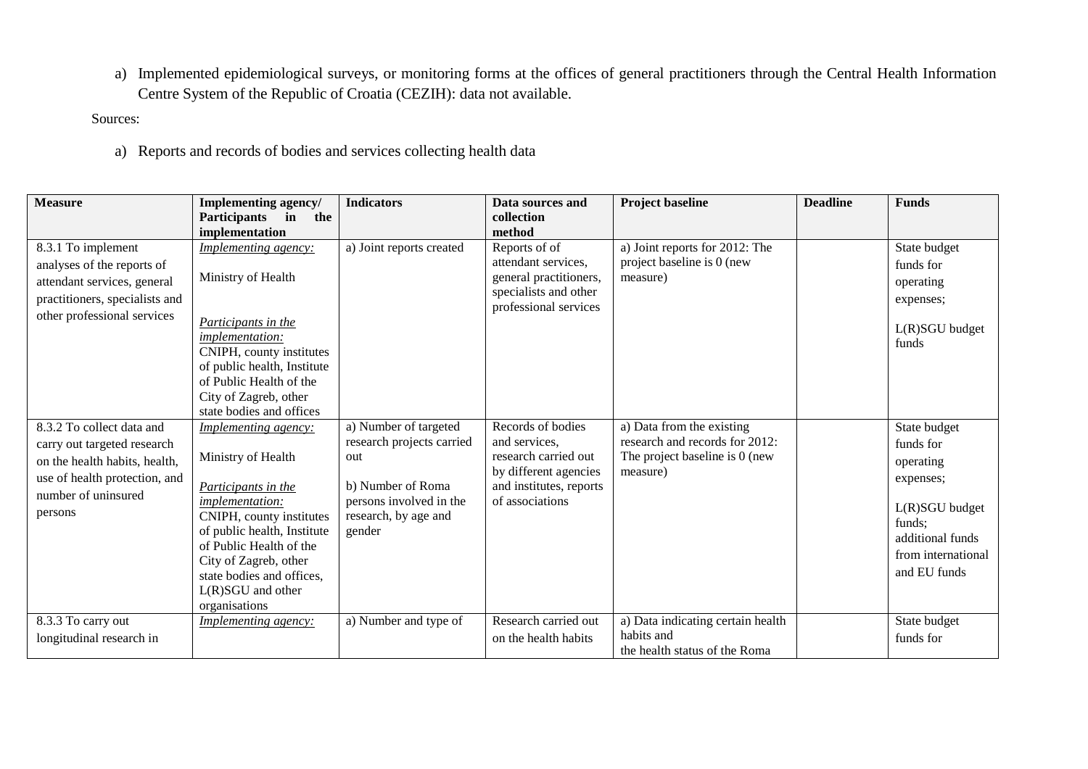a) Implemented epidemiological surveys, or monitoring forms at the offices of general practitioners through the Central Health Information Centre System of the Republic of Croatia (CEZIH): data not available.

Sources:

a) Reports and records of bodies and services collecting health data

| <b>Measure</b>                                                                                                                                               | Implementing agency/<br>Participants in<br>the                                                                                                                                                                                                                           | <b>Indicators</b>                                                                                                                           | Data sources and<br>collection                                                                                                    | Project baseline                                                                                          | <b>Deadline</b> | <b>Funds</b>                                                                                                                              |
|--------------------------------------------------------------------------------------------------------------------------------------------------------------|--------------------------------------------------------------------------------------------------------------------------------------------------------------------------------------------------------------------------------------------------------------------------|---------------------------------------------------------------------------------------------------------------------------------------------|-----------------------------------------------------------------------------------------------------------------------------------|-----------------------------------------------------------------------------------------------------------|-----------------|-------------------------------------------------------------------------------------------------------------------------------------------|
| 8.3.1 To implement<br>analyses of the reports of<br>attendant services, general<br>practitioners, specialists and<br>other professional services             | implementation<br><i>Implementing agency:</i><br>Ministry of Health<br>Participants in the<br>implementation:<br>CNIPH, county institutes<br>of public health, Institute<br>of Public Health of the<br>City of Zagreb, other<br>state bodies and offices                 | a) Joint reports created                                                                                                                    | method<br>Reports of of<br>attendant services,<br>general practitioners,<br>specialists and other<br>professional services        | a) Joint reports for 2012: The<br>project baseline is 0 (new<br>measure)                                  |                 | State budget<br>funds for<br>operating<br>expenses;<br>L(R)SGU budget<br>funds                                                            |
| 8.3.2 To collect data and<br>carry out targeted research<br>on the health habits, health,<br>use of health protection, and<br>number of uninsured<br>persons | Implementing agency:<br>Ministry of Health<br>Participants in the<br>implementation:<br>CNIPH, county institutes<br>of public health, Institute<br>of Public Health of the<br>City of Zagreb, other<br>state bodies and offices,<br>$L(R)SGU$ and other<br>organisations | a) Number of targeted<br>research projects carried<br>out<br>b) Number of Roma<br>persons involved in the<br>research, by age and<br>gender | Records of bodies<br>and services,<br>research carried out<br>by different agencies<br>and institutes, reports<br>of associations | a) Data from the existing<br>research and records for 2012:<br>The project baseline is 0 (new<br>measure) |                 | State budget<br>funds for<br>operating<br>expenses;<br>L(R)SGU budget<br>funds;<br>additional funds<br>from international<br>and EU funds |
| 8.3.3 To carry out<br>longitudinal research in                                                                                                               | <i>Implementing agency:</i>                                                                                                                                                                                                                                              | a) Number and type of                                                                                                                       | Research carried out<br>on the health habits                                                                                      | a) Data indicating certain health<br>habits and<br>the health status of the Roma                          |                 | State budget<br>funds for                                                                                                                 |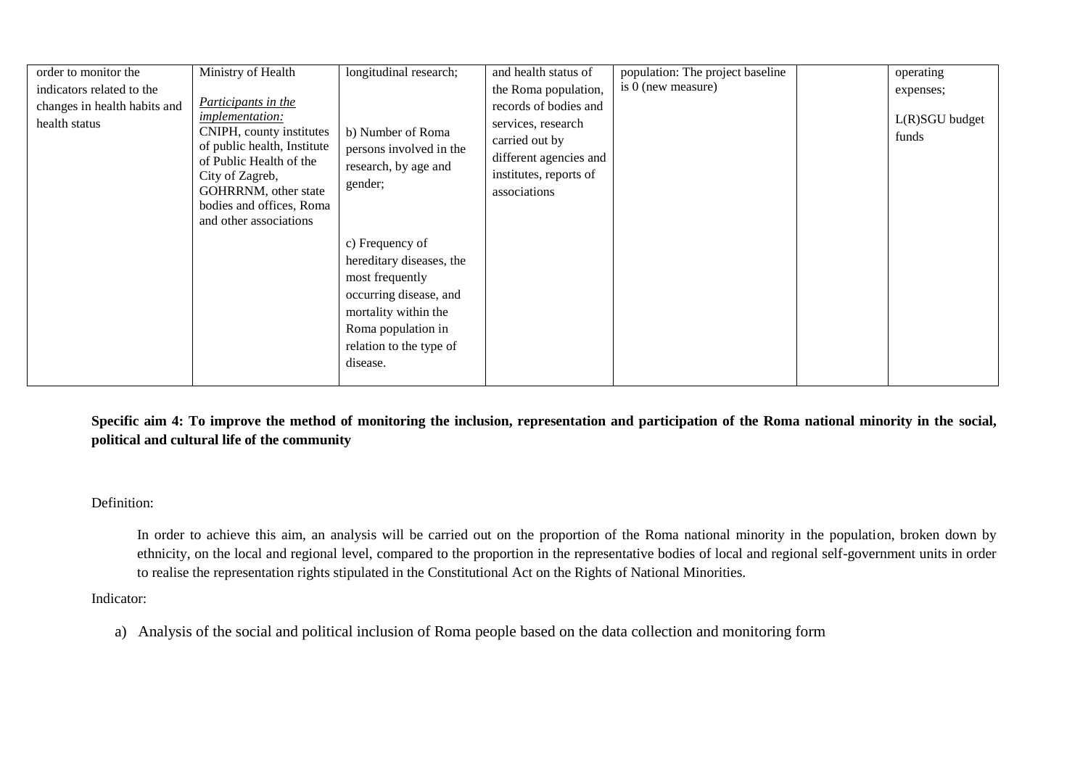| order to monitor the                          | Ministry of Health                                                                                                                                                                                                                   | longitudinal research;                                                                                                         | and health status of                                                                                                              | population: The project baseline | operating               |
|-----------------------------------------------|--------------------------------------------------------------------------------------------------------------------------------------------------------------------------------------------------------------------------------------|--------------------------------------------------------------------------------------------------------------------------------|-----------------------------------------------------------------------------------------------------------------------------------|----------------------------------|-------------------------|
| indicators related to the                     |                                                                                                                                                                                                                                      |                                                                                                                                | the Roma population,                                                                                                              | is 0 (new measure)               | expenses;               |
| changes in health habits and<br>health status | Participants in the<br><i>implementation:</i><br>CNIPH, county institutes<br>of public health, Institute<br>of Public Health of the<br>City of Zagreb,<br>GOHRRNM, other state<br>bodies and offices, Roma<br>and other associations | b) Number of Roma<br>persons involved in the<br>research, by age and<br>gender;<br>c) Frequency of<br>hereditary diseases, the | records of bodies and<br>services, research<br>carried out by<br>different agencies and<br>institutes, reports of<br>associations |                                  | L(R)SGU budget<br>funds |
|                                               |                                                                                                                                                                                                                                      | most frequently<br>occurring disease, and<br>mortality within the<br>Roma population in<br>relation to the type of<br>disease. |                                                                                                                                   |                                  |                         |

**Specific aim 4: To improve the method of monitoring the inclusion, representation and participation of the Roma national minority in the social, political and cultural life of the community**

### Definition:

In order to achieve this aim, an analysis will be carried out on the proportion of the Roma national minority in the population, broken down by ethnicity, on the local and regional level, compared to the proportion in the representative bodies of local and regional self-government units in order to realise the representation rights stipulated in the Constitutional Act on the Rights of National Minorities.

Indicator:

a) Analysis of the social and political inclusion of Roma people based on the data collection and monitoring form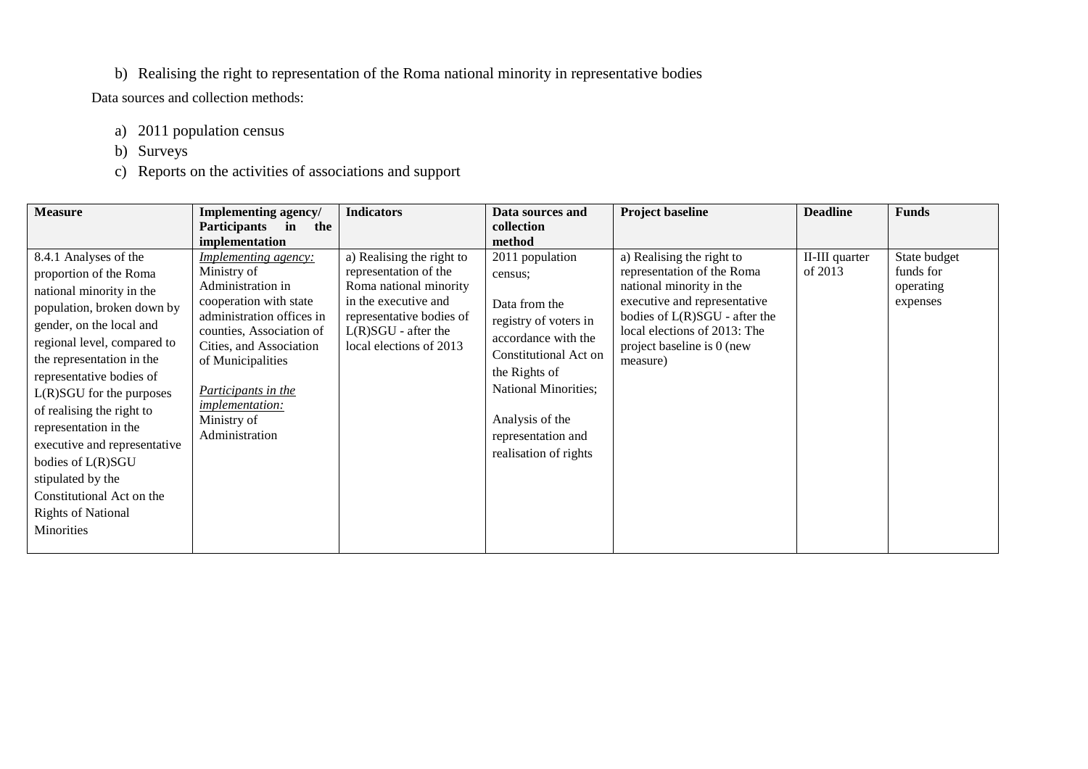# b) Realising the right to representation of the Roma national minority in representative bodies

Data sources and collection methods:

- a) 2011 population census
- b) Surveys
- c) Reports on the activities of associations and support

| <b>Measure</b>                                                                                                                                                                                                                                                                                                                                                                                                           | <b>Implementing agency/</b>                                                                                                                                                                                                                                                          | <b>Indicators</b>                                                                                                                                                                    | Data sources and                                                                                                                                                                                                                | <b>Project baseline</b>                                                                                                                                                                                                        | <b>Deadline</b>           | <b>Funds</b>                                       |
|--------------------------------------------------------------------------------------------------------------------------------------------------------------------------------------------------------------------------------------------------------------------------------------------------------------------------------------------------------------------------------------------------------------------------|--------------------------------------------------------------------------------------------------------------------------------------------------------------------------------------------------------------------------------------------------------------------------------------|--------------------------------------------------------------------------------------------------------------------------------------------------------------------------------------|---------------------------------------------------------------------------------------------------------------------------------------------------------------------------------------------------------------------------------|--------------------------------------------------------------------------------------------------------------------------------------------------------------------------------------------------------------------------------|---------------------------|----------------------------------------------------|
|                                                                                                                                                                                                                                                                                                                                                                                                                          | <b>Participants</b><br>in<br>the                                                                                                                                                                                                                                                     |                                                                                                                                                                                      | collection                                                                                                                                                                                                                      |                                                                                                                                                                                                                                |                           |                                                    |
|                                                                                                                                                                                                                                                                                                                                                                                                                          | implementation                                                                                                                                                                                                                                                                       |                                                                                                                                                                                      | method                                                                                                                                                                                                                          |                                                                                                                                                                                                                                |                           |                                                    |
| 8.4.1 Analyses of the<br>proportion of the Roma<br>national minority in the<br>population, broken down by<br>gender, on the local and<br>regional level, compared to<br>the representation in the<br>representative bodies of<br>$L(R)SGU$ for the purposes<br>of realising the right to<br>representation in the<br>executive and representative<br>bodies of L(R)SGU<br>stipulated by the<br>Constitutional Act on the | <i>Implementing agency:</i><br>Ministry of<br>Administration in<br>cooperation with state<br>administration offices in<br>counties, Association of<br>Cities, and Association<br>of Municipalities<br>Participants in the<br><i>implementation:</i><br>Ministry of<br>Administration | a) Realising the right to<br>representation of the<br>Roma national minority<br>in the executive and<br>representative bodies of<br>$L(R)SGU$ - after the<br>local elections of 2013 | 2011 population<br>census;<br>Data from the<br>registry of voters in<br>accordance with the<br>Constitutional Act on<br>the Rights of<br>National Minorities;<br>Analysis of the<br>representation and<br>realisation of rights | a) Realising the right to<br>representation of the Roma<br>national minority in the<br>executive and representative<br>bodies of L(R)SGU - after the<br>local elections of 2013: The<br>project baseline is 0 (new<br>measure) | II-III quarter<br>of 2013 | State budget<br>funds for<br>operating<br>expenses |
| <b>Rights of National</b><br>Minorities                                                                                                                                                                                                                                                                                                                                                                                  |                                                                                                                                                                                                                                                                                      |                                                                                                                                                                                      |                                                                                                                                                                                                                                 |                                                                                                                                                                                                                                |                           |                                                    |
|                                                                                                                                                                                                                                                                                                                                                                                                                          |                                                                                                                                                                                                                                                                                      |                                                                                                                                                                                      |                                                                                                                                                                                                                                 |                                                                                                                                                                                                                                |                           |                                                    |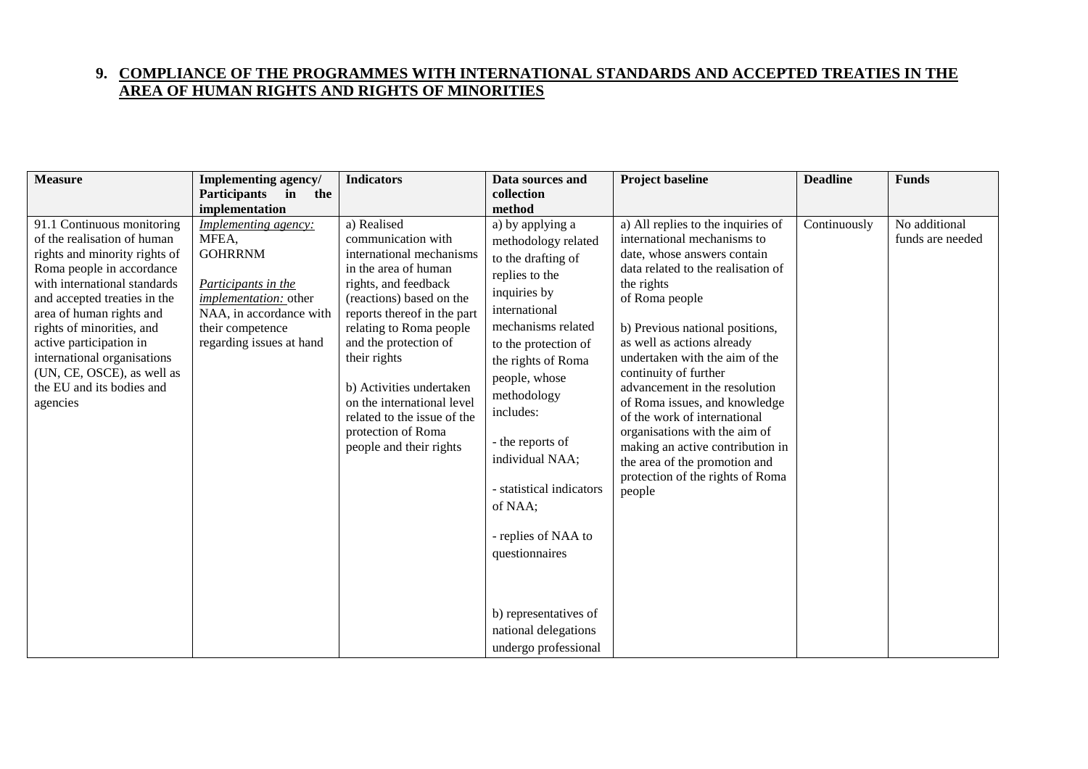# **9. COMPLIANCE OF THE PROGRAMMES WITH INTERNATIONAL STANDARDS AND ACCEPTED TREATIES IN THE AREA OF HUMAN RIGHTS AND RIGHTS OF MINORITIES**

| <b>Measure</b>                                            | <b>Implementing agency/</b> | <b>Indicators</b>                                | Data sources and         | <b>Project baseline</b>                                           | <b>Deadline</b> | <b>Funds</b>     |
|-----------------------------------------------------------|-----------------------------|--------------------------------------------------|--------------------------|-------------------------------------------------------------------|-----------------|------------------|
|                                                           | Participants in<br>the      |                                                  | collection               |                                                                   |                 |                  |
|                                                           | implementation              |                                                  | method                   |                                                                   |                 |                  |
| 91.1 Continuous monitoring                                | <b>Implementing agency:</b> | a) Realised                                      | a) by applying a         | a) All replies to the inquiries of                                | Continuously    | No additional    |
| of the realisation of human                               | MFEA,                       | communication with                               | methodology related      | international mechanisms to                                       |                 | funds are needed |
| rights and minority rights of                             | <b>GOHRRNM</b>              | international mechanisms                         | to the drafting of       | date, whose answers contain                                       |                 |                  |
| Roma people in accordance<br>with international standards | Participants in the         | in the area of human                             | replies to the           | data related to the realisation of                                |                 |                  |
| and accepted treaties in the                              | implementation: other       | rights, and feedback<br>(reactions) based on the | inquiries by             | the rights<br>of Roma people                                      |                 |                  |
| area of human rights and                                  | NAA, in accordance with     | reports thereof in the part                      | international            |                                                                   |                 |                  |
| rights of minorities, and                                 | their competence            | relating to Roma people                          | mechanisms related       | b) Previous national positions,                                   |                 |                  |
| active participation in                                   | regarding issues at hand    | and the protection of                            | to the protection of     | as well as actions already                                        |                 |                  |
| international organisations                               |                             | their rights                                     | the rights of Roma       | undertaken with the aim of the                                    |                 |                  |
| (UN, CE, OSCE), as well as                                |                             |                                                  | people, whose            | continuity of further                                             |                 |                  |
| the EU and its bodies and                                 |                             | b) Activities undertaken                         | methodology              | advancement in the resolution                                     |                 |                  |
| agencies                                                  |                             | on the international level                       | includes:                | of Roma issues, and knowledge                                     |                 |                  |
|                                                           |                             | related to the issue of the                      |                          | of the work of international                                      |                 |                  |
|                                                           |                             | protection of Roma                               | - the reports of         | organisations with the aim of                                     |                 |                  |
|                                                           |                             | people and their rights                          | individual NAA;          | making an active contribution in                                  |                 |                  |
|                                                           |                             |                                                  |                          | the area of the promotion and<br>protection of the rights of Roma |                 |                  |
|                                                           |                             |                                                  | - statistical indicators | people                                                            |                 |                  |
|                                                           |                             |                                                  | of NAA;                  |                                                                   |                 |                  |
|                                                           |                             |                                                  |                          |                                                                   |                 |                  |
|                                                           |                             |                                                  | - replies of NAA to      |                                                                   |                 |                  |
|                                                           |                             |                                                  | questionnaires           |                                                                   |                 |                  |
|                                                           |                             |                                                  |                          |                                                                   |                 |                  |
|                                                           |                             |                                                  |                          |                                                                   |                 |                  |
|                                                           |                             |                                                  |                          |                                                                   |                 |                  |
|                                                           |                             |                                                  | b) representatives of    |                                                                   |                 |                  |
|                                                           |                             |                                                  | national delegations     |                                                                   |                 |                  |
|                                                           |                             |                                                  | undergo professional     |                                                                   |                 |                  |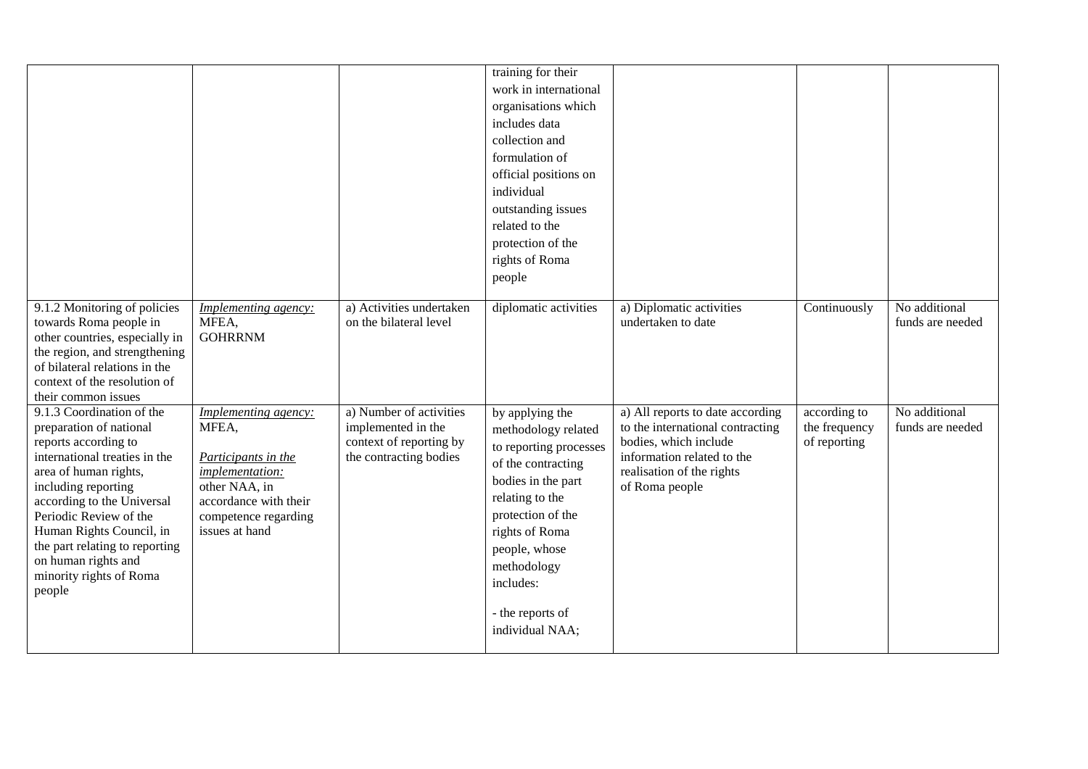|                                                                                                                                                                                                                                                                                                                                                 |                                                                                                                                                                    |                                                                                                    | training for their<br>work in international<br>organisations which<br>includes data<br>collection and<br>formulation of<br>official positions on<br>individual<br>outstanding issues<br>related to the<br>protection of the<br>rights of Roma<br>people    |                                                                                                                                                                            |                                               |                                   |
|-------------------------------------------------------------------------------------------------------------------------------------------------------------------------------------------------------------------------------------------------------------------------------------------------------------------------------------------------|--------------------------------------------------------------------------------------------------------------------------------------------------------------------|----------------------------------------------------------------------------------------------------|------------------------------------------------------------------------------------------------------------------------------------------------------------------------------------------------------------------------------------------------------------|----------------------------------------------------------------------------------------------------------------------------------------------------------------------------|-----------------------------------------------|-----------------------------------|
| 9.1.2 Monitoring of policies<br>towards Roma people in<br>other countries, especially in<br>the region, and strengthening<br>of bilateral relations in the<br>context of the resolution of<br>their common issues                                                                                                                               | Implementing agency:<br>MFEA,<br><b>GOHRRNM</b>                                                                                                                    | a) Activities undertaken<br>on the bilateral level                                                 | diplomatic activities                                                                                                                                                                                                                                      | a) Diplomatic activities<br>undertaken to date                                                                                                                             | Continuously                                  | No additional<br>funds are needed |
| 9.1.3 Coordination of the<br>preparation of national<br>reports according to<br>international treaties in the<br>area of human rights,<br>including reporting<br>according to the Universal<br>Periodic Review of the<br>Human Rights Council, in<br>the part relating to reporting<br>on human rights and<br>minority rights of Roma<br>people | <b>Implementing agency:</b><br>MFEA,<br>Participants in the<br>implementation:<br>other NAA, in<br>accordance with their<br>competence regarding<br>issues at hand | a) Number of activities<br>implemented in the<br>context of reporting by<br>the contracting bodies | by applying the<br>methodology related<br>to reporting processes<br>of the contracting<br>bodies in the part<br>relating to the<br>protection of the<br>rights of Roma<br>people, whose<br>methodology<br>includes:<br>- the reports of<br>individual NAA; | a) All reports to date according<br>to the international contracting<br>bodies, which include<br>information related to the<br>realisation of the rights<br>of Roma people | according to<br>the frequency<br>of reporting | No additional<br>funds are needed |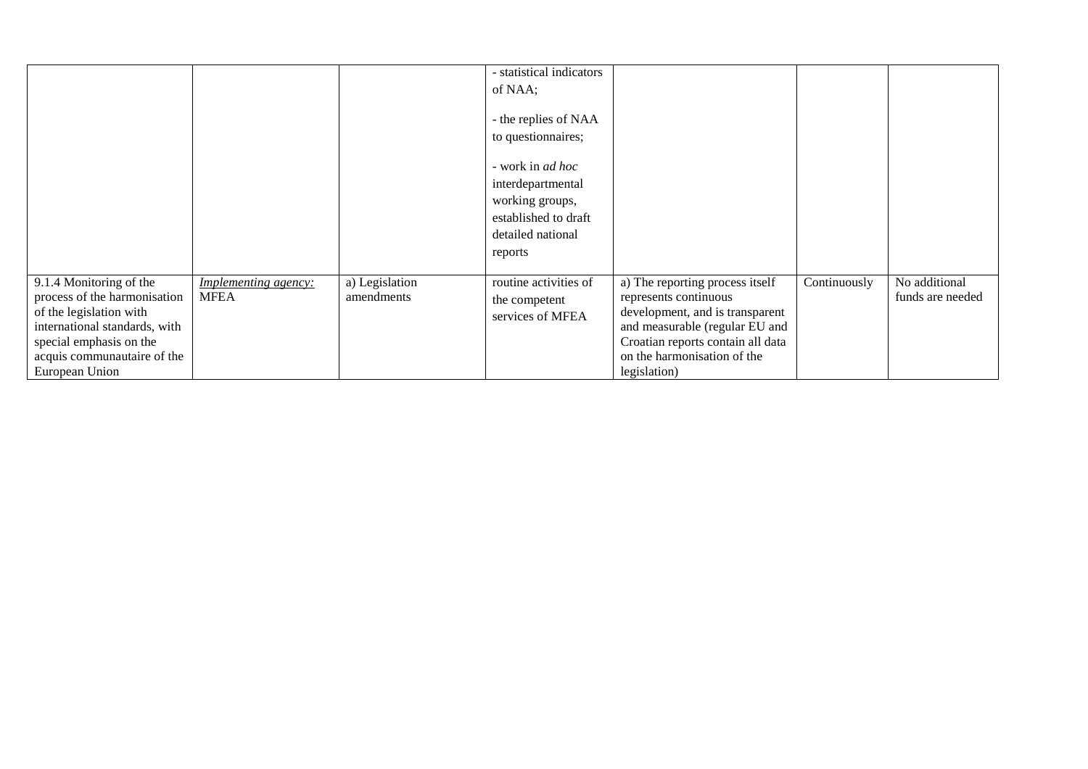|                               |                             |                | - statistical indicators |                                   |              |                  |
|-------------------------------|-----------------------------|----------------|--------------------------|-----------------------------------|--------------|------------------|
|                               |                             |                | of NAA;                  |                                   |              |                  |
|                               |                             |                | - the replies of NAA     |                                   |              |                  |
|                               |                             |                |                          |                                   |              |                  |
|                               |                             |                | to questionnaires;       |                                   |              |                  |
|                               |                             |                | - work in <i>ad hoc</i>  |                                   |              |                  |
|                               |                             |                |                          |                                   |              |                  |
|                               |                             |                | interdepartmental        |                                   |              |                  |
|                               |                             |                | working groups,          |                                   |              |                  |
|                               |                             |                | established to draft     |                                   |              |                  |
|                               |                             |                | detailed national        |                                   |              |                  |
|                               |                             |                | reports                  |                                   |              |                  |
|                               |                             |                |                          |                                   |              |                  |
| 9.1.4 Monitoring of the       | <i>Implementing agency:</i> | a) Legislation | routine activities of    | a) The reporting process itself   | Continuously | No additional    |
| process of the harmonisation  | <b>MFEA</b>                 | amendments     | the competent            | represents continuous             |              | funds are needed |
| of the legislation with       |                             |                | services of MFEA         | development, and is transparent   |              |                  |
| international standards, with |                             |                |                          | and measurable (regular EU and    |              |                  |
| special emphasis on the       |                             |                |                          | Croatian reports contain all data |              |                  |
| acquis communautaire of the   |                             |                |                          | on the harmonisation of the       |              |                  |
|                               |                             |                |                          |                                   |              |                  |
| European Union                |                             |                |                          | legislation)                      |              |                  |